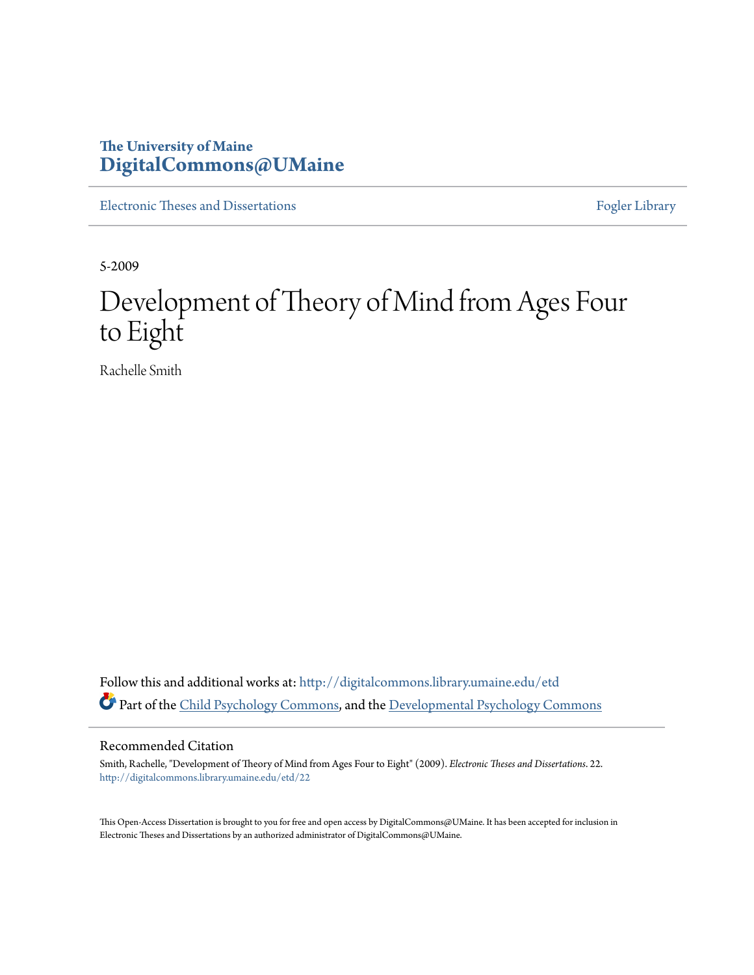## **The University of Maine [DigitalCommons@UMaine](http://digitalcommons.library.umaine.edu?utm_source=digitalcommons.library.umaine.edu%2Fetd%2F22&utm_medium=PDF&utm_campaign=PDFCoverPages)**

[Electronic Theses and Dissertations](http://digitalcommons.library.umaine.edu/etd?utm_source=digitalcommons.library.umaine.edu%2Fetd%2F22&utm_medium=PDF&utm_campaign=PDFCoverPages) [Fogler Library](http://digitalcommons.library.umaine.edu/fogler?utm_source=digitalcommons.library.umaine.edu%2Fetd%2F22&utm_medium=PDF&utm_campaign=PDFCoverPages)

5-2009

# Development of Theory of Mind from Ages Four to Eight

Rachelle Smith

Follow this and additional works at: [http://digitalcommons.library.umaine.edu/etd](http://digitalcommons.library.umaine.edu/etd?utm_source=digitalcommons.library.umaine.edu%2Fetd%2F22&utm_medium=PDF&utm_campaign=PDFCoverPages) Part of the [Child Psychology Commons](http://network.bepress.com/hgg/discipline/1023?utm_source=digitalcommons.library.umaine.edu%2Fetd%2F22&utm_medium=PDF&utm_campaign=PDFCoverPages), and the [Developmental Psychology Commons](http://network.bepress.com/hgg/discipline/410?utm_source=digitalcommons.library.umaine.edu%2Fetd%2F22&utm_medium=PDF&utm_campaign=PDFCoverPages)

#### Recommended Citation

Smith, Rachelle, "Development of Theory of Mind from Ages Four to Eight" (2009). *Electronic Theses and Dissertations*. 22. [http://digitalcommons.library.umaine.edu/etd/22](http://digitalcommons.library.umaine.edu/etd/22?utm_source=digitalcommons.library.umaine.edu%2Fetd%2F22&utm_medium=PDF&utm_campaign=PDFCoverPages)

This Open-Access Dissertation is brought to you for free and open access by DigitalCommons@UMaine. It has been accepted for inclusion in Electronic Theses and Dissertations by an authorized administrator of DigitalCommons@UMaine.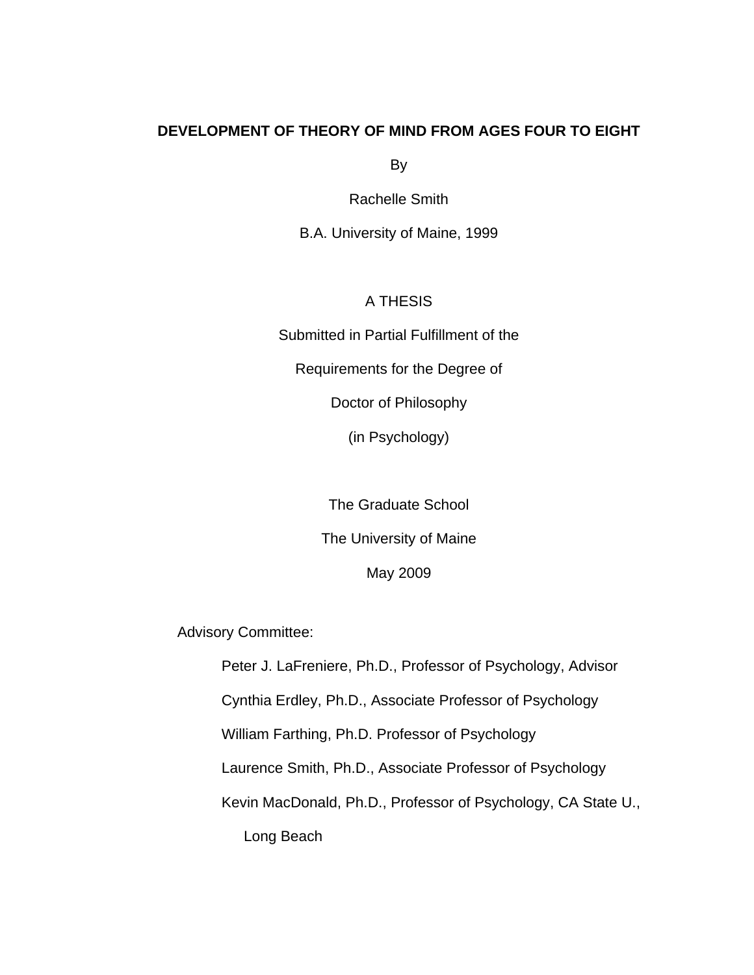### **DEVELOPMENT OF THEORY OF MIND FROM AGES FOUR TO EIGHT**

By

Rachelle Smith

B.A. University of Maine, 1999

A THESIS

Submitted in Partial Fulfillment of the

Requirements for the Degree of

Doctor of Philosophy

(in Psychology)

The Graduate School The University of Maine

May 2009

Advisory Committee:

Peter J. LaFreniere, Ph.D., Professor of Psychology, Advisor Cynthia Erdley, Ph.D., Associate Professor of Psychology William Farthing, Ph.D. Professor of Psychology Laurence Smith, Ph.D., Associate Professor of Psychology Kevin MacDonald, Ph.D., Professor of Psychology, CA State U., Long Beach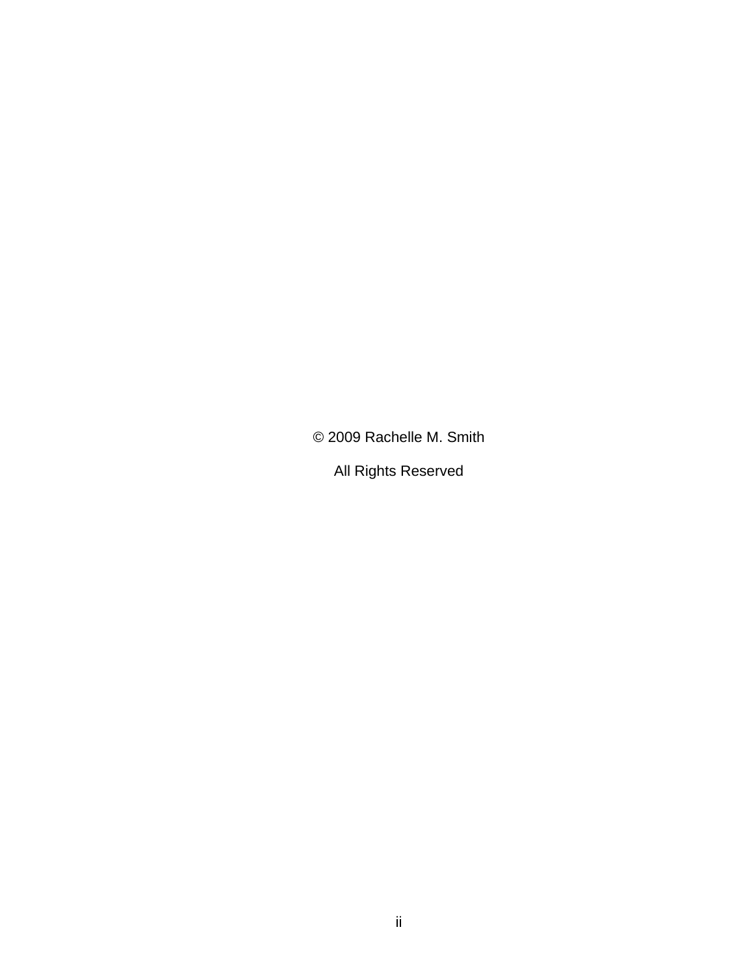© 2009 Rachelle M. Smith

All Rights Reserved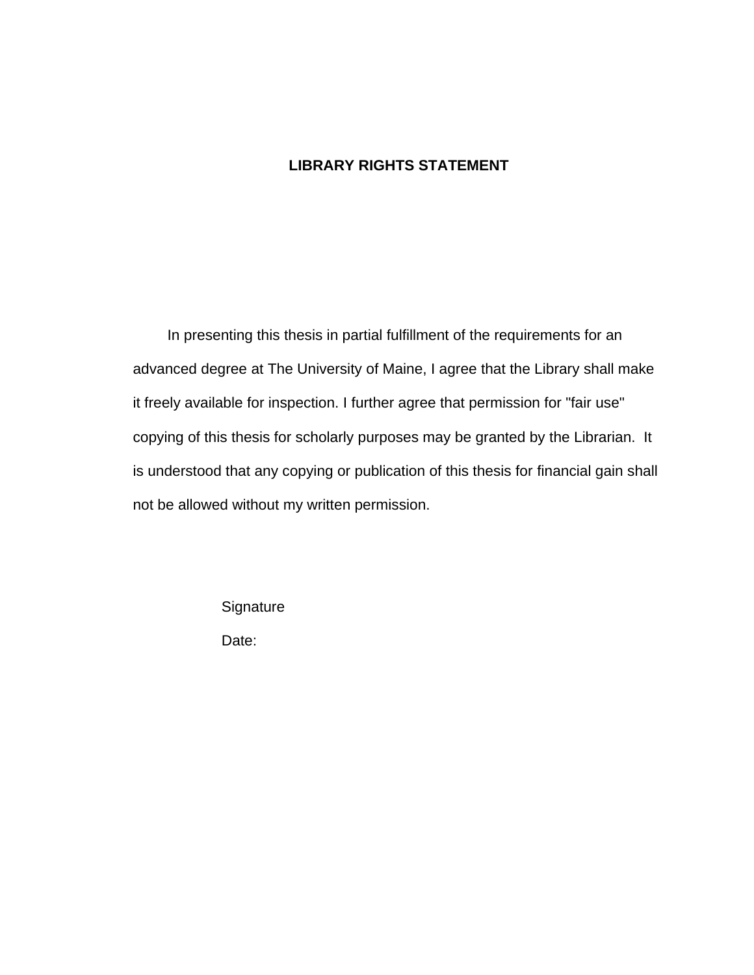### **LIBRARY RIGHTS STATEMENT**

In presenting this thesis in partial fulfillment of the requirements for an advanced degree at The University of Maine, I agree that the Library shall make it freely available for inspection. I further agree that permission for "fair use" copying of this thesis for scholarly purposes may be granted by the Librarian. It is understood that any copying or publication of this thesis for financial gain shall not be allowed without my written permission.

**Signature** 

Date: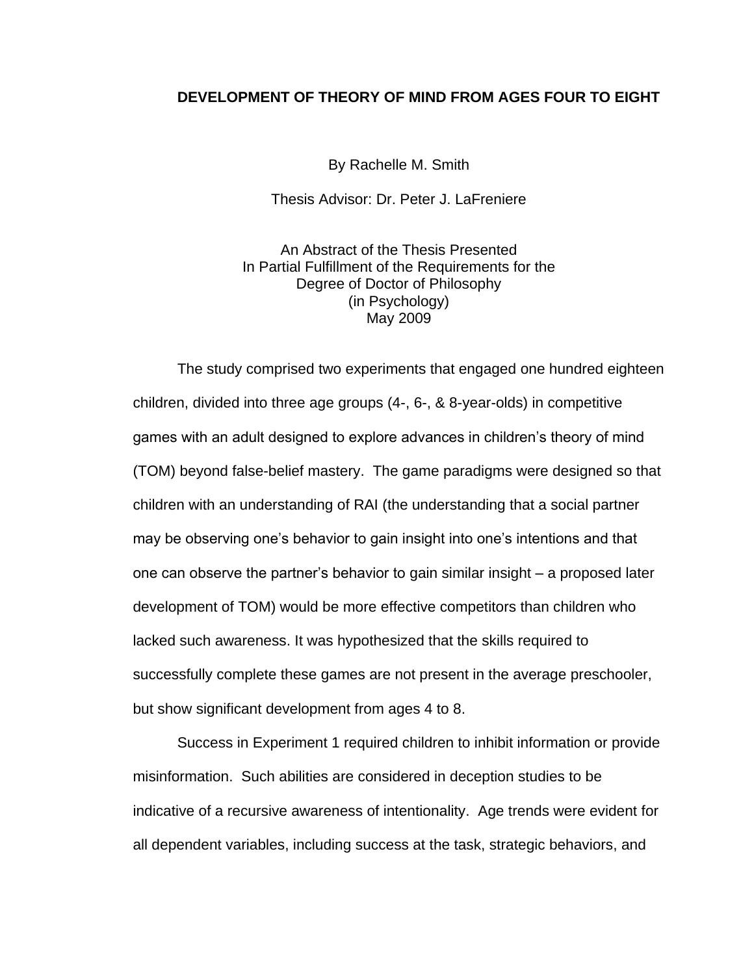### **DEVELOPMENT OF THEORY OF MIND FROM AGES FOUR TO EIGHT**

By Rachelle M. Smith

Thesis Advisor: Dr. Peter J. LaFreniere

An Abstract of the Thesis Presented In Partial Fulfillment of the Requirements for the Degree of Doctor of Philosophy (in Psychology) May 2009

The study comprised two experiments that engaged one hundred eighteen children, divided into three age groups (4-, 6-, & 8-year-olds) in competitive games with an adult designed to explore advances in children's theory of mind (TOM) beyond false-belief mastery. The game paradigms were designed so that children with an understanding of RAI (the understanding that a social partner may be observing one's behavior to gain insight into one's intentions and that one can observe the partner's behavior to gain similar insight – a proposed later development of TOM) would be more effective competitors than children who lacked such awareness. It was hypothesized that the skills required to successfully complete these games are not present in the average preschooler, but show significant development from ages 4 to 8.

Success in Experiment 1 required children to inhibit information or provide misinformation. Such abilities are considered in deception studies to be indicative of a recursive awareness of intentionality. Age trends were evident for all dependent variables, including success at the task, strategic behaviors, and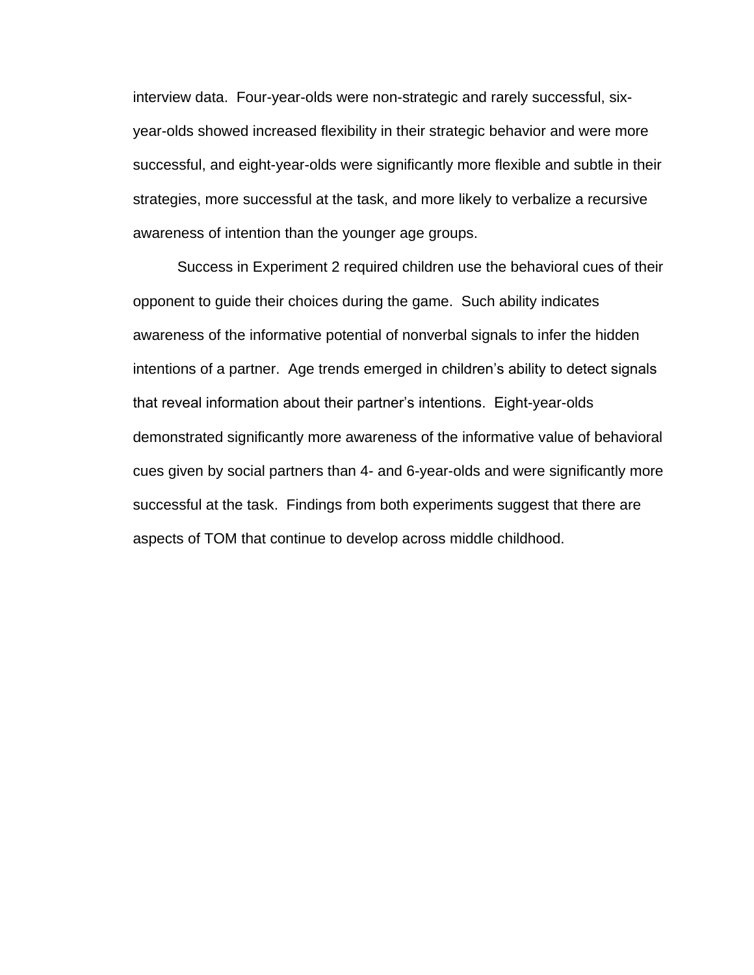interview data. Four-year-olds were non-strategic and rarely successful, sixyear-olds showed increased flexibility in their strategic behavior and were more successful, and eight-year-olds were significantly more flexible and subtle in their strategies, more successful at the task, and more likely to verbalize a recursive awareness of intention than the younger age groups.

Success in Experiment 2 required children use the behavioral cues of their opponent to guide their choices during the game. Such ability indicates awareness of the informative potential of nonverbal signals to infer the hidden intentions of a partner. Age trends emerged in children's ability to detect signals that reveal information about their partner's intentions. Eight-year-olds demonstrated significantly more awareness of the informative value of behavioral cues given by social partners than 4- and 6-year-olds and were significantly more successful at the task. Findings from both experiments suggest that there are aspects of TOM that continue to develop across middle childhood.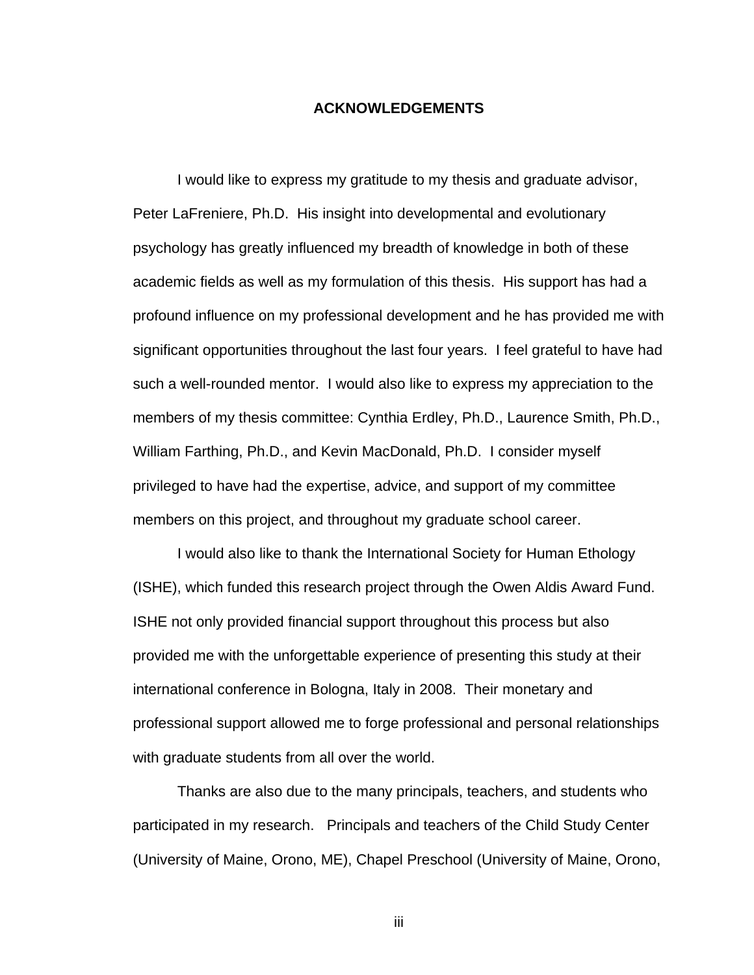### **ACKNOWLEDGEMENTS**

I would like to express my gratitude to my thesis and graduate advisor, Peter LaFreniere, Ph.D. His insight into developmental and evolutionary psychology has greatly influenced my breadth of knowledge in both of these academic fields as well as my formulation of this thesis. His support has had a profound influence on my professional development and he has provided me with significant opportunities throughout the last four years. I feel grateful to have had such a well-rounded mentor. I would also like to express my appreciation to the members of my thesis committee: Cynthia Erdley, Ph.D., Laurence Smith, Ph.D., William Farthing, Ph.D., and Kevin MacDonald, Ph.D. I consider myself privileged to have had the expertise, advice, and support of my committee members on this project, and throughout my graduate school career.

I would also like to thank the International Society for Human Ethology (ISHE), which funded this research project through the Owen Aldis Award Fund. ISHE not only provided financial support throughout this process but also provided me with the unforgettable experience of presenting this study at their international conference in Bologna, Italy in 2008. Their monetary and professional support allowed me to forge professional and personal relationships with graduate students from all over the world.

Thanks are also due to the many principals, teachers, and students who participated in my research. Principals and teachers of the Child Study Center (University of Maine, Orono, ME), Chapel Preschool (University of Maine, Orono,

iii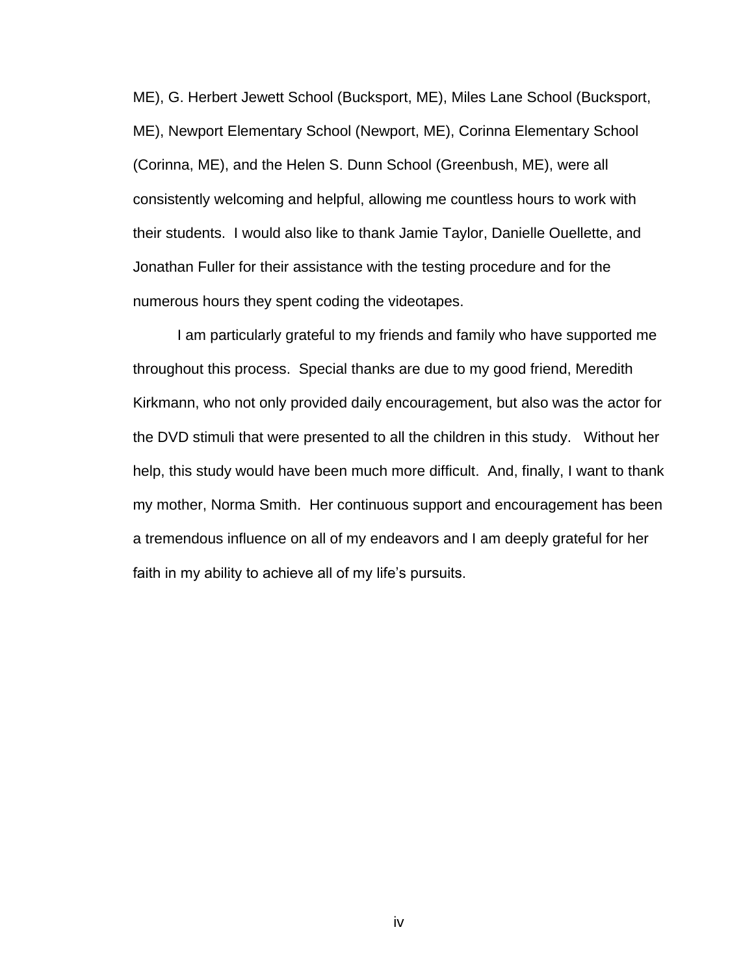ME), G. Herbert Jewett School (Bucksport, ME), Miles Lane School (Bucksport, ME), Newport Elementary School (Newport, ME), Corinna Elementary School (Corinna, ME), and the Helen S. Dunn School (Greenbush, ME), were all consistently welcoming and helpful, allowing me countless hours to work with their students. I would also like to thank Jamie Taylor, Danielle Ouellette, and Jonathan Fuller for their assistance with the testing procedure and for the numerous hours they spent coding the videotapes.

I am particularly grateful to my friends and family who have supported me throughout this process. Special thanks are due to my good friend, Meredith Kirkmann, who not only provided daily encouragement, but also was the actor for the DVD stimuli that were presented to all the children in this study. Without her help, this study would have been much more difficult. And, finally, I want to thank my mother, Norma Smith. Her continuous support and encouragement has been a tremendous influence on all of my endeavors and I am deeply grateful for her faith in my ability to achieve all of my life's pursuits.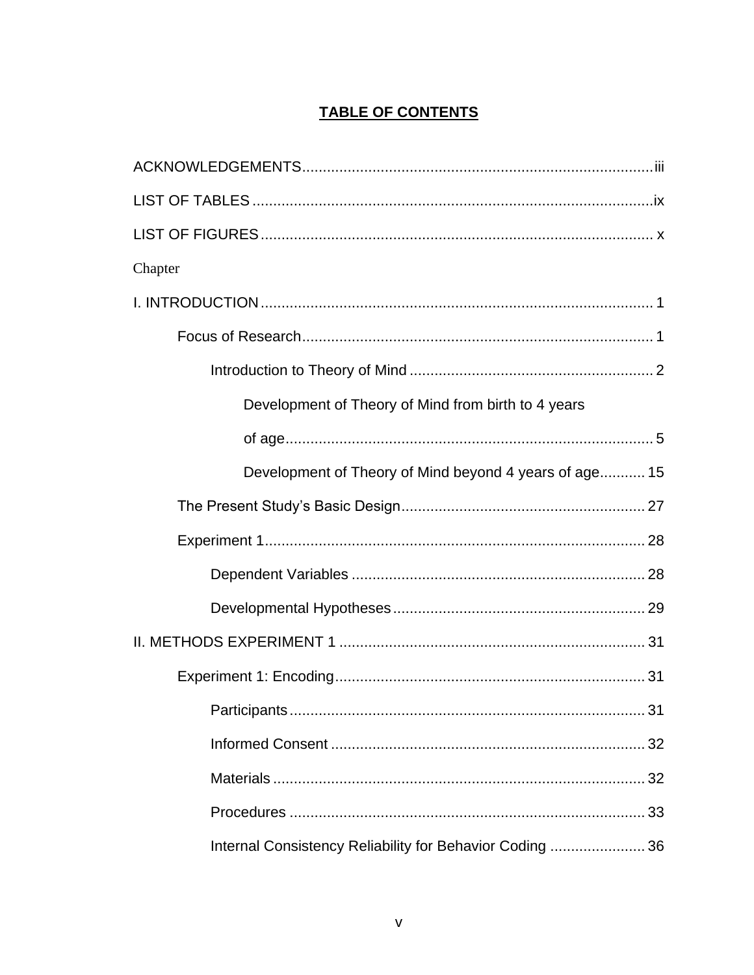### **TABLE OF CONTENTS**

| Chapter                                                  |
|----------------------------------------------------------|
|                                                          |
|                                                          |
|                                                          |
| Development of Theory of Mind from birth to 4 years      |
|                                                          |
| Development of Theory of Mind beyond 4 years of age 15   |
|                                                          |
|                                                          |
|                                                          |
|                                                          |
|                                                          |
|                                                          |
|                                                          |
|                                                          |
|                                                          |
|                                                          |
| Internal Consistency Reliability for Behavior Coding  36 |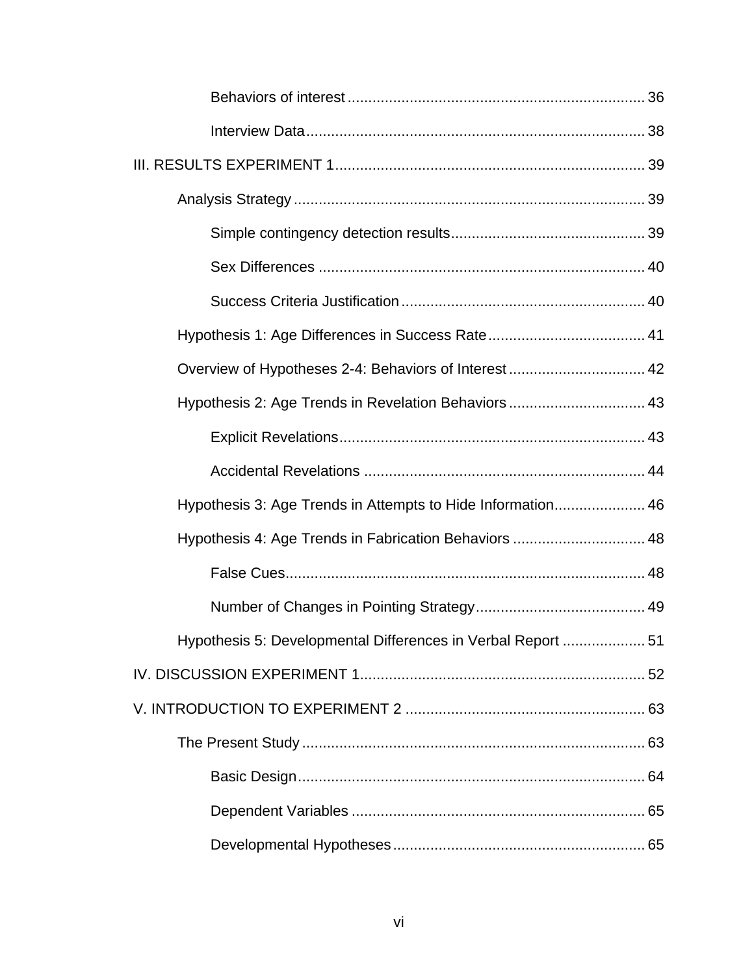| Overview of Hypotheses 2-4: Behaviors of Interest 42         |  |
|--------------------------------------------------------------|--|
| Hypothesis 2: Age Trends in Revelation Behaviors  43         |  |
|                                                              |  |
|                                                              |  |
| Hypothesis 3: Age Trends in Attempts to Hide Information 46  |  |
| Hypothesis 4: Age Trends in Fabrication Behaviors  48        |  |
|                                                              |  |
|                                                              |  |
| Hypothesis 5: Developmental Differences in Verbal Report  51 |  |
|                                                              |  |
|                                                              |  |
|                                                              |  |
|                                                              |  |
|                                                              |  |
|                                                              |  |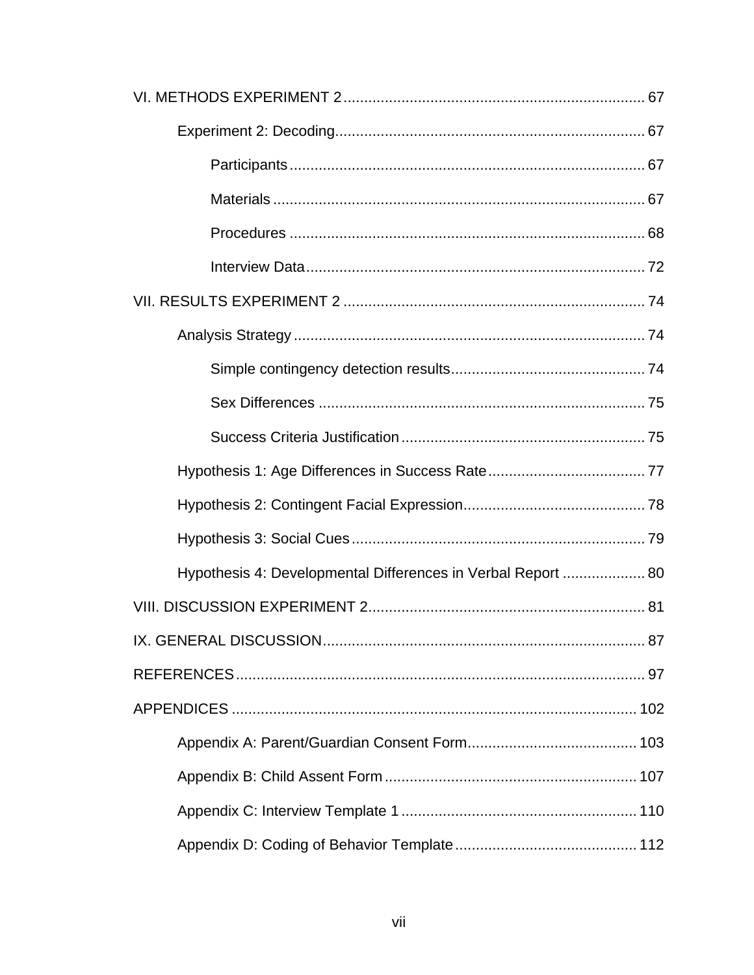| Hypothesis 4: Developmental Differences in Verbal Report  80 |
|--------------------------------------------------------------|
|                                                              |
|                                                              |
|                                                              |
|                                                              |
|                                                              |
|                                                              |
|                                                              |
|                                                              |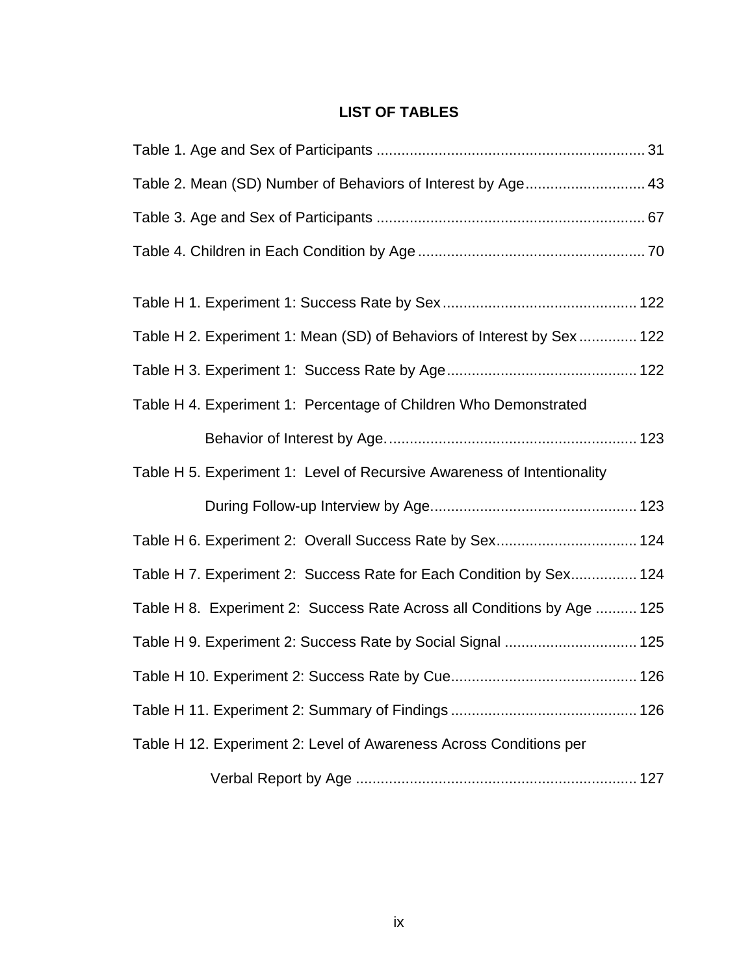### **LIST OF TABLES**

| Table 2. Mean (SD) Number of Behaviors of Interest by Age 43            |
|-------------------------------------------------------------------------|
|                                                                         |
|                                                                         |
|                                                                         |
| Table H 2. Experiment 1: Mean (SD) of Behaviors of Interest by Sex 122  |
|                                                                         |
| Table H 4. Experiment 1: Percentage of Children Who Demonstrated        |
|                                                                         |
| Table H 5. Experiment 1: Level of Recursive Awareness of Intentionality |
|                                                                         |
| Table H 6. Experiment 2: Overall Success Rate by Sex 124                |
| Table H 7. Experiment 2: Success Rate for Each Condition by Sex 124     |
| Table H 8. Experiment 2: Success Rate Across all Conditions by Age  125 |
| Table H 9. Experiment 2: Success Rate by Social Signal  125             |
|                                                                         |
|                                                                         |
| Table H 12. Experiment 2: Level of Awareness Across Conditions per      |
|                                                                         |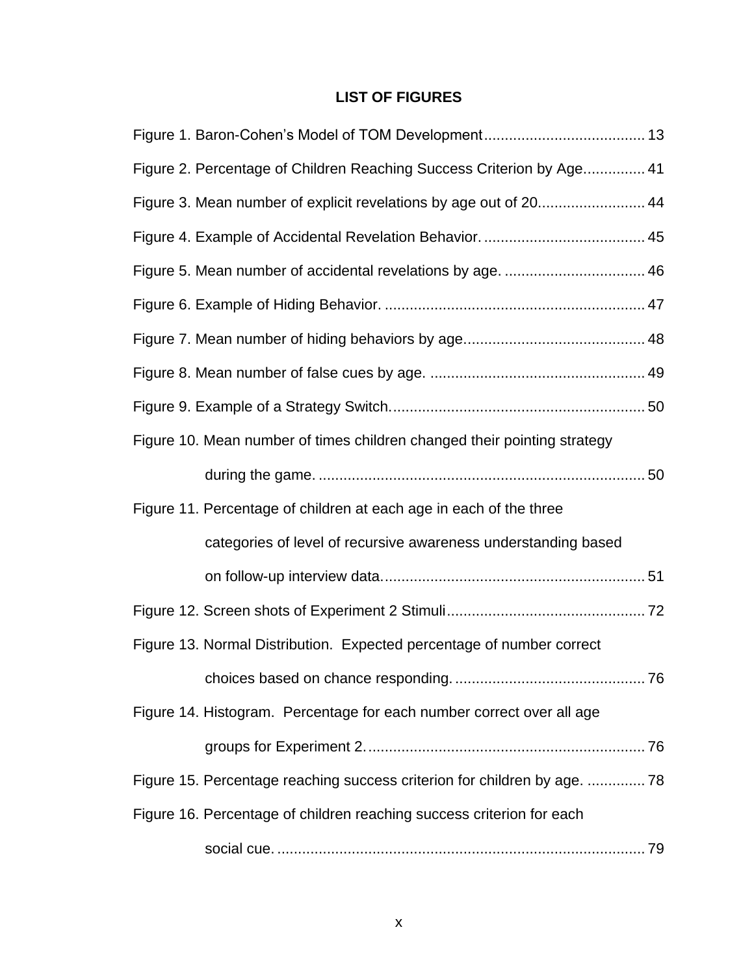# **LIST OF FIGURES**

| Figure 2. Percentage of Children Reaching Success Criterion by Age 41     |
|---------------------------------------------------------------------------|
| Figure 3. Mean number of explicit revelations by age out of 20 44         |
|                                                                           |
|                                                                           |
|                                                                           |
|                                                                           |
|                                                                           |
|                                                                           |
| Figure 10. Mean number of times children changed their pointing strategy  |
|                                                                           |
| Figure 11. Percentage of children at each age in each of the three        |
| categories of level of recursive awareness understanding based            |
|                                                                           |
|                                                                           |
| Figure 13. Normal Distribution. Expected percentage of number correct     |
|                                                                           |
| Figure 14. Histogram. Percentage for each number correct over all age     |
|                                                                           |
| Figure 15. Percentage reaching success criterion for children by age.  78 |
| Figure 16. Percentage of children reaching success criterion for each     |
|                                                                           |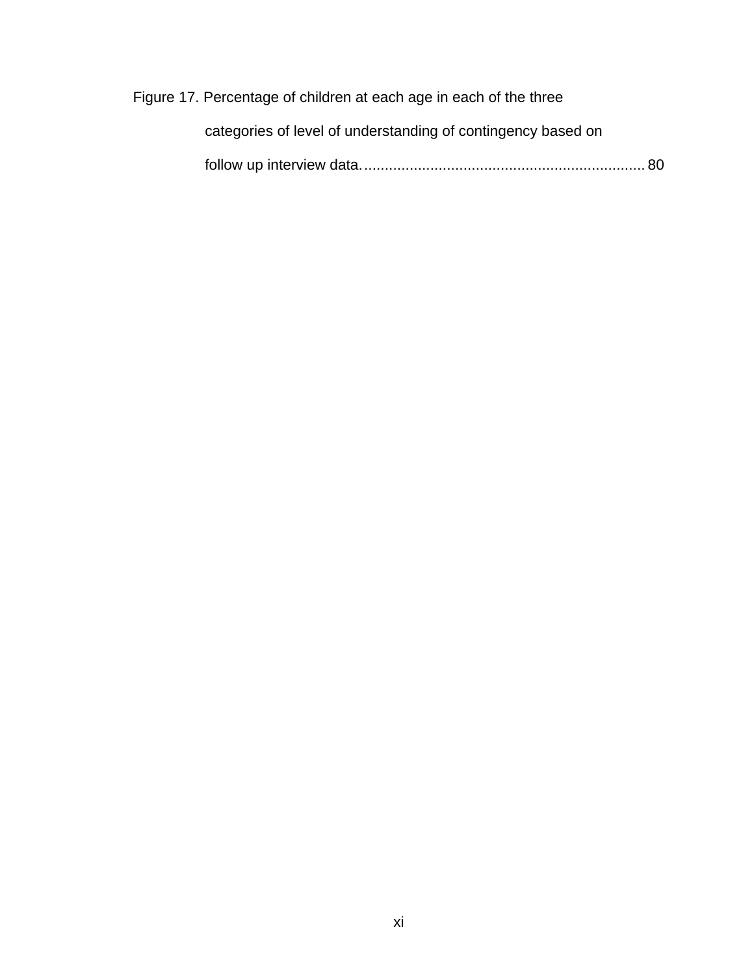Figure 17. Percentage of children at each age in each of the three

| categories of level of understanding of contingency based on |
|--------------------------------------------------------------|
|                                                              |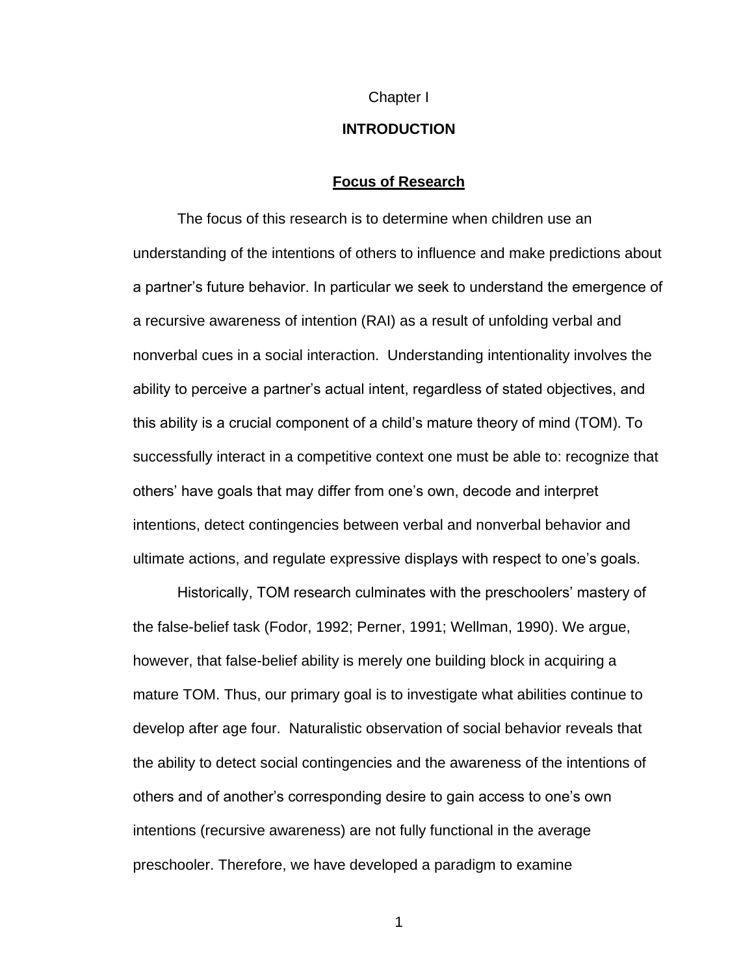#### Chapter I

### **INTRODUCTION**

### **Focus of Research**

The focus of this research is to determine when children use an understanding of the intentions of others to influence and make predictions about a partner's future behavior. In particular we seek to understand the emergence of a recursive awareness of intention (RAI) as a result of unfolding verbal and nonverbal cues in a social interaction. Understanding intentionality involves the ability to perceive a partner's actual intent, regardless of stated objectives, and this ability is a crucial component of a child's mature theory of mind (TOM). To successfully interact in a competitive context one must be able to: recognize that others' have goals that may differ from one's own, decode and interpret intentions, detect contingencies between verbal and nonverbal behavior and ultimate actions, and regulate expressive displays with respect to one's goals.

Historically, TOM research culminates with the preschoolers' mastery of the false-belief task (Fodor, 1992; Perner, 1991; Wellman, 1990). We argue, however, that false-belief ability is merely one building block in acquiring a mature TOM. Thus, our primary goal is to investigate what abilities continue to develop after age four. Naturalistic observation of social behavior reveals that the ability to detect social contingencies and the awareness of the intentions of others and of another's corresponding desire to gain access to one's own intentions (recursive awareness) are not fully functional in the average preschooler. Therefore, we have developed a paradigm to examine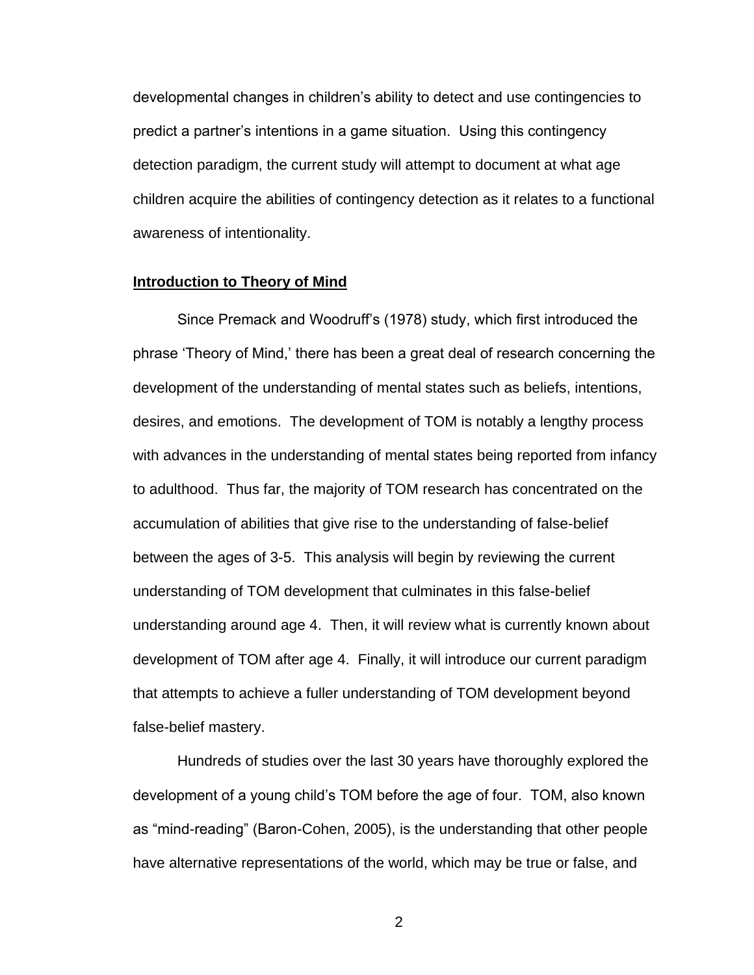developmental changes in children's ability to detect and use contingencies to predict a partner's intentions in a game situation. Using this contingency detection paradigm, the current study will attempt to document at what age children acquire the abilities of contingency detection as it relates to a functional awareness of intentionality.

### **Introduction to Theory of Mind**

Since Premack and Woodruff's (1978) study, which first introduced the phrase ‗Theory of Mind,' there has been a great deal of research concerning the development of the understanding of mental states such as beliefs, intentions, desires, and emotions. The development of TOM is notably a lengthy process with advances in the understanding of mental states being reported from infancy to adulthood. Thus far, the majority of TOM research has concentrated on the accumulation of abilities that give rise to the understanding of false-belief between the ages of 3-5. This analysis will begin by reviewing the current understanding of TOM development that culminates in this false-belief understanding around age 4. Then, it will review what is currently known about development of TOM after age 4. Finally, it will introduce our current paradigm that attempts to achieve a fuller understanding of TOM development beyond false-belief mastery.

Hundreds of studies over the last 30 years have thoroughly explored the development of a young child's TOM before the age of four. TOM, also known as "mind-reading" (Baron-Cohen, 2005), is the understanding that other people have alternative representations of the world, which may be true or false, and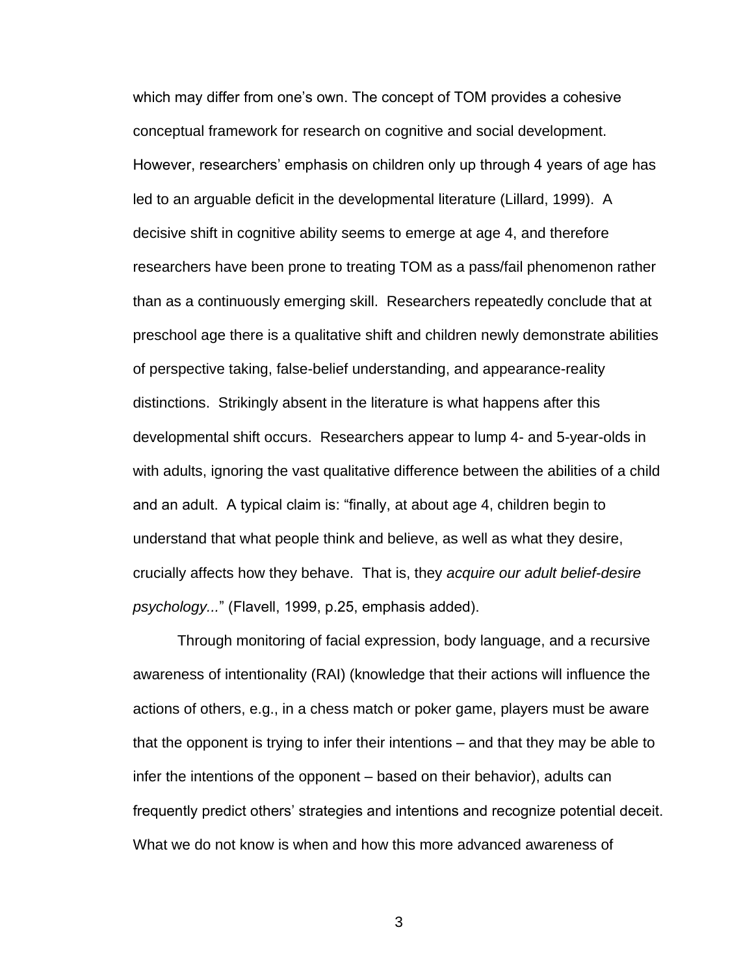which may differ from one's own. The concept of TOM provides a cohesive conceptual framework for research on cognitive and social development. However, researchers' emphasis on children only up through 4 years of age has led to an arguable deficit in the developmental literature (Lillard, 1999). A decisive shift in cognitive ability seems to emerge at age 4, and therefore researchers have been prone to treating TOM as a pass/fail phenomenon rather than as a continuously emerging skill. Researchers repeatedly conclude that at preschool age there is a qualitative shift and children newly demonstrate abilities of perspective taking, false-belief understanding, and appearance-reality distinctions. Strikingly absent in the literature is what happens after this developmental shift occurs. Researchers appear to lump 4- and 5-year-olds in with adults, ignoring the vast qualitative difference between the abilities of a child and an adult. A typical claim is: "finally, at about age 4, children begin to understand that what people think and believe, as well as what they desire, crucially affects how they behave. That is, they *acquire our adult belief-desire psychology...*‖ (Flavell, 1999, p.25, emphasis added).

Through monitoring of facial expression, body language, and a recursive awareness of intentionality (RAI) (knowledge that their actions will influence the actions of others, e.g., in a chess match or poker game, players must be aware that the opponent is trying to infer their intentions – and that they may be able to infer the intentions of the opponent – based on their behavior), adults can frequently predict others' strategies and intentions and recognize potential deceit. What we do not know is when and how this more advanced awareness of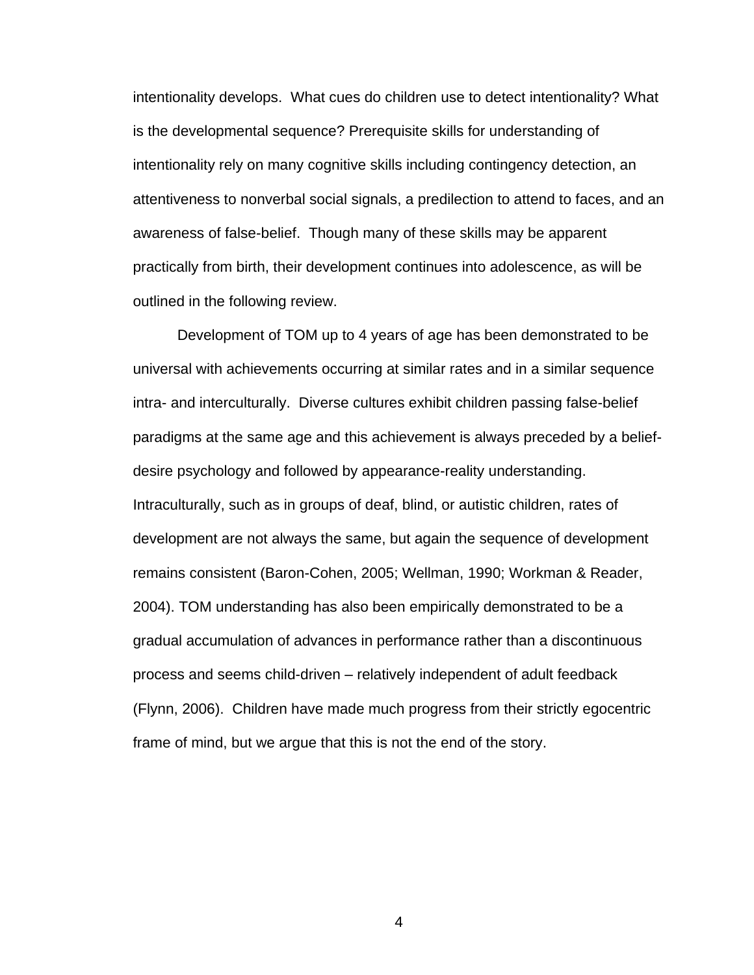intentionality develops. What cues do children use to detect intentionality? What is the developmental sequence? Prerequisite skills for understanding of intentionality rely on many cognitive skills including contingency detection, an attentiveness to nonverbal social signals, a predilection to attend to faces, and an awareness of false-belief. Though many of these skills may be apparent practically from birth, their development continues into adolescence, as will be outlined in the following review.

Development of TOM up to 4 years of age has been demonstrated to be universal with achievements occurring at similar rates and in a similar sequence intra- and interculturally. Diverse cultures exhibit children passing false-belief paradigms at the same age and this achievement is always preceded by a beliefdesire psychology and followed by appearance-reality understanding. Intraculturally, such as in groups of deaf, blind, or autistic children, rates of development are not always the same, but again the sequence of development remains consistent (Baron-Cohen, 2005; Wellman, 1990; Workman & Reader, 2004). TOM understanding has also been empirically demonstrated to be a gradual accumulation of advances in performance rather than a discontinuous process and seems child-driven – relatively independent of adult feedback (Flynn, 2006). Children have made much progress from their strictly egocentric frame of mind, but we argue that this is not the end of the story.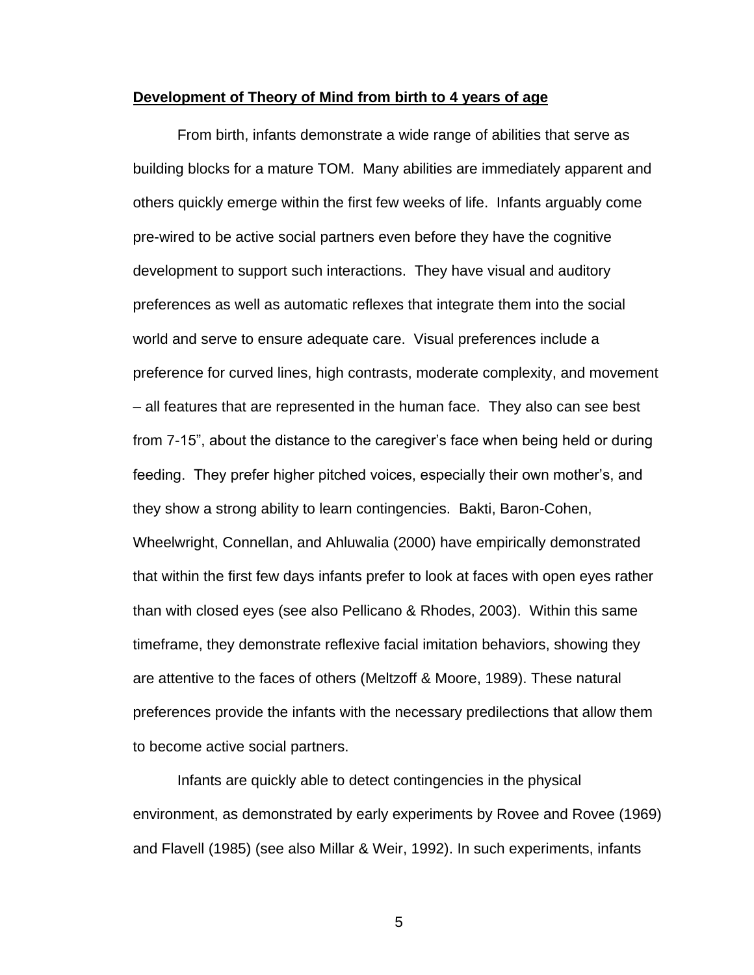#### **Development of Theory of Mind from birth to 4 years of age**

From birth, infants demonstrate a wide range of abilities that serve as building blocks for a mature TOM. Many abilities are immediately apparent and others quickly emerge within the first few weeks of life. Infants arguably come pre-wired to be active social partners even before they have the cognitive development to support such interactions. They have visual and auditory preferences as well as automatic reflexes that integrate them into the social world and serve to ensure adequate care. Visual preferences include a preference for curved lines, high contrasts, moderate complexity, and movement – all features that are represented in the human face. They also can see best from 7-15", about the distance to the caregiver's face when being held or during feeding. They prefer higher pitched voices, especially their own mother's, and they show a strong ability to learn contingencies. Bakti, Baron-Cohen, Wheelwright, Connellan, and Ahluwalia (2000) have empirically demonstrated that within the first few days infants prefer to look at faces with open eyes rather than with closed eyes (see also Pellicano & Rhodes, 2003). Within this same timeframe, they demonstrate reflexive facial imitation behaviors, showing they are attentive to the faces of others (Meltzoff & Moore, 1989). These natural preferences provide the infants with the necessary predilections that allow them to become active social partners.

Infants are quickly able to detect contingencies in the physical environment, as demonstrated by early experiments by Rovee and Rovee (1969) and Flavell (1985) (see also Millar & Weir, 1992). In such experiments, infants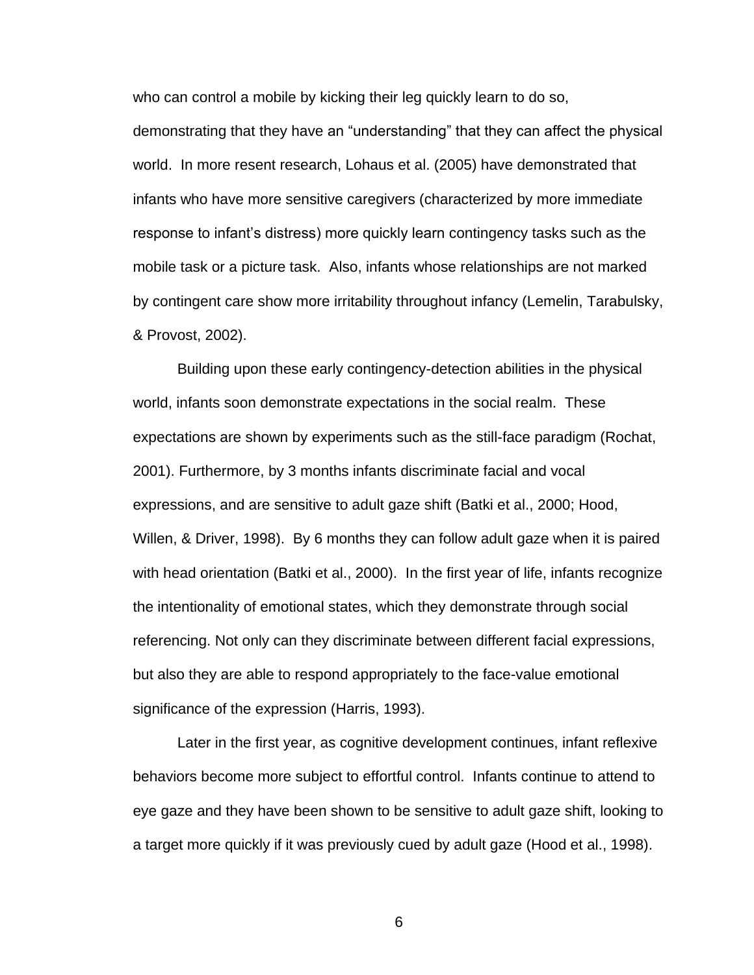who can control a mobile by kicking their leg quickly learn to do so,

demonstrating that they have an "understanding" that they can affect the physical world. In more resent research, Lohaus et al. (2005) have demonstrated that infants who have more sensitive caregivers (characterized by more immediate response to infant's distress) more quickly learn contingency tasks such as the mobile task or a picture task. Also, infants whose relationships are not marked by contingent care show more irritability throughout infancy (Lemelin, Tarabulsky, & Provost, 2002).

Building upon these early contingency-detection abilities in the physical world, infants soon demonstrate expectations in the social realm. These expectations are shown by experiments such as the still-face paradigm (Rochat, 2001). Furthermore, by 3 months infants discriminate facial and vocal expressions, and are sensitive to adult gaze shift (Batki et al., 2000; Hood, Willen, & Driver, 1998). By 6 months they can follow adult gaze when it is paired with head orientation (Batki et al., 2000). In the first year of life, infants recognize the intentionality of emotional states, which they demonstrate through social referencing. Not only can they discriminate between different facial expressions, but also they are able to respond appropriately to the face-value emotional significance of the expression (Harris, 1993).

Later in the first year, as cognitive development continues, infant reflexive behaviors become more subject to effortful control. Infants continue to attend to eye gaze and they have been shown to be sensitive to adult gaze shift, looking to a target more quickly if it was previously cued by adult gaze (Hood et al., 1998).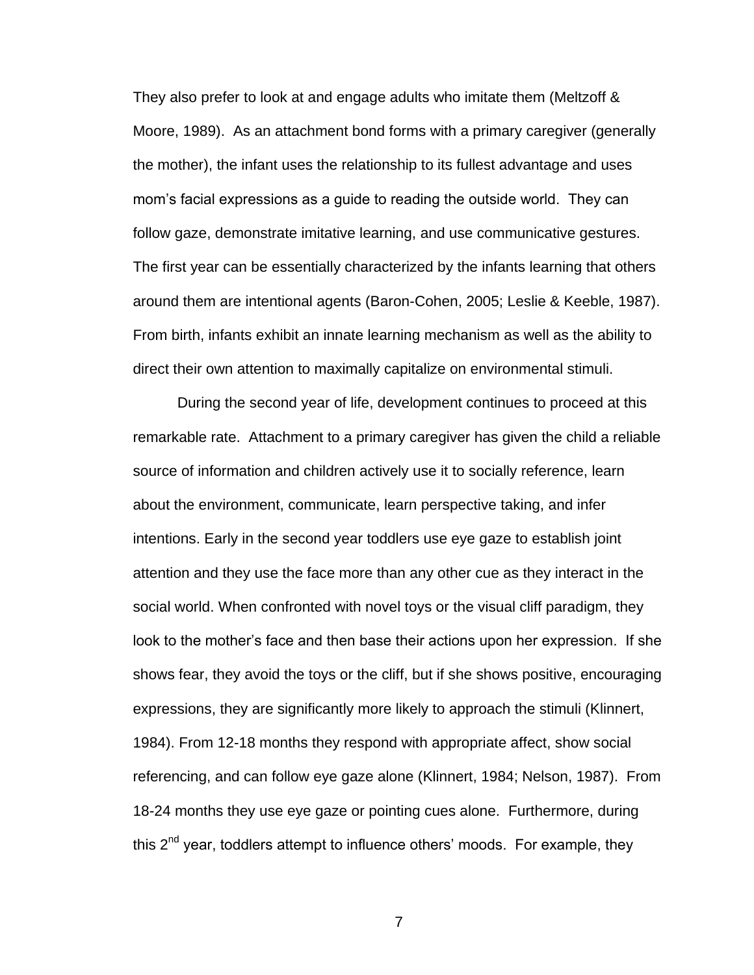They also prefer to look at and engage adults who imitate them (Meltzoff & Moore, 1989). As an attachment bond forms with a primary caregiver (generally the mother), the infant uses the relationship to its fullest advantage and uses mom's facial expressions as a guide to reading the outside world. They can follow gaze, demonstrate imitative learning, and use communicative gestures. The first year can be essentially characterized by the infants learning that others around them are intentional agents (Baron-Cohen, 2005; Leslie & Keeble, 1987). From birth, infants exhibit an innate learning mechanism as well as the ability to direct their own attention to maximally capitalize on environmental stimuli.

During the second year of life, development continues to proceed at this remarkable rate. Attachment to a primary caregiver has given the child a reliable source of information and children actively use it to socially reference, learn about the environment, communicate, learn perspective taking, and infer intentions. Early in the second year toddlers use eye gaze to establish joint attention and they use the face more than any other cue as they interact in the social world. When confronted with novel toys or the visual cliff paradigm, they look to the mother's face and then base their actions upon her expression. If she shows fear, they avoid the toys or the cliff, but if she shows positive, encouraging expressions, they are significantly more likely to approach the stimuli (Klinnert, 1984). From 12-18 months they respond with appropriate affect, show social referencing, and can follow eye gaze alone (Klinnert, 1984; Nelson, 1987). From 18-24 months they use eye gaze or pointing cues alone. Furthermore, during this 2<sup>nd</sup> year, toddlers attempt to influence others' moods. For example, they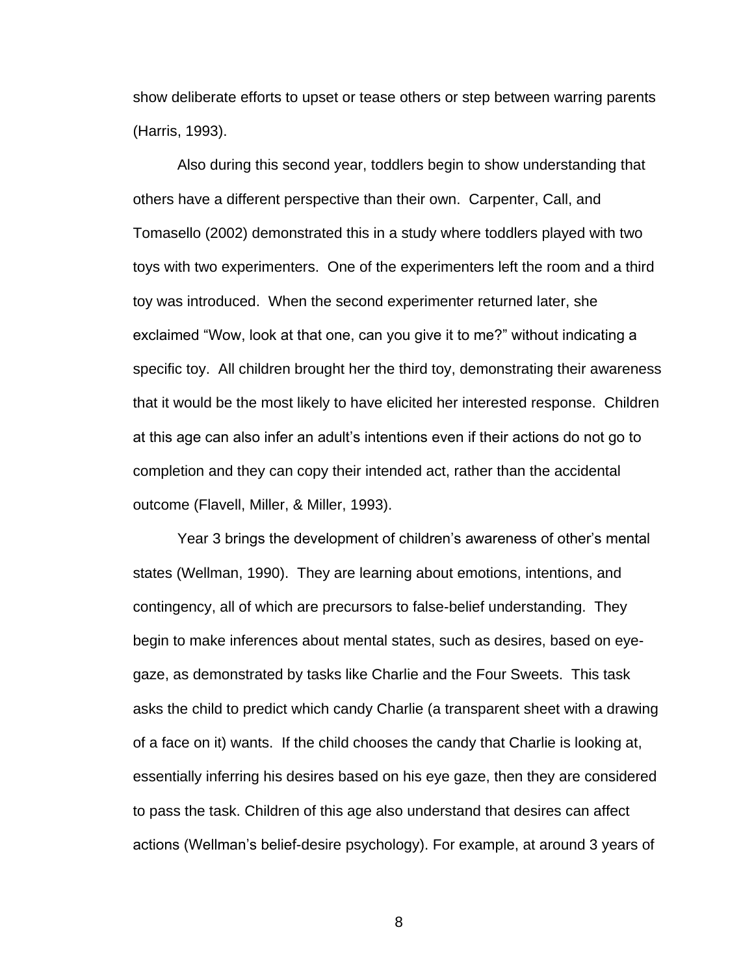show deliberate efforts to upset or tease others or step between warring parents (Harris, 1993).

Also during this second year, toddlers begin to show understanding that others have a different perspective than their own. Carpenter, Call, and Tomasello (2002) demonstrated this in a study where toddlers played with two toys with two experimenters. One of the experimenters left the room and a third toy was introduced. When the second experimenter returned later, she exclaimed "Wow, look at that one, can you give it to me?" without indicating a specific toy. All children brought her the third toy, demonstrating their awareness that it would be the most likely to have elicited her interested response. Children at this age can also infer an adult's intentions even if their actions do not go to completion and they can copy their intended act, rather than the accidental outcome (Flavell, Miller, & Miller, 1993).

Year 3 brings the development of children's awareness of other's mental states (Wellman, 1990). They are learning about emotions, intentions, and contingency, all of which are precursors to false-belief understanding. They begin to make inferences about mental states, such as desires, based on eyegaze, as demonstrated by tasks like Charlie and the Four Sweets. This task asks the child to predict which candy Charlie (a transparent sheet with a drawing of a face on it) wants. If the child chooses the candy that Charlie is looking at, essentially inferring his desires based on his eye gaze, then they are considered to pass the task. Children of this age also understand that desires can affect actions (Wellman's belief-desire psychology). For example, at around 3 years of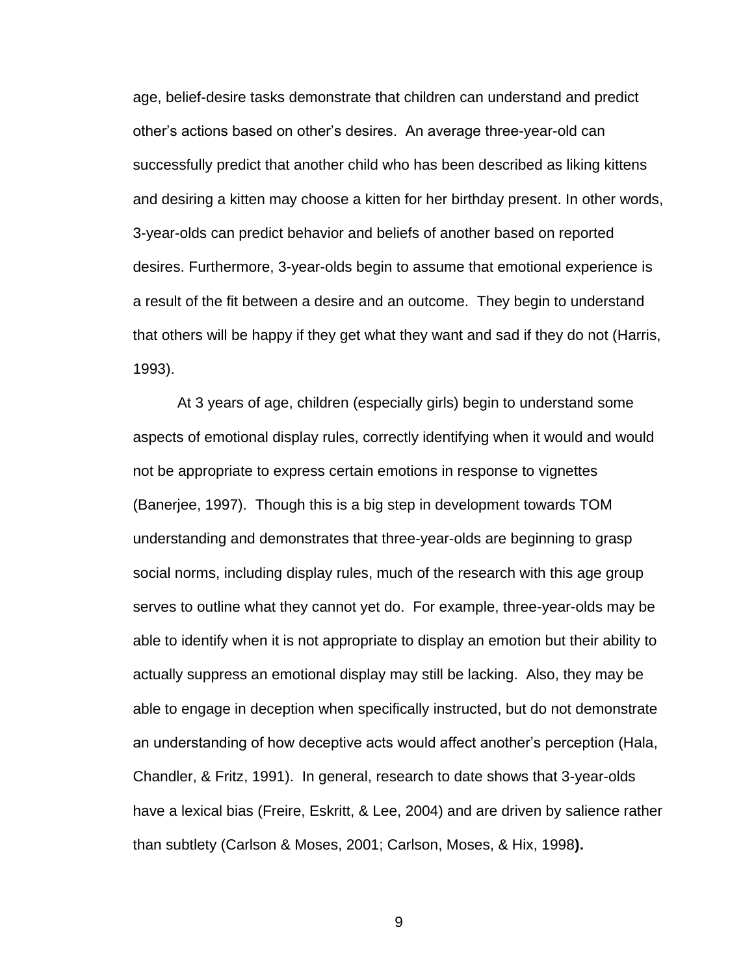age, belief-desire tasks demonstrate that children can understand and predict other's actions based on other's desires. An average three-year-old can successfully predict that another child who has been described as liking kittens and desiring a kitten may choose a kitten for her birthday present. In other words, 3-year-olds can predict behavior and beliefs of another based on reported desires. Furthermore, 3-year-olds begin to assume that emotional experience is a result of the fit between a desire and an outcome. They begin to understand that others will be happy if they get what they want and sad if they do not (Harris, 1993).

At 3 years of age, children (especially girls) begin to understand some aspects of emotional display rules, correctly identifying when it would and would not be appropriate to express certain emotions in response to vignettes (Banerjee, 1997). Though this is a big step in development towards TOM understanding and demonstrates that three-year-olds are beginning to grasp social norms, including display rules, much of the research with this age group serves to outline what they cannot yet do. For example, three-year-olds may be able to identify when it is not appropriate to display an emotion but their ability to actually suppress an emotional display may still be lacking. Also, they may be able to engage in deception when specifically instructed, but do not demonstrate an understanding of how deceptive acts would affect another's perception (Hala, Chandler, & Fritz, 1991). In general, research to date shows that 3-year-olds have a lexical bias (Freire, Eskritt, & Lee, 2004) and are driven by salience rather than subtlety (Carlson & Moses, 2001; Carlson, Moses, & Hix, 1998**).**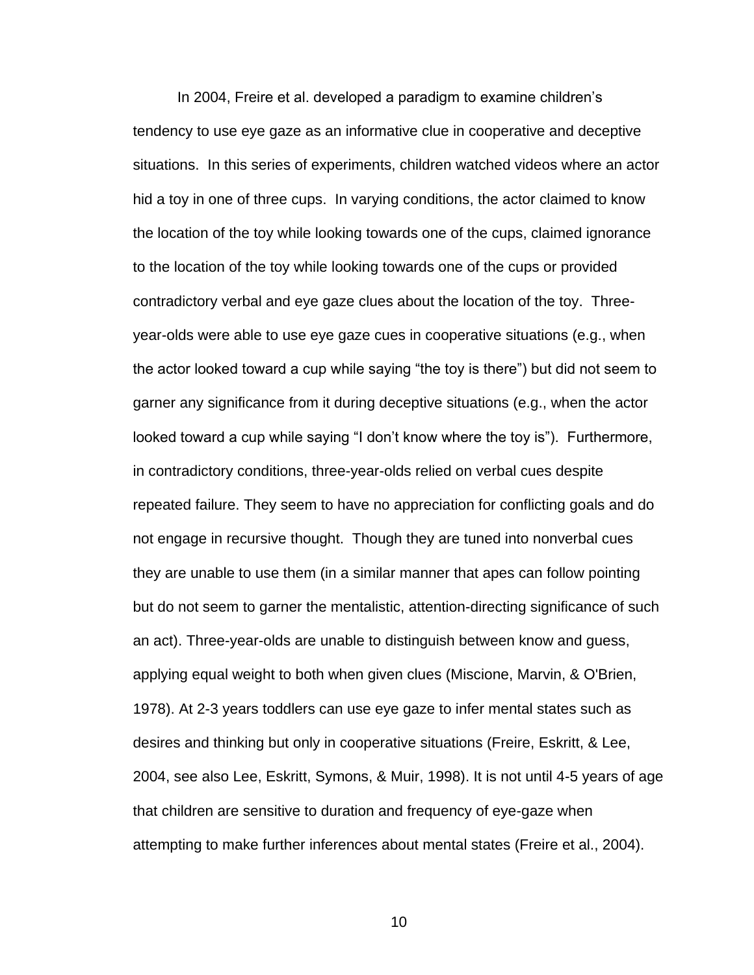In 2004, Freire et al. developed a paradigm to examine children's tendency to use eye gaze as an informative clue in cooperative and deceptive situations. In this series of experiments, children watched videos where an actor hid a toy in one of three cups. In varying conditions, the actor claimed to know the location of the toy while looking towards one of the cups, claimed ignorance to the location of the toy while looking towards one of the cups or provided contradictory verbal and eye gaze clues about the location of the toy. Threeyear-olds were able to use eye gaze cues in cooperative situations (e.g., when the actor looked toward a cup while saying "the toy is there") but did not seem to garner any significance from it during deceptive situations (e.g., when the actor looked toward a cup while saying "I don't know where the toy is"). Furthermore, in contradictory conditions, three-year-olds relied on verbal cues despite repeated failure. They seem to have no appreciation for conflicting goals and do not engage in recursive thought. Though they are tuned into nonverbal cues they are unable to use them (in a similar manner that apes can follow pointing but do not seem to garner the mentalistic, attention-directing significance of such an act). Three-year-olds are unable to distinguish between know and guess, applying equal weight to both when given clues (Miscione, Marvin, & O'Brien, 1978). At 2-3 years toddlers can use eye gaze to infer mental states such as desires and thinking but only in cooperative situations (Freire, Eskritt, & Lee, 2004, see also Lee, Eskritt, Symons, & Muir, 1998). It is not until 4-5 years of age that children are sensitive to duration and frequency of eye-gaze when attempting to make further inferences about mental states (Freire et al., 2004).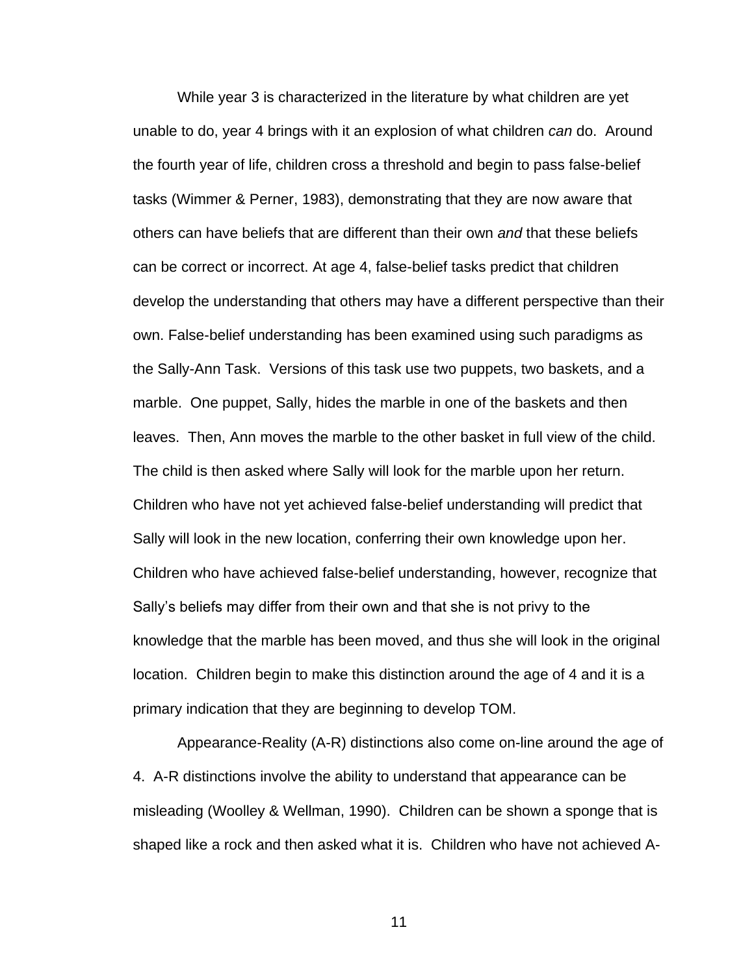While year 3 is characterized in the literature by what children are yet unable to do, year 4 brings with it an explosion of what children *can* do. Around the fourth year of life, children cross a threshold and begin to pass false-belief tasks (Wimmer & Perner, 1983), demonstrating that they are now aware that others can have beliefs that are different than their own *and* that these beliefs can be correct or incorrect. At age 4, false-belief tasks predict that children develop the understanding that others may have a different perspective than their own. False-belief understanding has been examined using such paradigms as the Sally-Ann Task. Versions of this task use two puppets, two baskets, and a marble. One puppet, Sally, hides the marble in one of the baskets and then leaves. Then, Ann moves the marble to the other basket in full view of the child. The child is then asked where Sally will look for the marble upon her return. Children who have not yet achieved false-belief understanding will predict that Sally will look in the new location, conferring their own knowledge upon her. Children who have achieved false-belief understanding, however, recognize that Sally's beliefs may differ from their own and that she is not privy to the knowledge that the marble has been moved, and thus she will look in the original location. Children begin to make this distinction around the age of 4 and it is a primary indication that they are beginning to develop TOM.

Appearance-Reality (A-R) distinctions also come on-line around the age of 4. A-R distinctions involve the ability to understand that appearance can be misleading (Woolley & Wellman, 1990). Children can be shown a sponge that is shaped like a rock and then asked what it is. Children who have not achieved A-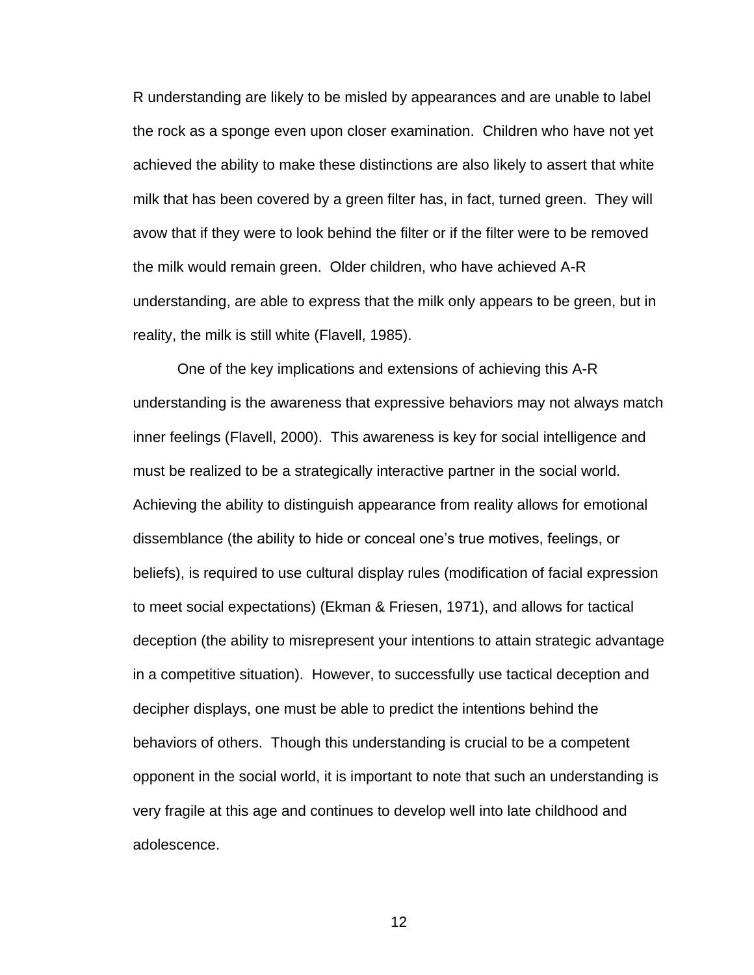R understanding are likely to be misled by appearances and are unable to label the rock as a sponge even upon closer examination. Children who have not yet achieved the ability to make these distinctions are also likely to assert that white milk that has been covered by a green filter has, in fact, turned green. They will avow that if they were to look behind the filter or if the filter were to be removed the milk would remain green. Older children, who have achieved A-R understanding, are able to express that the milk only appears to be green, but in reality, the milk is still white (Flavell, 1985).

One of the key implications and extensions of achieving this A-R understanding is the awareness that expressive behaviors may not always match inner feelings (Flavell, 2000). This awareness is key for social intelligence and must be realized to be a strategically interactive partner in the social world. Achieving the ability to distinguish appearance from reality allows for emotional dissemblance (the ability to hide or conceal one's true motives, feelings, or beliefs), is required to use cultural display rules (modification of facial expression to meet social expectations) (Ekman & Friesen, 1971), and allows for tactical deception (the ability to misrepresent your intentions to attain strategic advantage in a competitive situation). However, to successfully use tactical deception and decipher displays, one must be able to predict the intentions behind the behaviors of others. Though this understanding is crucial to be a competent opponent in the social world, it is important to note that such an understanding is very fragile at this age and continues to develop well into late childhood and adolescence.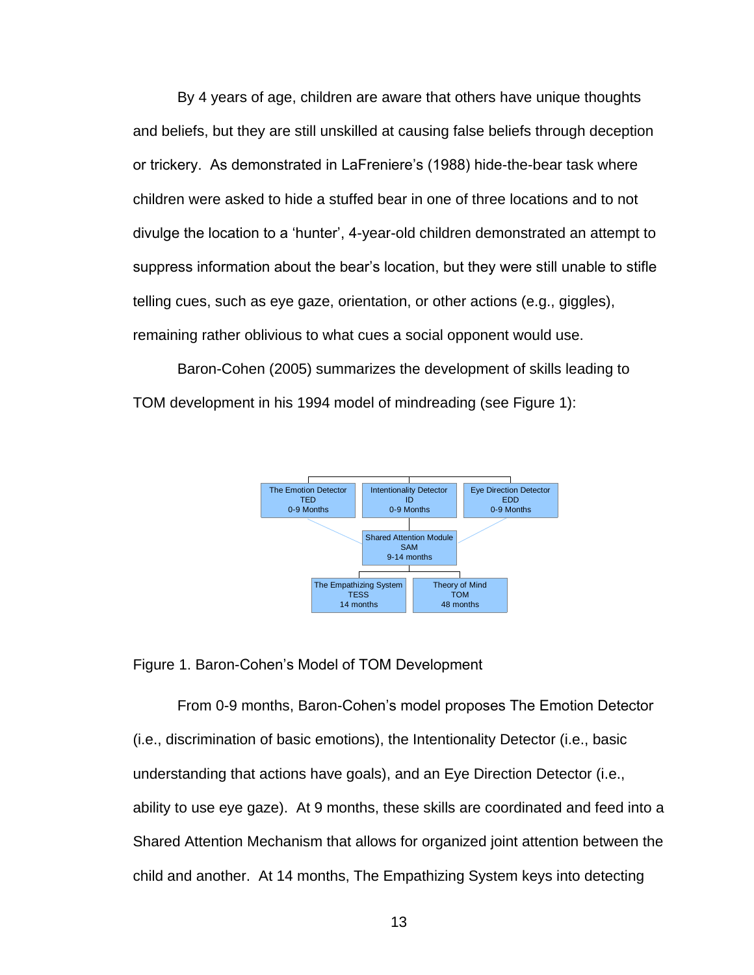By 4 years of age, children are aware that others have unique thoughts and beliefs, but they are still unskilled at causing false beliefs through deception or trickery. As demonstrated in LaFreniere's (1988) hide-the-bear task where children were asked to hide a stuffed bear in one of three locations and to not divulge the location to a ‗hunter', 4-year-old children demonstrated an attempt to suppress information about the bear's location, but they were still unable to stifle telling cues, such as eye gaze, orientation, or other actions (e.g., giggles), remaining rather oblivious to what cues a social opponent would use.

Baron-Cohen (2005) summarizes the development of skills leading to TOM development in his 1994 model of mindreading (see Figure 1):



### Figure 1. Baron-Cohen's Model of TOM Development

From 0-9 months, Baron-Cohen's model proposes The Emotion Detector (i.e., discrimination of basic emotions), the Intentionality Detector (i.e., basic understanding that actions have goals), and an Eye Direction Detector (i.e., ability to use eye gaze). At 9 months, these skills are coordinated and feed into a Shared Attention Mechanism that allows for organized joint attention between the child and another. At 14 months, The Empathizing System keys into detecting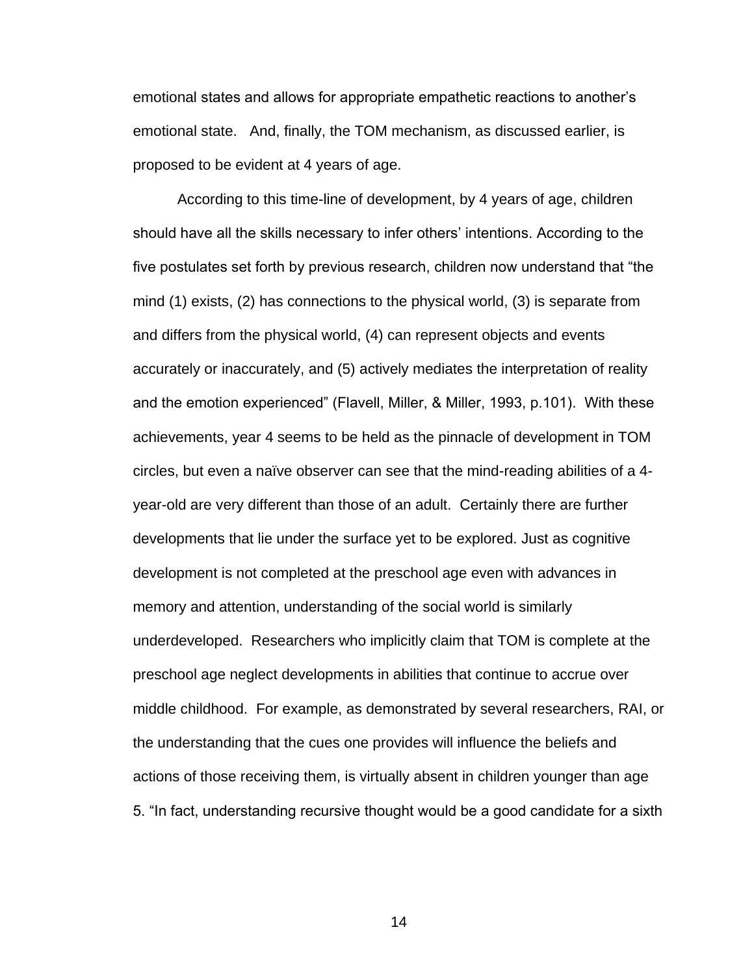emotional states and allows for appropriate empathetic reactions to another's emotional state. And, finally, the TOM mechanism, as discussed earlier, is proposed to be evident at 4 years of age.

According to this time-line of development, by 4 years of age, children should have all the skills necessary to infer others' intentions. According to the five postulates set forth by previous research, children now understand that "the mind (1) exists, (2) has connections to the physical world, (3) is separate from and differs from the physical world, (4) can represent objects and events accurately or inaccurately, and (5) actively mediates the interpretation of reality and the emotion experienced" (Flavell, Miller, & Miller, 1993, p.101). With these achievements, year 4 seems to be held as the pinnacle of development in TOM circles, but even a naïve observer can see that the mind-reading abilities of a 4 year-old are very different than those of an adult. Certainly there are further developments that lie under the surface yet to be explored. Just as cognitive development is not completed at the preschool age even with advances in memory and attention, understanding of the social world is similarly underdeveloped. Researchers who implicitly claim that TOM is complete at the preschool age neglect developments in abilities that continue to accrue over middle childhood. For example, as demonstrated by several researchers, RAI, or the understanding that the cues one provides will influence the beliefs and actions of those receiving them, is virtually absent in children younger than age 5. ―In fact, understanding recursive thought would be a good candidate for a sixth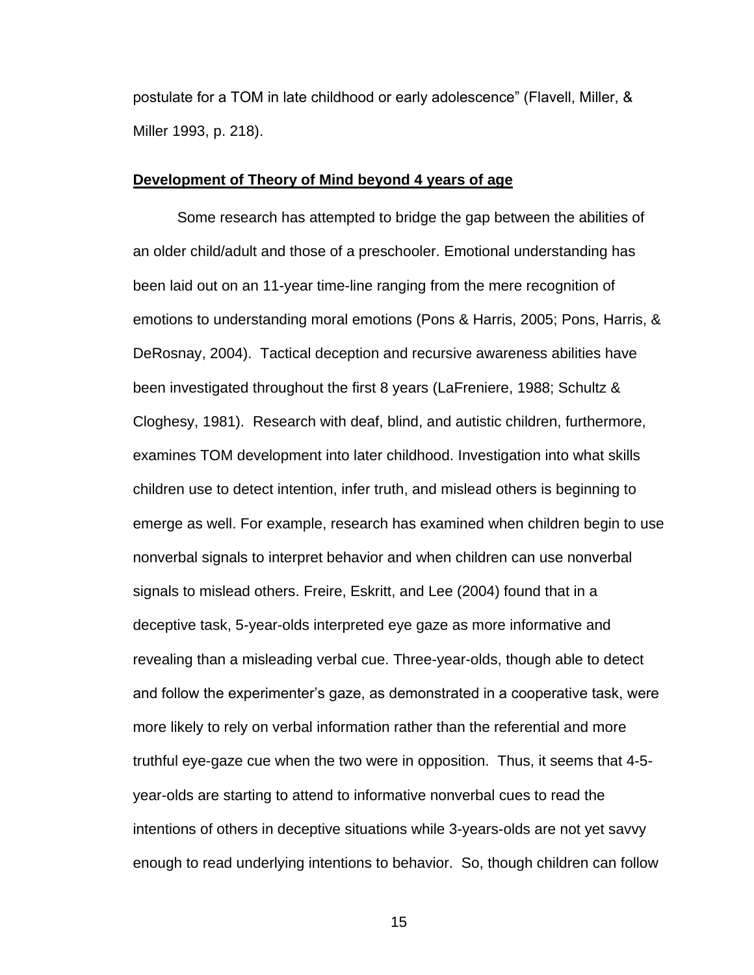postulate for a TOM in late childhood or early adolescence‖ (Flavell, Miller, & Miller 1993, p. 218).

#### **Development of Theory of Mind beyond 4 years of age**

Some research has attempted to bridge the gap between the abilities of an older child/adult and those of a preschooler. Emotional understanding has been laid out on an 11-year time-line ranging from the mere recognition of emotions to understanding moral emotions (Pons & Harris, 2005; Pons, Harris, & DeRosnay, 2004). Tactical deception and recursive awareness abilities have been investigated throughout the first 8 years (LaFreniere, 1988; Schultz & Cloghesy, 1981). Research with deaf, blind, and autistic children, furthermore, examines TOM development into later childhood. Investigation into what skills children use to detect intention, infer truth, and mislead others is beginning to emerge as well. For example, research has examined when children begin to use nonverbal signals to interpret behavior and when children can use nonverbal signals to mislead others. Freire, Eskritt, and Lee (2004) found that in a deceptive task, 5-year-olds interpreted eye gaze as more informative and revealing than a misleading verbal cue. Three-year-olds, though able to detect and follow the experimenter's gaze, as demonstrated in a cooperative task, were more likely to rely on verbal information rather than the referential and more truthful eye-gaze cue when the two were in opposition. Thus, it seems that 4-5 year-olds are starting to attend to informative nonverbal cues to read the intentions of others in deceptive situations while 3-years-olds are not yet savvy enough to read underlying intentions to behavior. So, though children can follow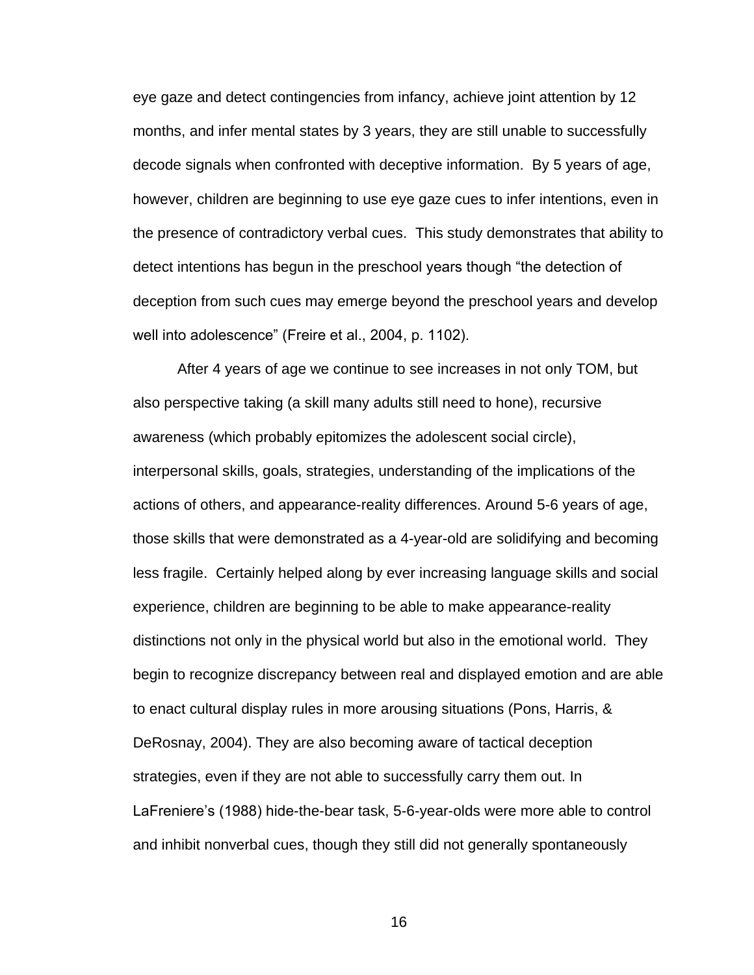eye gaze and detect contingencies from infancy, achieve joint attention by 12 months, and infer mental states by 3 years, they are still unable to successfully decode signals when confronted with deceptive information. By 5 years of age, however, children are beginning to use eye gaze cues to infer intentions, even in the presence of contradictory verbal cues. This study demonstrates that ability to detect intentions has begun in the preschool years though "the detection of deception from such cues may emerge beyond the preschool years and develop well into adolescence" (Freire et al., 2004, p. 1102).

After 4 years of age we continue to see increases in not only TOM, but also perspective taking (a skill many adults still need to hone), recursive awareness (which probably epitomizes the adolescent social circle), interpersonal skills, goals, strategies, understanding of the implications of the actions of others, and appearance-reality differences. Around 5-6 years of age, those skills that were demonstrated as a 4-year-old are solidifying and becoming less fragile. Certainly helped along by ever increasing language skills and social experience, children are beginning to be able to make appearance-reality distinctions not only in the physical world but also in the emotional world. They begin to recognize discrepancy between real and displayed emotion and are able to enact cultural display rules in more arousing situations (Pons, Harris, & DeRosnay, 2004). They are also becoming aware of tactical deception strategies, even if they are not able to successfully carry them out. In LaFreniere's (1988) hide-the-bear task, 5-6-year-olds were more able to control and inhibit nonverbal cues, though they still did not generally spontaneously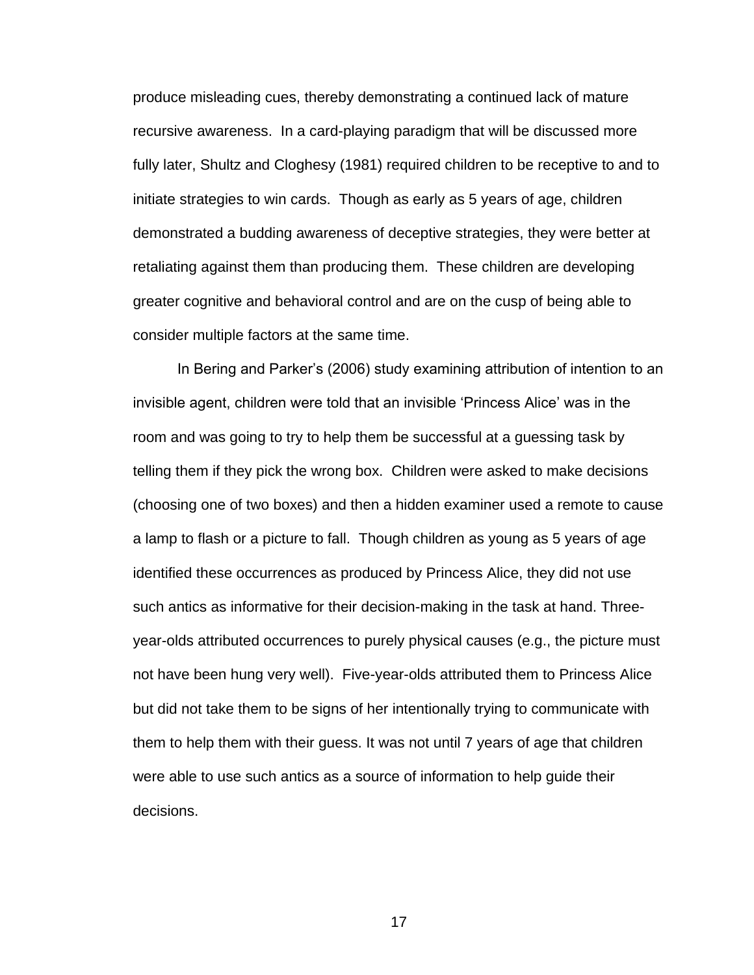produce misleading cues, thereby demonstrating a continued lack of mature recursive awareness. In a card-playing paradigm that will be discussed more fully later, Shultz and Cloghesy (1981) required children to be receptive to and to initiate strategies to win cards. Though as early as 5 years of age, children demonstrated a budding awareness of deceptive strategies, they were better at retaliating against them than producing them. These children are developing greater cognitive and behavioral control and are on the cusp of being able to consider multiple factors at the same time.

In Bering and Parker's (2006) study examining attribution of intention to an invisible agent, children were told that an invisible ‗Princess Alice' was in the room and was going to try to help them be successful at a guessing task by telling them if they pick the wrong box. Children were asked to make decisions (choosing one of two boxes) and then a hidden examiner used a remote to cause a lamp to flash or a picture to fall. Though children as young as 5 years of age identified these occurrences as produced by Princess Alice, they did not use such antics as informative for their decision-making in the task at hand. Threeyear-olds attributed occurrences to purely physical causes (e.g., the picture must not have been hung very well). Five-year-olds attributed them to Princess Alice but did not take them to be signs of her intentionally trying to communicate with them to help them with their guess. It was not until 7 years of age that children were able to use such antics as a source of information to help guide their decisions.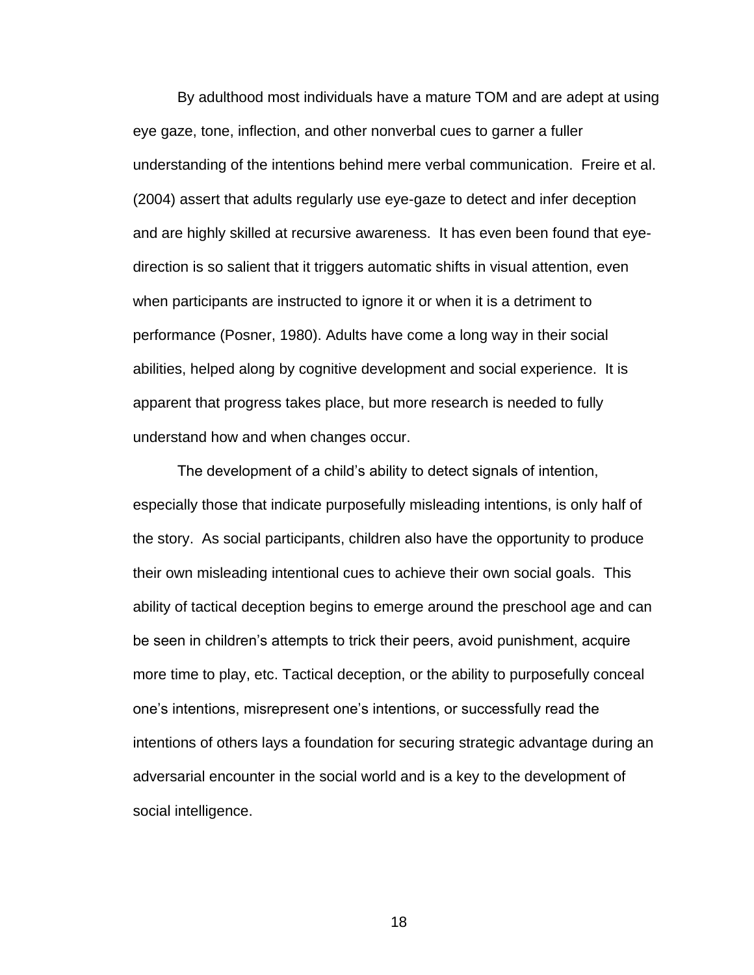By adulthood most individuals have a mature TOM and are adept at using eye gaze, tone, inflection, and other nonverbal cues to garner a fuller understanding of the intentions behind mere verbal communication. Freire et al. (2004) assert that adults regularly use eye-gaze to detect and infer deception and are highly skilled at recursive awareness. It has even been found that eyedirection is so salient that it triggers automatic shifts in visual attention, even when participants are instructed to ignore it or when it is a detriment to performance (Posner, 1980). Adults have come a long way in their social abilities, helped along by cognitive development and social experience. It is apparent that progress takes place, but more research is needed to fully understand how and when changes occur.

The development of a child's ability to detect signals of intention, especially those that indicate purposefully misleading intentions, is only half of the story. As social participants, children also have the opportunity to produce their own misleading intentional cues to achieve their own social goals. This ability of tactical deception begins to emerge around the preschool age and can be seen in children's attempts to trick their peers, avoid punishment, acquire more time to play, etc. Tactical deception, or the ability to purposefully conceal one's intentions, misrepresent one's intentions, or successfully read the intentions of others lays a foundation for securing strategic advantage during an adversarial encounter in the social world and is a key to the development of social intelligence.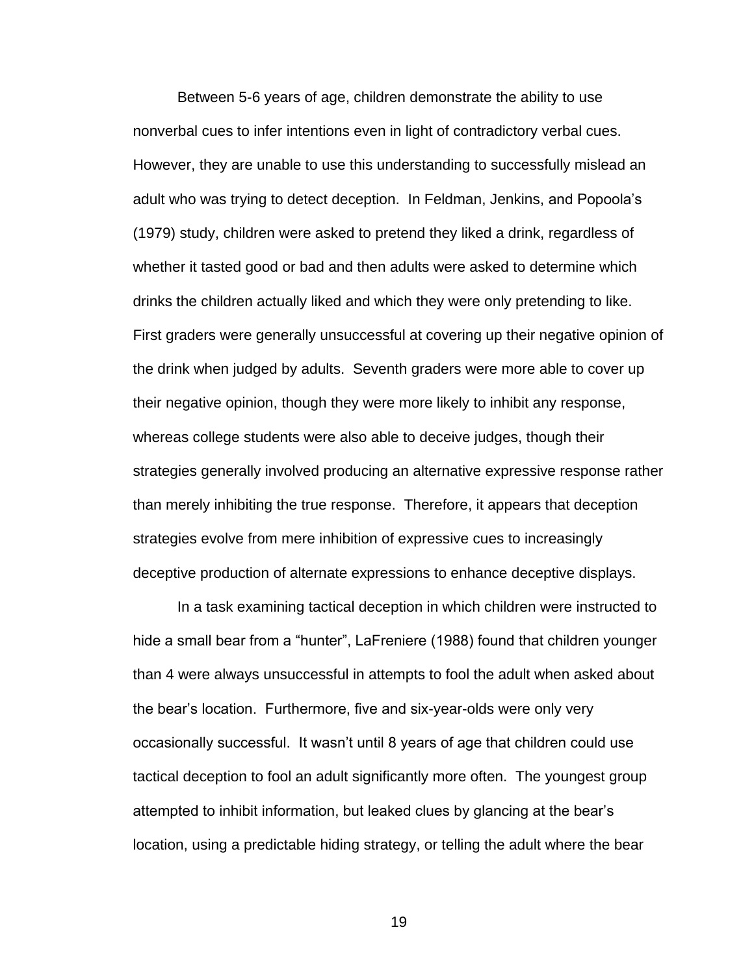Between 5-6 years of age, children demonstrate the ability to use nonverbal cues to infer intentions even in light of contradictory verbal cues. However, they are unable to use this understanding to successfully mislead an adult who was trying to detect deception. In Feldman, Jenkins, and Popoola's (1979) study, children were asked to pretend they liked a drink, regardless of whether it tasted good or bad and then adults were asked to determine which drinks the children actually liked and which they were only pretending to like. First graders were generally unsuccessful at covering up their negative opinion of the drink when judged by adults. Seventh graders were more able to cover up their negative opinion, though they were more likely to inhibit any response, whereas college students were also able to deceive judges, though their strategies generally involved producing an alternative expressive response rather than merely inhibiting the true response. Therefore, it appears that deception strategies evolve from mere inhibition of expressive cues to increasingly deceptive production of alternate expressions to enhance deceptive displays.

In a task examining tactical deception in which children were instructed to hide a small bear from a "hunter", LaFreniere (1988) found that children younger than 4 were always unsuccessful in attempts to fool the adult when asked about the bear's location. Furthermore, five and six-year-olds were only very occasionally successful. It wasn't until 8 years of age that children could use tactical deception to fool an adult significantly more often. The youngest group attempted to inhibit information, but leaked clues by glancing at the bear's location, using a predictable hiding strategy, or telling the adult where the bear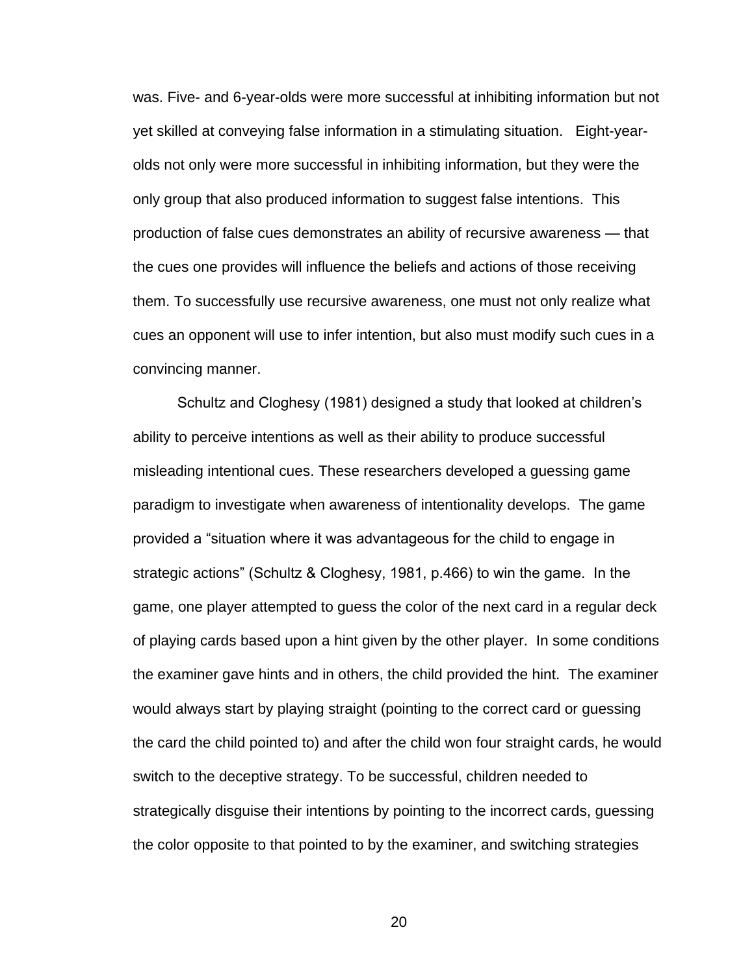was. Five- and 6-year-olds were more successful at inhibiting information but not yet skilled at conveying false information in a stimulating situation. Eight-yearolds not only were more successful in inhibiting information, but they were the only group that also produced information to suggest false intentions. This production of false cues demonstrates an ability of recursive awareness — that the cues one provides will influence the beliefs and actions of those receiving them. To successfully use recursive awareness, one must not only realize what cues an opponent will use to infer intention, but also must modify such cues in a convincing manner.

Schultz and Cloghesy (1981) designed a study that looked at children's ability to perceive intentions as well as their ability to produce successful misleading intentional cues. These researchers developed a guessing game paradigm to investigate when awareness of intentionality develops. The game provided a "situation where it was advantageous for the child to engage in strategic actions‖ (Schultz & Cloghesy, 1981, p.466) to win the game. In the game, one player attempted to guess the color of the next card in a regular deck of playing cards based upon a hint given by the other player. In some conditions the examiner gave hints and in others, the child provided the hint. The examiner would always start by playing straight (pointing to the correct card or guessing the card the child pointed to) and after the child won four straight cards, he would switch to the deceptive strategy. To be successful, children needed to strategically disguise their intentions by pointing to the incorrect cards, guessing the color opposite to that pointed to by the examiner, and switching strategies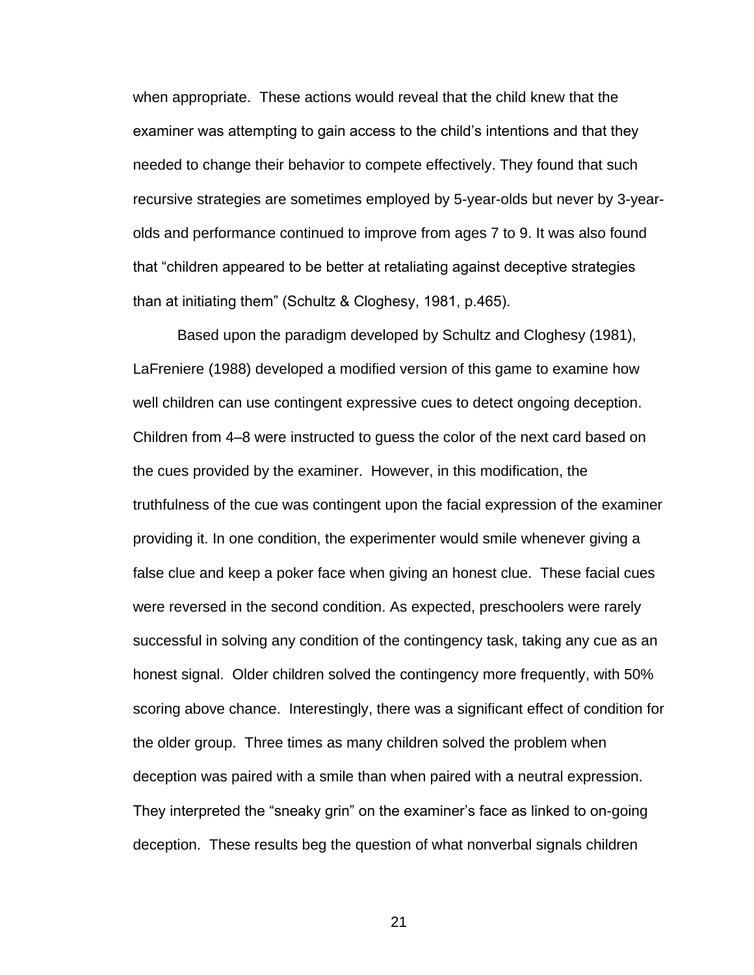when appropriate. These actions would reveal that the child knew that the examiner was attempting to gain access to the child's intentions and that they needed to change their behavior to compete effectively. They found that such recursive strategies are sometimes employed by 5-year-olds but never by 3-yearolds and performance continued to improve from ages 7 to 9. It was also found that "children appeared to be better at retaliating against deceptive strategies than at initiating them" (Schultz & Cloghesy, 1981, p.465).

Based upon the paradigm developed by Schultz and Cloghesy (1981), LaFreniere (1988) developed a modified version of this game to examine how well children can use contingent expressive cues to detect ongoing deception. Children from 4–8 were instructed to guess the color of the next card based on the cues provided by the examiner. However, in this modification, the truthfulness of the cue was contingent upon the facial expression of the examiner providing it. In one condition, the experimenter would smile whenever giving a false clue and keep a poker face when giving an honest clue. These facial cues were reversed in the second condition. As expected, preschoolers were rarely successful in solving any condition of the contingency task, taking any cue as an honest signal. Older children solved the contingency more frequently, with 50% scoring above chance. Interestingly, there was a significant effect of condition for the older group. Three times as many children solved the problem when deception was paired with a smile than when paired with a neutral expression. They interpreted the "sneaky grin" on the examiner's face as linked to on-going deception. These results beg the question of what nonverbal signals children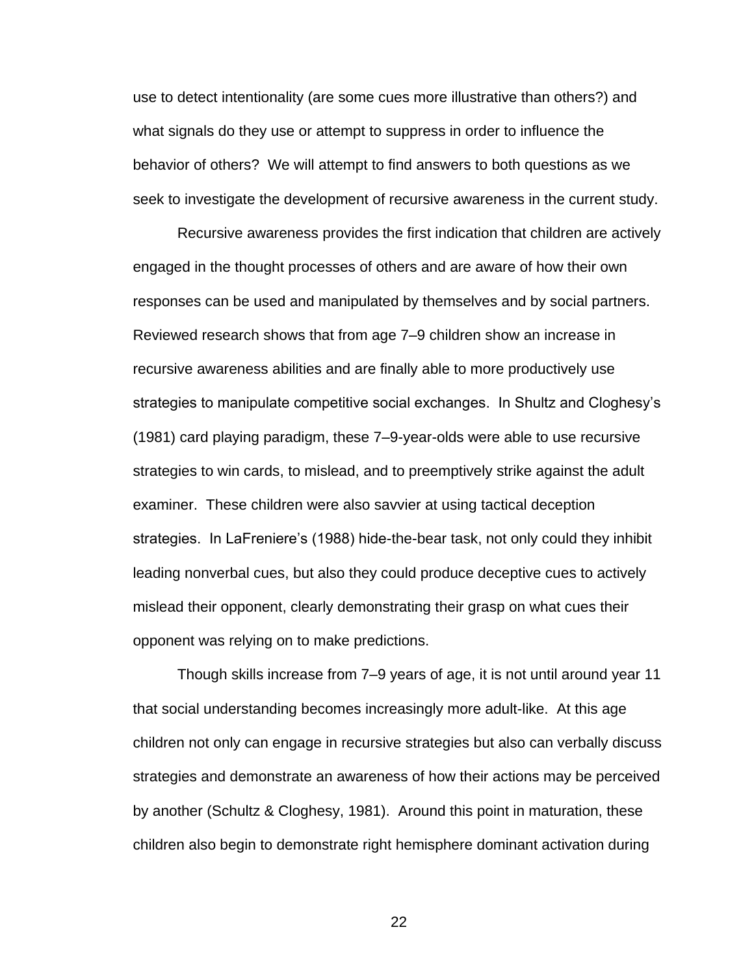use to detect intentionality (are some cues more illustrative than others?) and what signals do they use or attempt to suppress in order to influence the behavior of others? We will attempt to find answers to both questions as we seek to investigate the development of recursive awareness in the current study.

Recursive awareness provides the first indication that children are actively engaged in the thought processes of others and are aware of how their own responses can be used and manipulated by themselves and by social partners. Reviewed research shows that from age 7–9 children show an increase in recursive awareness abilities and are finally able to more productively use strategies to manipulate competitive social exchanges. In Shultz and Cloghesy's (1981) card playing paradigm, these 7–9-year-olds were able to use recursive strategies to win cards, to mislead, and to preemptively strike against the adult examiner. These children were also savvier at using tactical deception strategies. In LaFreniere's (1988) hide-the-bear task, not only could they inhibit leading nonverbal cues, but also they could produce deceptive cues to actively mislead their opponent, clearly demonstrating their grasp on what cues their opponent was relying on to make predictions.

Though skills increase from 7–9 years of age, it is not until around year 11 that social understanding becomes increasingly more adult-like. At this age children not only can engage in recursive strategies but also can verbally discuss strategies and demonstrate an awareness of how their actions may be perceived by another (Schultz & Cloghesy, 1981). Around this point in maturation, these children also begin to demonstrate right hemisphere dominant activation during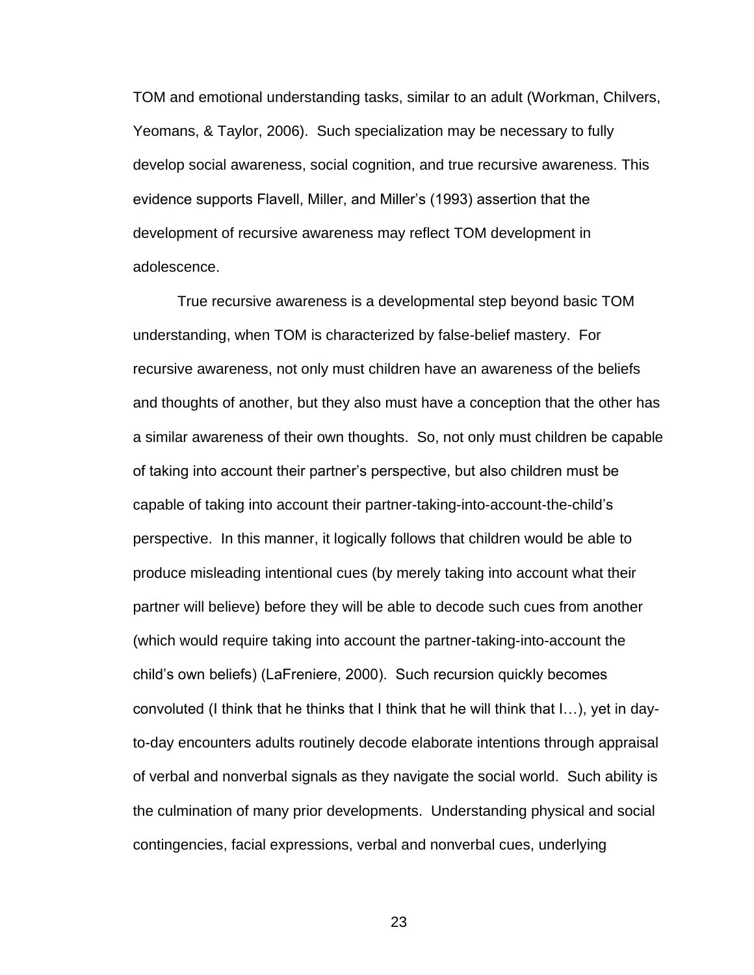TOM and emotional understanding tasks, similar to an adult (Workman, Chilvers, Yeomans, & Taylor, 2006). Such specialization may be necessary to fully develop social awareness, social cognition, and true recursive awareness. This evidence supports Flavell, Miller, and Miller's (1993) assertion that the development of recursive awareness may reflect TOM development in adolescence.

True recursive awareness is a developmental step beyond basic TOM understanding, when TOM is characterized by false-belief mastery. For recursive awareness, not only must children have an awareness of the beliefs and thoughts of another, but they also must have a conception that the other has a similar awareness of their own thoughts. So, not only must children be capable of taking into account their partner's perspective, but also children must be capable of taking into account their partner-taking-into-account-the-child's perspective. In this manner, it logically follows that children would be able to produce misleading intentional cues (by merely taking into account what their partner will believe) before they will be able to decode such cues from another (which would require taking into account the partner-taking-into-account the child's own beliefs) (LaFreniere, 2000). Such recursion quickly becomes convoluted (I think that he thinks that I think that he will think that I…), yet in dayto-day encounters adults routinely decode elaborate intentions through appraisal of verbal and nonverbal signals as they navigate the social world. Such ability is the culmination of many prior developments. Understanding physical and social contingencies, facial expressions, verbal and nonverbal cues, underlying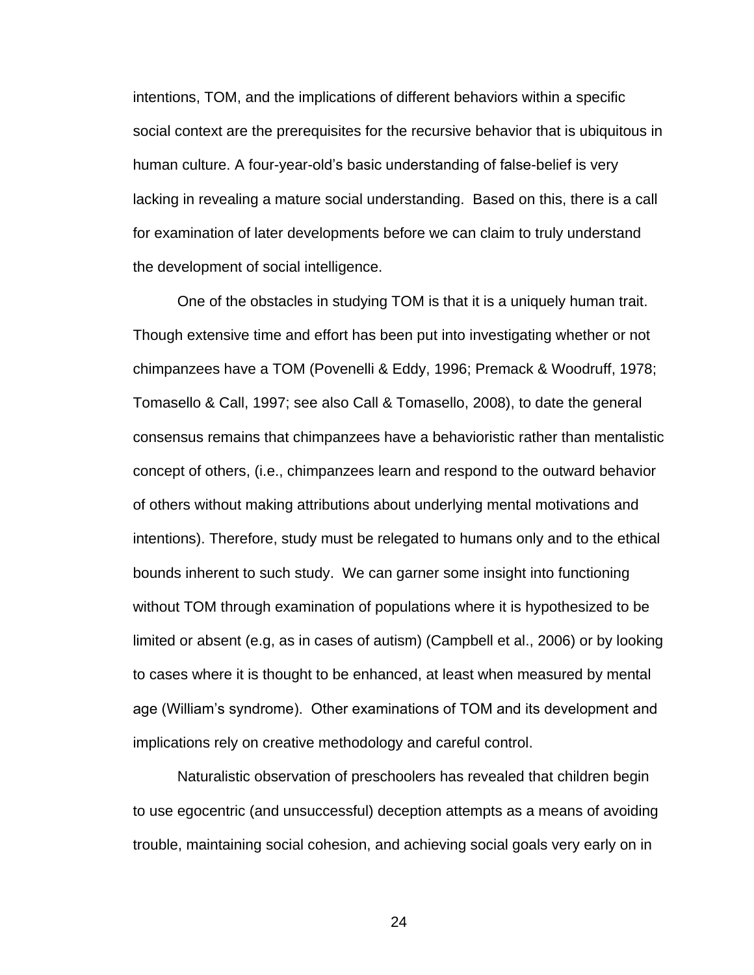intentions, TOM, and the implications of different behaviors within a specific social context are the prerequisites for the recursive behavior that is ubiquitous in human culture. A four-year-old's basic understanding of false-belief is very lacking in revealing a mature social understanding. Based on this, there is a call for examination of later developments before we can claim to truly understand the development of social intelligence.

One of the obstacles in studying TOM is that it is a uniquely human trait. Though extensive time and effort has been put into investigating whether or not chimpanzees have a TOM (Povenelli & Eddy, 1996; Premack & Woodruff, 1978; Tomasello & Call, 1997; see also Call & Tomasello, 2008), to date the general consensus remains that chimpanzees have a behavioristic rather than mentalistic concept of others, (i.e., chimpanzees learn and respond to the outward behavior of others without making attributions about underlying mental motivations and intentions). Therefore, study must be relegated to humans only and to the ethical bounds inherent to such study. We can garner some insight into functioning without TOM through examination of populations where it is hypothesized to be limited or absent (e.g, as in cases of autism) (Campbell et al., 2006) or by looking to cases where it is thought to be enhanced, at least when measured by mental age (William's syndrome). Other examinations of TOM and its development and implications rely on creative methodology and careful control.

Naturalistic observation of preschoolers has revealed that children begin to use egocentric (and unsuccessful) deception attempts as a means of avoiding trouble, maintaining social cohesion, and achieving social goals very early on in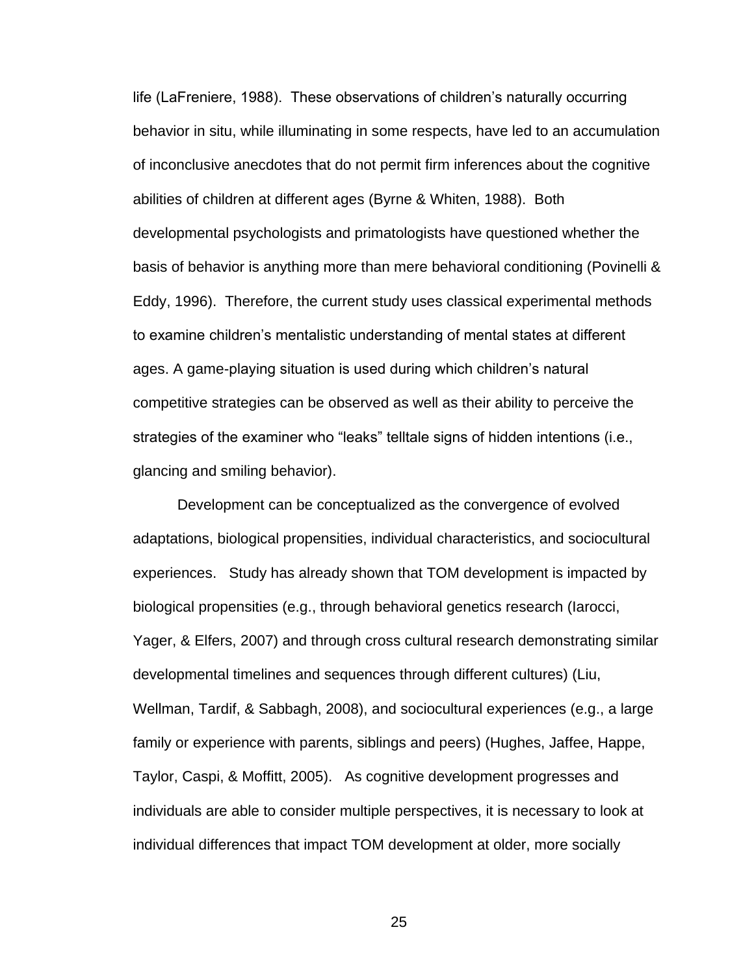life (LaFreniere, 1988). These observations of children's naturally occurring behavior in situ, while illuminating in some respects, have led to an accumulation of inconclusive anecdotes that do not permit firm inferences about the cognitive abilities of children at different ages (Byrne & Whiten, 1988). Both developmental psychologists and primatologists have questioned whether the basis of behavior is anything more than mere behavioral conditioning (Povinelli & Eddy, 1996). Therefore, the current study uses classical experimental methods to examine children's mentalistic understanding of mental states at different ages. A game-playing situation is used during which children's natural competitive strategies can be observed as well as their ability to perceive the strategies of the examiner who "leaks" telltale signs of hidden intentions (i.e., glancing and smiling behavior).

Development can be conceptualized as the convergence of evolved adaptations, biological propensities, individual characteristics, and sociocultural experiences. Study has already shown that TOM development is impacted by biological propensities (e.g., through behavioral genetics research (Iarocci, Yager, & Elfers, 2007) and through cross cultural research demonstrating similar developmental timelines and sequences through different cultures) (Liu, Wellman, Tardif, & Sabbagh, 2008), and sociocultural experiences (e.g., a large family or experience with parents, siblings and peers) (Hughes, Jaffee, Happe, Taylor, Caspi, & Moffitt, 2005). As cognitive development progresses and individuals are able to consider multiple perspectives, it is necessary to look at individual differences that impact TOM development at older, more socially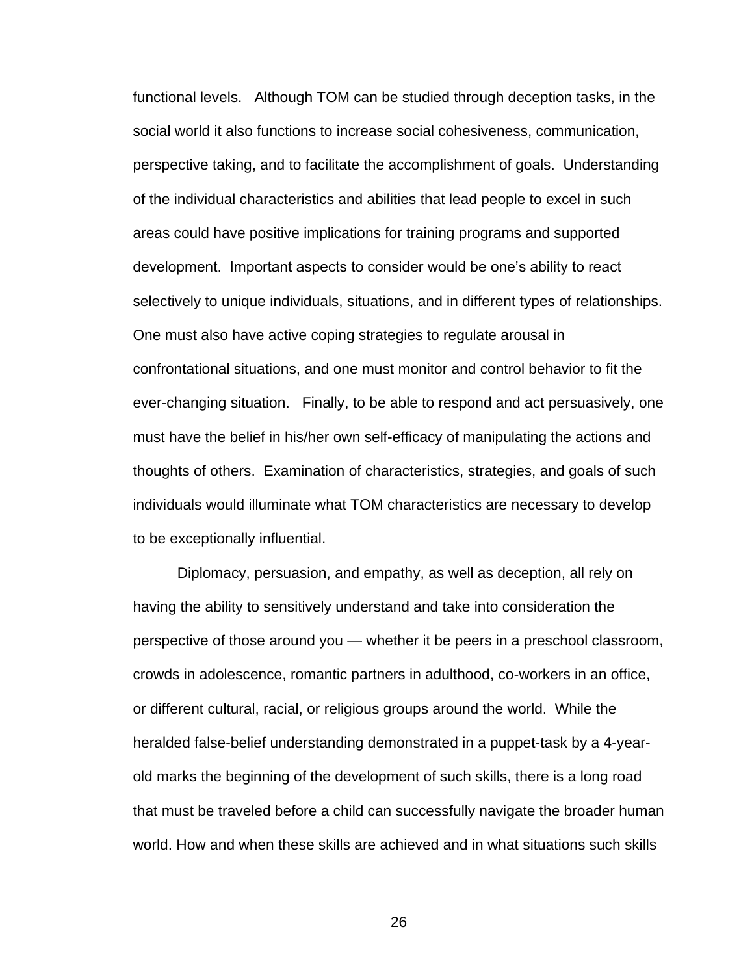functional levels. Although TOM can be studied through deception tasks, in the social world it also functions to increase social cohesiveness, communication, perspective taking, and to facilitate the accomplishment of goals. Understanding of the individual characteristics and abilities that lead people to excel in such areas could have positive implications for training programs and supported development. Important aspects to consider would be one's ability to react selectively to unique individuals, situations, and in different types of relationships. One must also have active coping strategies to regulate arousal in confrontational situations, and one must monitor and control behavior to fit the ever-changing situation. Finally, to be able to respond and act persuasively, one must have the belief in his/her own self-efficacy of manipulating the actions and thoughts of others. Examination of characteristics, strategies, and goals of such individuals would illuminate what TOM characteristics are necessary to develop to be exceptionally influential.

Diplomacy, persuasion, and empathy, as well as deception, all rely on having the ability to sensitively understand and take into consideration the perspective of those around you — whether it be peers in a preschool classroom, crowds in adolescence, romantic partners in adulthood, co-workers in an office, or different cultural, racial, or religious groups around the world. While the heralded false-belief understanding demonstrated in a puppet-task by a 4-yearold marks the beginning of the development of such skills, there is a long road that must be traveled before a child can successfully navigate the broader human world. How and when these skills are achieved and in what situations such skills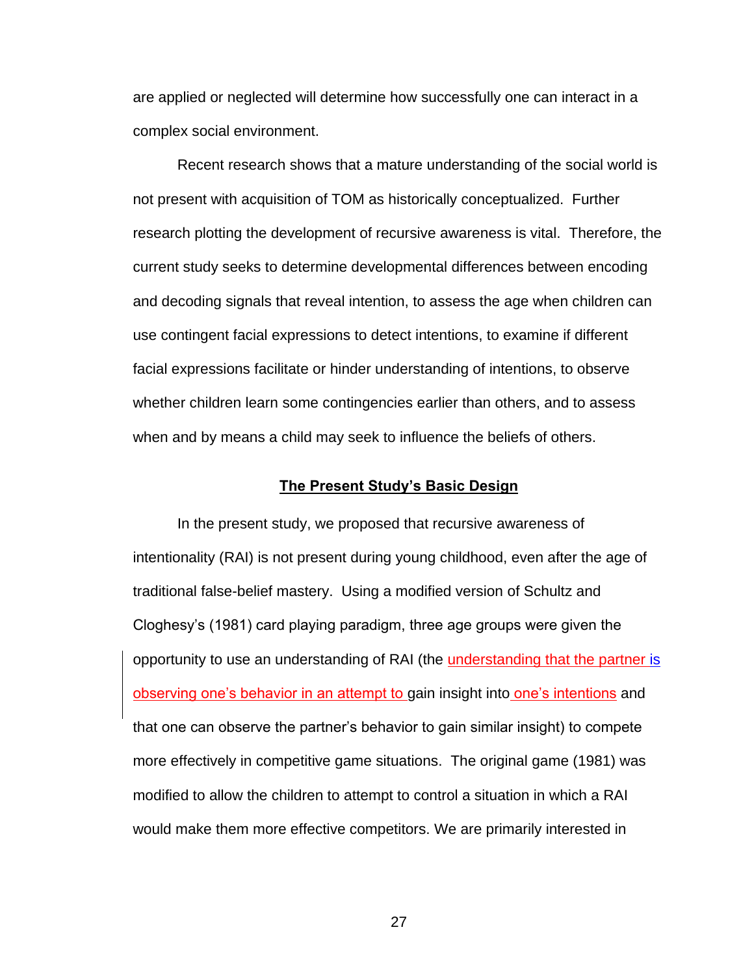are applied or neglected will determine how successfully one can interact in a complex social environment.

Recent research shows that a mature understanding of the social world is not present with acquisition of TOM as historically conceptualized. Further research plotting the development of recursive awareness is vital. Therefore, the current study seeks to determine developmental differences between encoding and decoding signals that reveal intention, to assess the age when children can use contingent facial expressions to detect intentions, to examine if different facial expressions facilitate or hinder understanding of intentions, to observe whether children learn some contingencies earlier than others, and to assess when and by means a child may seek to influence the beliefs of others.

#### **The Present Study's Basic Design**

In the present study, we proposed that recursive awareness of intentionality (RAI) is not present during young childhood, even after the age of traditional false-belief mastery. Using a modified version of Schultz and Cloghesy's (1981) card playing paradigm, three age groups were given the opportunity to use an understanding of RAI (the understanding that the partner is observing one's behavior in an attempt to gain insight into one's intentions and that one can observe the partner's behavior to gain similar insight) to compete more effectively in competitive game situations. The original game (1981) was modified to allow the children to attempt to control a situation in which a RAI would make them more effective competitors. We are primarily interested in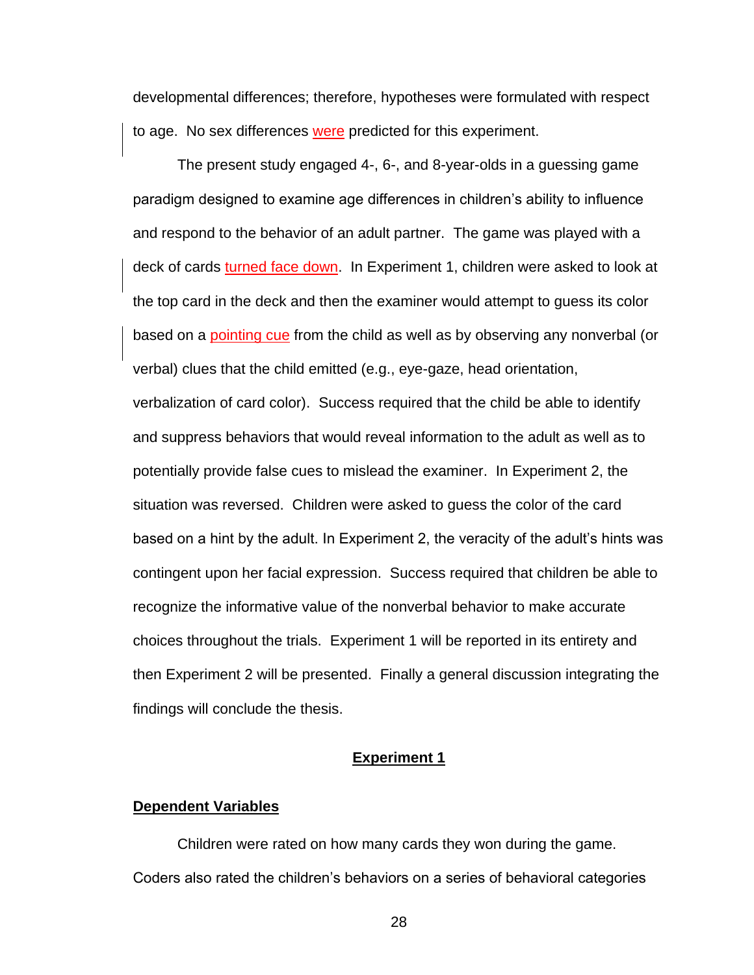developmental differences; therefore, hypotheses were formulated with respect to age. No sex differences were predicted for this experiment.

The present study engaged 4-, 6-, and 8-year-olds in a guessing game paradigm designed to examine age differences in children's ability to influence and respond to the behavior of an adult partner. The game was played with a deck of cards turned face down. In Experiment 1, children were asked to look at the top card in the deck and then the examiner would attempt to guess its color based on a pointing cue from the child as well as by observing any nonverbal (or verbal) clues that the child emitted (e.g., eye-gaze, head orientation, verbalization of card color). Success required that the child be able to identify and suppress behaviors that would reveal information to the adult as well as to potentially provide false cues to mislead the examiner. In Experiment 2, the situation was reversed. Children were asked to guess the color of the card based on a hint by the adult. In Experiment 2, the veracity of the adult's hints was contingent upon her facial expression. Success required that children be able to recognize the informative value of the nonverbal behavior to make accurate choices throughout the trials. Experiment 1 will be reported in its entirety and then Experiment 2 will be presented. Finally a general discussion integrating the findings will conclude the thesis.

#### **Experiment 1**

#### **Dependent Variables**

Children were rated on how many cards they won during the game. Coders also rated the children's behaviors on a series of behavioral categories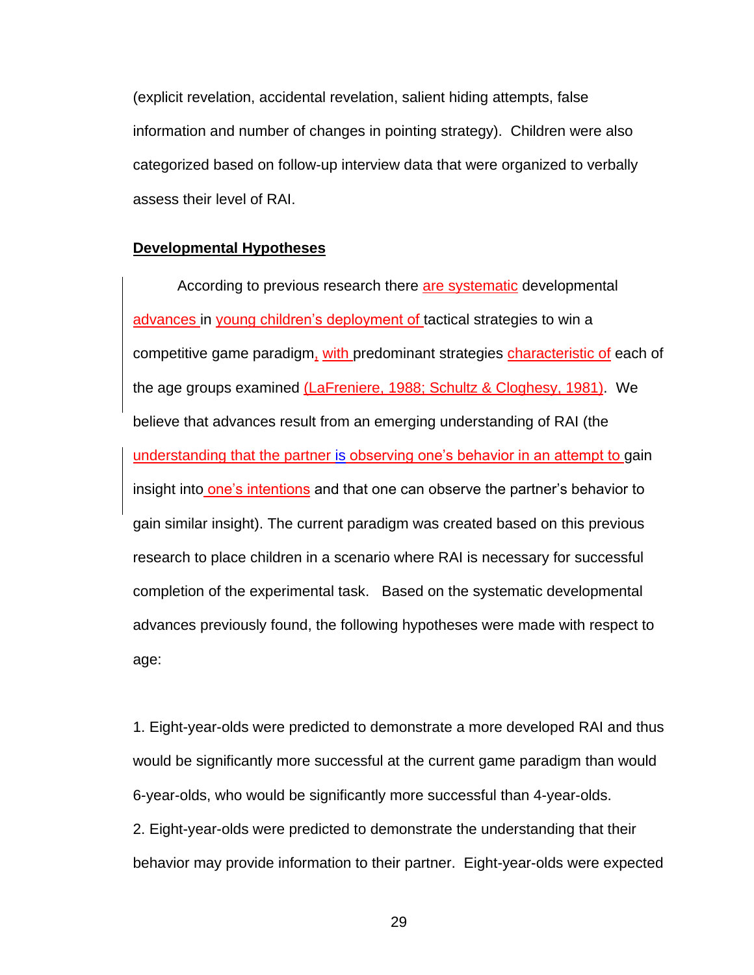(explicit revelation, accidental revelation, salient hiding attempts, false information and number of changes in pointing strategy). Children were also categorized based on follow-up interview data that were organized to verbally assess their level of RAI.

#### **Developmental Hypotheses**

According to previous research there are systematic developmental advances in young children's deployment of tactical strategies to win a competitive game paradigm, with predominant strategies characteristic of each of the age groups examined (LaFreniere, 1988; Schultz & Cloghesy, 1981). We believe that advances result from an emerging understanding of RAI (the understanding that the partner is observing one's behavior in an attempt to gain insight into one's intentions and that one can observe the partner's behavior to gain similar insight). The current paradigm was created based on this previous research to place children in a scenario where RAI is necessary for successful completion of the experimental task. Based on the systematic developmental advances previously found, the following hypotheses were made with respect to age:

1. Eight-year-olds were predicted to demonstrate a more developed RAI and thus would be significantly more successful at the current game paradigm than would 6-year-olds, who would be significantly more successful than 4-year-olds. 2. Eight-year-olds were predicted to demonstrate the understanding that their behavior may provide information to their partner. Eight-year-olds were expected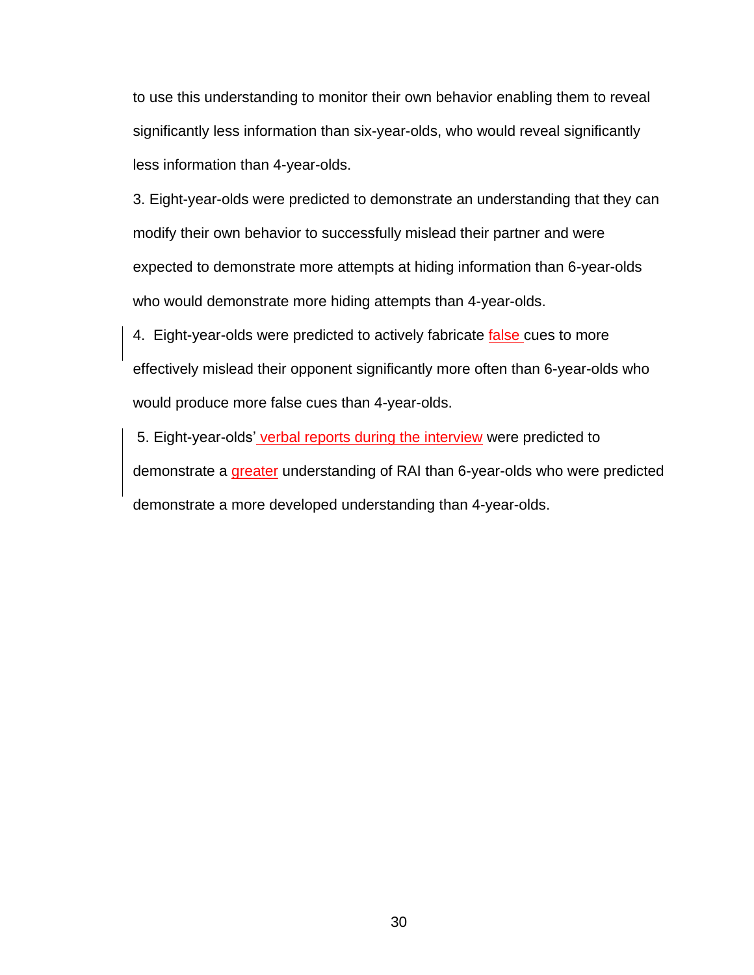to use this understanding to monitor their own behavior enabling them to reveal significantly less information than six-year-olds, who would reveal significantly less information than 4-year-olds.

3. Eight-year-olds were predicted to demonstrate an understanding that they can modify their own behavior to successfully mislead their partner and were expected to demonstrate more attempts at hiding information than 6-year-olds who would demonstrate more hiding attempts than 4-year-olds.

4. Eight-year-olds were predicted to actively fabricate false cues to more effectively mislead their opponent significantly more often than 6-year-olds who would produce more false cues than 4-year-olds.

5. Eight-year-olds' verbal reports during the interview were predicted to demonstrate a greater understanding of RAI than 6-year-olds who were predicted demonstrate a more developed understanding than 4-year-olds.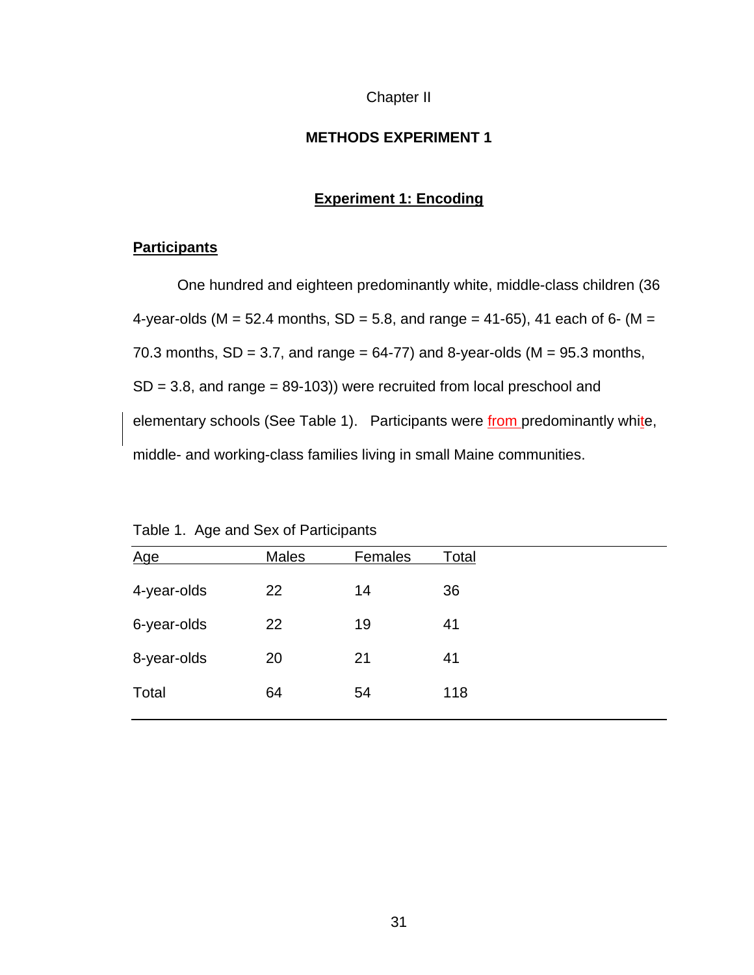# Chapter II

# **METHODS EXPERIMENT 1**

# **Experiment 1: Encoding**

# **Participants**

One hundred and eighteen predominantly white, middle-class children (36 4-year-olds (M = 52.4 months, SD = 5.8, and range = 41-65), 41 each of 6- (M = 70.3 months,  $SD = 3.7$ , and range = 64-77) and 8-year-olds ( $M = 95.3$  months,  $SD = 3.8$ , and range = 89-103)) were recruited from local preschool and elementary schools (See Table 1). Participants were from predominantly white, middle- and working-class families living in small Maine communities.

| Age         | <b>Males</b> | Females | Total |
|-------------|--------------|---------|-------|
| 4-year-olds | 22           | 14      | 36    |
| 6-year-olds | 22           | 19      | 41    |
| 8-year-olds | 20           | 21      | 41    |
| Total       | 64           | 54      | 118   |
|             |              |         |       |

Table 1. Age and Sex of Participants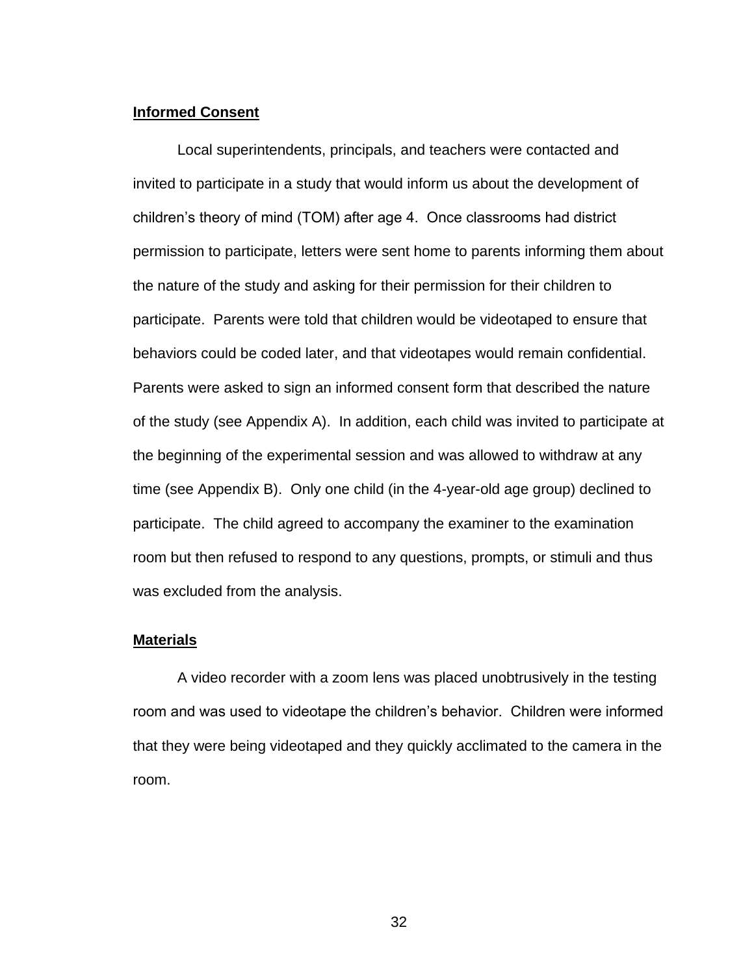# **Informed Consent**

Local superintendents, principals, and teachers were contacted and invited to participate in a study that would inform us about the development of children's theory of mind (TOM) after age 4. Once classrooms had district permission to participate, letters were sent home to parents informing them about the nature of the study and asking for their permission for their children to participate. Parents were told that children would be videotaped to ensure that behaviors could be coded later, and that videotapes would remain confidential. Parents were asked to sign an informed consent form that described the nature of the study (see Appendix A). In addition, each child was invited to participate at the beginning of the experimental session and was allowed to withdraw at any time (see Appendix B). Only one child (in the 4-year-old age group) declined to participate. The child agreed to accompany the examiner to the examination room but then refused to respond to any questions, prompts, or stimuli and thus was excluded from the analysis.

#### **Materials**

A video recorder with a zoom lens was placed unobtrusively in the testing room and was used to videotape the children's behavior. Children were informed that they were being videotaped and they quickly acclimated to the camera in the room.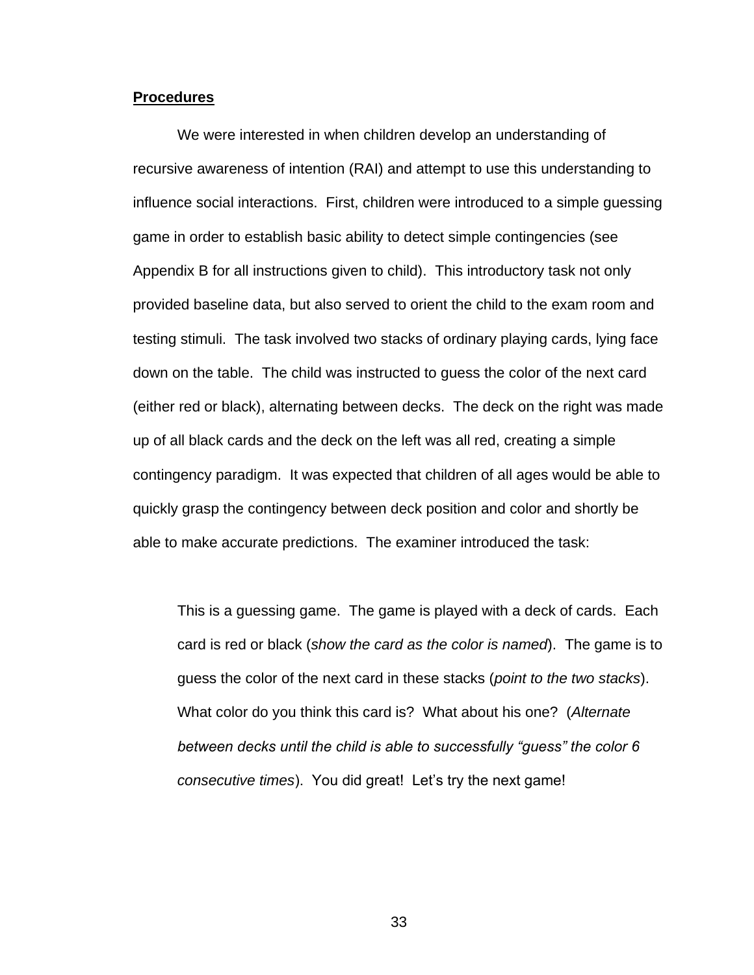#### **Procedures**

We were interested in when children develop an understanding of recursive awareness of intention (RAI) and attempt to use this understanding to influence social interactions. First, children were introduced to a simple guessing game in order to establish basic ability to detect simple contingencies (see Appendix B for all instructions given to child). This introductory task not only provided baseline data, but also served to orient the child to the exam room and testing stimuli. The task involved two stacks of ordinary playing cards, lying face down on the table. The child was instructed to guess the color of the next card (either red or black), alternating between decks. The deck on the right was made up of all black cards and the deck on the left was all red, creating a simple contingency paradigm. It was expected that children of all ages would be able to quickly grasp the contingency between deck position and color and shortly be able to make accurate predictions. The examiner introduced the task:

This is a guessing game. The game is played with a deck of cards. Each card is red or black (*show the card as the color is named*). The game is to guess the color of the next card in these stacks (*point to the two stacks*). What color do you think this card is? What about his one? (*Alternate between decks until the child is able to successfully "guess" the color 6 consecutive times*). You did great! Let's try the next game!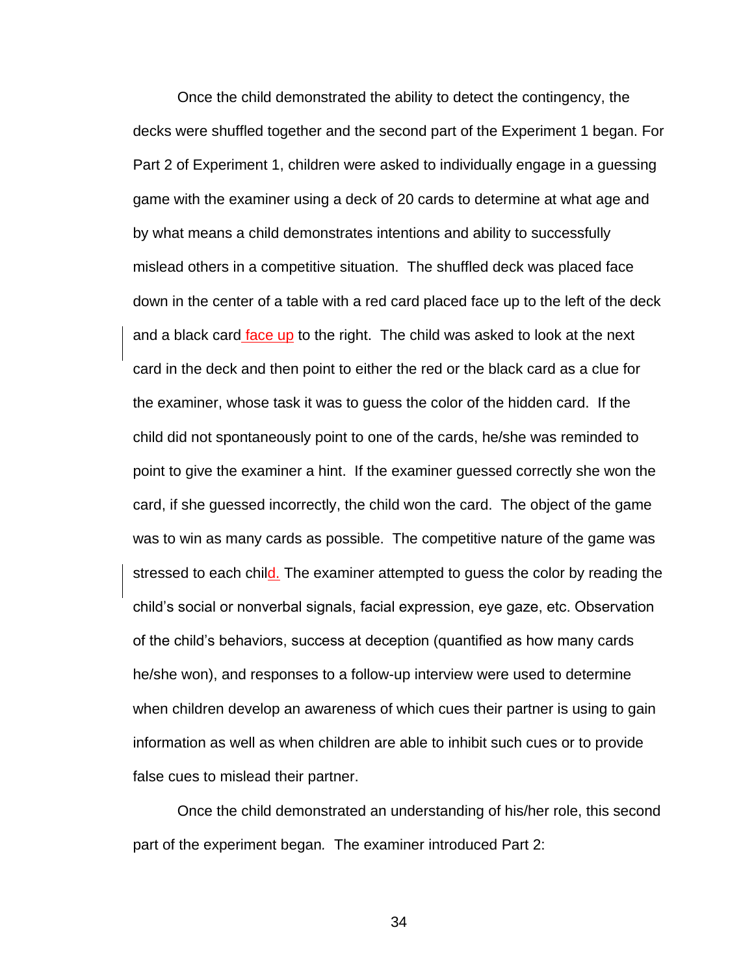Once the child demonstrated the ability to detect the contingency, the decks were shuffled together and the second part of the Experiment 1 began. For Part 2 of Experiment 1, children were asked to individually engage in a guessing game with the examiner using a deck of 20 cards to determine at what age and by what means a child demonstrates intentions and ability to successfully mislead others in a competitive situation. The shuffled deck was placed face down in the center of a table with a red card placed face up to the left of the deck and a black card face up to the right. The child was asked to look at the next card in the deck and then point to either the red or the black card as a clue for the examiner, whose task it was to guess the color of the hidden card. If the child did not spontaneously point to one of the cards, he/she was reminded to point to give the examiner a hint. If the examiner guessed correctly she won the card, if she guessed incorrectly, the child won the card. The object of the game was to win as many cards as possible. The competitive nature of the game was stressed to each child. The examiner attempted to guess the color by reading the child's social or nonverbal signals, facial expression, eye gaze, etc. Observation of the child's behaviors, success at deception (quantified as how many cards he/she won), and responses to a follow-up interview were used to determine when children develop an awareness of which cues their partner is using to gain information as well as when children are able to inhibit such cues or to provide false cues to mislead their partner.

Once the child demonstrated an understanding of his/her role, this second part of the experiment began*.* The examiner introduced Part 2: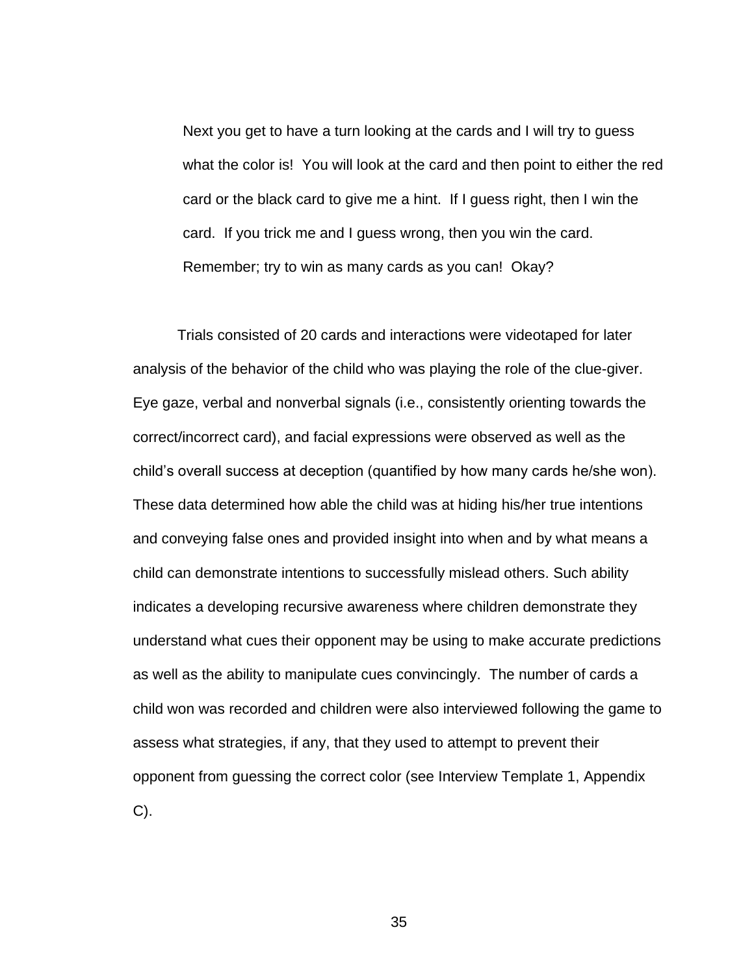Next you get to have a turn looking at the cards and I will try to guess what the color is! You will look at the card and then point to either the red card or the black card to give me a hint. If I guess right, then I win the card. If you trick me and I guess wrong, then you win the card. Remember; try to win as many cards as you can! Okay?

Trials consisted of 20 cards and interactions were videotaped for later analysis of the behavior of the child who was playing the role of the clue-giver. Eye gaze, verbal and nonverbal signals (i.e., consistently orienting towards the correct/incorrect card), and facial expressions were observed as well as the child's overall success at deception (quantified by how many cards he/she won). These data determined how able the child was at hiding his/her true intentions and conveying false ones and provided insight into when and by what means a child can demonstrate intentions to successfully mislead others. Such ability indicates a developing recursive awareness where children demonstrate they understand what cues their opponent may be using to make accurate predictions as well as the ability to manipulate cues convincingly. The number of cards a child won was recorded and children were also interviewed following the game to assess what strategies, if any, that they used to attempt to prevent their opponent from guessing the correct color (see Interview Template 1, Appendix C).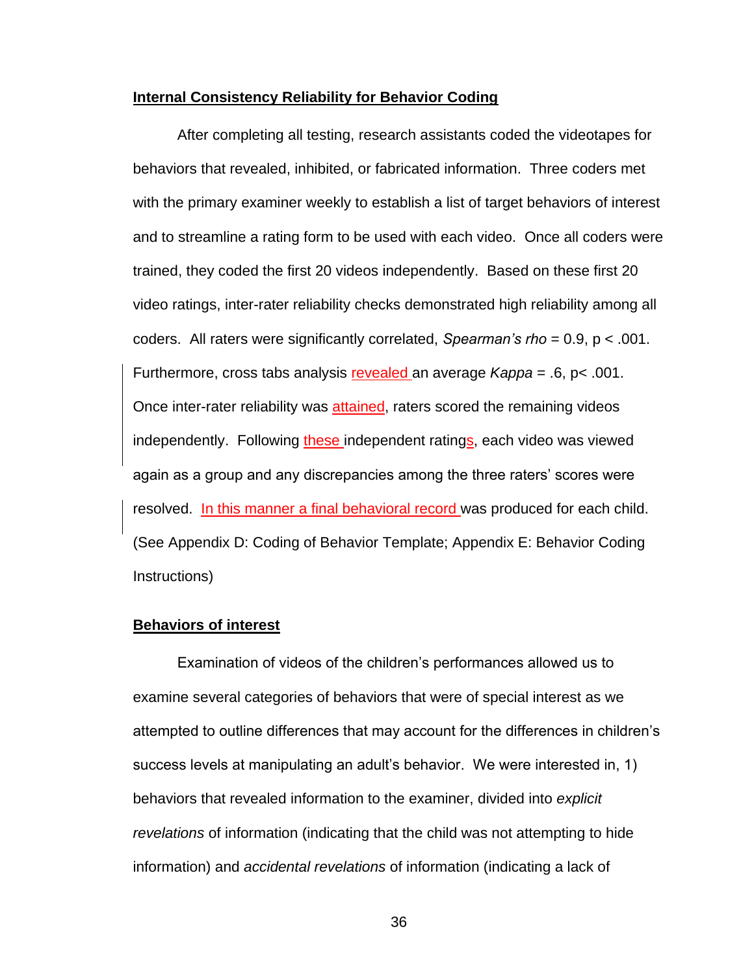#### **Internal Consistency Reliability for Behavior Coding**

After completing all testing, research assistants coded the videotapes for behaviors that revealed, inhibited, or fabricated information. Three coders met with the primary examiner weekly to establish a list of target behaviors of interest and to streamline a rating form to be used with each video. Once all coders were trained, they coded the first 20 videos independently. Based on these first 20 video ratings, inter-rater reliability checks demonstrated high reliability among all coders. All raters were significantly correlated, *Spearman's rho* = 0.9, p < .001. Furthermore, cross tabs analysis revealed an average *Kappa* = .6, p< .001. Once inter-rater reliability was attained, raters scored the remaining videos independently. Following these independent ratings, each video was viewed again as a group and any discrepancies among the three raters' scores were resolved. In this manner a final behavioral record was produced for each child. (See Appendix D: Coding of Behavior Template; Appendix E: Behavior Coding Instructions)

## **Behaviors of interest**

Examination of videos of the children's performances allowed us to examine several categories of behaviors that were of special interest as we attempted to outline differences that may account for the differences in children's success levels at manipulating an adult's behavior. We were interested in, 1) behaviors that revealed information to the examiner, divided into *explicit revelations* of information (indicating that the child was not attempting to hide information) and *accidental revelations* of information (indicating a lack of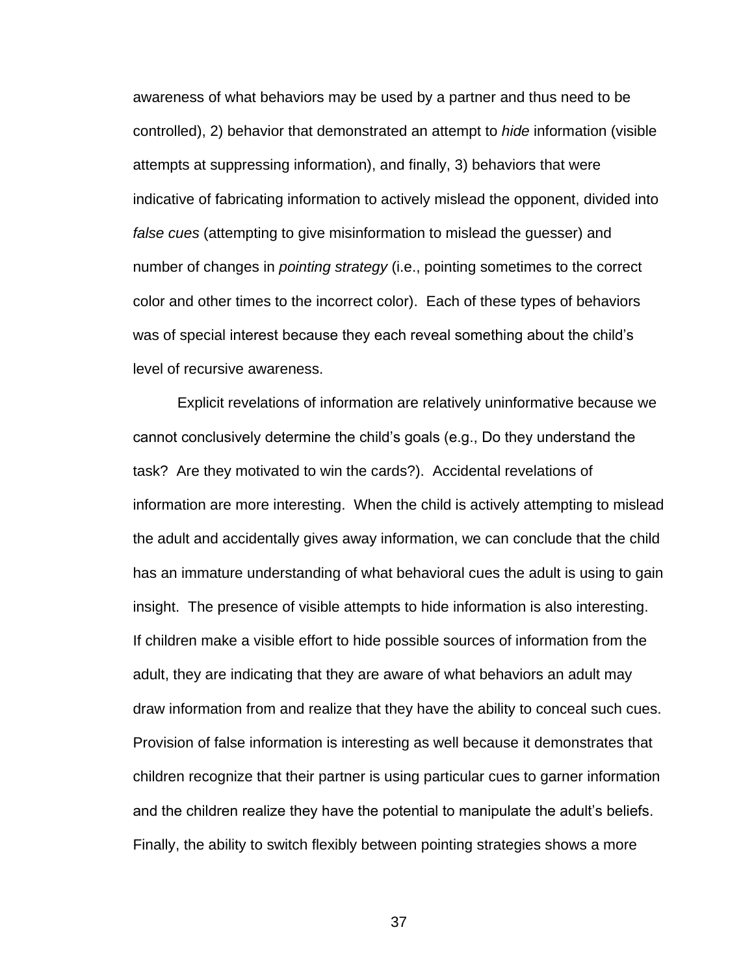awareness of what behaviors may be used by a partner and thus need to be controlled), 2) behavior that demonstrated an attempt to *hide* information (visible attempts at suppressing information), and finally, 3) behaviors that were indicative of fabricating information to actively mislead the opponent, divided into *false cues* (attempting to give misinformation to mislead the guesser) and number of changes in *pointing strategy* (i.e., pointing sometimes to the correct color and other times to the incorrect color). Each of these types of behaviors was of special interest because they each reveal something about the child's level of recursive awareness.

Explicit revelations of information are relatively uninformative because we cannot conclusively determine the child's goals (e.g., Do they understand the task? Are they motivated to win the cards?). Accidental revelations of information are more interesting. When the child is actively attempting to mislead the adult and accidentally gives away information, we can conclude that the child has an immature understanding of what behavioral cues the adult is using to gain insight. The presence of visible attempts to hide information is also interesting. If children make a visible effort to hide possible sources of information from the adult, they are indicating that they are aware of what behaviors an adult may draw information from and realize that they have the ability to conceal such cues. Provision of false information is interesting as well because it demonstrates that children recognize that their partner is using particular cues to garner information and the children realize they have the potential to manipulate the adult's beliefs. Finally, the ability to switch flexibly between pointing strategies shows a more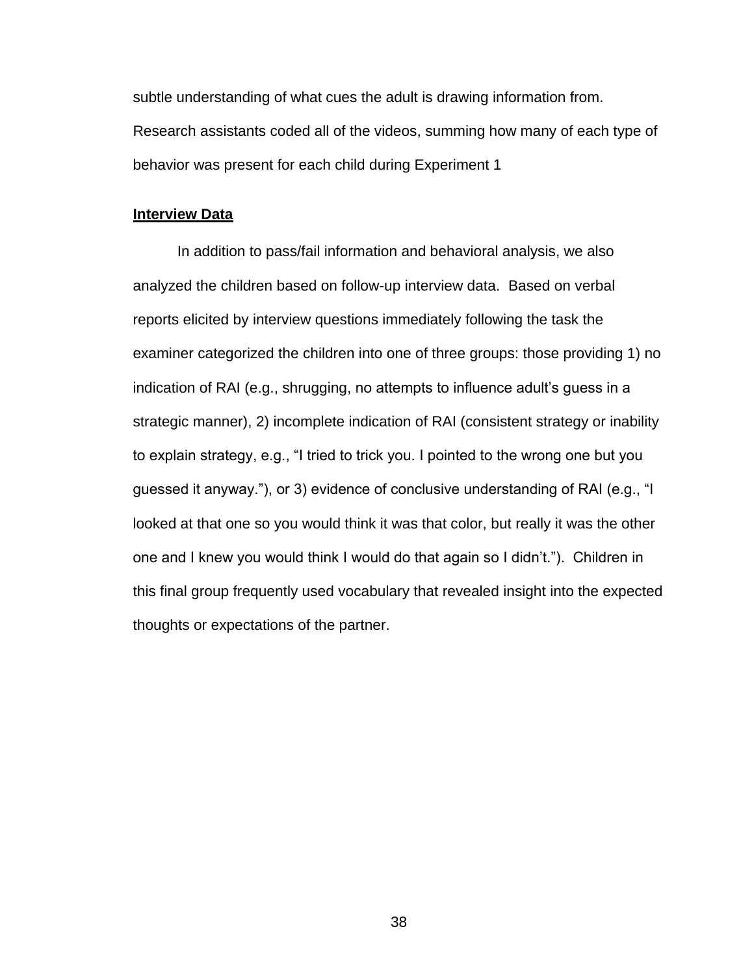subtle understanding of what cues the adult is drawing information from. Research assistants coded all of the videos, summing how many of each type of behavior was present for each child during Experiment 1

## **Interview Data**

In addition to pass/fail information and behavioral analysis, we also analyzed the children based on follow-up interview data. Based on verbal reports elicited by interview questions immediately following the task the examiner categorized the children into one of three groups: those providing 1) no indication of RAI (e.g., shrugging, no attempts to influence adult's guess in a strategic manner), 2) incomplete indication of RAI (consistent strategy or inability to explain strategy, e.g., "I tried to trick you. I pointed to the wrong one but you guessed it anyway."), or 3) evidence of conclusive understanding of RAI (e.g., "I looked at that one so you would think it was that color, but really it was the other one and I knew you would think I would do that again so I didn't."). Children in this final group frequently used vocabulary that revealed insight into the expected thoughts or expectations of the partner.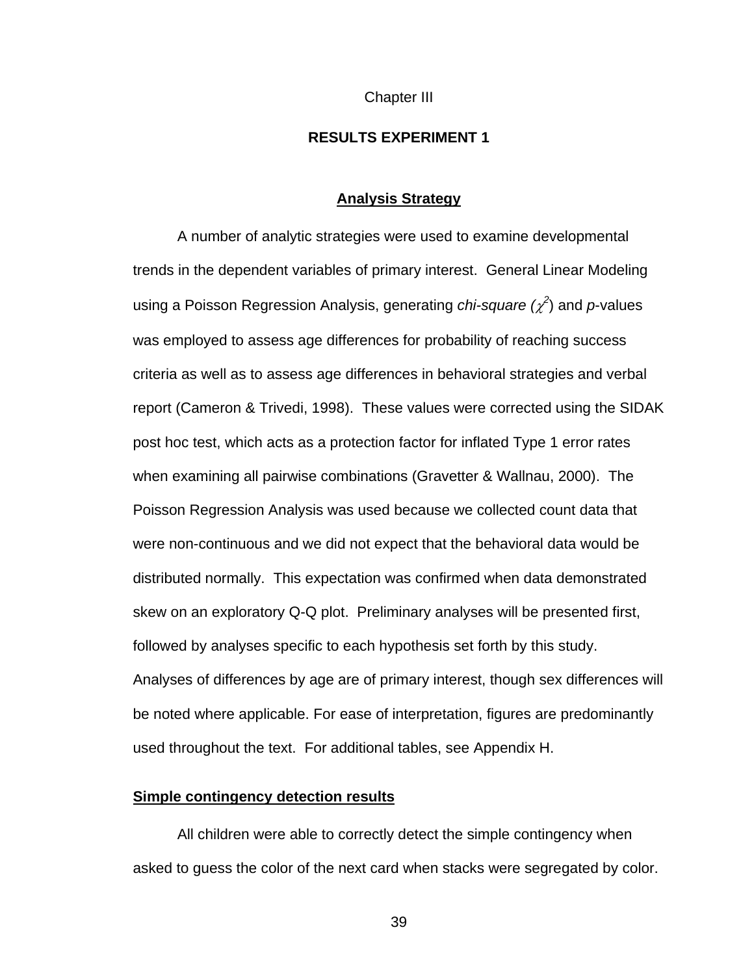Chapter III

# **RESULTS EXPERIMENT 1**

#### **Analysis Strategy**

A number of analytic strategies were used to examine developmental trends in the dependent variables of primary interest. General Linear Modeling using a Poisson Regression Analysis, generating *chi-square ( 2* ) and *p*-values was employed to assess age differences for probability of reaching success criteria as well as to assess age differences in behavioral strategies and verbal report (Cameron & Trivedi, 1998). These values were corrected using the SIDAK post hoc test, which acts as a protection factor for inflated Type 1 error rates when examining all pairwise combinations (Gravetter & Wallnau, 2000). The Poisson Regression Analysis was used because we collected count data that were non-continuous and we did not expect that the behavioral data would be distributed normally. This expectation was confirmed when data demonstrated skew on an exploratory Q-Q plot. Preliminary analyses will be presented first, followed by analyses specific to each hypothesis set forth by this study. Analyses of differences by age are of primary interest, though sex differences will be noted where applicable. For ease of interpretation, figures are predominantly used throughout the text. For additional tables, see Appendix H.

## **Simple contingency detection results**

All children were able to correctly detect the simple contingency when asked to guess the color of the next card when stacks were segregated by color.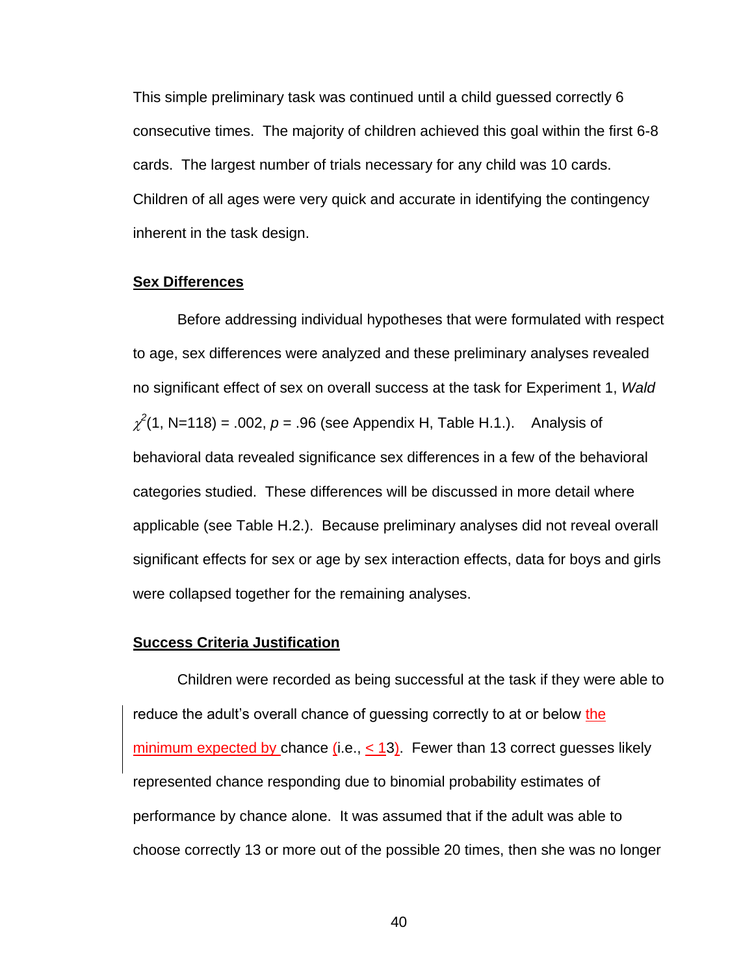This simple preliminary task was continued until a child guessed correctly 6 consecutive times. The majority of children achieved this goal within the first 6-8 cards. The largest number of trials necessary for any child was 10 cards. Children of all ages were very quick and accurate in identifying the contingency inherent in the task design.

## **Sex Differences**

Before addressing individual hypotheses that were formulated with respect to age, sex differences were analyzed and these preliminary analyses revealed no significant effect of sex on overall success at the task for Experiment 1, *Wald*  $\chi^2(1, N=118) = .002, p = .96$  (see Appendix H, Table H.1.). Analysis of behavioral data revealed significance sex differences in a few of the behavioral categories studied. These differences will be discussed in more detail where applicable (see Table H.2.). Because preliminary analyses did not reveal overall significant effects for sex or age by sex interaction effects, data for boys and girls were collapsed together for the remaining analyses.

## **Success Criteria Justification**

Children were recorded as being successful at the task if they were able to reduce the adult's overall chance of guessing correctly to at or below the minimum expected by chance  $(i.e., < 13)$ . Fewer than 13 correct guesses likely represented chance responding due to binomial probability estimates of performance by chance alone. It was assumed that if the adult was able to choose correctly 13 or more out of the possible 20 times, then she was no longer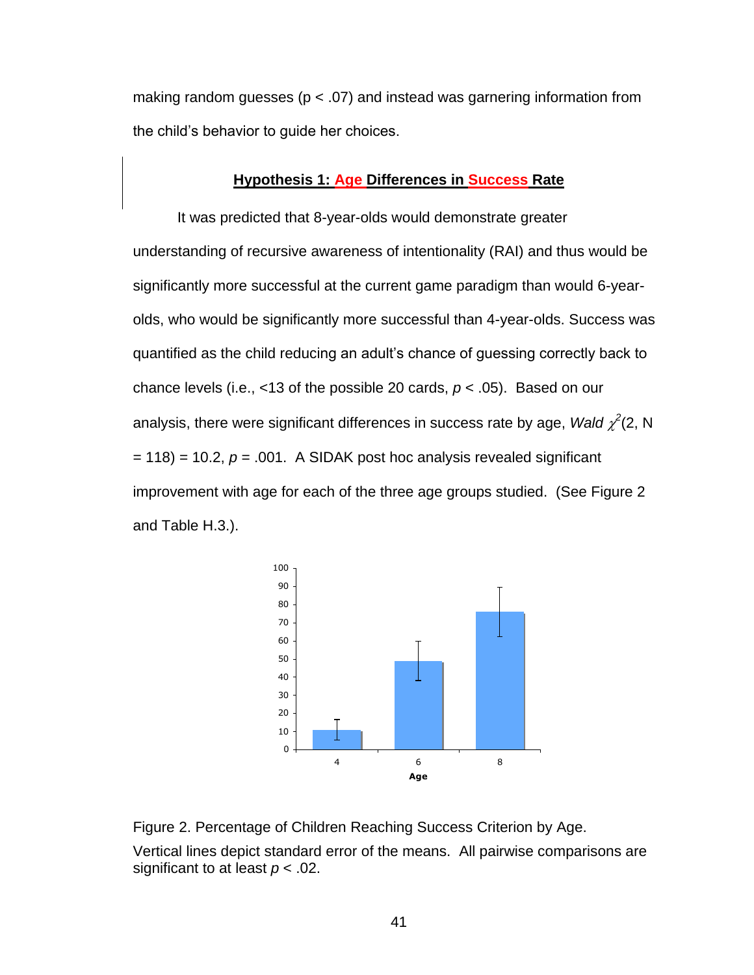making random guesses ( $p < .07$ ) and instead was garnering information from the child's behavior to guide her choices.

# **Hypothesis 1: Age Differences in Success Rate**

It was predicted that 8-year-olds would demonstrate greater understanding of recursive awareness of intentionality (RAI) and thus would be significantly more successful at the current game paradigm than would 6-yearolds, who would be significantly more successful than 4-year-olds. Success was quantified as the child reducing an adult's chance of guessing correctly back to chance levels (i.e., <13 of the possible 20 cards, *p* < .05). Based on our analysis, there were significant differences in success rate by age, *Wald*  $\chi^2$ (2, N = 118) = 10.2, *p* = .001. A SIDAK post hoc analysis revealed significant improvement with age for each of the three age groups studied. (See Figure 2 and Table H.3.).



Figure 2. Percentage of Children Reaching Success Criterion by Age.

Vertical lines depict standard error of the means. All pairwise comparisons are significant to at least *p* < .02.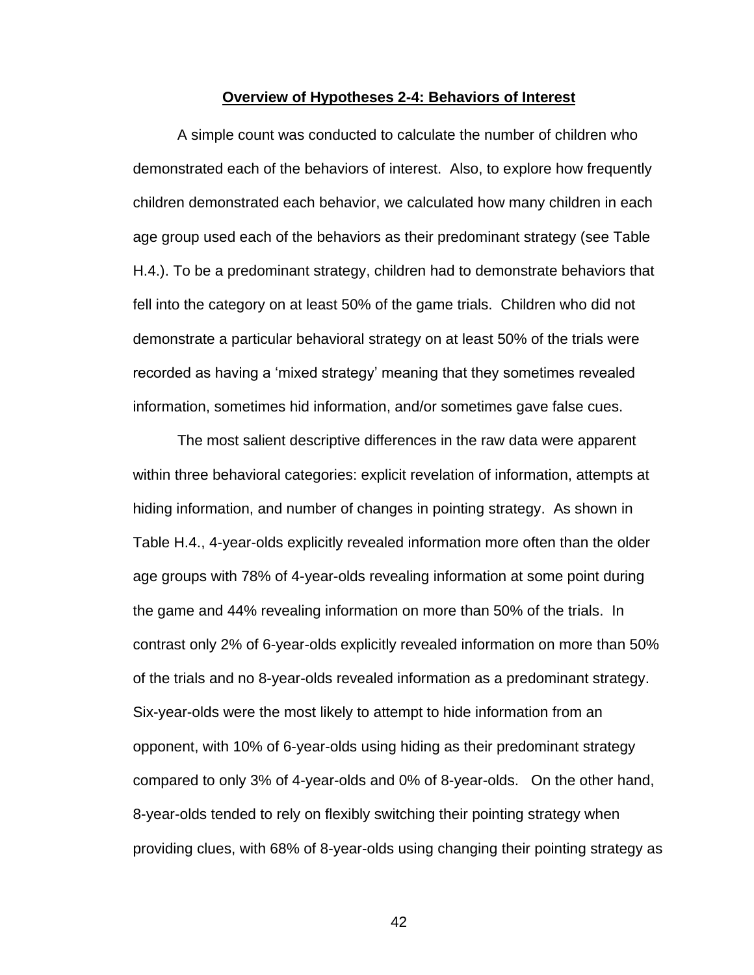#### **Overview of Hypotheses 2-4: Behaviors of Interest**

A simple count was conducted to calculate the number of children who demonstrated each of the behaviors of interest. Also, to explore how frequently children demonstrated each behavior, we calculated how many children in each age group used each of the behaviors as their predominant strategy (see Table H.4.). To be a predominant strategy, children had to demonstrate behaviors that fell into the category on at least 50% of the game trials. Children who did not demonstrate a particular behavioral strategy on at least 50% of the trials were recorded as having a 'mixed strategy' meaning that they sometimes revealed information, sometimes hid information, and/or sometimes gave false cues.

The most salient descriptive differences in the raw data were apparent within three behavioral categories: explicit revelation of information, attempts at hiding information, and number of changes in pointing strategy. As shown in Table H.4., 4-year-olds explicitly revealed information more often than the older age groups with 78% of 4-year-olds revealing information at some point during the game and 44% revealing information on more than 50% of the trials. In contrast only 2% of 6-year-olds explicitly revealed information on more than 50% of the trials and no 8-year-olds revealed information as a predominant strategy. Six-year-olds were the most likely to attempt to hide information from an opponent, with 10% of 6-year-olds using hiding as their predominant strategy compared to only 3% of 4-year-olds and 0% of 8-year-olds. On the other hand, 8-year-olds tended to rely on flexibly switching their pointing strategy when providing clues, with 68% of 8-year-olds using changing their pointing strategy as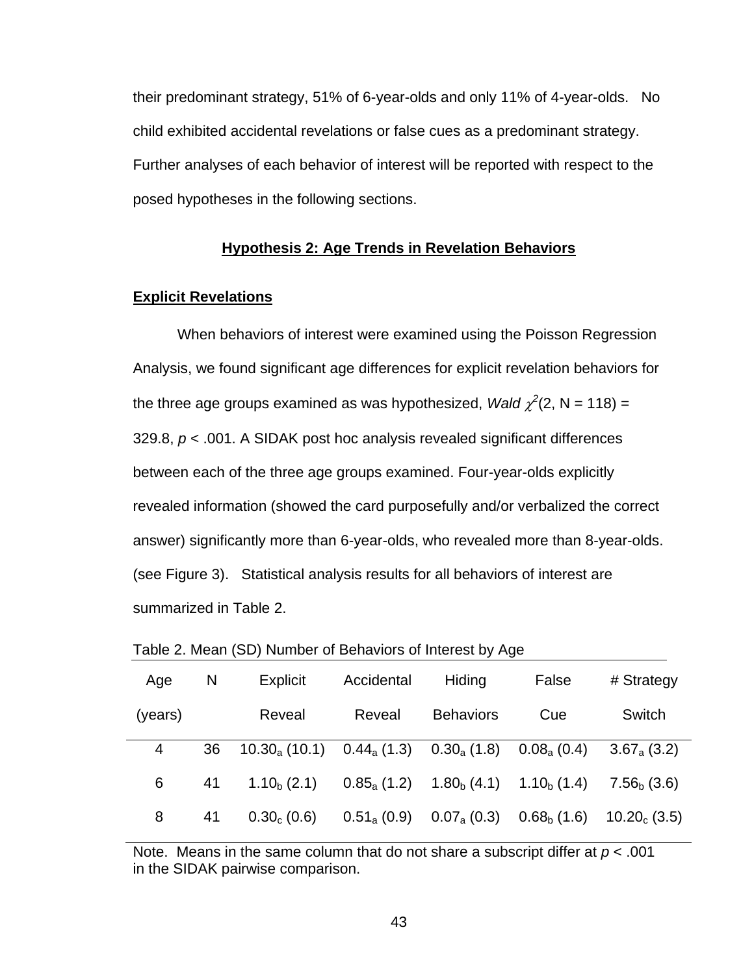their predominant strategy, 51% of 6-year-olds and only 11% of 4-year-olds. No child exhibited accidental revelations or false cues as a predominant strategy. Further analyses of each behavior of interest will be reported with respect to the posed hypotheses in the following sections.

#### **Hypothesis 2: Age Trends in Revelation Behaviors**

## **Explicit Revelations**

When behaviors of interest were examined using the Poisson Regression Analysis, we found significant age differences for explicit revelation behaviors for the three age groups examined as was hypothesized, *Wald*  $\chi^2(2, N = 118) =$ 329.8, *p* < .001. A SIDAK post hoc analysis revealed significant differences between each of the three age groups examined. Four-year-olds explicitly revealed information (showed the card purposefully and/or verbalized the correct answer) significantly more than 6-year-olds, who revealed more than 8-year-olds. (see Figure 3). Statistical analysis results for all behaviors of interest are summarized in Table 2.

| Age     | N  | Explicit                      | Accidental       | Hiding               | False                   | # Strategy       |
|---------|----|-------------------------------|------------------|----------------------|-------------------------|------------------|
| (years) |    | Reveal                        | Reveal           | <b>Behaviors</b>     | Cue                     | Switch           |
| 4       | 36 | $10.30_a(10.1)$ $0.44_a(1.3)$ |                  | $0.30_{\rm a}$ (1.8) | $0.08_{\rm a}$ (0.4)    | $3.67_{a}$ (3.2) |
| 6       | 41 | $1.10b$ (2.1)                 | $0.85_a(1.2)$    | $1.80b$ (4.1)        | 1.10 <sub>b</sub> (1.4) | $7.56b$ (3.6)    |
| 8       | 41 | $0.30c$ (0.6)                 | $0.51_{a}$ (0.9) | $0.07_{\rm a}$ (0.3) | $0.68_{\rm b}$ (1.6)    | $10.20c$ (3.5)   |

Table 2. Mean (SD) Number of Behaviors of Interest by Age

Note. Means in the same column that do not share a subscript differ at *p* < .001 in the SIDAK pairwise comparison.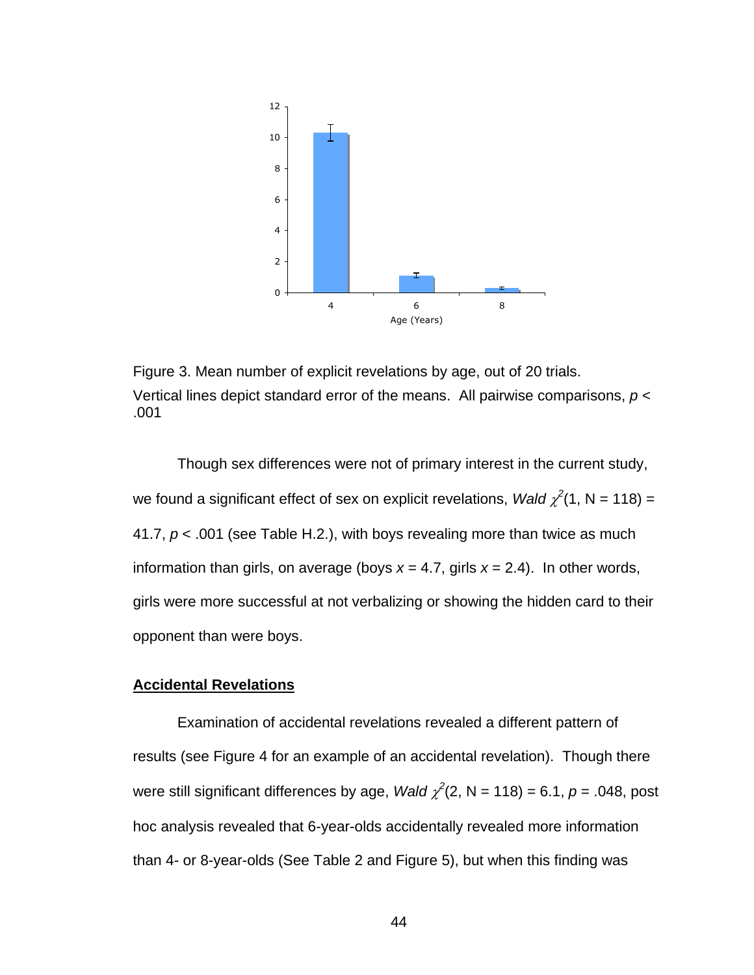

Figure 3. Mean number of explicit revelations by age, out of 20 trials. Vertical lines depict standard error of the means. All pairwise comparisons, *p* < .001

Though sex differences were not of primary interest in the current study, we found a significant effect of sex on explicit revelations, *Wald*  $\chi^2(1, N = 118)$  = 41.7, *p* < .001 (see Table H.2.), with boys revealing more than twice as much information than girls, on average (boys *x* = 4.7, girls *x* = 2.4). In other words, girls were more successful at not verbalizing or showing the hidden card to their opponent than were boys.

# **Accidental Revelations**

Examination of accidental revelations revealed a different pattern of results (see Figure 4 for an example of an accidental revelation). Though there were still significant differences by age, *Wald*  $\chi^2(2, N = 118) = 6.1, p = .048$ , post hoc analysis revealed that 6-year-olds accidentally revealed more information than 4- or 8-year-olds (See Table 2 and Figure 5), but when this finding was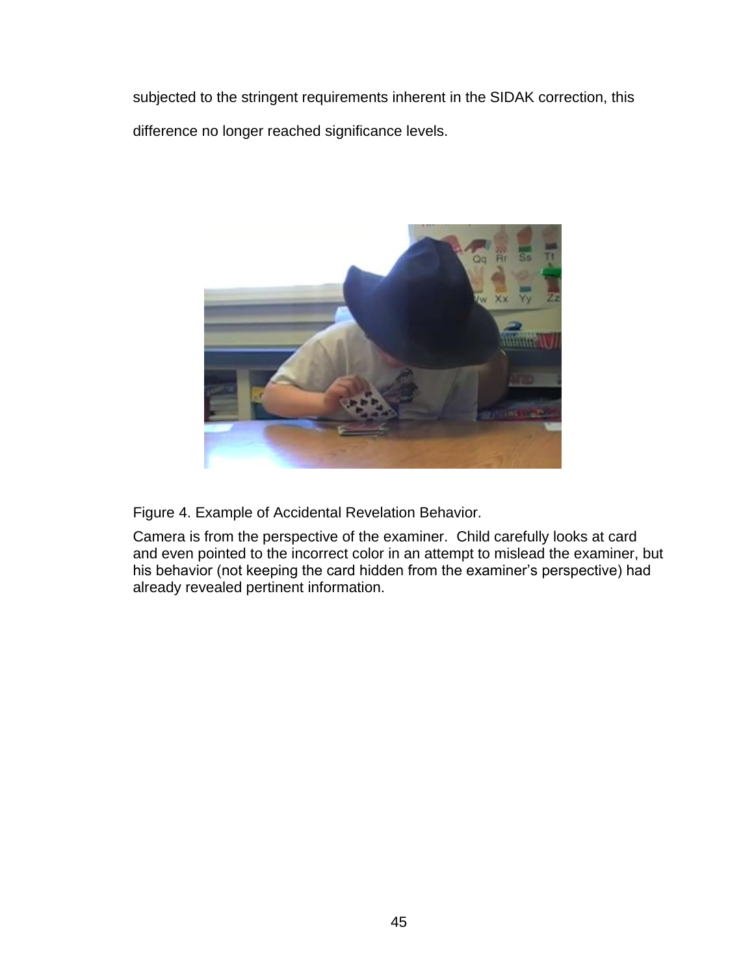subjected to the stringent requirements inherent in the SIDAK correction, this difference no longer reached significance levels.



Figure 4. Example of Accidental Revelation Behavior.

Camera is from the perspective of the examiner. Child carefully looks at card and even pointed to the incorrect color in an attempt to mislead the examiner, but his behavior (not keeping the card hidden from the examiner's perspective) had already revealed pertinent information.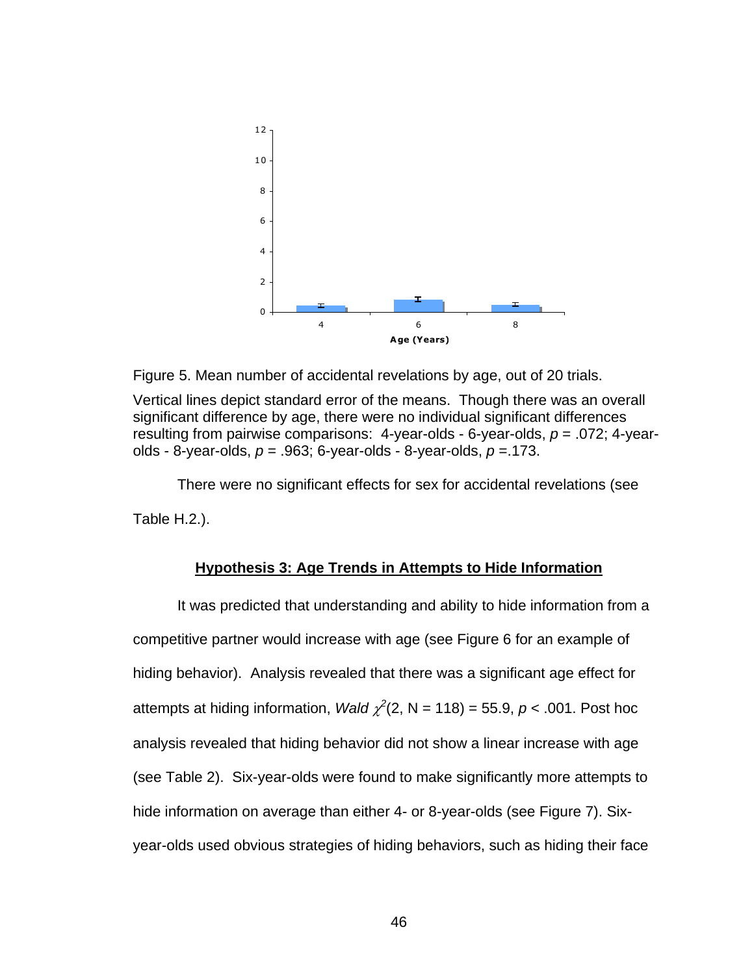

Figure 5. Mean number of accidental revelations by age, out of 20 trials.

Vertical lines depict standard error of the means. Though there was an overall significant difference by age, there were no individual significant differences resulting from pairwise comparisons: 4-year-olds - 6-year-olds, *p* = .072; 4-yearolds - 8-year-olds, *p* = .963; 6-year-olds - 8-year-olds, *p* =.173.

There were no significant effects for sex for accidental revelations (see

Table H.2.).

## **Hypothesis 3: Age Trends in Attempts to Hide Information**

It was predicted that understanding and ability to hide information from a competitive partner would increase with age (see Figure 6 for an example of hiding behavior). Analysis revealed that there was a significant age effect for attempts at hiding information, *Wald*  $\chi^2(2, N = 118) = 55.9, p < .001$ . Post hoc analysis revealed that hiding behavior did not show a linear increase with age (see Table 2). Six-year-olds were found to make significantly more attempts to hide information on average than either 4- or 8-year-olds (see Figure 7). Sixyear-olds used obvious strategies of hiding behaviors, such as hiding their face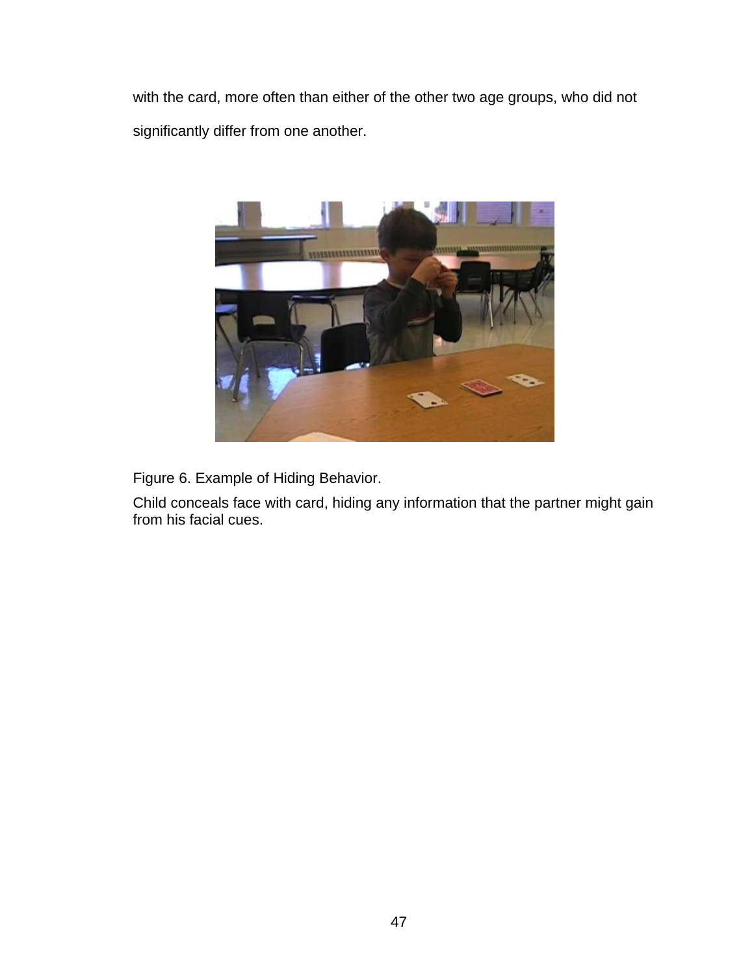with the card, more often than either of the other two age groups, who did not significantly differ from one another.



Figure 6. Example of Hiding Behavior.

Child conceals face with card, hiding any information that the partner might gain from his facial cues.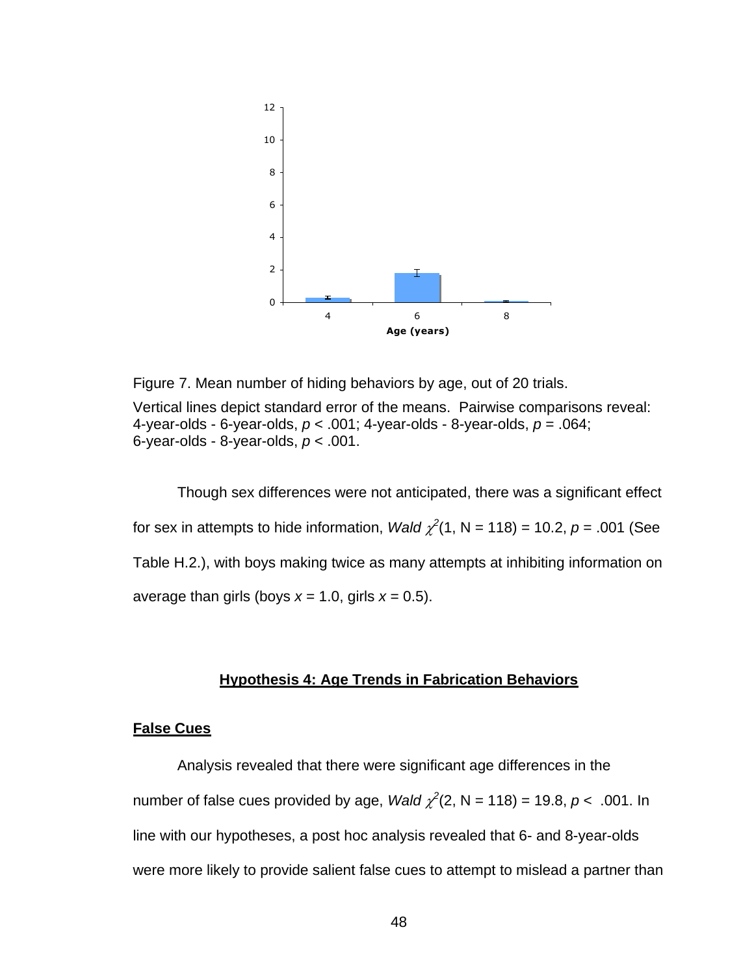

Figure 7. Mean number of hiding behaviors by age, out of 20 trials. Vertical lines depict standard error of the means. Pairwise comparisons reveal: 4-year-olds - 6-year-olds, *p* < .001; 4-year-olds - 8-year-olds, *p* = .064; 6-year-olds - 8-year-olds, *p* < .001.

Though sex differences were not anticipated, there was a significant effect for sex in attempts to hide information, *Wald*  $\chi^2(1, N = 118) = 10.2$ ,  $p = .001$  (See Table H.2.), with boys making twice as many attempts at inhibiting information on average than girls (boys  $x = 1.0$ , girls  $x = 0.5$ ).

# **Hypothesis 4: Age Trends in Fabrication Behaviors**

### **False Cues**

Analysis revealed that there were significant age differences in the number of false cues provided by age, *Wald*  $\chi^2(2, N = 118) = 19.8, p < .001$ . In line with our hypotheses, a post hoc analysis revealed that 6- and 8-year-olds were more likely to provide salient false cues to attempt to mislead a partner than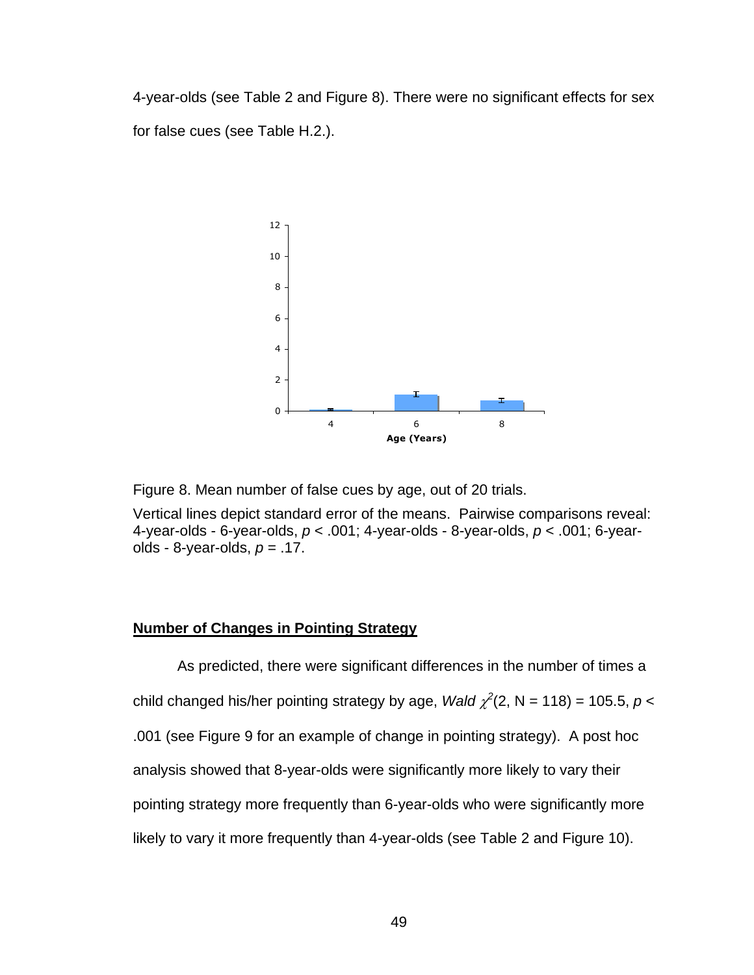4-year-olds (see Table 2 and Figure 8). There were no significant effects for sex for false cues (see Table H.2.).



Figure 8. Mean number of false cues by age, out of 20 trials.

Vertical lines depict standard error of the means. Pairwise comparisons reveal: 4-year-olds - 6-year-olds, *p* < .001; 4-year-olds - 8-year-olds, *p* < .001; 6-yearolds - 8-year-olds, *p* = .17.

# **Number of Changes in Pointing Strategy**

As predicted, there were significant differences in the number of times a child changed his/her pointing strategy by age, *Wald*  $\chi^2(2, N = 118) = 105.5, p <$ .001 (see Figure 9 for an example of change in pointing strategy). A post hoc analysis showed that 8-year-olds were significantly more likely to vary their pointing strategy more frequently than 6-year-olds who were significantly more likely to vary it more frequently than 4-year-olds (see Table 2 and Figure 10).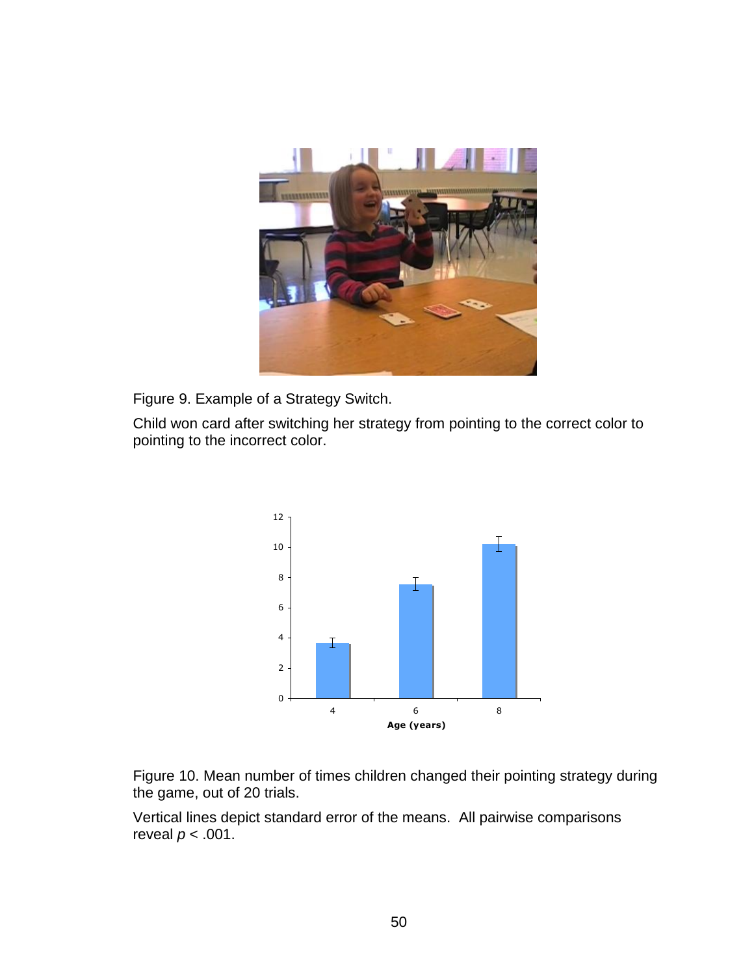

Figure 9. Example of a Strategy Switch.

Child won card after switching her strategy from pointing to the correct color to pointing to the incorrect color.



Figure 10. Mean number of times children changed their pointing strategy during the game, out of 20 trials.

Vertical lines depict standard error of the means. All pairwise comparisons reveal  $p < .001$ .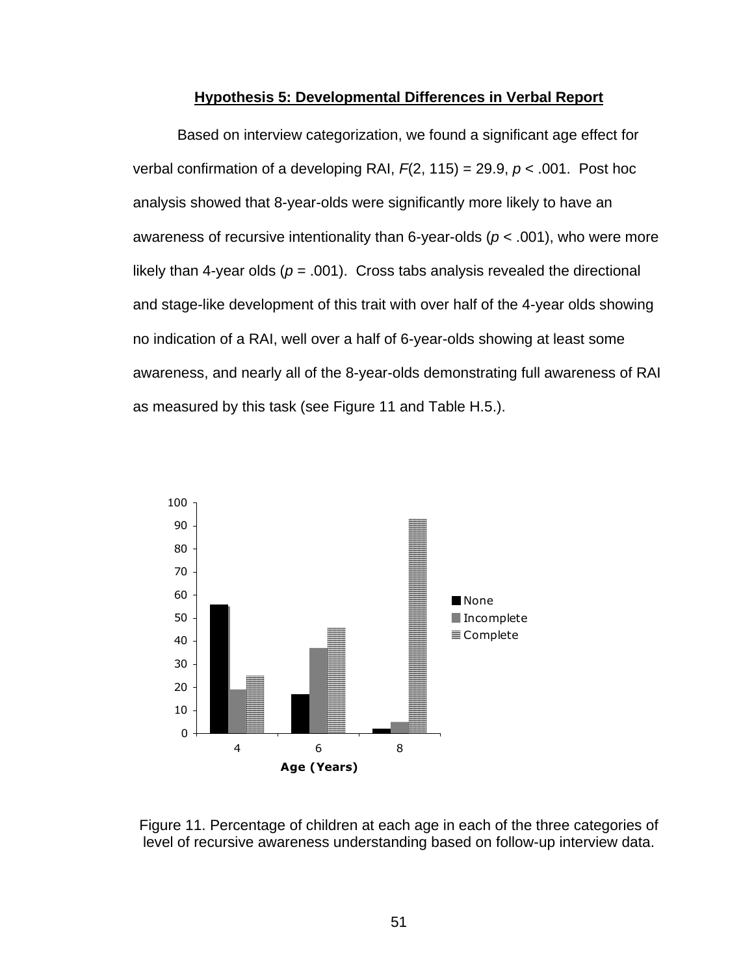#### **Hypothesis 5: Developmental Differences in Verbal Report**

Based on interview categorization, we found a significant age effect for verbal confirmation of a developing RAI,  $F(2, 115) = 29.9$ ,  $p < .001$ . Post hoc analysis showed that 8-year-olds were significantly more likely to have an awareness of recursive intentionality than 6-year-olds (*p* < .001), who were more likely than 4-year olds ( $p = .001$ ). Cross tabs analysis revealed the directional and stage-like development of this trait with over half of the 4-year olds showing no indication of a RAI, well over a half of 6-year-olds showing at least some awareness, and nearly all of the 8-year-olds demonstrating full awareness of RAI as measured by this task (see Figure 11 and Table H.5.).



Figure 11. Percentage of children at each age in each of the three categories of level of recursive awareness understanding based on follow-up interview data.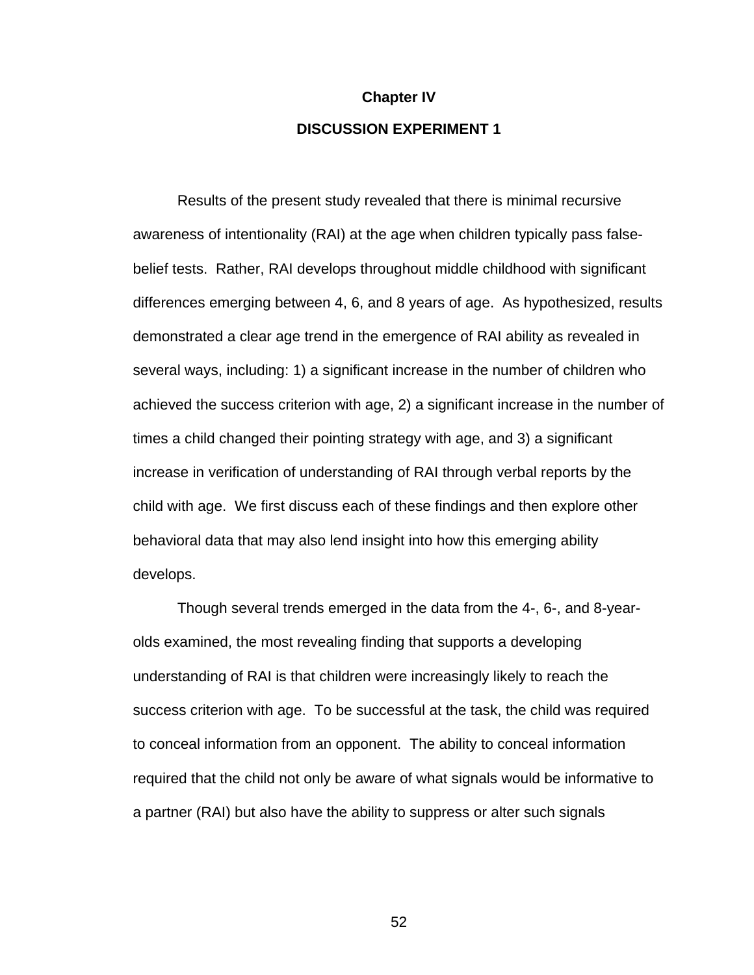# **Chapter IV DISCUSSION EXPERIMENT 1**

Results of the present study revealed that there is minimal recursive awareness of intentionality (RAI) at the age when children typically pass falsebelief tests. Rather, RAI develops throughout middle childhood with significant differences emerging between 4, 6, and 8 years of age. As hypothesized, results demonstrated a clear age trend in the emergence of RAI ability as revealed in several ways, including: 1) a significant increase in the number of children who achieved the success criterion with age, 2) a significant increase in the number of times a child changed their pointing strategy with age, and 3) a significant increase in verification of understanding of RAI through verbal reports by the child with age. We first discuss each of these findings and then explore other behavioral data that may also lend insight into how this emerging ability develops.

Though several trends emerged in the data from the 4-, 6-, and 8-yearolds examined, the most revealing finding that supports a developing understanding of RAI is that children were increasingly likely to reach the success criterion with age. To be successful at the task, the child was required to conceal information from an opponent. The ability to conceal information required that the child not only be aware of what signals would be informative to a partner (RAI) but also have the ability to suppress or alter such signals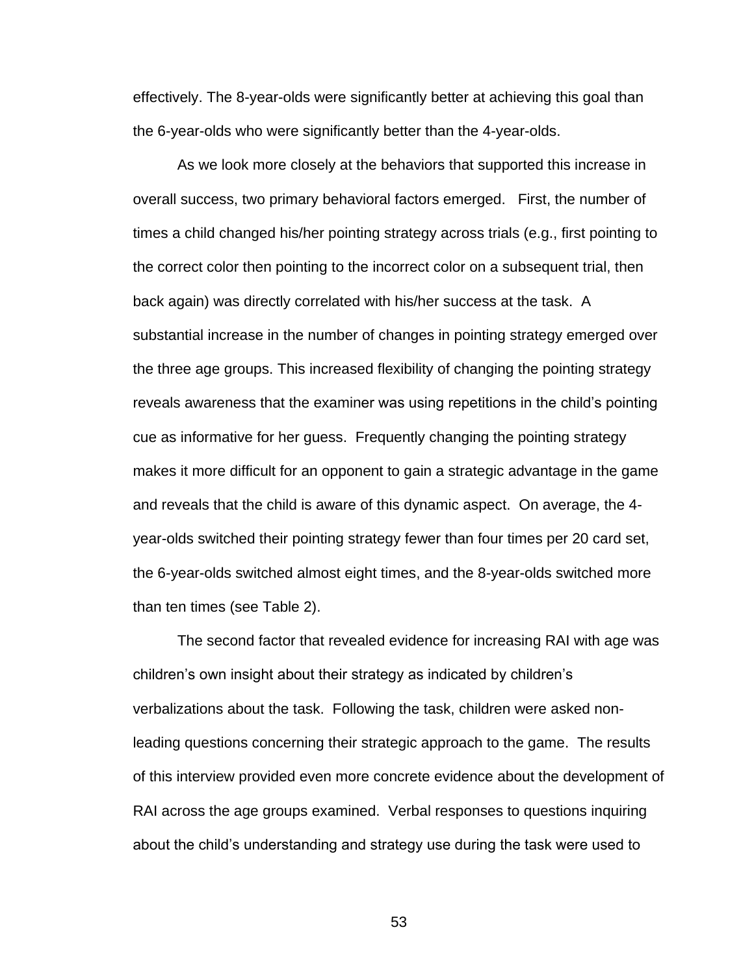effectively. The 8-year-olds were significantly better at achieving this goal than the 6-year-olds who were significantly better than the 4-year-olds.

As we look more closely at the behaviors that supported this increase in overall success, two primary behavioral factors emerged. First, the number of times a child changed his/her pointing strategy across trials (e.g., first pointing to the correct color then pointing to the incorrect color on a subsequent trial, then back again) was directly correlated with his/her success at the task. A substantial increase in the number of changes in pointing strategy emerged over the three age groups. This increased flexibility of changing the pointing strategy reveals awareness that the examiner was using repetitions in the child's pointing cue as informative for her guess. Frequently changing the pointing strategy makes it more difficult for an opponent to gain a strategic advantage in the game and reveals that the child is aware of this dynamic aspect. On average, the 4 year-olds switched their pointing strategy fewer than four times per 20 card set, the 6-year-olds switched almost eight times, and the 8-year-olds switched more than ten times (see Table 2).

The second factor that revealed evidence for increasing RAI with age was children's own insight about their strategy as indicated by children's verbalizations about the task. Following the task, children were asked nonleading questions concerning their strategic approach to the game. The results of this interview provided even more concrete evidence about the development of RAI across the age groups examined. Verbal responses to questions inquiring about the child's understanding and strategy use during the task were used to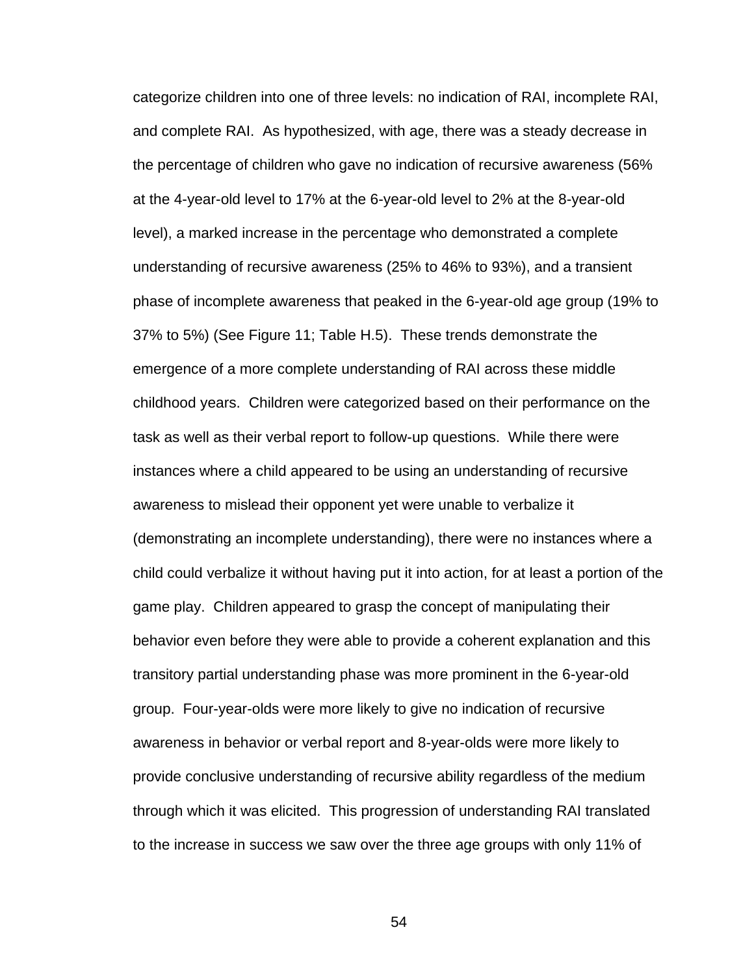categorize children into one of three levels: no indication of RAI, incomplete RAI, and complete RAI. As hypothesized, with age, there was a steady decrease in the percentage of children who gave no indication of recursive awareness (56% at the 4-year-old level to 17% at the 6-year-old level to 2% at the 8-year-old level), a marked increase in the percentage who demonstrated a complete understanding of recursive awareness (25% to 46% to 93%), and a transient phase of incomplete awareness that peaked in the 6-year-old age group (19% to 37% to 5%) (See Figure 11; Table H.5). These trends demonstrate the emergence of a more complete understanding of RAI across these middle childhood years. Children were categorized based on their performance on the task as well as their verbal report to follow-up questions. While there were instances where a child appeared to be using an understanding of recursive awareness to mislead their opponent yet were unable to verbalize it (demonstrating an incomplete understanding), there were no instances where a child could verbalize it without having put it into action, for at least a portion of the game play. Children appeared to grasp the concept of manipulating their behavior even before they were able to provide a coherent explanation and this transitory partial understanding phase was more prominent in the 6-year-old group. Four-year-olds were more likely to give no indication of recursive awareness in behavior or verbal report and 8-year-olds were more likely to provide conclusive understanding of recursive ability regardless of the medium through which it was elicited. This progression of understanding RAI translated to the increase in success we saw over the three age groups with only 11% of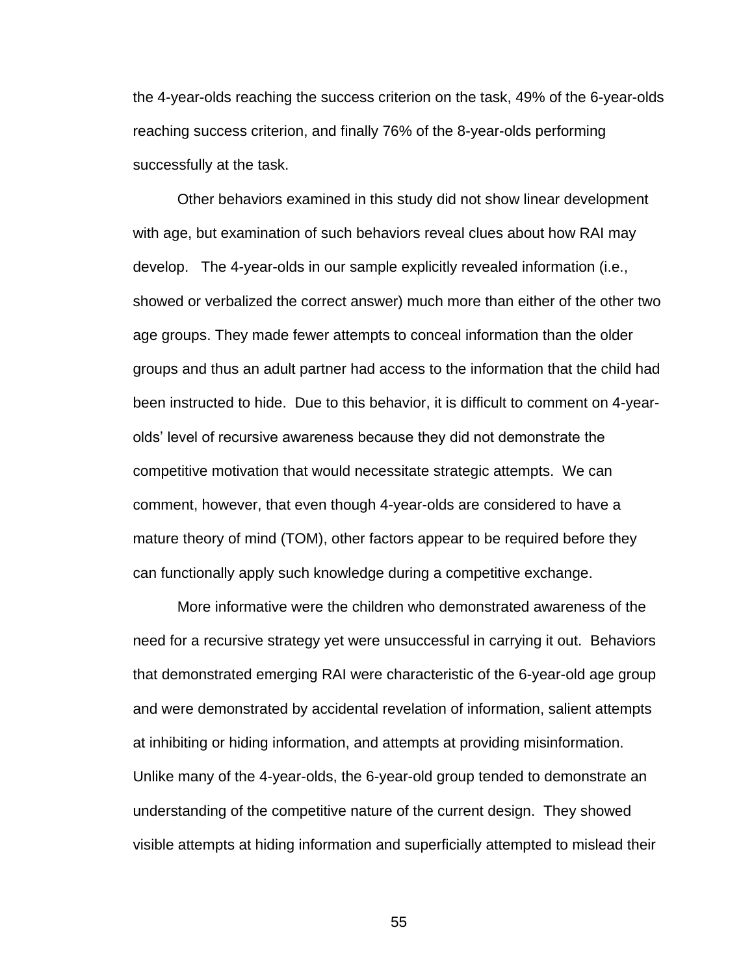the 4-year-olds reaching the success criterion on the task, 49% of the 6-year-olds reaching success criterion, and finally 76% of the 8-year-olds performing successfully at the task.

Other behaviors examined in this study did not show linear development with age, but examination of such behaviors reveal clues about how RAI may develop. The 4-year-olds in our sample explicitly revealed information (i.e., showed or verbalized the correct answer) much more than either of the other two age groups. They made fewer attempts to conceal information than the older groups and thus an adult partner had access to the information that the child had been instructed to hide. Due to this behavior, it is difficult to comment on 4-yearolds' level of recursive awareness because they did not demonstrate the competitive motivation that would necessitate strategic attempts. We can comment, however, that even though 4-year-olds are considered to have a mature theory of mind (TOM), other factors appear to be required before they can functionally apply such knowledge during a competitive exchange.

More informative were the children who demonstrated awareness of the need for a recursive strategy yet were unsuccessful in carrying it out. Behaviors that demonstrated emerging RAI were characteristic of the 6-year-old age group and were demonstrated by accidental revelation of information, salient attempts at inhibiting or hiding information, and attempts at providing misinformation. Unlike many of the 4-year-olds, the 6-year-old group tended to demonstrate an understanding of the competitive nature of the current design. They showed visible attempts at hiding information and superficially attempted to mislead their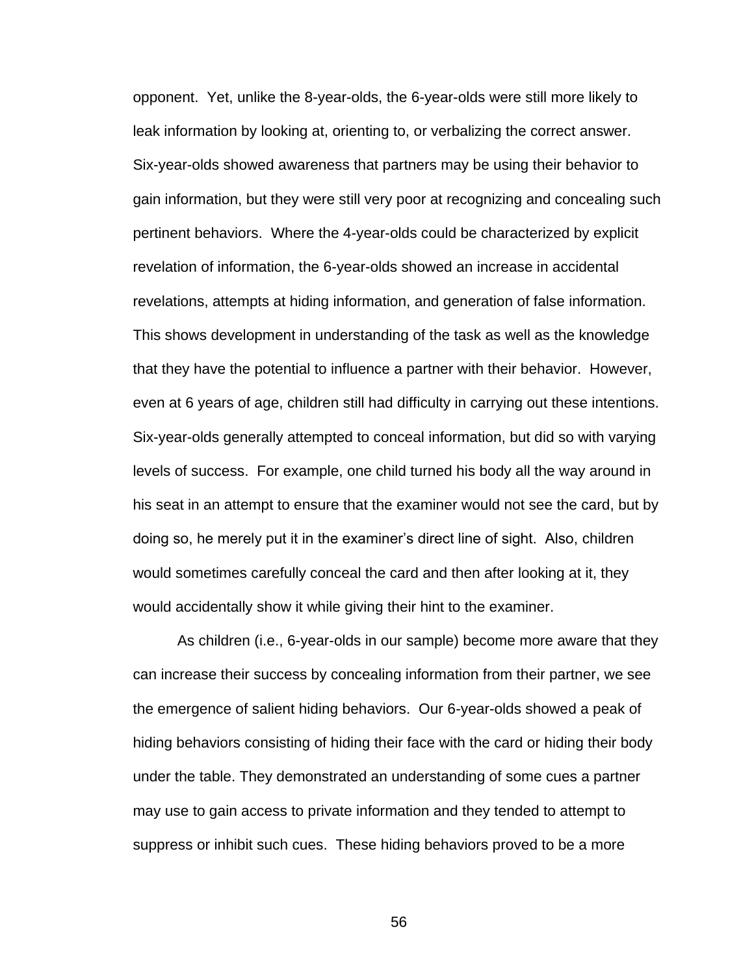opponent. Yet, unlike the 8-year-olds, the 6-year-olds were still more likely to leak information by looking at, orienting to, or verbalizing the correct answer. Six-year-olds showed awareness that partners may be using their behavior to gain information, but they were still very poor at recognizing and concealing such pertinent behaviors. Where the 4-year-olds could be characterized by explicit revelation of information, the 6-year-olds showed an increase in accidental revelations, attempts at hiding information, and generation of false information. This shows development in understanding of the task as well as the knowledge that they have the potential to influence a partner with their behavior. However, even at 6 years of age, children still had difficulty in carrying out these intentions. Six-year-olds generally attempted to conceal information, but did so with varying levels of success. For example, one child turned his body all the way around in his seat in an attempt to ensure that the examiner would not see the card, but by doing so, he merely put it in the examiner's direct line of sight. Also, children would sometimes carefully conceal the card and then after looking at it, they would accidentally show it while giving their hint to the examiner.

As children (i.e., 6-year-olds in our sample) become more aware that they can increase their success by concealing information from their partner, we see the emergence of salient hiding behaviors. Our 6-year-olds showed a peak of hiding behaviors consisting of hiding their face with the card or hiding their body under the table. They demonstrated an understanding of some cues a partner may use to gain access to private information and they tended to attempt to suppress or inhibit such cues. These hiding behaviors proved to be a more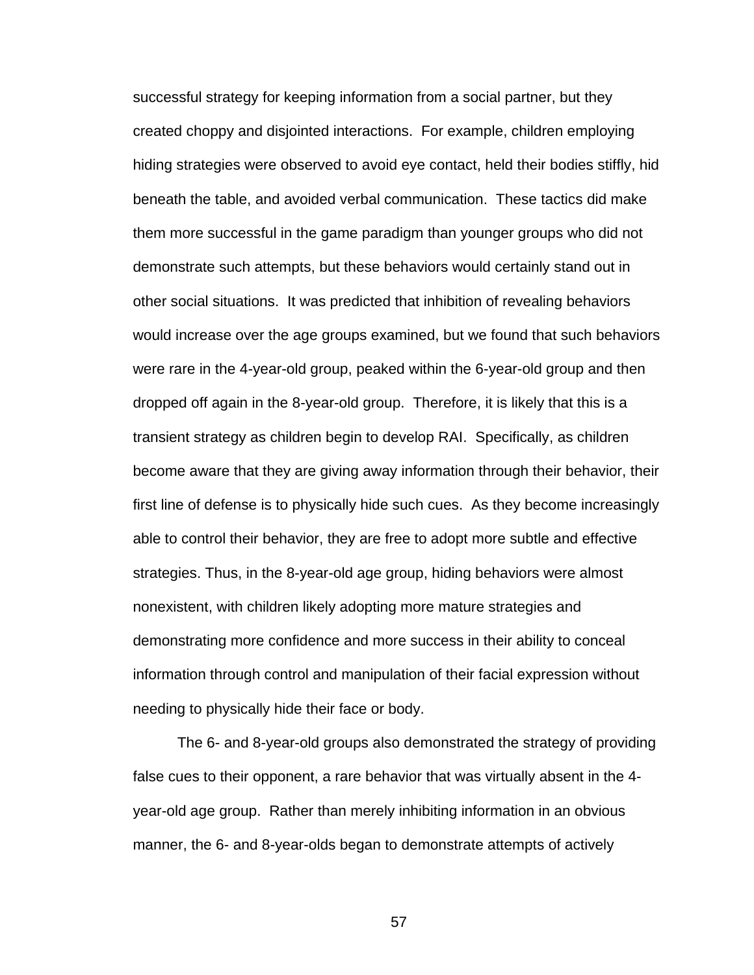successful strategy for keeping information from a social partner, but they created choppy and disjointed interactions. For example, children employing hiding strategies were observed to avoid eye contact, held their bodies stiffly, hid beneath the table, and avoided verbal communication. These tactics did make them more successful in the game paradigm than younger groups who did not demonstrate such attempts, but these behaviors would certainly stand out in other social situations. It was predicted that inhibition of revealing behaviors would increase over the age groups examined, but we found that such behaviors were rare in the 4-year-old group, peaked within the 6-year-old group and then dropped off again in the 8-year-old group. Therefore, it is likely that this is a transient strategy as children begin to develop RAI. Specifically, as children become aware that they are giving away information through their behavior, their first line of defense is to physically hide such cues. As they become increasingly able to control their behavior, they are free to adopt more subtle and effective strategies. Thus, in the 8-year-old age group, hiding behaviors were almost nonexistent, with children likely adopting more mature strategies and demonstrating more confidence and more success in their ability to conceal information through control and manipulation of their facial expression without needing to physically hide their face or body.

The 6- and 8-year-old groups also demonstrated the strategy of providing false cues to their opponent, a rare behavior that was virtually absent in the 4 year-old age group. Rather than merely inhibiting information in an obvious manner, the 6- and 8-year-olds began to demonstrate attempts of actively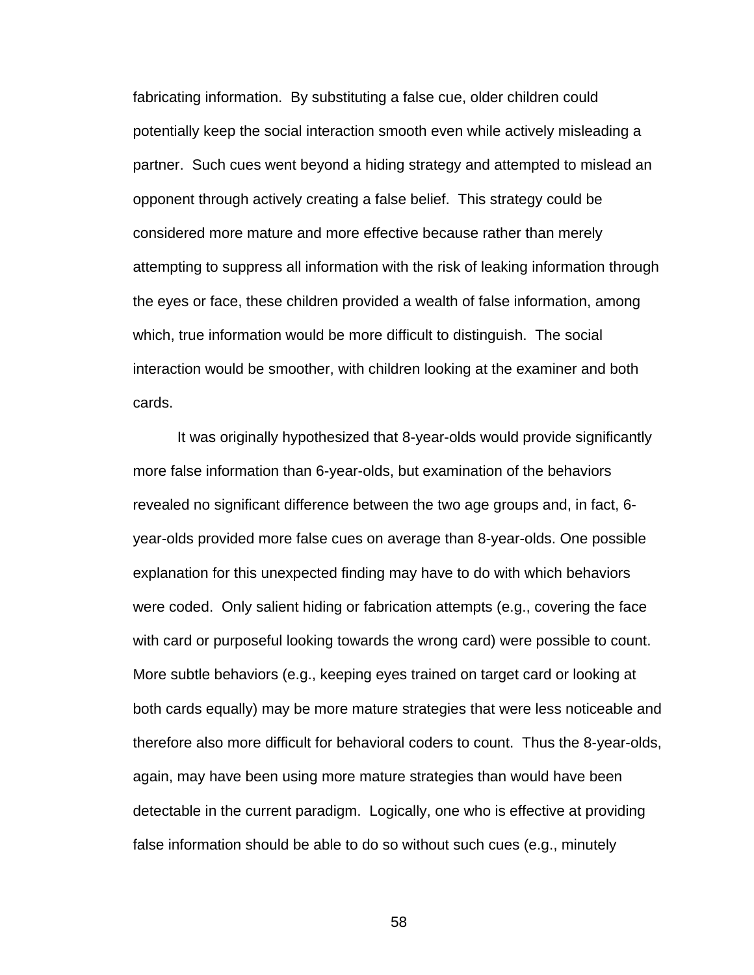fabricating information. By substituting a false cue, older children could potentially keep the social interaction smooth even while actively misleading a partner. Such cues went beyond a hiding strategy and attempted to mislead an opponent through actively creating a false belief. This strategy could be considered more mature and more effective because rather than merely attempting to suppress all information with the risk of leaking information through the eyes or face, these children provided a wealth of false information, among which, true information would be more difficult to distinguish. The social interaction would be smoother, with children looking at the examiner and both cards.

It was originally hypothesized that 8-year-olds would provide significantly more false information than 6-year-olds, but examination of the behaviors revealed no significant difference between the two age groups and, in fact, 6 year-olds provided more false cues on average than 8-year-olds. One possible explanation for this unexpected finding may have to do with which behaviors were coded. Only salient hiding or fabrication attempts (e.g., covering the face with card or purposeful looking towards the wrong card) were possible to count. More subtle behaviors (e.g., keeping eyes trained on target card or looking at both cards equally) may be more mature strategies that were less noticeable and therefore also more difficult for behavioral coders to count. Thus the 8-year-olds, again, may have been using more mature strategies than would have been detectable in the current paradigm. Logically, one who is effective at providing false information should be able to do so without such cues (e.g., minutely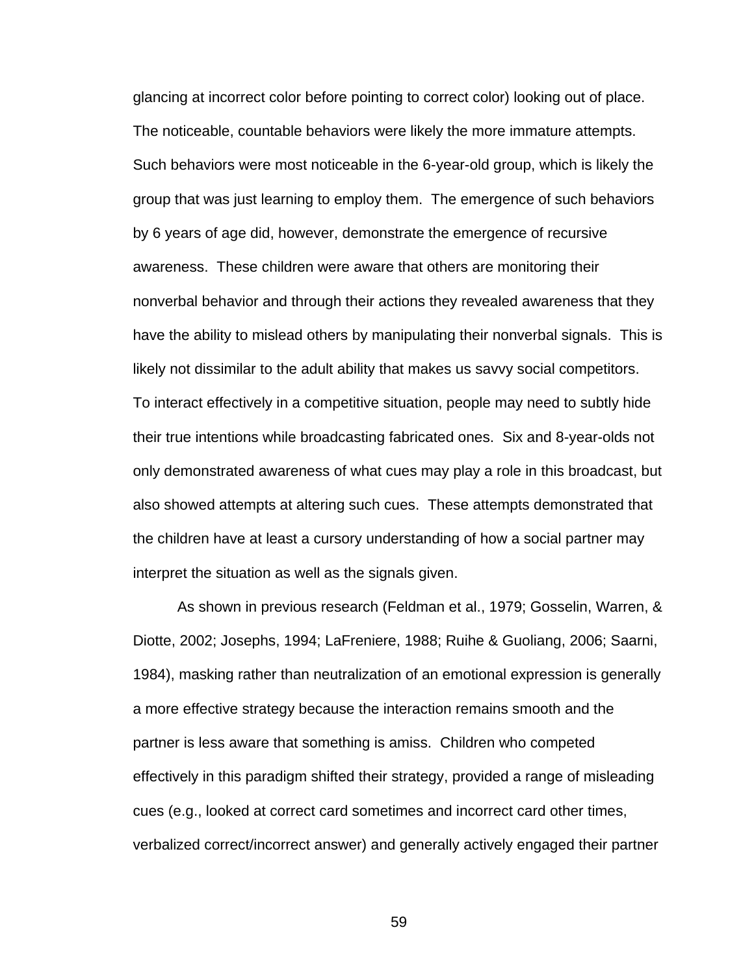glancing at incorrect color before pointing to correct color) looking out of place. The noticeable, countable behaviors were likely the more immature attempts. Such behaviors were most noticeable in the 6-year-old group, which is likely the group that was just learning to employ them. The emergence of such behaviors by 6 years of age did, however, demonstrate the emergence of recursive awareness. These children were aware that others are monitoring their nonverbal behavior and through their actions they revealed awareness that they have the ability to mislead others by manipulating their nonverbal signals. This is likely not dissimilar to the adult ability that makes us savvy social competitors. To interact effectively in a competitive situation, people may need to subtly hide their true intentions while broadcasting fabricated ones. Six and 8-year-olds not only demonstrated awareness of what cues may play a role in this broadcast, but also showed attempts at altering such cues. These attempts demonstrated that the children have at least a cursory understanding of how a social partner may interpret the situation as well as the signals given.

As shown in previous research (Feldman et al., 1979; Gosselin, Warren, & Diotte, 2002; Josephs, 1994; LaFreniere, 1988; Ruihe & Guoliang, 2006; Saarni, 1984), masking rather than neutralization of an emotional expression is generally a more effective strategy because the interaction remains smooth and the partner is less aware that something is amiss. Children who competed effectively in this paradigm shifted their strategy, provided a range of misleading cues (e.g., looked at correct card sometimes and incorrect card other times, verbalized correct/incorrect answer) and generally actively engaged their partner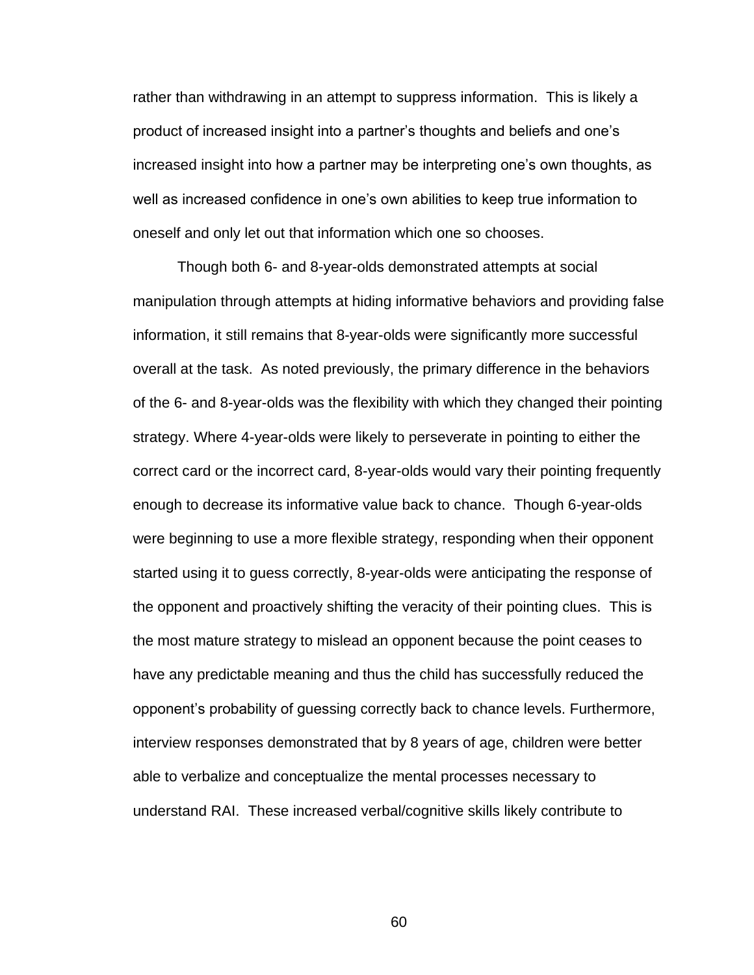rather than withdrawing in an attempt to suppress information. This is likely a product of increased insight into a partner's thoughts and beliefs and one's increased insight into how a partner may be interpreting one's own thoughts, as well as increased confidence in one's own abilities to keep true information to oneself and only let out that information which one so chooses.

Though both 6- and 8-year-olds demonstrated attempts at social manipulation through attempts at hiding informative behaviors and providing false information, it still remains that 8-year-olds were significantly more successful overall at the task. As noted previously, the primary difference in the behaviors of the 6- and 8-year-olds was the flexibility with which they changed their pointing strategy. Where 4-year-olds were likely to perseverate in pointing to either the correct card or the incorrect card, 8-year-olds would vary their pointing frequently enough to decrease its informative value back to chance. Though 6-year-olds were beginning to use a more flexible strategy, responding when their opponent started using it to guess correctly, 8-year-olds were anticipating the response of the opponent and proactively shifting the veracity of their pointing clues. This is the most mature strategy to mislead an opponent because the point ceases to have any predictable meaning and thus the child has successfully reduced the opponent's probability of guessing correctly back to chance levels. Furthermore, interview responses demonstrated that by 8 years of age, children were better able to verbalize and conceptualize the mental processes necessary to understand RAI. These increased verbal/cognitive skills likely contribute to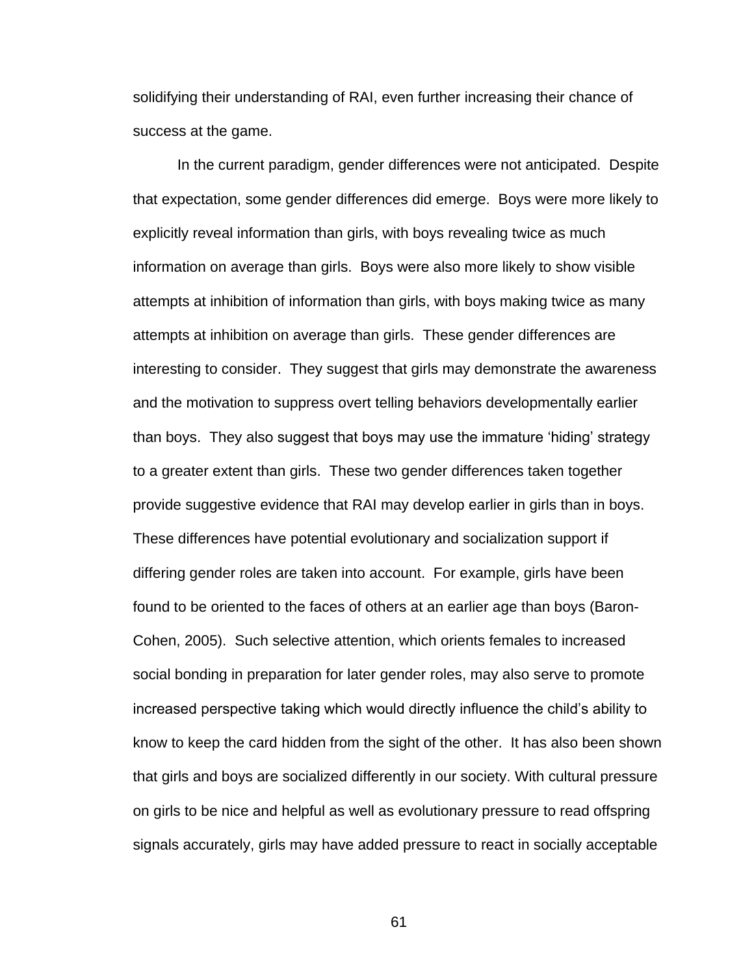solidifying their understanding of RAI, even further increasing their chance of success at the game.

In the current paradigm, gender differences were not anticipated. Despite that expectation, some gender differences did emerge. Boys were more likely to explicitly reveal information than girls, with boys revealing twice as much information on average than girls. Boys were also more likely to show visible attempts at inhibition of information than girls, with boys making twice as many attempts at inhibition on average than girls. These gender differences are interesting to consider. They suggest that girls may demonstrate the awareness and the motivation to suppress overt telling behaviors developmentally earlier than boys. They also suggest that boys may use the immature 'hiding' strategy to a greater extent than girls. These two gender differences taken together provide suggestive evidence that RAI may develop earlier in girls than in boys. These differences have potential evolutionary and socialization support if differing gender roles are taken into account. For example, girls have been found to be oriented to the faces of others at an earlier age than boys (Baron-Cohen, 2005). Such selective attention, which orients females to increased social bonding in preparation for later gender roles, may also serve to promote increased perspective taking which would directly influence the child's ability to know to keep the card hidden from the sight of the other. It has also been shown that girls and boys are socialized differently in our society. With cultural pressure on girls to be nice and helpful as well as evolutionary pressure to read offspring signals accurately, girls may have added pressure to react in socially acceptable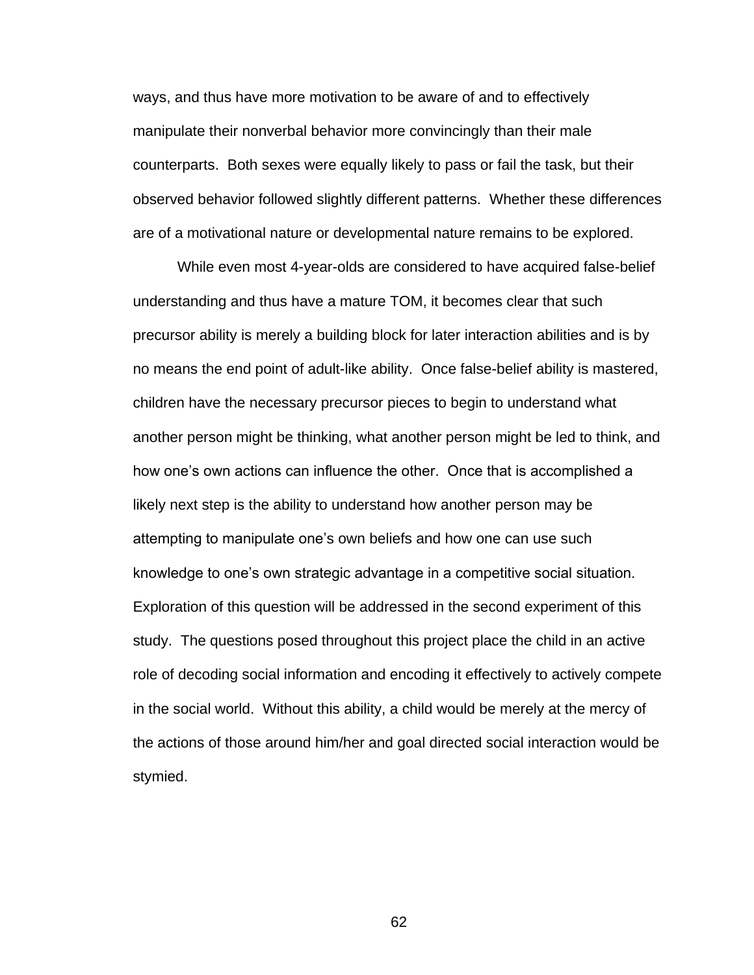ways, and thus have more motivation to be aware of and to effectively manipulate their nonverbal behavior more convincingly than their male counterparts. Both sexes were equally likely to pass or fail the task, but their observed behavior followed slightly different patterns. Whether these differences are of a motivational nature or developmental nature remains to be explored.

While even most 4-year-olds are considered to have acquired false-belief understanding and thus have a mature TOM, it becomes clear that such precursor ability is merely a building block for later interaction abilities and is by no means the end point of adult-like ability. Once false-belief ability is mastered, children have the necessary precursor pieces to begin to understand what another person might be thinking, what another person might be led to think, and how one's own actions can influence the other. Once that is accomplished a likely next step is the ability to understand how another person may be attempting to manipulate one's own beliefs and how one can use such knowledge to one's own strategic advantage in a competitive social situation. Exploration of this question will be addressed in the second experiment of this study. The questions posed throughout this project place the child in an active role of decoding social information and encoding it effectively to actively compete in the social world. Without this ability, a child would be merely at the mercy of the actions of those around him/her and goal directed social interaction would be stymied.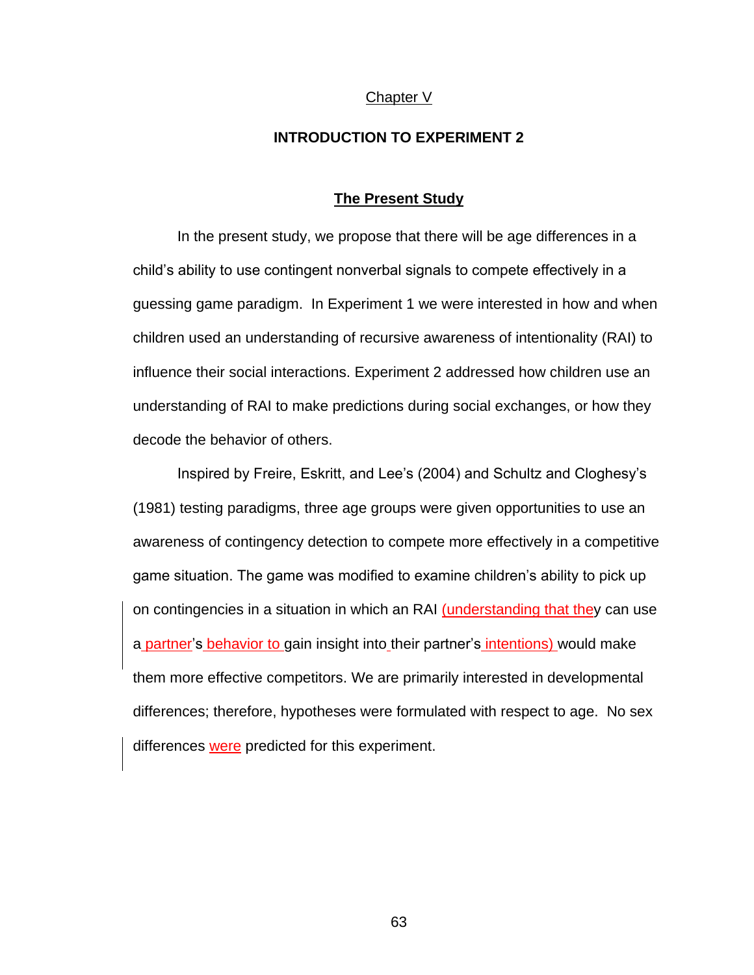# Chapter V

# **INTRODUCTION TO EXPERIMENT 2**

#### **The Present Study**

In the present study, we propose that there will be age differences in a child's ability to use contingent nonverbal signals to compete effectively in a guessing game paradigm. In Experiment 1 we were interested in how and when children used an understanding of recursive awareness of intentionality (RAI) to influence their social interactions. Experiment 2 addressed how children use an understanding of RAI to make predictions during social exchanges, or how they decode the behavior of others.

Inspired by Freire, Eskritt, and Lee's (2004) and Schultz and Cloghesy's (1981) testing paradigms, three age groups were given opportunities to use an awareness of contingency detection to compete more effectively in a competitive game situation. The game was modified to examine children's ability to pick up on contingencies in a situation in which an RAI (understanding that they can use a partner's behavior to gain insight into their partner's intentions) would make them more effective competitors. We are primarily interested in developmental differences; therefore, hypotheses were formulated with respect to age. No sex differences were predicted for this experiment.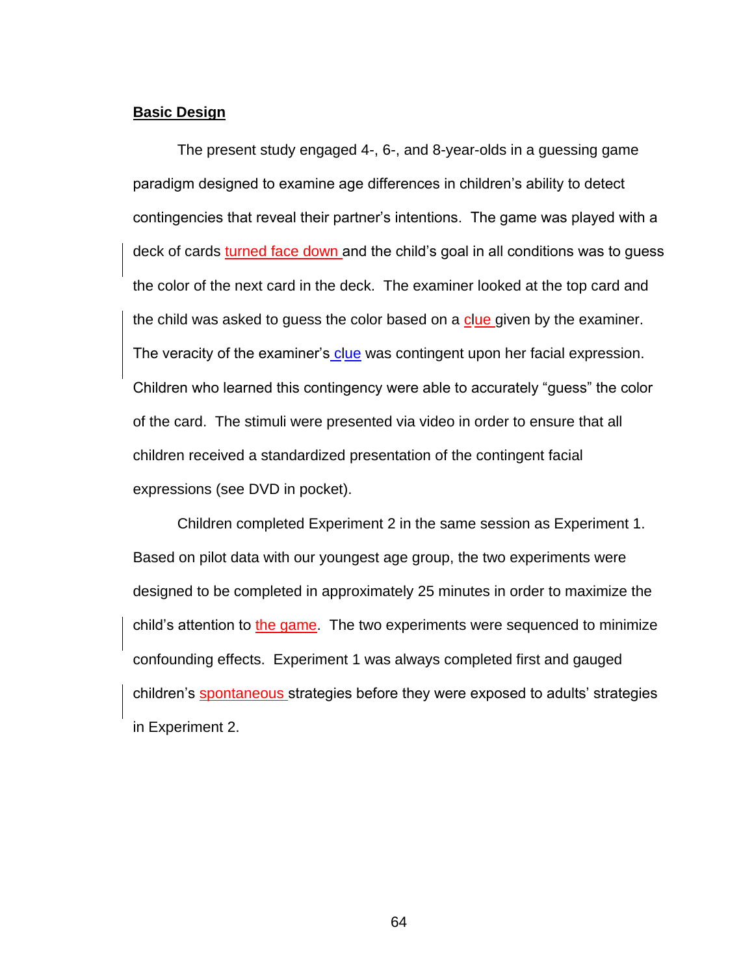#### **Basic Design**

The present study engaged 4-, 6-, and 8-year-olds in a guessing game paradigm designed to examine age differences in children's ability to detect contingencies that reveal their partner's intentions. The game was played with a deck of cards turned face down and the child's goal in all conditions was to guess the color of the next card in the deck. The examiner looked at the top card and the child was asked to guess the color based on a clue given by the examiner. The veracity of the examiner's clue was contingent upon her facial expression. Children who learned this contingency were able to accurately "guess" the color of the card. The stimuli were presented via video in order to ensure that all children received a standardized presentation of the contingent facial expressions (see DVD in pocket).

Children completed Experiment 2 in the same session as Experiment 1. Based on pilot data with our youngest age group, the two experiments were designed to be completed in approximately 25 minutes in order to maximize the child's attention to the game. The two experiments were sequenced to minimize confounding effects. Experiment 1 was always completed first and gauged children's spontaneous strategies before they were exposed to adults' strategies in Experiment 2.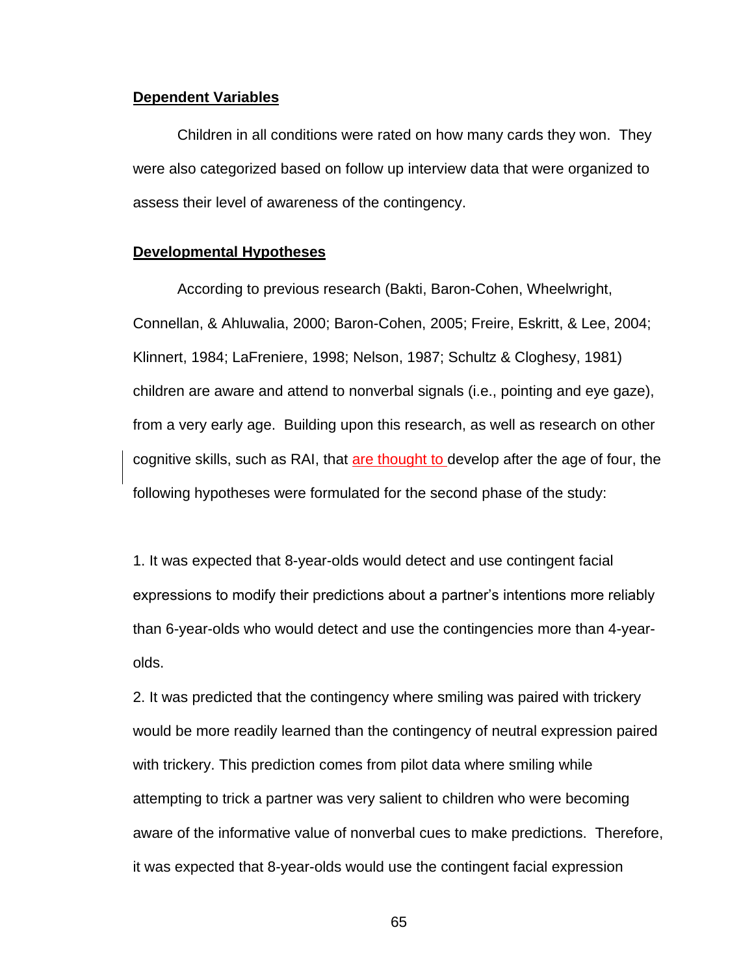#### **Dependent Variables**

Children in all conditions were rated on how many cards they won. They were also categorized based on follow up interview data that were organized to assess their level of awareness of the contingency.

#### **Developmental Hypotheses**

According to previous research (Bakti, Baron-Cohen, Wheelwright, Connellan, & Ahluwalia, 2000; Baron-Cohen, 2005; Freire, Eskritt, & Lee, 2004; Klinnert, 1984; LaFreniere, 1998; Nelson, 1987; Schultz & Cloghesy, 1981) children are aware and attend to nonverbal signals (i.e., pointing and eye gaze), from a very early age. Building upon this research, as well as research on other cognitive skills, such as RAI, that are thought to develop after the age of four, the following hypotheses were formulated for the second phase of the study:

1. It was expected that 8-year-olds would detect and use contingent facial expressions to modify their predictions about a partner's intentions more reliably than 6-year-olds who would detect and use the contingencies more than 4-yearolds.

2. It was predicted that the contingency where smiling was paired with trickery would be more readily learned than the contingency of neutral expression paired with trickery. This prediction comes from pilot data where smiling while attempting to trick a partner was very salient to children who were becoming aware of the informative value of nonverbal cues to make predictions. Therefore, it was expected that 8-year-olds would use the contingent facial expression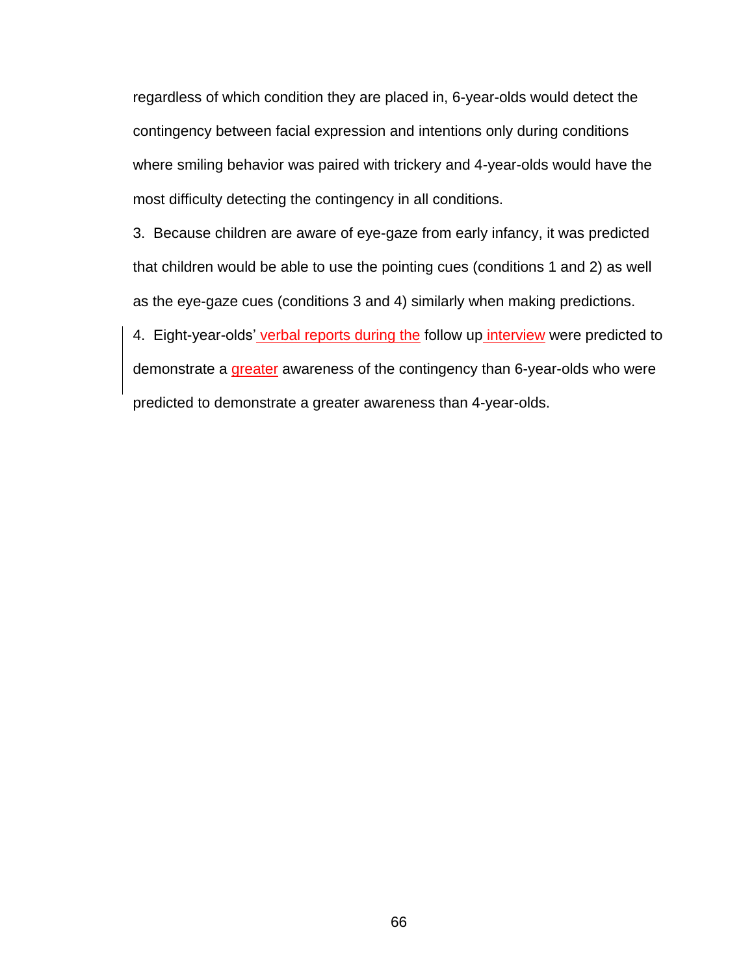regardless of which condition they are placed in, 6-year-olds would detect the contingency between facial expression and intentions only during conditions where smiling behavior was paired with trickery and 4-year-olds would have the most difficulty detecting the contingency in all conditions.

3. Because children are aware of eye-gaze from early infancy, it was predicted that children would be able to use the pointing cues (conditions 1 and 2) as well as the eye-gaze cues (conditions 3 and 4) similarly when making predictions.

4. Eight-year-olds' verbal reports during the follow up interview were predicted to demonstrate a greater awareness of the contingency than 6-year-olds who were predicted to demonstrate a greater awareness than 4-year-olds.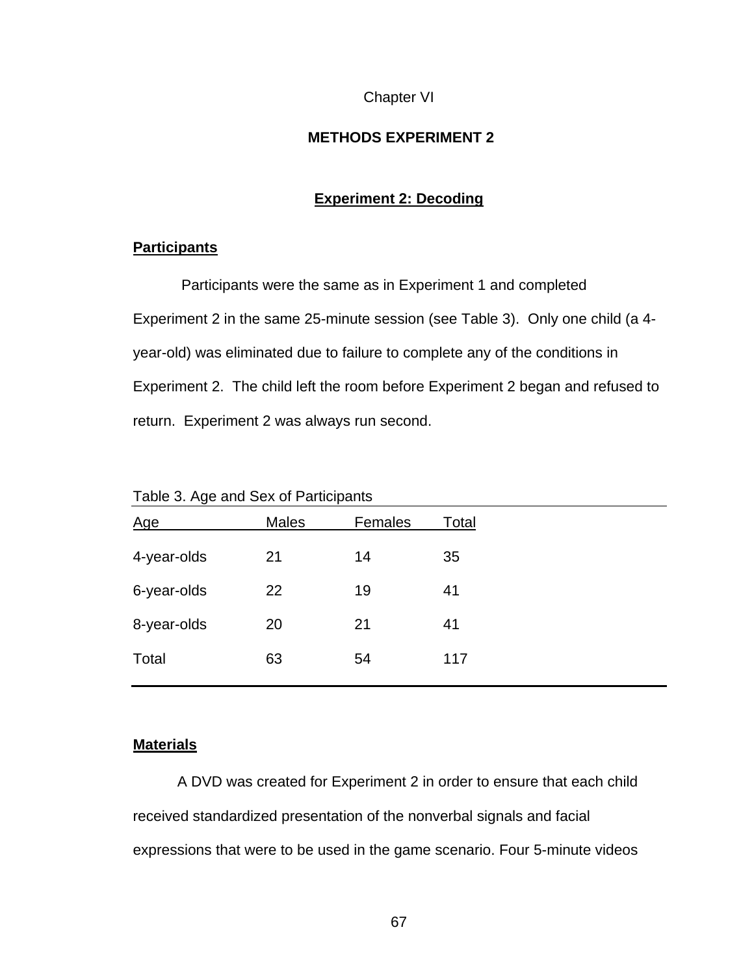## Chapter VI

# **METHODS EXPERIMENT 2**

# **Experiment 2: Decoding**

# **Participants**

Participants were the same as in Experiment 1 and completed Experiment 2 in the same 25-minute session (see Table 3). Only one child (a 4 year-old) was eliminated due to failure to complete any of the conditions in Experiment 2. The child left the room before Experiment 2 began and refused to return. Experiment 2 was always run second.

| -           |              | . .     |       |
|-------------|--------------|---------|-------|
| <u>Age</u>  | <b>Males</b> | Females | Total |
| 4-year-olds | 21           | 14      | 35    |
| 6-year-olds | 22           | 19      | 41    |
| 8-year-olds | 20           | 21      | 41    |
| Total       | 63           | 54      | 117   |
|             |              |         |       |

Table 3. Age and Sex of Participants

# **Materials**

A DVD was created for Experiment 2 in order to ensure that each child received standardized presentation of the nonverbal signals and facial expressions that were to be used in the game scenario. Four 5-minute videos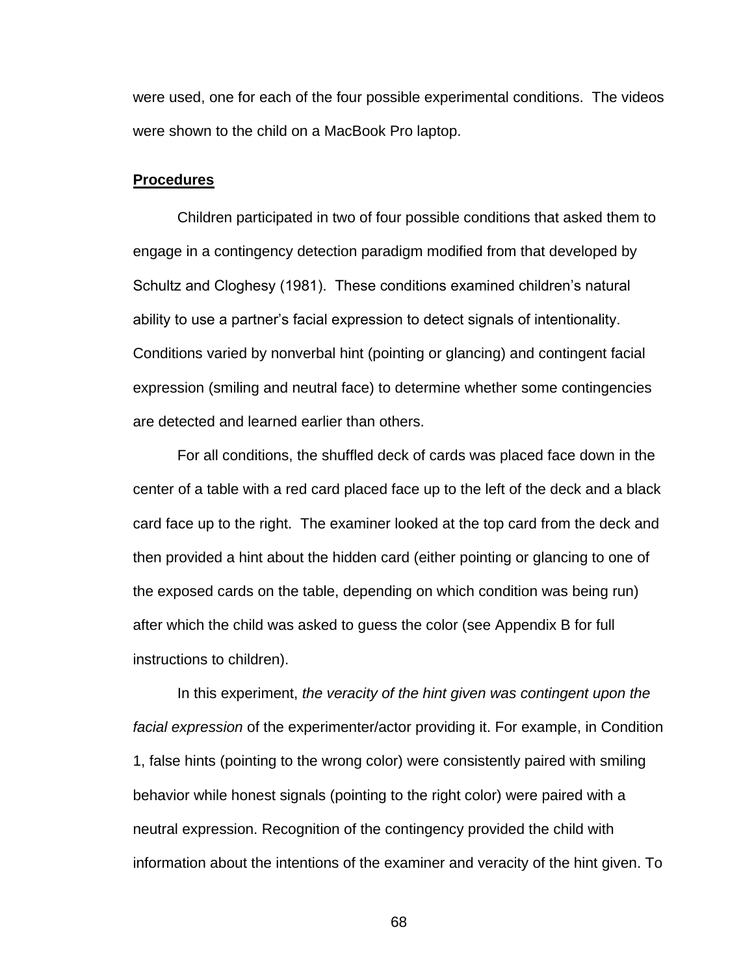were used, one for each of the four possible experimental conditions. The videos were shown to the child on a MacBook Pro laptop.

#### **Procedures**

Children participated in two of four possible conditions that asked them to engage in a contingency detection paradigm modified from that developed by Schultz and Cloghesy (1981). These conditions examined children's natural ability to use a partner's facial expression to detect signals of intentionality. Conditions varied by nonverbal hint (pointing or glancing) and contingent facial expression (smiling and neutral face) to determine whether some contingencies are detected and learned earlier than others.

For all conditions, the shuffled deck of cards was placed face down in the center of a table with a red card placed face up to the left of the deck and a black card face up to the right. The examiner looked at the top card from the deck and then provided a hint about the hidden card (either pointing or glancing to one of the exposed cards on the table, depending on which condition was being run) after which the child was asked to guess the color (see Appendix B for full instructions to children).

In this experiment, *the veracity of the hint given was contingent upon the facial expression* of the experimenter/actor providing it. For example, in Condition 1, false hints (pointing to the wrong color) were consistently paired with smiling behavior while honest signals (pointing to the right color) were paired with a neutral expression. Recognition of the contingency provided the child with information about the intentions of the examiner and veracity of the hint given. To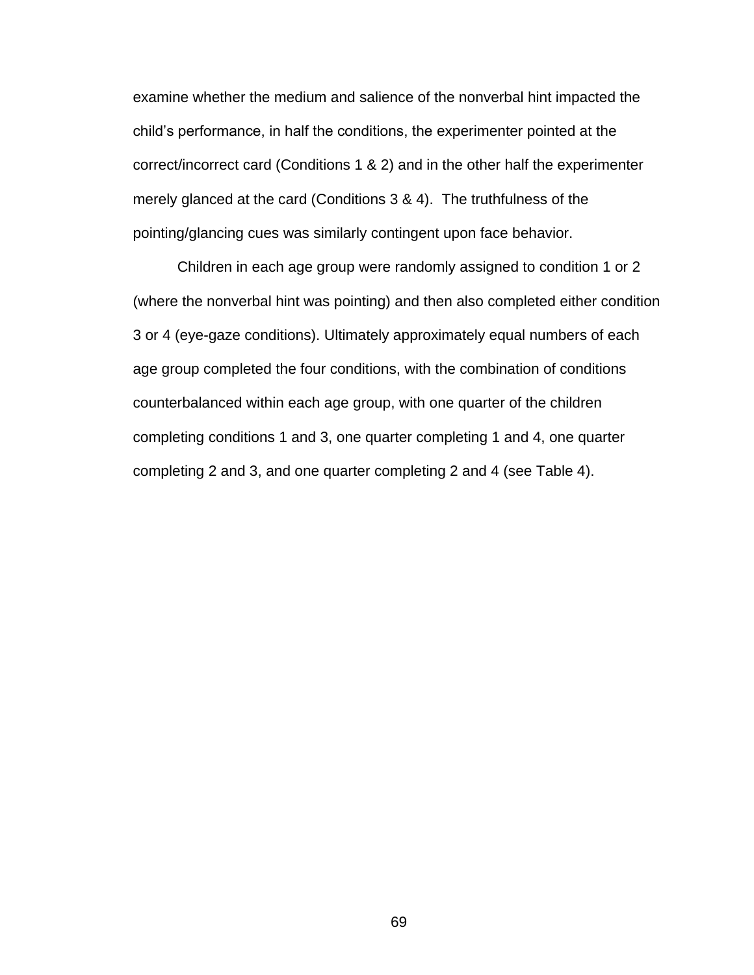examine whether the medium and salience of the nonverbal hint impacted the child's performance, in half the conditions, the experimenter pointed at the correct/incorrect card (Conditions 1 & 2) and in the other half the experimenter merely glanced at the card (Conditions 3 & 4). The truthfulness of the pointing/glancing cues was similarly contingent upon face behavior.

Children in each age group were randomly assigned to condition 1 or 2 (where the nonverbal hint was pointing) and then also completed either condition 3 or 4 (eye-gaze conditions). Ultimately approximately equal numbers of each age group completed the four conditions, with the combination of conditions counterbalanced within each age group, with one quarter of the children completing conditions 1 and 3, one quarter completing 1 and 4, one quarter completing 2 and 3, and one quarter completing 2 and 4 (see Table 4).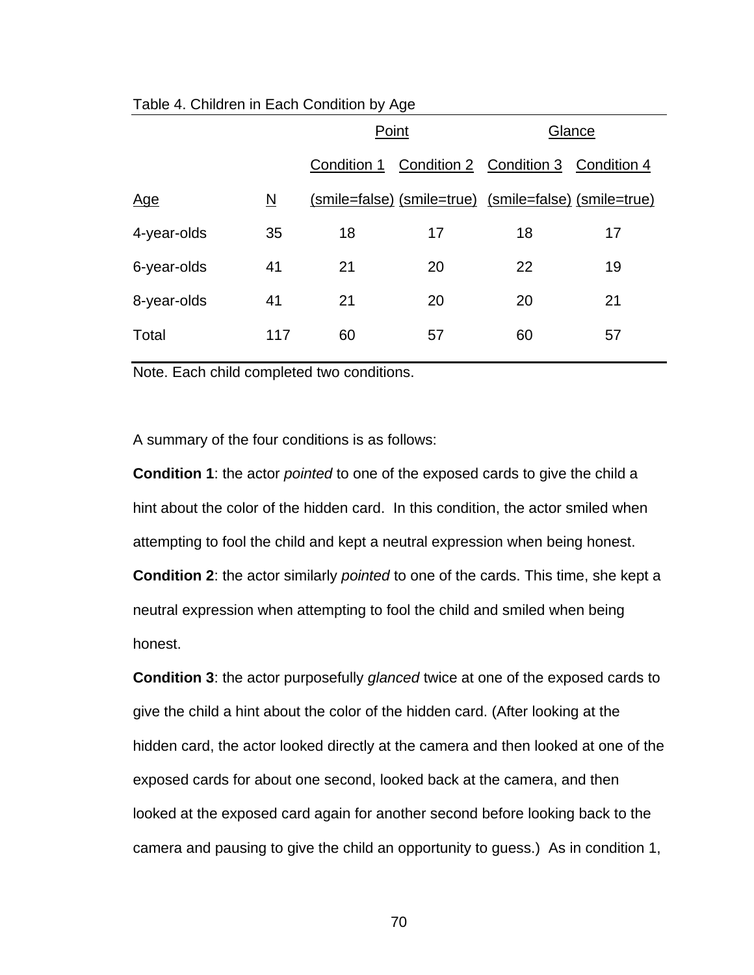|             |                          | Point       |                                                       | Glance |    |
|-------------|--------------------------|-------------|-------------------------------------------------------|--------|----|
|             |                          | Condition 1 | Condition 2 Condition 3 Condition 4                   |        |    |
| <u>Age</u>  | $\underline{\mathsf{N}}$ |             | (smile=false) (smile=true) (smile=false) (smile=true) |        |    |
| 4-year-olds | 35                       | 18          | 17                                                    | 18     | 17 |
| 6-year-olds | 41                       | 21          | 20                                                    | 22     | 19 |
| 8-year-olds | 41                       | 21          | 20                                                    | 20     | 21 |
| Total       | 117                      | 60          | 57                                                    | 60     | 57 |

# Table 4. Children in Each Condition by Age

Note. Each child completed two conditions.

A summary of the four conditions is as follows:

**Condition 1**: the actor *pointed* to one of the exposed cards to give the child a hint about the color of the hidden card. In this condition, the actor smiled when attempting to fool the child and kept a neutral expression when being honest. **Condition 2**: the actor similarly *pointed* to one of the cards. This time, she kept a neutral expression when attempting to fool the child and smiled when being honest.

**Condition 3**: the actor purposefully *glanced* twice at one of the exposed cards to give the child a hint about the color of the hidden card. (After looking at the hidden card, the actor looked directly at the camera and then looked at one of the exposed cards for about one second, looked back at the camera, and then looked at the exposed card again for another second before looking back to the camera and pausing to give the child an opportunity to guess.) As in condition 1,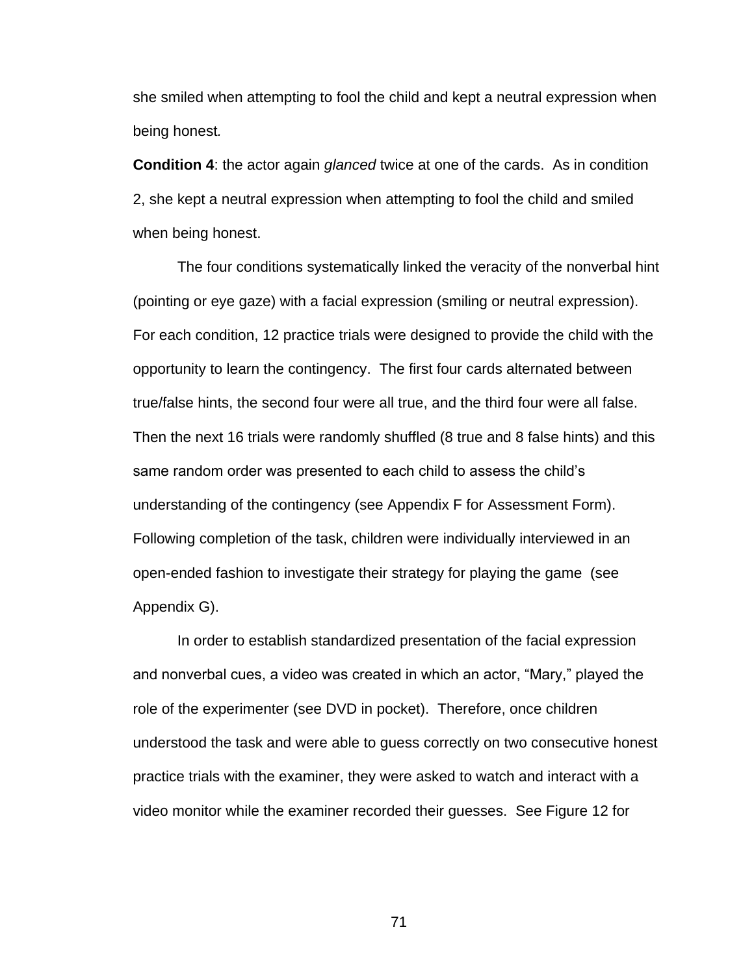she smiled when attempting to fool the child and kept a neutral expression when being honest*.* 

**Condition 4**: the actor again *glanced* twice at one of the cards. As in condition 2, she kept a neutral expression when attempting to fool the child and smiled when being honest.

The four conditions systematically linked the veracity of the nonverbal hint (pointing or eye gaze) with a facial expression (smiling or neutral expression). For each condition, 12 practice trials were designed to provide the child with the opportunity to learn the contingency. The first four cards alternated between true/false hints, the second four were all true, and the third four were all false. Then the next 16 trials were randomly shuffled (8 true and 8 false hints) and this same random order was presented to each child to assess the child's understanding of the contingency (see Appendix F for Assessment Form). Following completion of the task, children were individually interviewed in an open-ended fashion to investigate their strategy for playing the game (see Appendix G).

In order to establish standardized presentation of the facial expression and nonverbal cues, a video was created in which an actor, "Mary," played the role of the experimenter (see DVD in pocket). Therefore, once children understood the task and were able to guess correctly on two consecutive honest practice trials with the examiner, they were asked to watch and interact with a video monitor while the examiner recorded their guesses. See Figure 12 for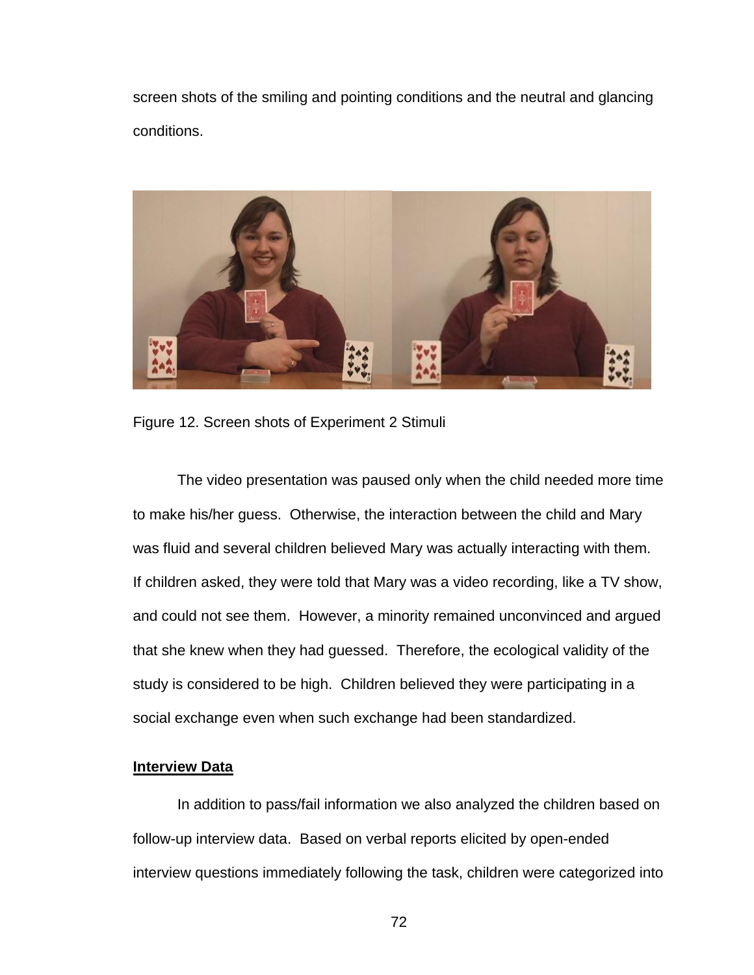screen shots of the smiling and pointing conditions and the neutral and glancing conditions.



Figure 12. Screen shots of Experiment 2 Stimuli

The video presentation was paused only when the child needed more time to make his/her guess. Otherwise, the interaction between the child and Mary was fluid and several children believed Mary was actually interacting with them. If children asked, they were told that Mary was a video recording, like a TV show, and could not see them. However, a minority remained unconvinced and argued that she knew when they had guessed. Therefore, the ecological validity of the study is considered to be high. Children believed they were participating in a social exchange even when such exchange had been standardized.

#### **Interview Data**

In addition to pass/fail information we also analyzed the children based on follow-up interview data. Based on verbal reports elicited by open-ended interview questions immediately following the task, children were categorized into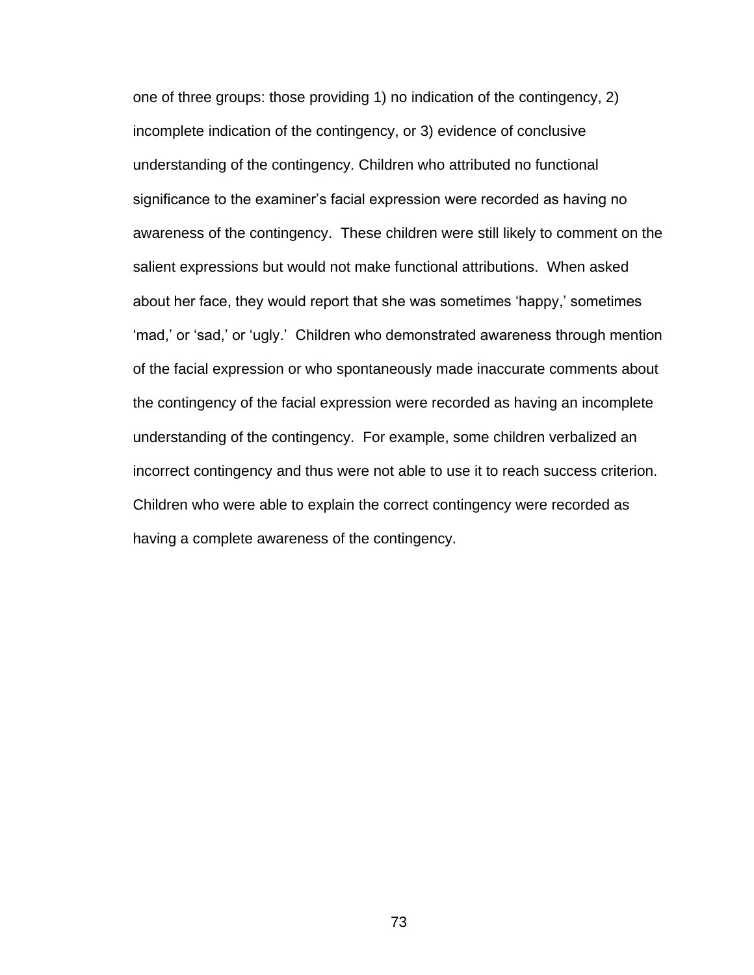one of three groups: those providing 1) no indication of the contingency, 2) incomplete indication of the contingency, or 3) evidence of conclusive understanding of the contingency. Children who attributed no functional significance to the examiner's facial expression were recorded as having no awareness of the contingency. These children were still likely to comment on the salient expressions but would not make functional attributions. When asked about her face, they would report that she was sometimes 'happy,' sometimes ‗mad,' or ‗sad,' or ‗ugly.' Children who demonstrated awareness through mention of the facial expression or who spontaneously made inaccurate comments about the contingency of the facial expression were recorded as having an incomplete understanding of the contingency. For example, some children verbalized an incorrect contingency and thus were not able to use it to reach success criterion. Children who were able to explain the correct contingency were recorded as having a complete awareness of the contingency.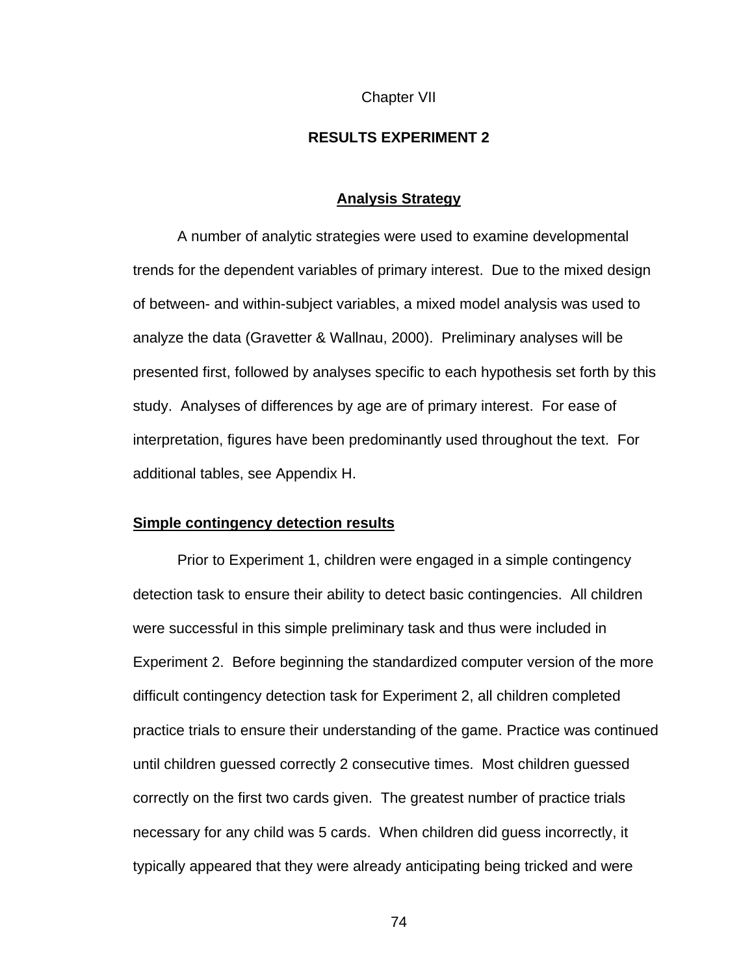#### Chapter VII

# **RESULTS EXPERIMENT 2**

#### **Analysis Strategy**

A number of analytic strategies were used to examine developmental trends for the dependent variables of primary interest. Due to the mixed design of between- and within-subject variables, a mixed model analysis was used to analyze the data (Gravetter & Wallnau, 2000). Preliminary analyses will be presented first, followed by analyses specific to each hypothesis set forth by this study. Analyses of differences by age are of primary interest. For ease of interpretation, figures have been predominantly used throughout the text. For additional tables, see Appendix H.

#### **Simple contingency detection results**

Prior to Experiment 1, children were engaged in a simple contingency detection task to ensure their ability to detect basic contingencies. All children were successful in this simple preliminary task and thus were included in Experiment 2. Before beginning the standardized computer version of the more difficult contingency detection task for Experiment 2, all children completed practice trials to ensure their understanding of the game. Practice was continued until children guessed correctly 2 consecutive times. Most children guessed correctly on the first two cards given. The greatest number of practice trials necessary for any child was 5 cards. When children did guess incorrectly, it typically appeared that they were already anticipating being tricked and were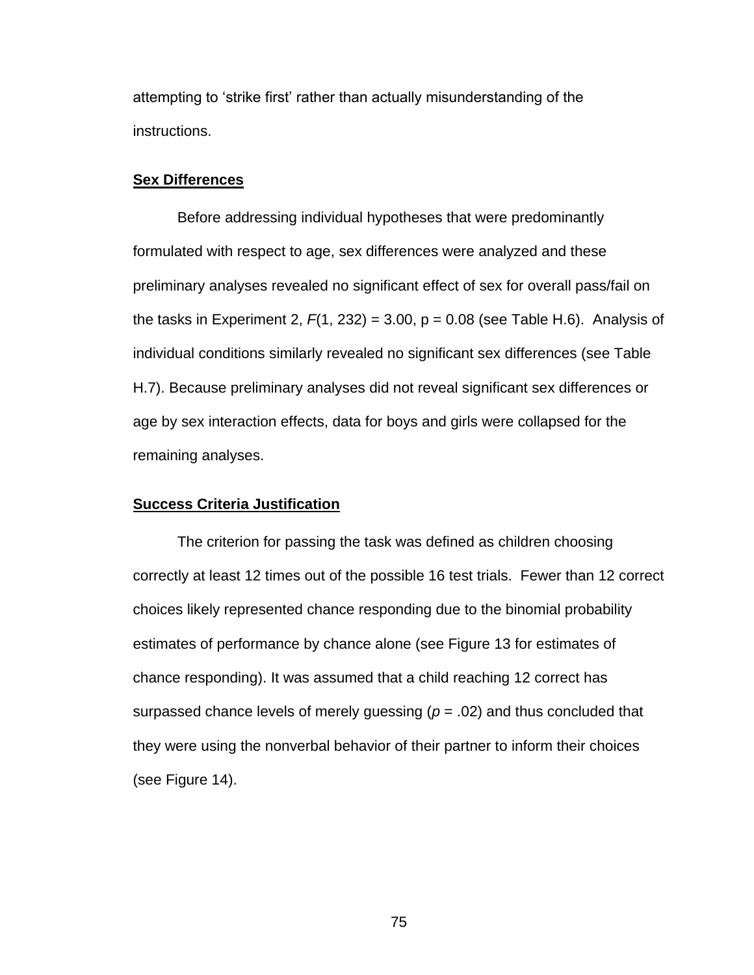attempting to 'strike first' rather than actually misunderstanding of the instructions.

#### **Sex Differences**

Before addressing individual hypotheses that were predominantly formulated with respect to age, sex differences were analyzed and these preliminary analyses revealed no significant effect of sex for overall pass/fail on the tasks in Experiment 2,  $F(1, 232) = 3.00$ ,  $p = 0.08$  (see Table H.6). Analysis of individual conditions similarly revealed no significant sex differences (see Table H.7). Because preliminary analyses did not reveal significant sex differences or age by sex interaction effects, data for boys and girls were collapsed for the remaining analyses.

## **Success Criteria Justification**

The criterion for passing the task was defined as children choosing correctly at least 12 times out of the possible 16 test trials. Fewer than 12 correct choices likely represented chance responding due to the binomial probability estimates of performance by chance alone (see Figure 13 for estimates of chance responding). It was assumed that a child reaching 12 correct has surpassed chance levels of merely guessing (*p* = .02) and thus concluded that they were using the nonverbal behavior of their partner to inform their choices (see Figure 14).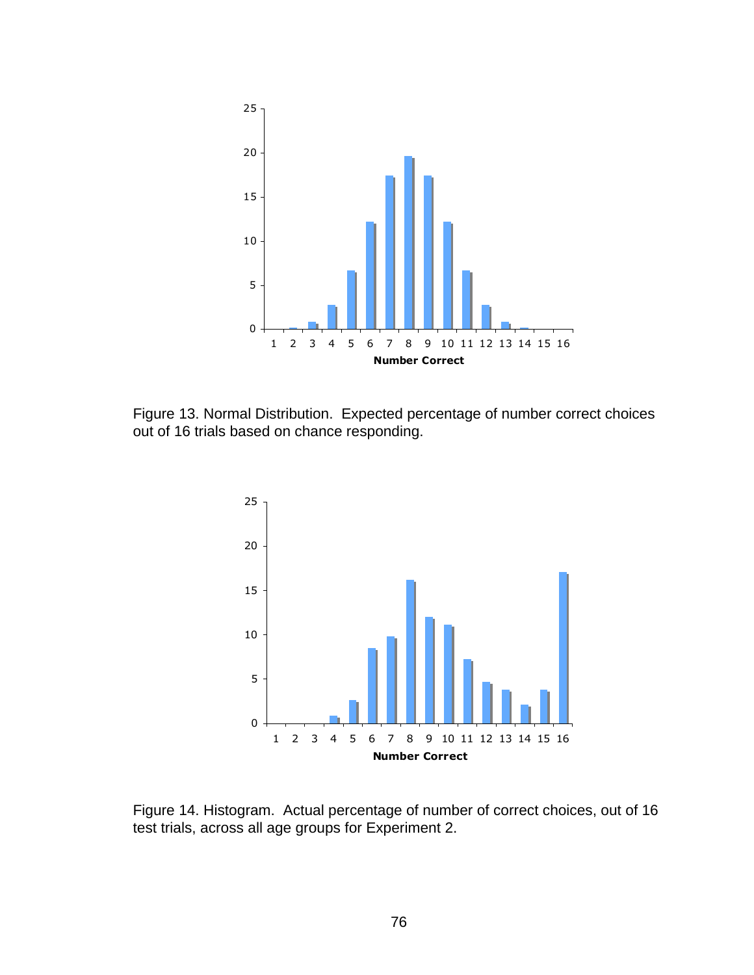

Figure 13. Normal Distribution. Expected percentage of number correct choices out of 16 trials based on chance responding.



Figure 14. Histogram. Actual percentage of number of correct choices, out of 16 test trials, across all age groups for Experiment 2.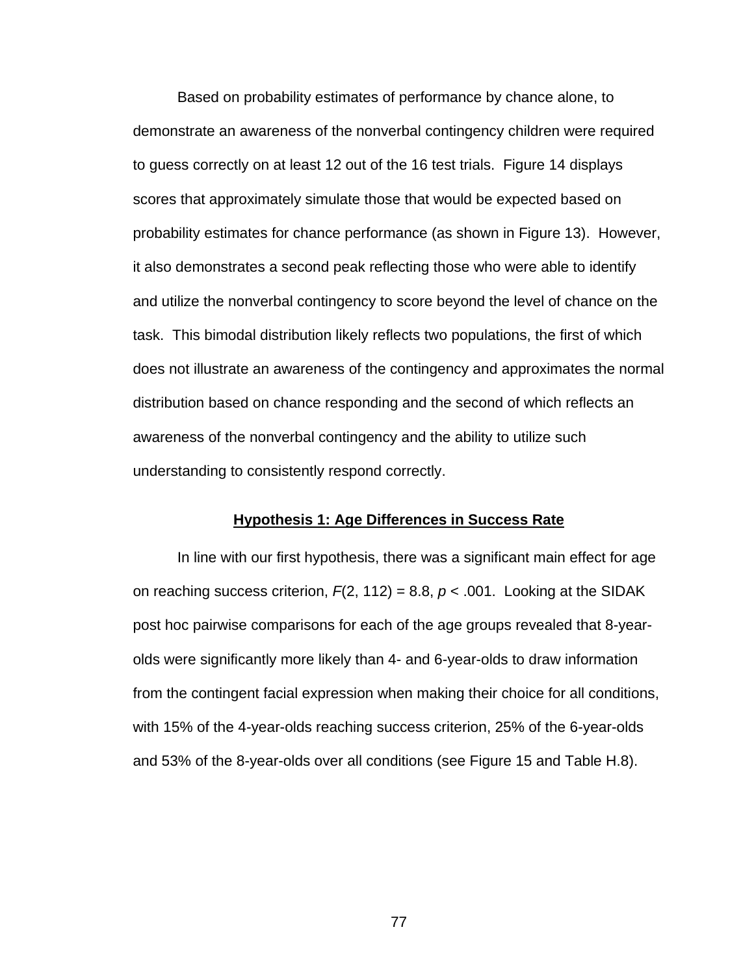Based on probability estimates of performance by chance alone, to demonstrate an awareness of the nonverbal contingency children were required to guess correctly on at least 12 out of the 16 test trials. Figure 14 displays scores that approximately simulate those that would be expected based on probability estimates for chance performance (as shown in Figure 13). However, it also demonstrates a second peak reflecting those who were able to identify and utilize the nonverbal contingency to score beyond the level of chance on the task. This bimodal distribution likely reflects two populations, the first of which does not illustrate an awareness of the contingency and approximates the normal distribution based on chance responding and the second of which reflects an awareness of the nonverbal contingency and the ability to utilize such understanding to consistently respond correctly.

#### **Hypothesis 1: Age Differences in Success Rate**

In line with our first hypothesis, there was a significant main effect for age on reaching success criterion,  $F(2, 112) = 8.8$ ,  $p < .001$ . Looking at the SIDAK post hoc pairwise comparisons for each of the age groups revealed that 8-yearolds were significantly more likely than 4- and 6-year-olds to draw information from the contingent facial expression when making their choice for all conditions, with 15% of the 4-year-olds reaching success criterion, 25% of the 6-year-olds and 53% of the 8-year-olds over all conditions (see Figure 15 and Table H.8).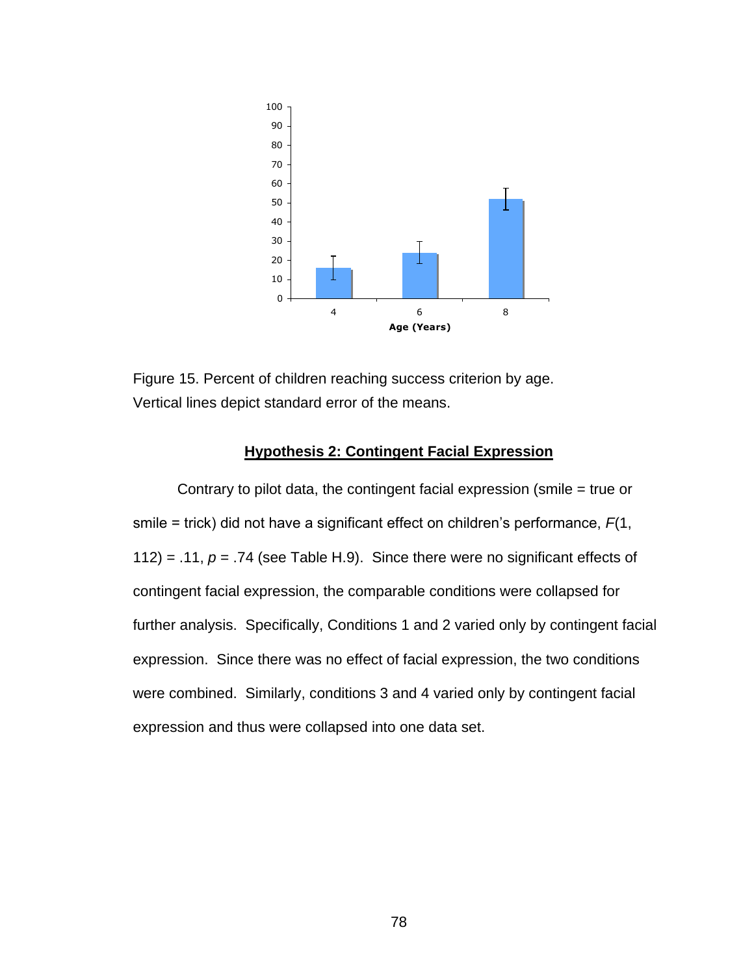

Figure 15. Percent of children reaching success criterion by age. Vertical lines depict standard error of the means.

# **Hypothesis 2: Contingent Facial Expression**

Contrary to pilot data, the contingent facial expression (smile = true or smile = trick) did not have a significant effect on children's performance, *F*(1, 112) = .11,  $p = .74$  (see Table H.9). Since there were no significant effects of contingent facial expression, the comparable conditions were collapsed for further analysis. Specifically, Conditions 1 and 2 varied only by contingent facial expression. Since there was no effect of facial expression, the two conditions were combined. Similarly, conditions 3 and 4 varied only by contingent facial expression and thus were collapsed into one data set.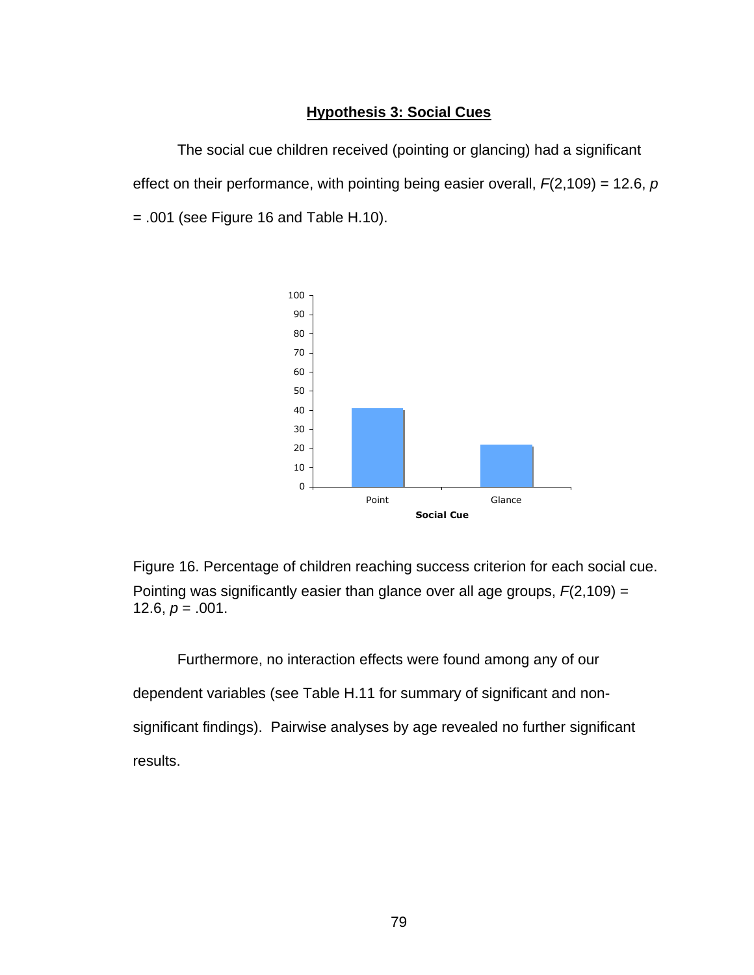# **Hypothesis 3: Social Cues**

The social cue children received (pointing or glancing) had a significant effect on their performance, with pointing being easier overall, *F*(2,109) = 12.6, *p*  $= .001$  (see Figure 16 and Table H.10).



Figure 16. Percentage of children reaching success criterion for each social cue. Pointing was significantly easier than glance over all age groups, *F*(2,109) = 12.6,  $p = .001$ .

Furthermore, no interaction effects were found among any of our dependent variables (see Table H.11 for summary of significant and nonsignificant findings). Pairwise analyses by age revealed no further significant results.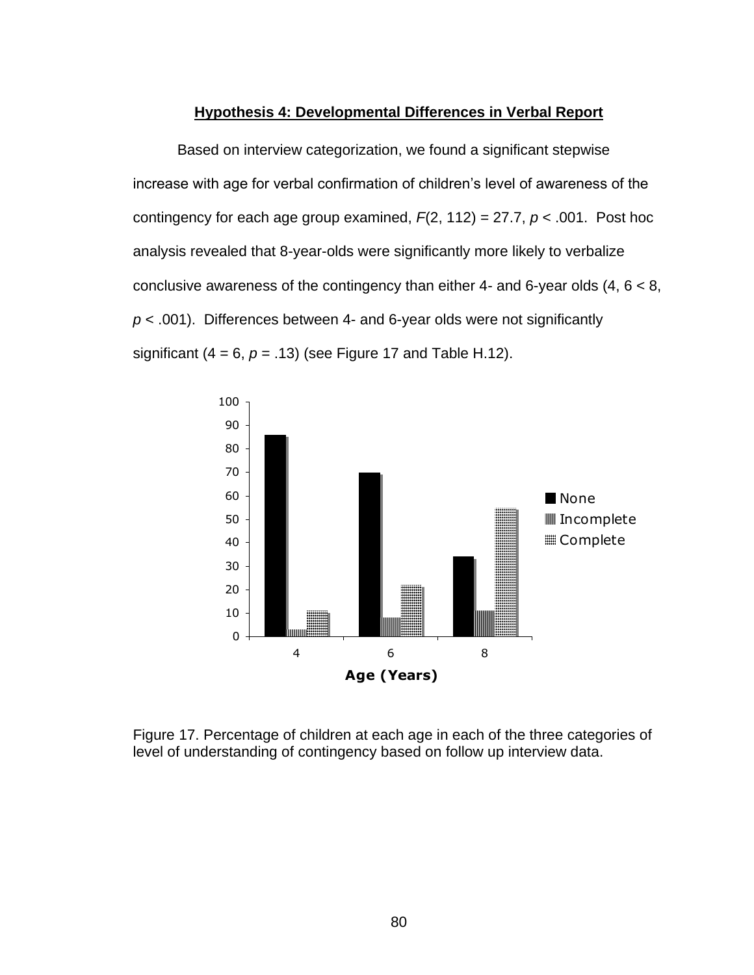#### **Hypothesis 4: Developmental Differences in Verbal Report**

Based on interview categorization, we found a significant stepwise increase with age for verbal confirmation of children's level of awareness of the contingency for each age group examined, *F*(2, 112) = 27.7, *p* < .001. Post hoc analysis revealed that 8-year-olds were significantly more likely to verbalize conclusive awareness of the contingency than either 4- and 6-year olds  $(4, 6 < 8, 1)$ *p* < .001). Differences between 4- and 6-year olds were not significantly significant  $(4 = 6, p = .13)$  (see Figure 17 and Table H.12).



Figure 17. Percentage of children at each age in each of the three categories of level of understanding of contingency based on follow up interview data.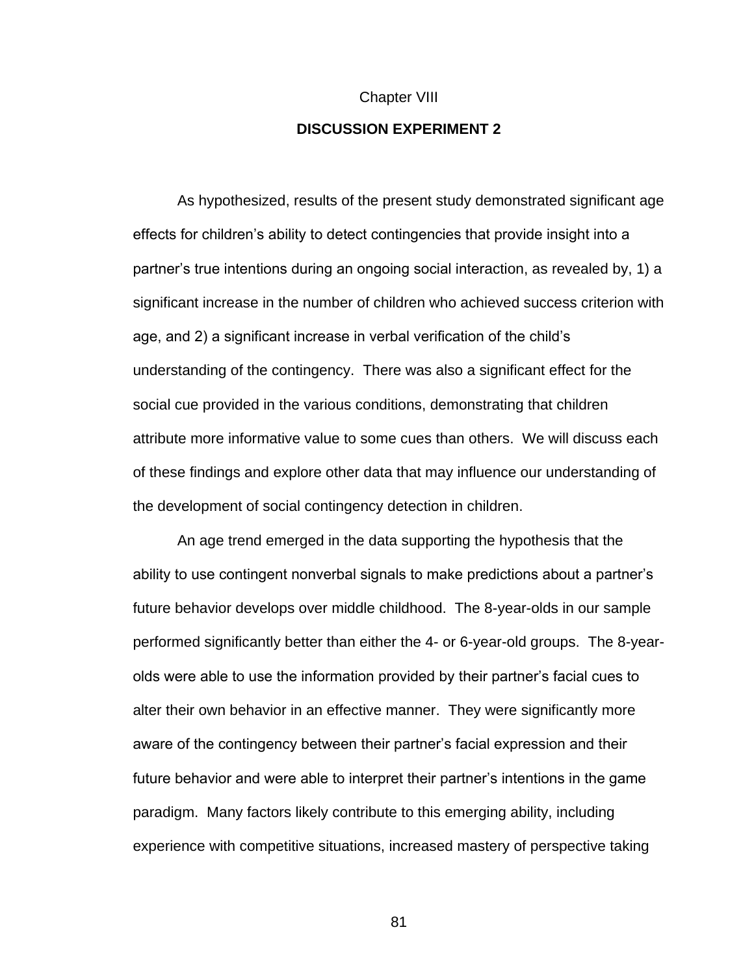# Chapter VIII **DISCUSSION EXPERIMENT 2**

As hypothesized, results of the present study demonstrated significant age effects for children's ability to detect contingencies that provide insight into a partner's true intentions during an ongoing social interaction, as revealed by, 1) a significant increase in the number of children who achieved success criterion with age, and 2) a significant increase in verbal verification of the child's understanding of the contingency. There was also a significant effect for the social cue provided in the various conditions, demonstrating that children attribute more informative value to some cues than others. We will discuss each of these findings and explore other data that may influence our understanding of the development of social contingency detection in children.

An age trend emerged in the data supporting the hypothesis that the ability to use contingent nonverbal signals to make predictions about a partner's future behavior develops over middle childhood. The 8-year-olds in our sample performed significantly better than either the 4- or 6-year-old groups. The 8-yearolds were able to use the information provided by their partner's facial cues to alter their own behavior in an effective manner. They were significantly more aware of the contingency between their partner's facial expression and their future behavior and were able to interpret their partner's intentions in the game paradigm. Many factors likely contribute to this emerging ability, including experience with competitive situations, increased mastery of perspective taking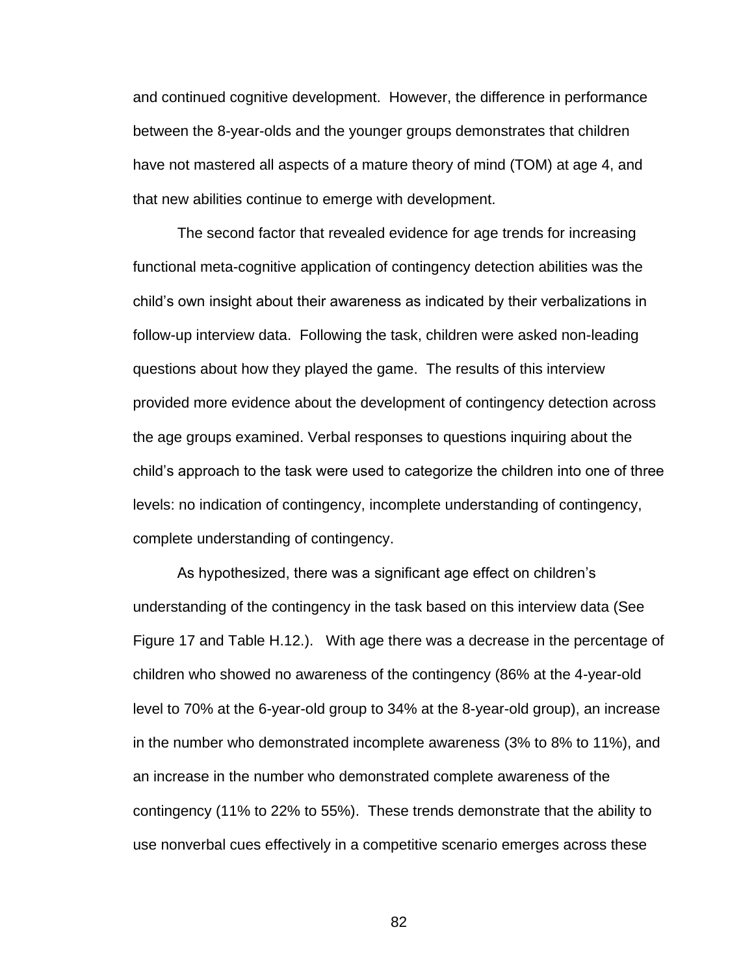and continued cognitive development. However, the difference in performance between the 8-year-olds and the younger groups demonstrates that children have not mastered all aspects of a mature theory of mind (TOM) at age 4, and that new abilities continue to emerge with development.

The second factor that revealed evidence for age trends for increasing functional meta-cognitive application of contingency detection abilities was the child's own insight about their awareness as indicated by their verbalizations in follow-up interview data. Following the task, children were asked non-leading questions about how they played the game. The results of this interview provided more evidence about the development of contingency detection across the age groups examined. Verbal responses to questions inquiring about the child's approach to the task were used to categorize the children into one of three levels: no indication of contingency, incomplete understanding of contingency, complete understanding of contingency.

As hypothesized, there was a significant age effect on children's understanding of the contingency in the task based on this interview data (See Figure 17 and Table H.12.). With age there was a decrease in the percentage of children who showed no awareness of the contingency (86% at the 4-year-old level to 70% at the 6-year-old group to 34% at the 8-year-old group), an increase in the number who demonstrated incomplete awareness (3% to 8% to 11%), and an increase in the number who demonstrated complete awareness of the contingency (11% to 22% to 55%). These trends demonstrate that the ability to use nonverbal cues effectively in a competitive scenario emerges across these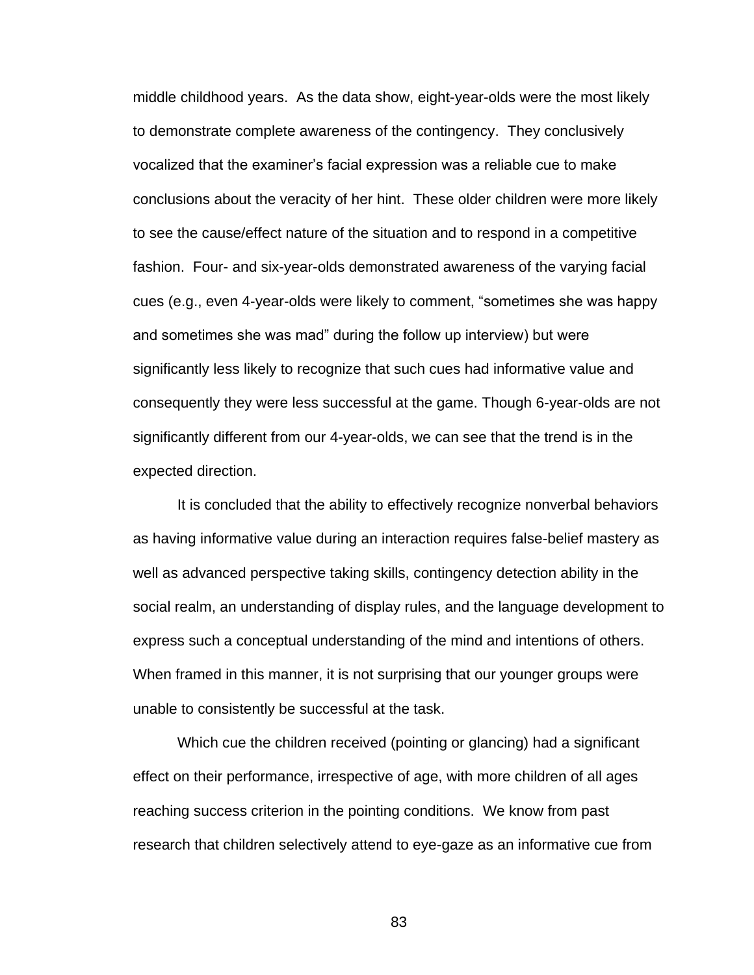middle childhood years. As the data show, eight-year-olds were the most likely to demonstrate complete awareness of the contingency. They conclusively vocalized that the examiner's facial expression was a reliable cue to make conclusions about the veracity of her hint. These older children were more likely to see the cause/effect nature of the situation and to respond in a competitive fashion. Four- and six-year-olds demonstrated awareness of the varying facial cues (e.g., even 4-year-olds were likely to comment, "sometimes she was happy and sometimes she was mad" during the follow up interview) but were significantly less likely to recognize that such cues had informative value and consequently they were less successful at the game. Though 6-year-olds are not significantly different from our 4-year-olds, we can see that the trend is in the expected direction.

It is concluded that the ability to effectively recognize nonverbal behaviors as having informative value during an interaction requires false-belief mastery as well as advanced perspective taking skills, contingency detection ability in the social realm, an understanding of display rules, and the language development to express such a conceptual understanding of the mind and intentions of others. When framed in this manner, it is not surprising that our younger groups were unable to consistently be successful at the task.

Which cue the children received (pointing or glancing) had a significant effect on their performance, irrespective of age, with more children of all ages reaching success criterion in the pointing conditions. We know from past research that children selectively attend to eye-gaze as an informative cue from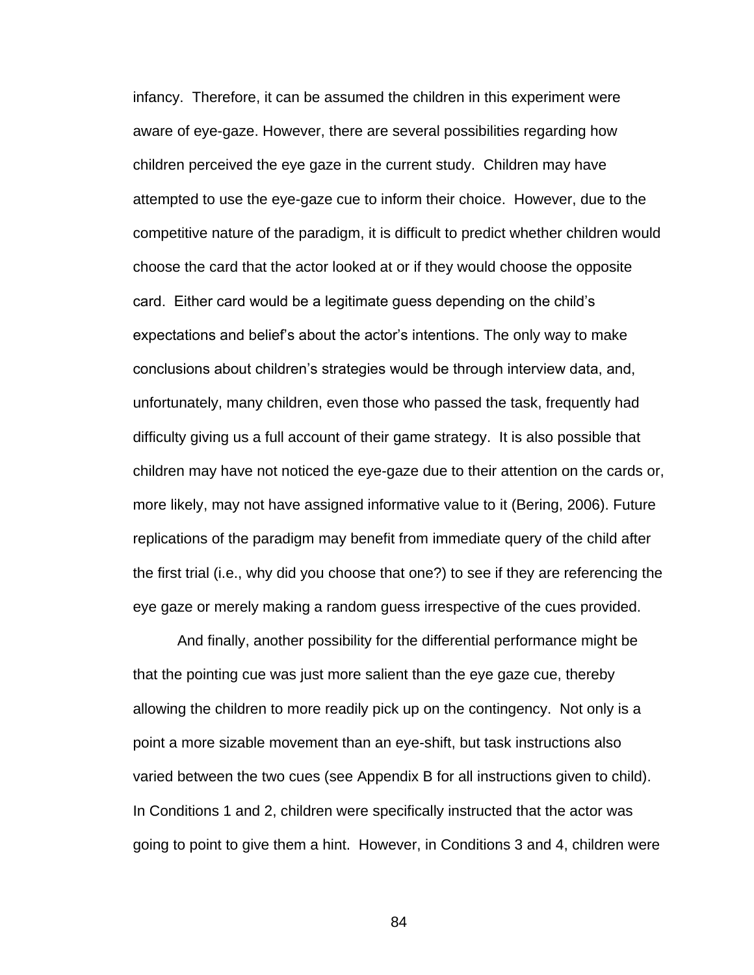infancy. Therefore, it can be assumed the children in this experiment were aware of eye-gaze. However, there are several possibilities regarding how children perceived the eye gaze in the current study. Children may have attempted to use the eye-gaze cue to inform their choice. However, due to the competitive nature of the paradigm, it is difficult to predict whether children would choose the card that the actor looked at or if they would choose the opposite card. Either card would be a legitimate guess depending on the child's expectations and belief's about the actor's intentions. The only way to make conclusions about children's strategies would be through interview data, and, unfortunately, many children, even those who passed the task, frequently had difficulty giving us a full account of their game strategy. It is also possible that children may have not noticed the eye-gaze due to their attention on the cards or, more likely, may not have assigned informative value to it (Bering, 2006). Future replications of the paradigm may benefit from immediate query of the child after the first trial (i.e., why did you choose that one?) to see if they are referencing the eye gaze or merely making a random guess irrespective of the cues provided.

And finally, another possibility for the differential performance might be that the pointing cue was just more salient than the eye gaze cue, thereby allowing the children to more readily pick up on the contingency. Not only is a point a more sizable movement than an eye-shift, but task instructions also varied between the two cues (see Appendix B for all instructions given to child). In Conditions 1 and 2, children were specifically instructed that the actor was going to point to give them a hint. However, in Conditions 3 and 4, children were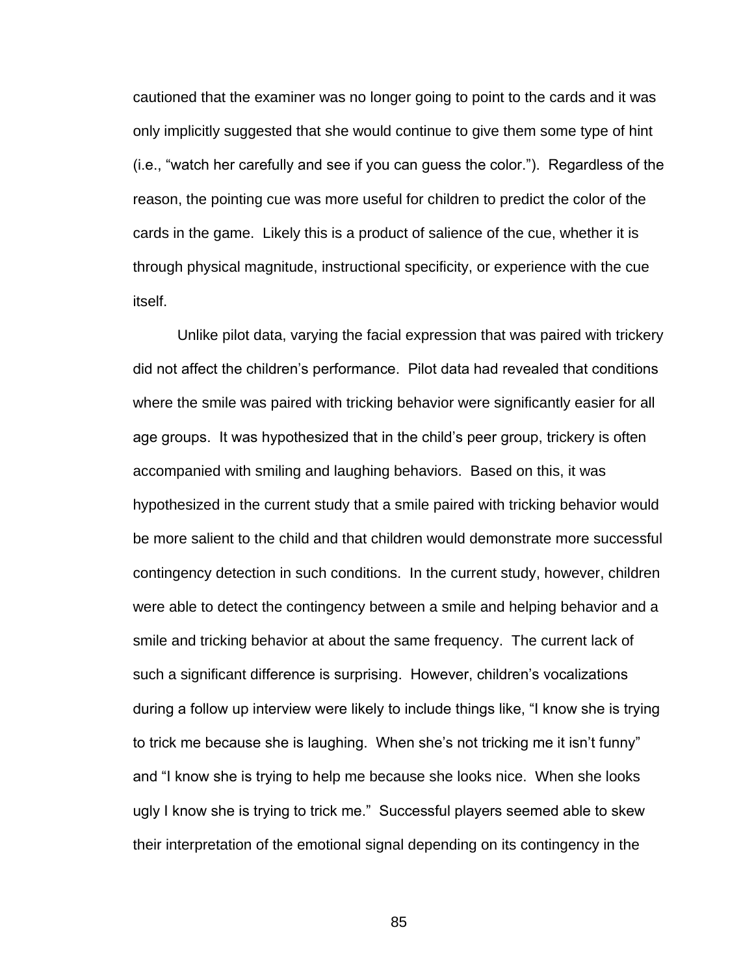cautioned that the examiner was no longer going to point to the cards and it was only implicitly suggested that she would continue to give them some type of hint (i.e., "watch her carefully and see if you can guess the color."). Regardless of the reason, the pointing cue was more useful for children to predict the color of the cards in the game. Likely this is a product of salience of the cue, whether it is through physical magnitude, instructional specificity, or experience with the cue itself.

Unlike pilot data, varying the facial expression that was paired with trickery did not affect the children's performance. Pilot data had revealed that conditions where the smile was paired with tricking behavior were significantly easier for all age groups. It was hypothesized that in the child's peer group, trickery is often accompanied with smiling and laughing behaviors. Based on this, it was hypothesized in the current study that a smile paired with tricking behavior would be more salient to the child and that children would demonstrate more successful contingency detection in such conditions. In the current study, however, children were able to detect the contingency between a smile and helping behavior and a smile and tricking behavior at about the same frequency. The current lack of such a significant difference is surprising. However, children's vocalizations during a follow up interview were likely to include things like, "I know she is trying to trick me because she is laughing. When she's not tricking me it isn't funny" and "I know she is trying to help me because she looks nice. When she looks ugly I know she is trying to trick me.‖ Successful players seemed able to skew their interpretation of the emotional signal depending on its contingency in the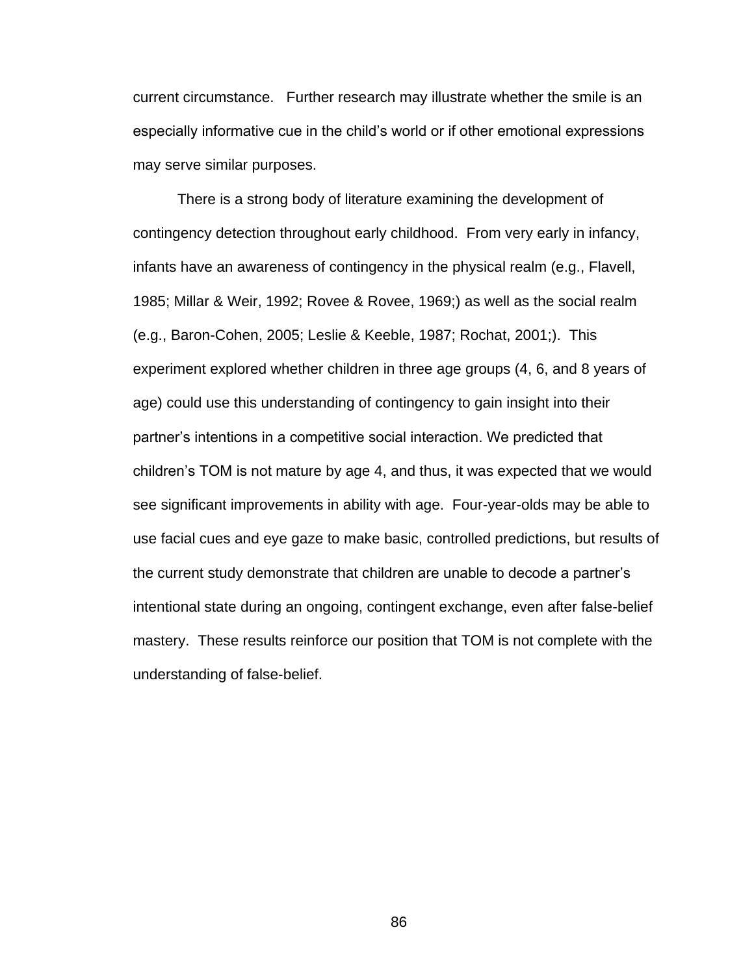current circumstance. Further research may illustrate whether the smile is an especially informative cue in the child's world or if other emotional expressions may serve similar purposes.

There is a strong body of literature examining the development of contingency detection throughout early childhood. From very early in infancy, infants have an awareness of contingency in the physical realm (e.g., Flavell, 1985; Millar & Weir, 1992; Rovee & Rovee, 1969;) as well as the social realm (e.g., Baron-Cohen, 2005; Leslie & Keeble, 1987; Rochat, 2001;). This experiment explored whether children in three age groups (4, 6, and 8 years of age) could use this understanding of contingency to gain insight into their partner's intentions in a competitive social interaction. We predicted that children's TOM is not mature by age 4, and thus, it was expected that we would see significant improvements in ability with age. Four-year-olds may be able to use facial cues and eye gaze to make basic, controlled predictions, but results of the current study demonstrate that children are unable to decode a partner's intentional state during an ongoing, contingent exchange, even after false-belief mastery. These results reinforce our position that TOM is not complete with the understanding of false-belief.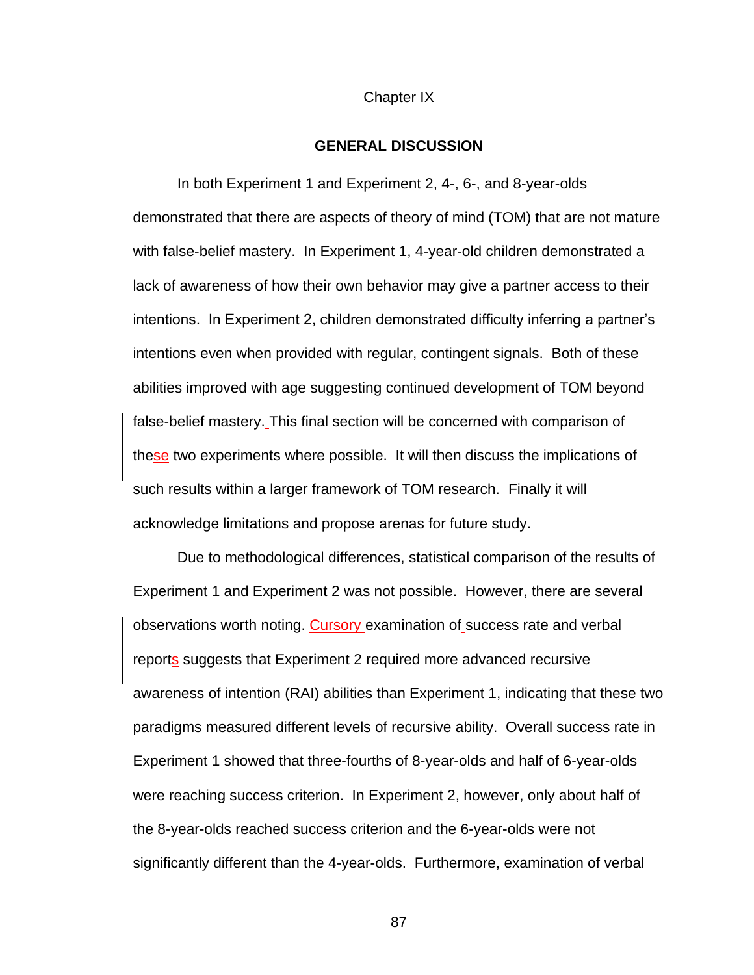#### Chapter IX

#### **GENERAL DISCUSSION**

In both Experiment 1 and Experiment 2, 4-, 6-, and 8-year-olds demonstrated that there are aspects of theory of mind (TOM) that are not mature with false-belief mastery. In Experiment 1, 4-year-old children demonstrated a lack of awareness of how their own behavior may give a partner access to their intentions. In Experiment 2, children demonstrated difficulty inferring a partner's intentions even when provided with regular, contingent signals. Both of these abilities improved with age suggesting continued development of TOM beyond false-belief mastery. This final section will be concerned with comparison of these two experiments where possible. It will then discuss the implications of such results within a larger framework of TOM research. Finally it will acknowledge limitations and propose arenas for future study.

Due to methodological differences, statistical comparison of the results of Experiment 1 and Experiment 2 was not possible. However, there are several observations worth noting. Cursory examination of success rate and verbal reports suggests that Experiment 2 required more advanced recursive awareness of intention (RAI) abilities than Experiment 1, indicating that these two paradigms measured different levels of recursive ability. Overall success rate in Experiment 1 showed that three-fourths of 8-year-olds and half of 6-year-olds were reaching success criterion. In Experiment 2, however, only about half of the 8-year-olds reached success criterion and the 6-year-olds were not significantly different than the 4-year-olds. Furthermore, examination of verbal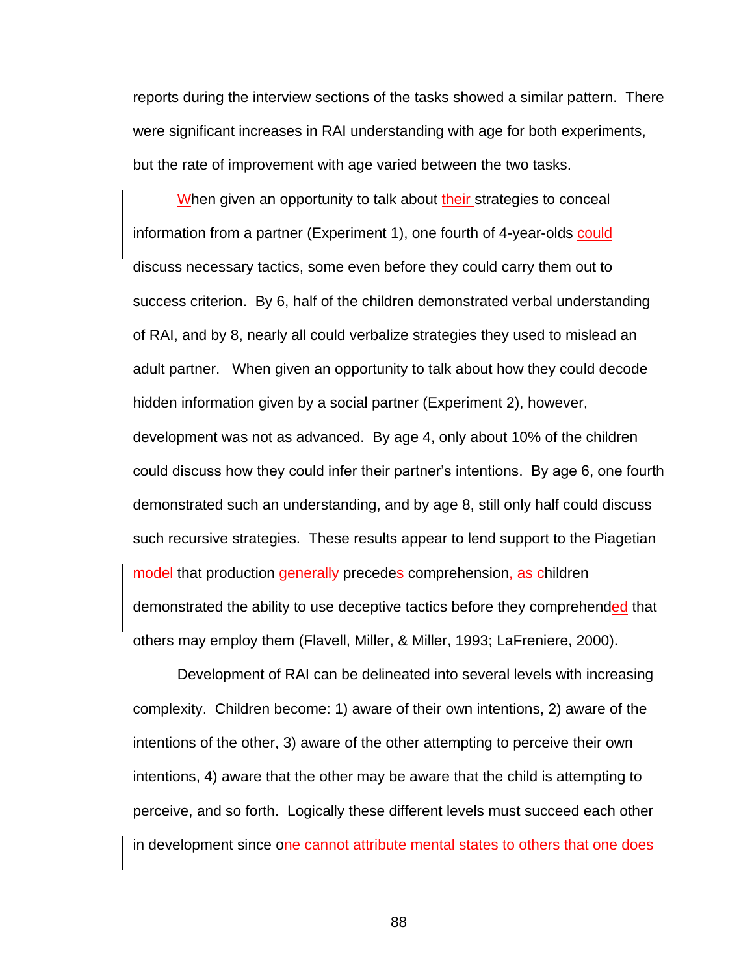reports during the interview sections of the tasks showed a similar pattern. There were significant increases in RAI understanding with age for both experiments, but the rate of improvement with age varied between the two tasks.

When given an opportunity to talk about their strategies to conceal information from a partner (Experiment 1), one fourth of 4-year-olds could discuss necessary tactics, some even before they could carry them out to success criterion. By 6, half of the children demonstrated verbal understanding of RAI, and by 8, nearly all could verbalize strategies they used to mislead an adult partner. When given an opportunity to talk about how they could decode hidden information given by a social partner (Experiment 2), however, development was not as advanced. By age 4, only about 10% of the children could discuss how they could infer their partner's intentions. By age 6, one fourth demonstrated such an understanding, and by age 8, still only half could discuss such recursive strategies. These results appear to lend support to the Piagetian model that production generally precedes comprehension, as children demonstrated the ability to use deceptive tactics before they comprehended that others may employ them (Flavell, Miller, & Miller, 1993; LaFreniere, 2000).

Development of RAI can be delineated into several levels with increasing complexity. Children become: 1) aware of their own intentions, 2) aware of the intentions of the other, 3) aware of the other attempting to perceive their own intentions, 4) aware that the other may be aware that the child is attempting to perceive, and so forth. Logically these different levels must succeed each other in development since one cannot attribute mental states to others that one does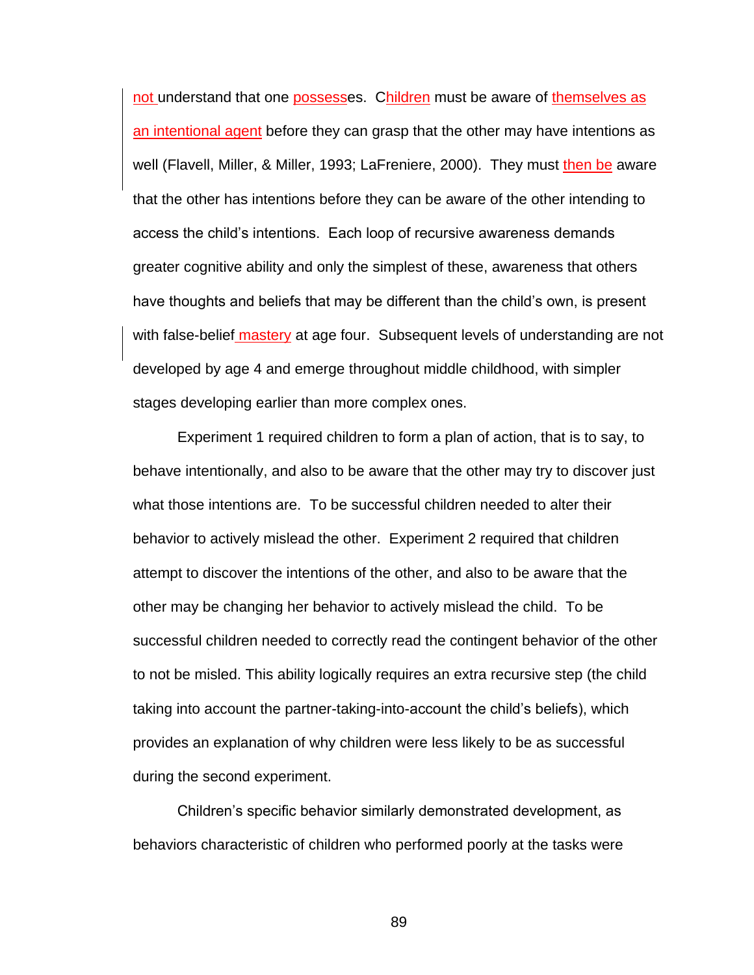not understand that one possesses. Children must be aware of themselves as an intentional agent before they can grasp that the other may have intentions as well (Flavell, Miller, & Miller, 1993; LaFreniere, 2000). They must then be aware that the other has intentions before they can be aware of the other intending to access the child's intentions. Each loop of recursive awareness demands greater cognitive ability and only the simplest of these, awareness that others have thoughts and beliefs that may be different than the child's own, is present with false-belief mastery at age four. Subsequent levels of understanding are not developed by age 4 and emerge throughout middle childhood, with simpler stages developing earlier than more complex ones.

Experiment 1 required children to form a plan of action, that is to say, to behave intentionally, and also to be aware that the other may try to discover just what those intentions are. To be successful children needed to alter their behavior to actively mislead the other. Experiment 2 required that children attempt to discover the intentions of the other, and also to be aware that the other may be changing her behavior to actively mislead the child. To be successful children needed to correctly read the contingent behavior of the other to not be misled. This ability logically requires an extra recursive step (the child taking into account the partner-taking-into-account the child's beliefs), which provides an explanation of why children were less likely to be as successful during the second experiment.

Children's specific behavior similarly demonstrated development, as behaviors characteristic of children who performed poorly at the tasks were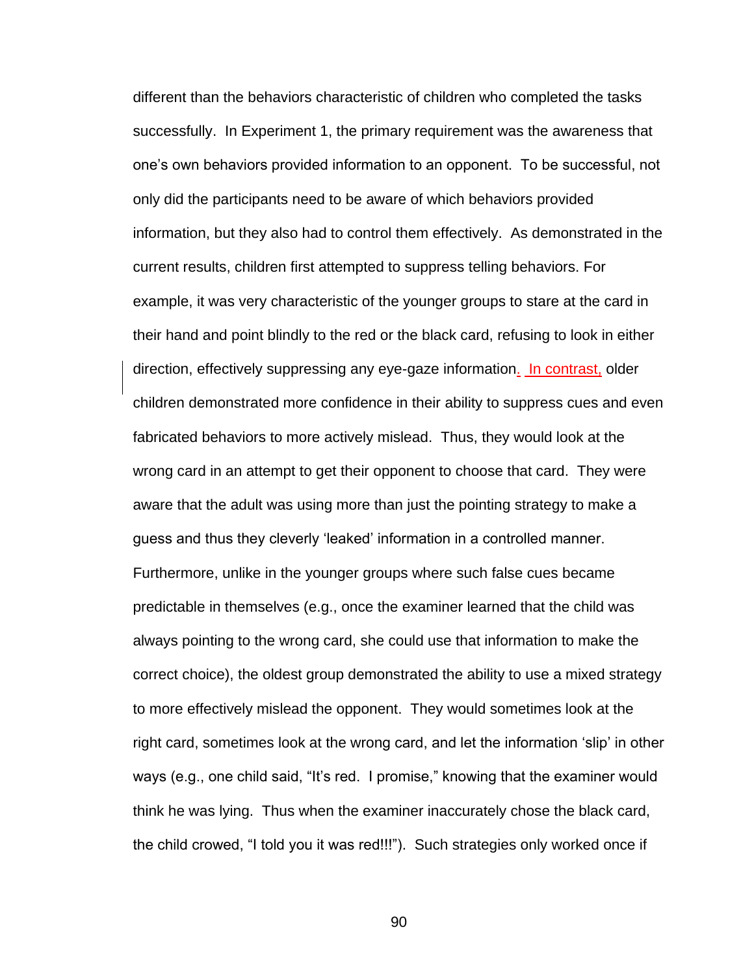different than the behaviors characteristic of children who completed the tasks successfully. In Experiment 1, the primary requirement was the awareness that one's own behaviors provided information to an opponent. To be successful, not only did the participants need to be aware of which behaviors provided information, but they also had to control them effectively. As demonstrated in the current results, children first attempted to suppress telling behaviors. For example, it was very characteristic of the younger groups to stare at the card in their hand and point blindly to the red or the black card, refusing to look in either direction, effectively suppressing any eye-gaze information. In contrast, older children demonstrated more confidence in their ability to suppress cues and even fabricated behaviors to more actively mislead. Thus, they would look at the wrong card in an attempt to get their opponent to choose that card. They were aware that the adult was using more than just the pointing strategy to make a guess and thus they cleverly 'leaked' information in a controlled manner. Furthermore, unlike in the younger groups where such false cues became predictable in themselves (e.g., once the examiner learned that the child was always pointing to the wrong card, she could use that information to make the correct choice), the oldest group demonstrated the ability to use a mixed strategy to more effectively mislead the opponent. They would sometimes look at the right card, sometimes look at the wrong card, and let the information 'slip' in other ways (e.g., one child said, "It's red. I promise," knowing that the examiner would think he was lying. Thus when the examiner inaccurately chose the black card, the child crowed, "I told you it was red!!!"). Such strategies only worked once if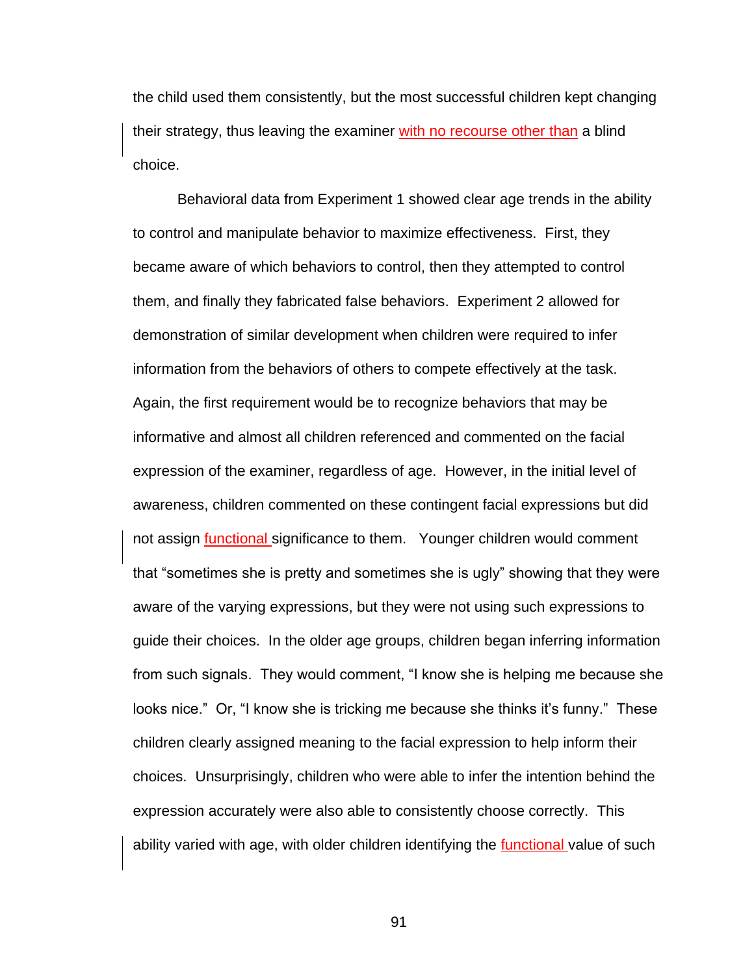the child used them consistently, but the most successful children kept changing their strategy, thus leaving the examiner with no recourse other than a blind choice.

Behavioral data from Experiment 1 showed clear age trends in the ability to control and manipulate behavior to maximize effectiveness. First, they became aware of which behaviors to control, then they attempted to control them, and finally they fabricated false behaviors. Experiment 2 allowed for demonstration of similar development when children were required to infer information from the behaviors of others to compete effectively at the task. Again, the first requirement would be to recognize behaviors that may be informative and almost all children referenced and commented on the facial expression of the examiner, regardless of age. However, in the initial level of awareness, children commented on these contingent facial expressions but did not assign **functional** significance to them. Younger children would comment that "sometimes she is pretty and sometimes she is ugly" showing that they were aware of the varying expressions, but they were not using such expressions to guide their choices. In the older age groups, children began inferring information from such signals. They would comment, "I know she is helping me because she looks nice." Or, "I know she is tricking me because she thinks it's funny." These children clearly assigned meaning to the facial expression to help inform their choices. Unsurprisingly, children who were able to infer the intention behind the expression accurately were also able to consistently choose correctly. This ability varied with age, with older children identifying the functional value of such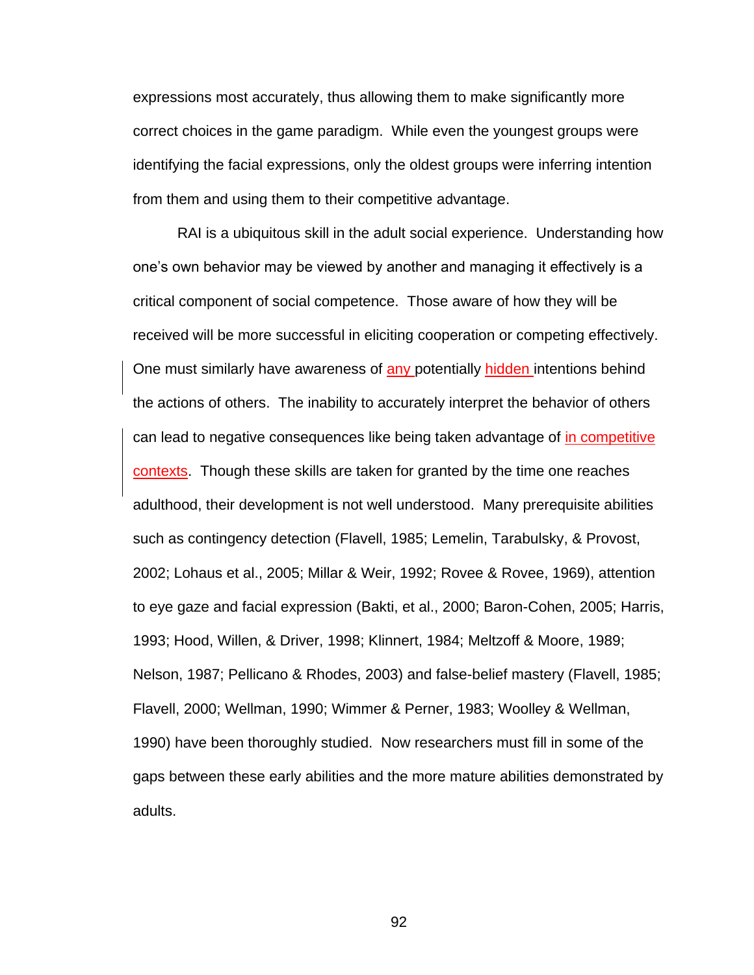expressions most accurately, thus allowing them to make significantly more correct choices in the game paradigm. While even the youngest groups were identifying the facial expressions, only the oldest groups were inferring intention from them and using them to their competitive advantage.

RAI is a ubiquitous skill in the adult social experience. Understanding how one's own behavior may be viewed by another and managing it effectively is a critical component of social competence. Those aware of how they will be received will be more successful in eliciting cooperation or competing effectively. One must similarly have awareness of any potentially hidden intentions behind the actions of others. The inability to accurately interpret the behavior of others can lead to negative consequences like being taken advantage of in competitive contexts. Though these skills are taken for granted by the time one reaches adulthood, their development is not well understood. Many prerequisite abilities such as contingency detection (Flavell, 1985; Lemelin, Tarabulsky, & Provost, 2002; Lohaus et al., 2005; Millar & Weir, 1992; Rovee & Rovee, 1969), attention to eye gaze and facial expression (Bakti, et al., 2000; Baron-Cohen, 2005; Harris, 1993; Hood, Willen, & Driver, 1998; Klinnert, 1984; Meltzoff & Moore, 1989; Nelson, 1987; Pellicano & Rhodes, 2003) and false-belief mastery (Flavell, 1985; Flavell, 2000; Wellman, 1990; Wimmer & Perner, 1983; Woolley & Wellman, 1990) have been thoroughly studied. Now researchers must fill in some of the gaps between these early abilities and the more mature abilities demonstrated by adults.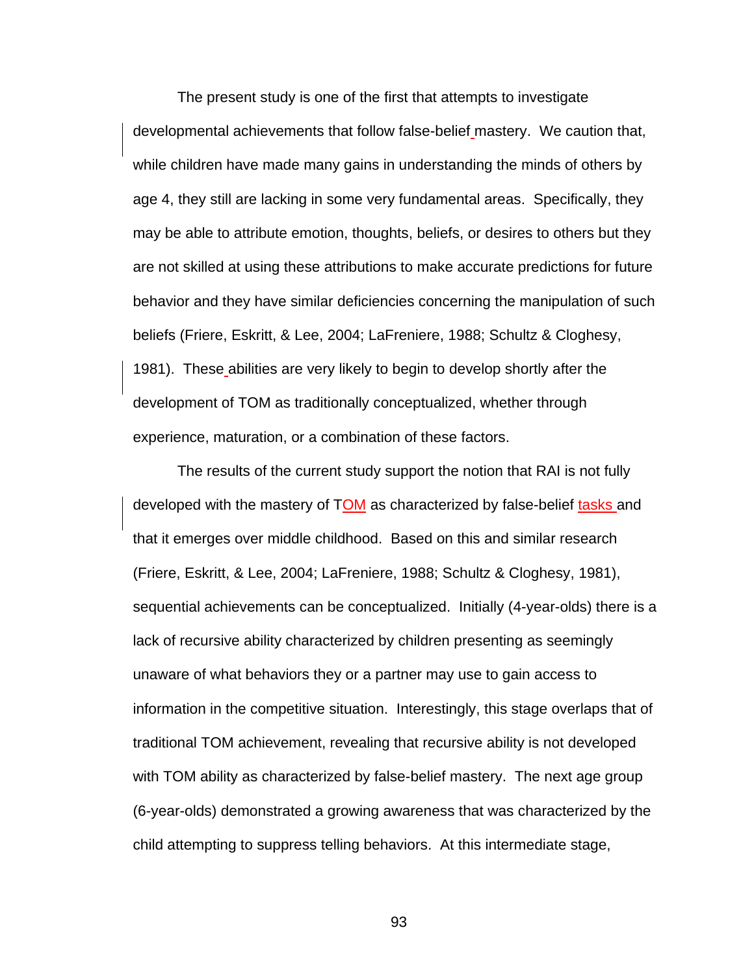The present study is one of the first that attempts to investigate developmental achievements that follow false-belief mastery. We caution that, while children have made many gains in understanding the minds of others by age 4, they still are lacking in some very fundamental areas. Specifically, they may be able to attribute emotion, thoughts, beliefs, or desires to others but they are not skilled at using these attributions to make accurate predictions for future behavior and they have similar deficiencies concerning the manipulation of such beliefs (Friere, Eskritt, & Lee, 2004; LaFreniere, 1988; Schultz & Cloghesy, 1981). These abilities are very likely to begin to develop shortly after the development of TOM as traditionally conceptualized, whether through experience, maturation, or a combination of these factors.

The results of the current study support the notion that RAI is not fully developed with the mastery of TOM as characterized by false-belief tasks and that it emerges over middle childhood. Based on this and similar research (Friere, Eskritt, & Lee, 2004; LaFreniere, 1988; Schultz & Cloghesy, 1981), sequential achievements can be conceptualized. Initially (4-year-olds) there is a lack of recursive ability characterized by children presenting as seemingly unaware of what behaviors they or a partner may use to gain access to information in the competitive situation. Interestingly, this stage overlaps that of traditional TOM achievement, revealing that recursive ability is not developed with TOM ability as characterized by false-belief mastery. The next age group (6-year-olds) demonstrated a growing awareness that was characterized by the child attempting to suppress telling behaviors. At this intermediate stage,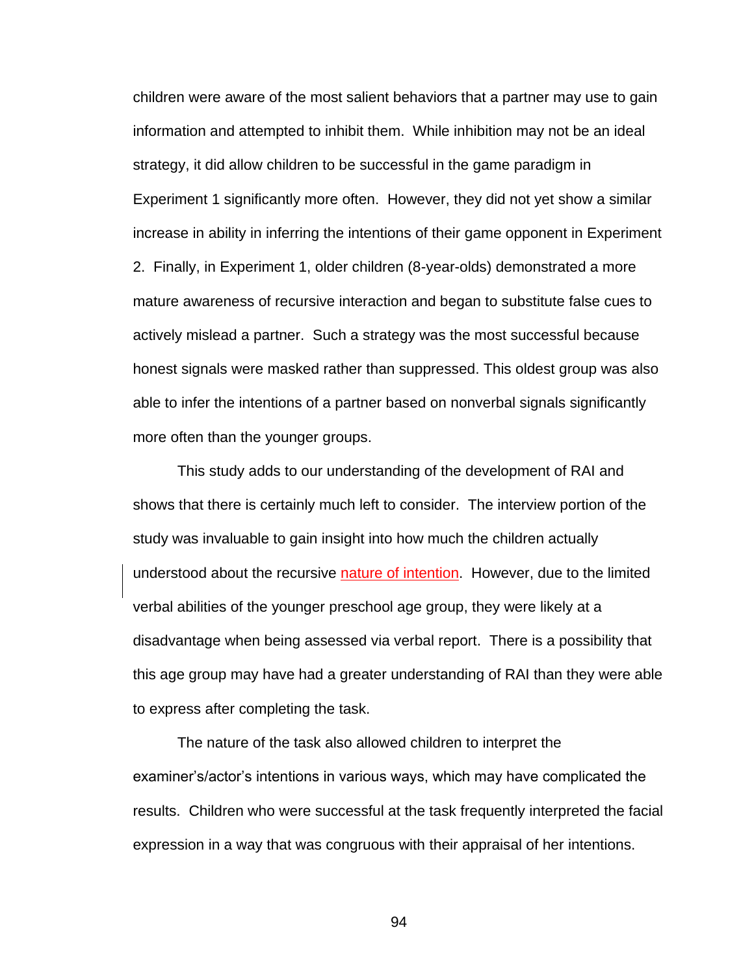children were aware of the most salient behaviors that a partner may use to gain information and attempted to inhibit them. While inhibition may not be an ideal strategy, it did allow children to be successful in the game paradigm in Experiment 1 significantly more often. However, they did not yet show a similar increase in ability in inferring the intentions of their game opponent in Experiment 2. Finally, in Experiment 1, older children (8-year-olds) demonstrated a more mature awareness of recursive interaction and began to substitute false cues to actively mislead a partner. Such a strategy was the most successful because honest signals were masked rather than suppressed. This oldest group was also able to infer the intentions of a partner based on nonverbal signals significantly more often than the younger groups.

This study adds to our understanding of the development of RAI and shows that there is certainly much left to consider. The interview portion of the study was invaluable to gain insight into how much the children actually understood about the recursive nature of intention. However, due to the limited verbal abilities of the younger preschool age group, they were likely at a disadvantage when being assessed via verbal report. There is a possibility that this age group may have had a greater understanding of RAI than they were able to express after completing the task.

The nature of the task also allowed children to interpret the examiner's/actor's intentions in various ways, which may have complicated the results. Children who were successful at the task frequently interpreted the facial expression in a way that was congruous with their appraisal of her intentions.

94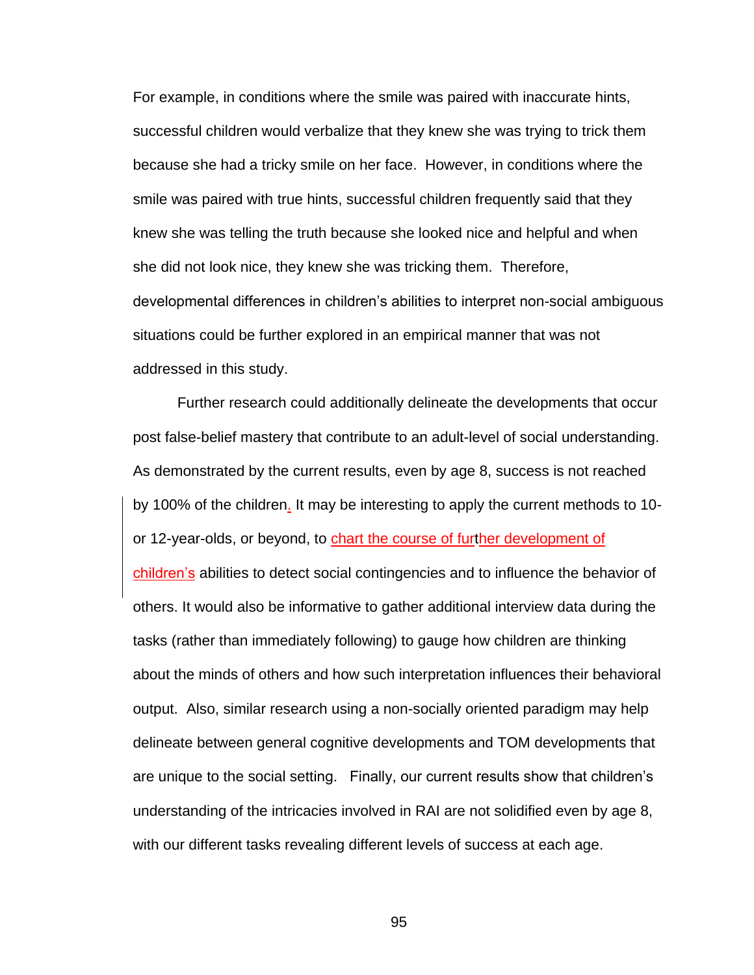For example, in conditions where the smile was paired with inaccurate hints, successful children would verbalize that they knew she was trying to trick them because she had a tricky smile on her face. However, in conditions where the smile was paired with true hints, successful children frequently said that they knew she was telling the truth because she looked nice and helpful and when she did not look nice, they knew she was tricking them. Therefore, developmental differences in children's abilities to interpret non-social ambiguous situations could be further explored in an empirical manner that was not addressed in this study.

Further research could additionally delineate the developments that occur post false-belief mastery that contribute to an adult-level of social understanding. As demonstrated by the current results, even by age 8, success is not reached by 100% of the children. It may be interesting to apply the current methods to 10 or 12-year-olds, or beyond, to chart the course of further development of children's abilities to detect social contingencies and to influence the behavior of others. It would also be informative to gather additional interview data during the tasks (rather than immediately following) to gauge how children are thinking about the minds of others and how such interpretation influences their behavioral output. Also, similar research using a non-socially oriented paradigm may help delineate between general cognitive developments and TOM developments that are unique to the social setting. Finally, our current results show that children's understanding of the intricacies involved in RAI are not solidified even by age 8, with our different tasks revealing different levels of success at each age.

95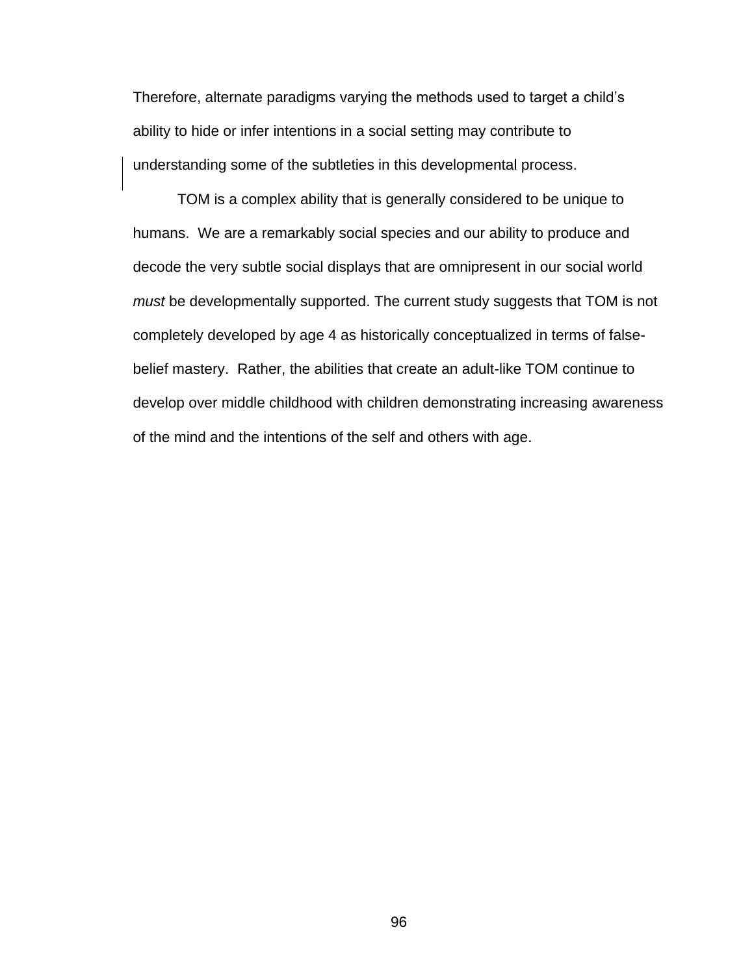Therefore, alternate paradigms varying the methods used to target a child's ability to hide or infer intentions in a social setting may contribute to understanding some of the subtleties in this developmental process.

TOM is a complex ability that is generally considered to be unique to humans. We are a remarkably social species and our ability to produce and decode the very subtle social displays that are omnipresent in our social world *must* be developmentally supported. The current study suggests that TOM is not completely developed by age 4 as historically conceptualized in terms of falsebelief mastery. Rather, the abilities that create an adult-like TOM continue to develop over middle childhood with children demonstrating increasing awareness of the mind and the intentions of the self and others with age.

96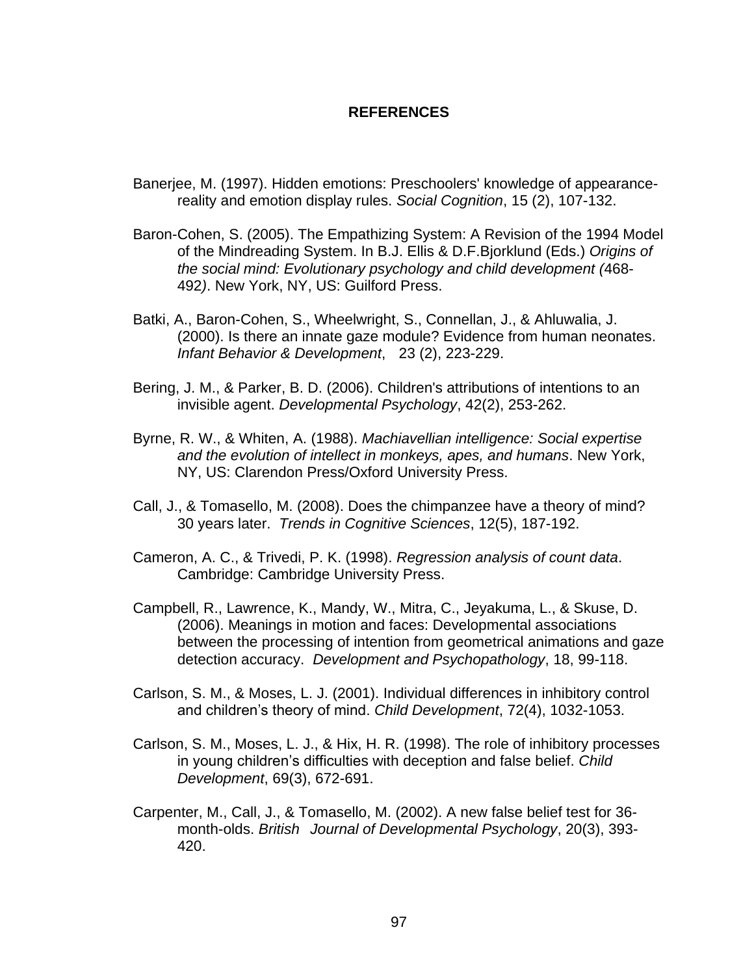#### **REFERENCES**

- Banerjee, M. (1997). Hidden emotions: Preschoolers' knowledge of appearancereality and emotion display rules. *Social Cognition*, 15 (2), 107-132.
- Baron-Cohen, S. (2005). The Empathizing System: A Revision of the 1994 Model of the Mindreading System. In B.J. Ellis & D.F.Bjorklund (Eds.) *Origins of the social mind: Evolutionary psychology and child development (*468- 492*)*. New York, NY, US: Guilford Press.
- Batki, A., Baron-Cohen, S., Wheelwright, S., Connellan, J., & Ahluwalia, J. (2000). Is there an innate gaze module? Evidence from human neonates. *Infant Behavior & Development*, 23 (2), 223-229.
- Bering, J. M., & Parker, B. D. (2006). Children's attributions of intentions to an invisible agent. *Developmental Psychology*, 42(2), 253-262.
- Byrne, R. W., & Whiten, A. (1988). *Machiavellian intelligence: Social expertise and the evolution of intellect in monkeys, apes, and humans*. New York, NY, US: Clarendon Press/Oxford University Press.
- Call, J., & Tomasello, M. (2008). Does the chimpanzee have a theory of mind? 30 years later. *Trends in Cognitive Sciences*, 12(5), 187-192.
- Cameron, A. C., & Trivedi, P. K. (1998). *Regression analysis of count data*. Cambridge: Cambridge University Press.
- Campbell, R., Lawrence, K., Mandy, W., Mitra, C., Jeyakuma, L., & Skuse, D. (2006). Meanings in motion and faces: Developmental associations between the processing of intention from geometrical animations and gaze detection accuracy. *Development and Psychopathology*, 18, 99-118.
- Carlson, S. M., & Moses, L. J. (2001). Individual differences in inhibitory control and children's theory of mind. *Child Development*, 72(4), 1032-1053.
- Carlson, S. M., Moses, L. J., & Hix, H. R. (1998). The role of inhibitory processes in young children's difficulties with deception and false belief. *Child Development*, 69(3), 672-691.
- Carpenter, M., Call, J., & Tomasello, M. (2002). A new false belief test for 36 month-olds. *British Journal of Developmental Psychology*, 20(3), 393- 420.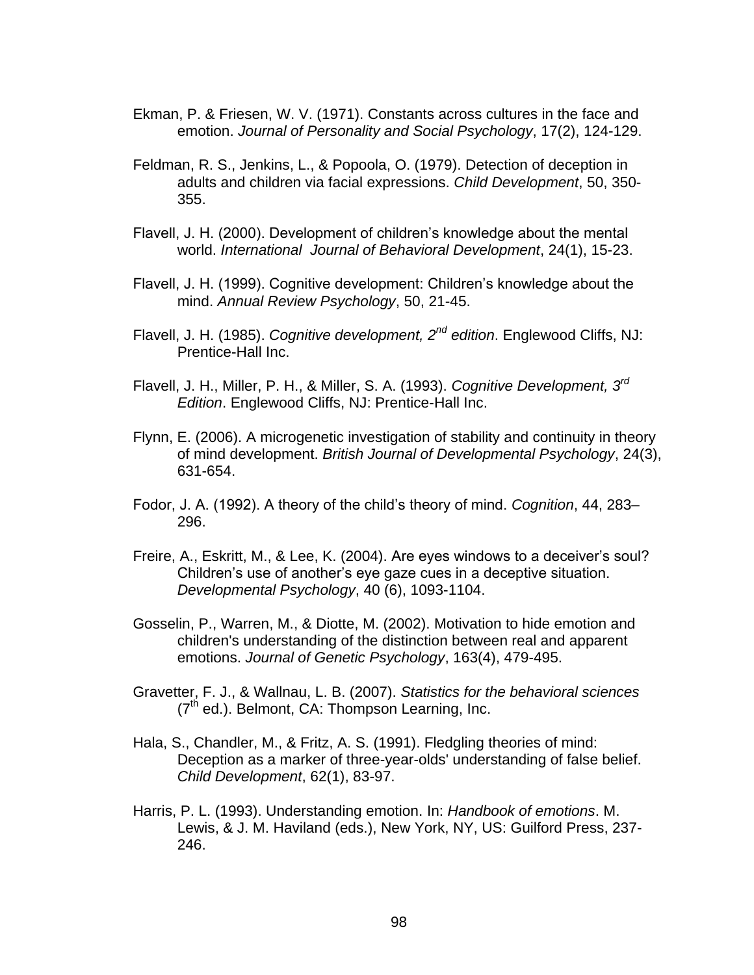- Ekman, P. & Friesen, W. V. (1971). Constants across cultures in the face and emotion. *Journal of Personality and Social Psychology*, 17(2), 124-129.
- Feldman, R. S., Jenkins, L., & Popoola, O. (1979). Detection of deception in adults and children via facial expressions. *Child Development*, 50, 350- 355.
- Flavell, J. H. (2000). Development of children's knowledge about the mental world. *International Journal of Behavioral Development*, 24(1), 15-23.
- Flavell, J. H. (1999). Cognitive development: Children's knowledge about the mind. *Annual Review Psychology*, 50, 21-45.
- Flavell, J. H. (1985). *Cognitive development, 2nd edition*. Englewood Cliffs, NJ: Prentice-Hall Inc.
- Flavell, J. H., Miller, P. H., & Miller, S. A. (1993). *Cognitive Development, 3rd Edition*. Englewood Cliffs, NJ: Prentice-Hall Inc.
- Flynn, E. (2006). A microgenetic investigation of stability and continuity in theory of mind development. *British Journal of Developmental Psychology*, 24(3), 631-654.
- Fodor, J. A. (1992). A theory of the child's theory of mind. *Cognition*, 44, 283– 296.
- Freire, A., Eskritt, M., & Lee, K. (2004). Are eyes windows to a deceiver's soul? Children's use of another's eye gaze cues in a deceptive situation. *Developmental Psychology*, 40 (6), 1093-1104.
- Gosselin, P., Warren, M., & Diotte, M. (2002). Motivation to hide emotion and children's understanding of the distinction between real and apparent emotions. *Journal of Genetic Psychology*, 163(4), 479-495.
- Gravetter, F. J., & Wallnau, L. B. (2007). *Statistics for the behavioral sciences*  $(7<sup>th</sup>$  ed.). Belmont, CA: Thompson Learning, Inc.
- Hala, S., Chandler, M., & Fritz, A. S. (1991). Fledgling theories of mind: Deception as a marker of three-year-olds' understanding of false belief. *Child Development*, 62(1), 83-97.
- Harris, P. L. (1993). Understanding emotion. In: *Handbook of emotions*. M. Lewis, & J. M. Haviland (eds.), New York, NY, US: Guilford Press, 237- 246.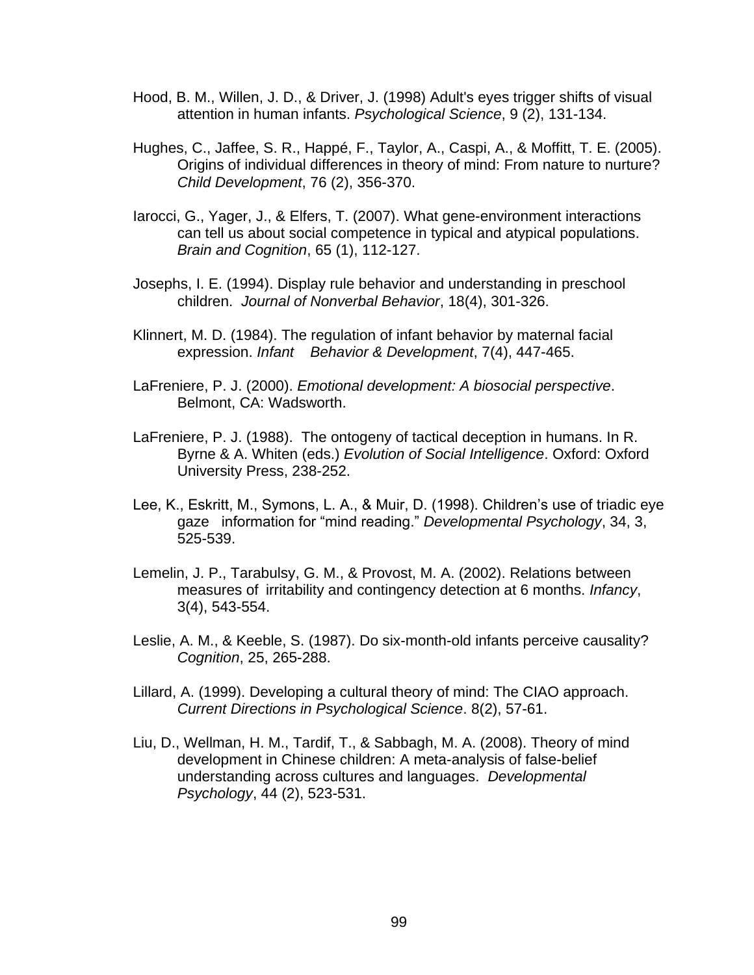- Hood, B. M., Willen, J. D., & Driver, J. (1998) Adult's eyes trigger shifts of visual attention in human infants. *Psychological Science*, 9 (2), 131-134.
- Hughes, C., Jaffee, S. R., Happé, F., Taylor, A., Caspi, A., & Moffitt, T. E. (2005). Origins of individual differences in theory of mind: From nature to nurture? *Child Development*, 76 (2), 356-370.
- Iarocci, G., Yager, J., & Elfers, T. (2007). What gene-environment interactions can tell us about social competence in typical and atypical populations. *Brain and Cognition*, 65 (1), 112-127.
- Josephs, I. E. (1994). Display rule behavior and understanding in preschool children. *Journal of Nonverbal Behavior*, 18(4), 301-326.
- Klinnert, M. D. (1984). The regulation of infant behavior by maternal facial expression. *Infant Behavior & Development*, 7(4), 447-465.
- LaFreniere, P. J. (2000). *Emotional development: A biosocial perspective*. Belmont, CA: Wadsworth.
- LaFreniere, P. J. (1988). The ontogeny of tactical deception in humans. In R. Byrne & A. Whiten (eds.) *Evolution of Social Intelligence*. Oxford: Oxford University Press, 238-252.
- Lee, K., Eskritt, M., Symons, L. A., & Muir, D. (1998). Children's use of triadic eye gaze information for "mind reading." *Developmental Psychology*, 34, 3, 525-539.
- Lemelin, J. P., Tarabulsy, G. M., & Provost, M. A. (2002). Relations between measures of irritability and contingency detection at 6 months. *Infancy*, 3(4), 543-554.
- Leslie, A. M., & Keeble, S. (1987). Do six-month-old infants perceive causality? *Cognition*, 25, 265-288.
- Lillard, A. (1999). Developing a cultural theory of mind: The CIAO approach. *Current Directions in Psychological Science*. 8(2), 57-61.
- Liu, D., Wellman, H. M., Tardif, T., & Sabbagh, M. A. (2008). Theory of mind development in Chinese children: A meta-analysis of false-belief understanding across cultures and languages. *Developmental Psychology*, 44 (2), 523-531.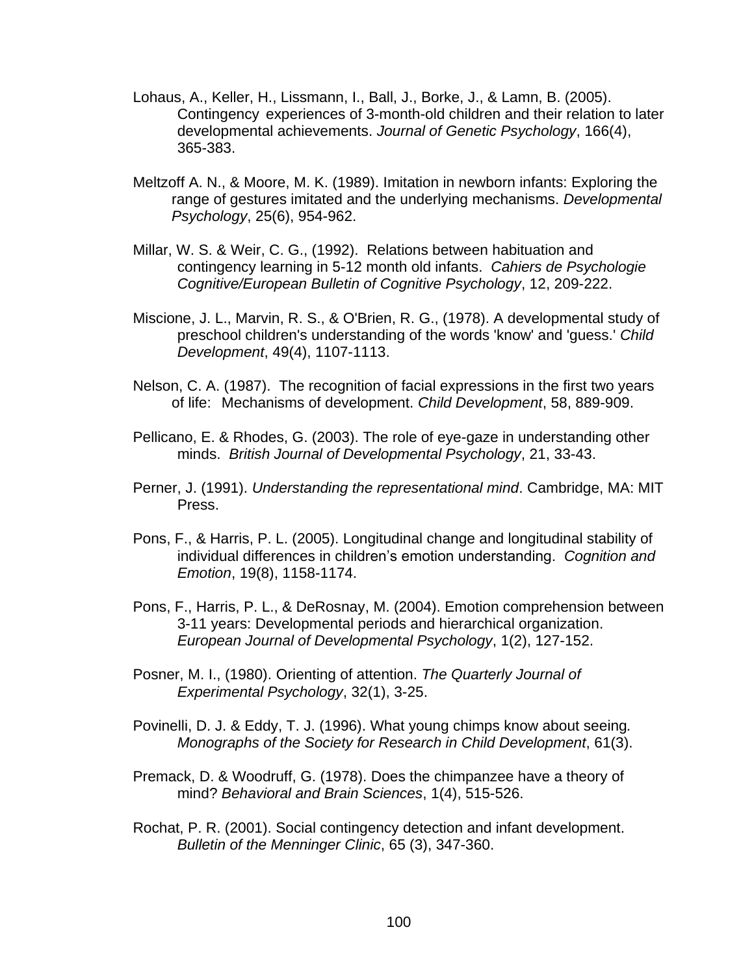- Lohaus, A., Keller, H., Lissmann, I., Ball, J., Borke, J., & Lamn, B. (2005). Contingency experiences of 3-month-old children and their relation to later developmental achievements. *Journal of Genetic Psychology*, 166(4), 365-383.
- Meltzoff A. N., & Moore, M. K. (1989). Imitation in newborn infants: Exploring the range of gestures imitated and the underlying mechanisms. *Developmental Psychology*, 25(6), 954-962.
- Millar, W. S. & Weir, C. G., (1992). Relations between habituation and contingency learning in 5-12 month old infants. *Cahiers de Psychologie Cognitive/European Bulletin of Cognitive Psychology*, 12, 209-222.
- Miscione, J. L., Marvin, R. S., & O'Brien, R. G., (1978). A developmental study of preschool children's understanding of the words 'know' and 'guess.' *Child Development*, 49(4), 1107-1113.
- Nelson, C. A. (1987). The recognition of facial expressions in the first two years of life: Mechanisms of development. *Child Development*, 58, 889-909.
- Pellicano, E. & Rhodes, G. (2003). The role of eye-gaze in understanding other minds. *British Journal of Developmental Psychology*, 21, 33-43.
- Perner, J. (1991). *Understanding the representational mind*. Cambridge, MA: MIT Press.
- Pons, F., & Harris, P. L. (2005). Longitudinal change and longitudinal stability of individual differences in children's emotion understanding. *Cognition and Emotion*, 19(8), 1158-1174.
- Pons, F., Harris, P. L., & DeRosnay, M. (2004). Emotion comprehension between 3-11 years: Developmental periods and hierarchical organization. *European Journal of Developmental Psychology*, 1(2), 127-152.
- Posner, M. I., (1980). Orienting of attention. *The Quarterly Journal of Experimental Psychology*, 32(1), 3-25.
- Povinelli, D. J. & Eddy, T. J. (1996). What young chimps know about seeing*. Monographs of the Society for Research in Child Development*, 61(3).
- Premack, D. & Woodruff, G. (1978). Does the chimpanzee have a theory of mind? *Behavioral and Brain Sciences*, 1(4), 515-526.
- Rochat, P. R. (2001). Social contingency detection and infant development. *Bulletin of the Menninger Clinic*, 65 (3), 347-360.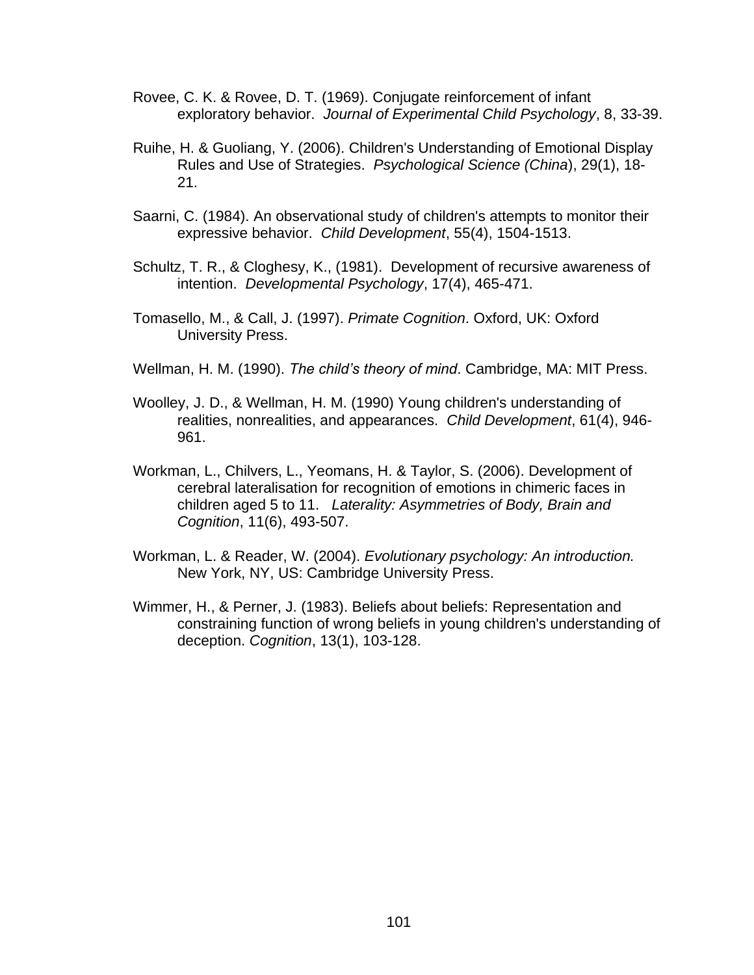- Rovee, C. K. & Rovee, D. T. (1969). Conjugate reinforcement of infant exploratory behavior. *Journal of Experimental Child Psychology*, 8, 33-39.
- Ruihe, H. & Guoliang, Y. (2006). Children's Understanding of Emotional Display Rules and Use of Strategies. *Psychological Science (China*), 29(1), 18- 21.
- Saarni, C. (1984). An observational study of children's attempts to monitor their expressive behavior. *Child Development*, 55(4), 1504-1513.
- Schultz, T. R., & Cloghesy, K., (1981). Development of recursive awareness of intention. *Developmental Psychology*, 17(4), 465-471.
- Tomasello, M., & Call, J. (1997). *Primate Cognition*. Oxford, UK: Oxford University Press.
- Wellman, H. M. (1990). *The child's theory of mind*. Cambridge, MA: MIT Press.
- Woolley, J. D., & Wellman, H. M. (1990) Young children's understanding of realities, nonrealities, and appearances. *Child Development*, 61(4), 946- 961.
- Workman, L., Chilvers, L., Yeomans, H. & Taylor, S. (2006). Development of cerebral lateralisation for recognition of emotions in chimeric faces in children aged 5 to 11. *Laterality: Asymmetries of Body, Brain and Cognition*, 11(6), 493-507.
- Workman, L. & Reader, W. (2004). *Evolutionary psychology: An introduction.* New York, NY, US: Cambridge University Press.
- Wimmer, H., & Perner, J. (1983). Beliefs about beliefs: Representation and constraining function of wrong beliefs in young children's understanding of deception. *Cognition*, 13(1), 103-128.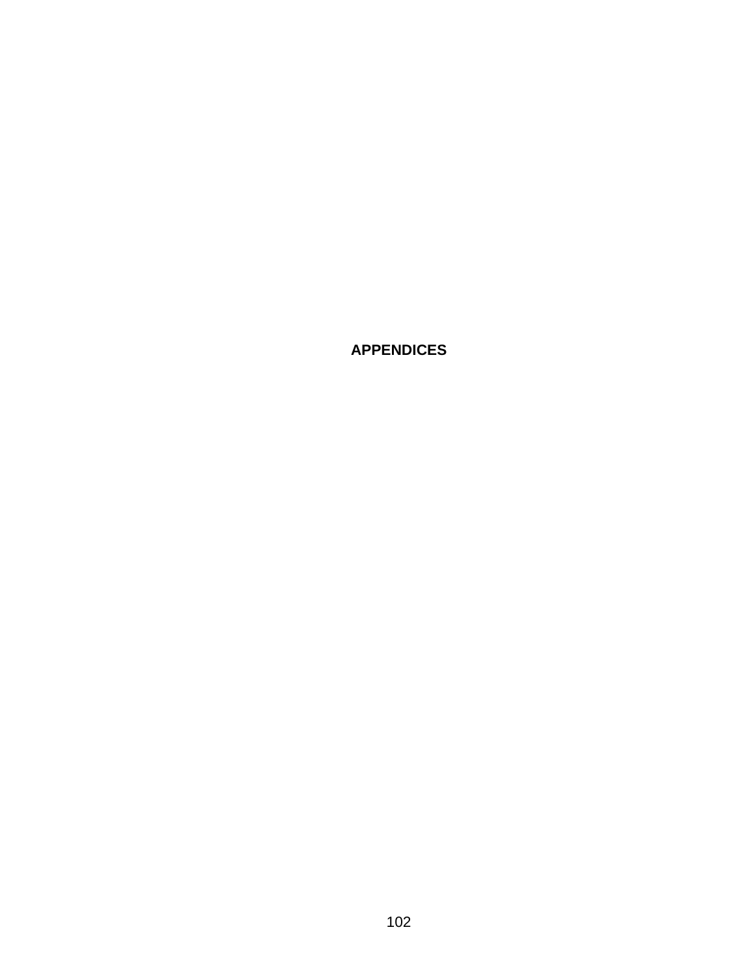**APPENDICES**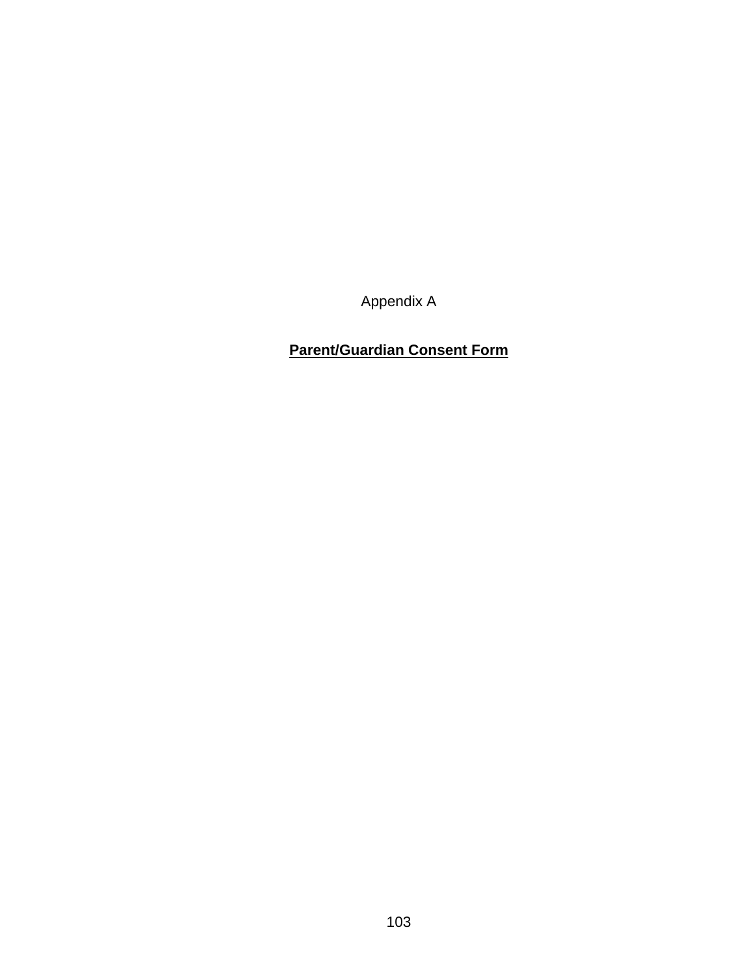Appendix A

## **Parent/Guardian Consent Form**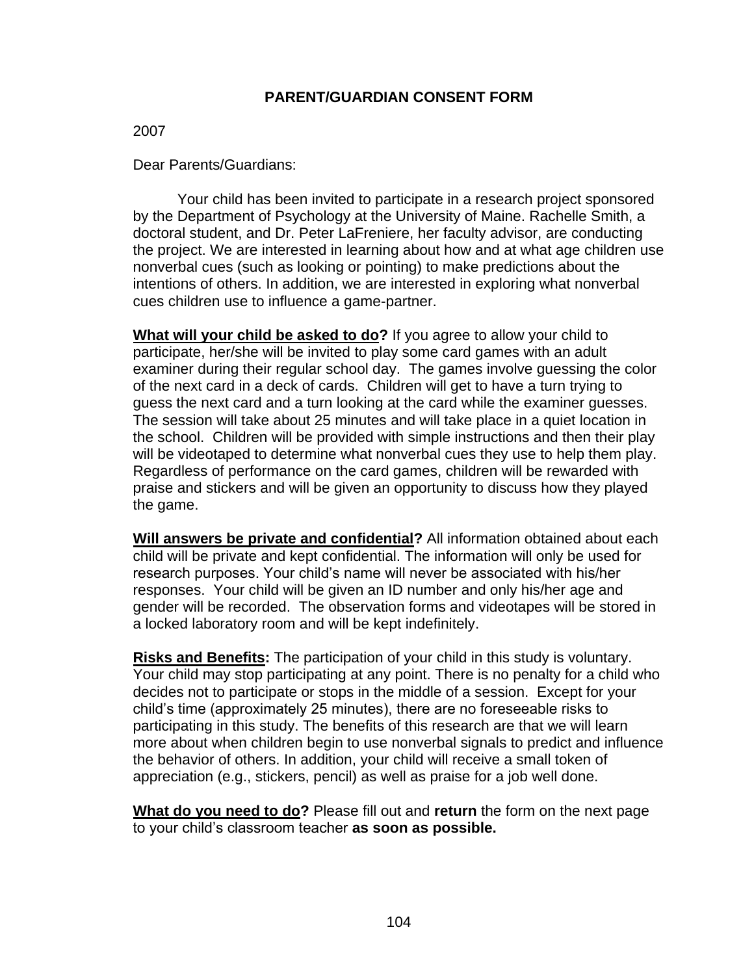#### **PARENT/GUARDIAN CONSENT FORM**

#### 2007

Dear Parents/Guardians:

Your child has been invited to participate in a research project sponsored by the Department of Psychology at the University of Maine. Rachelle Smith, a doctoral student, and Dr. Peter LaFreniere, her faculty advisor, are conducting the project. We are interested in learning about how and at what age children use nonverbal cues (such as looking or pointing) to make predictions about the intentions of others. In addition, we are interested in exploring what nonverbal cues children use to influence a game-partner.

**What will your child be asked to do?** If you agree to allow your child to participate, her/she will be invited to play some card games with an adult examiner during their regular school day. The games involve guessing the color of the next card in a deck of cards. Children will get to have a turn trying to guess the next card and a turn looking at the card while the examiner guesses. The session will take about 25 minutes and will take place in a quiet location in the school. Children will be provided with simple instructions and then their play will be videotaped to determine what nonverbal cues they use to help them play. Regardless of performance on the card games, children will be rewarded with praise and stickers and will be given an opportunity to discuss how they played the game.

**Will answers be private and confidential?** All information obtained about each child will be private and kept confidential. The information will only be used for research purposes. Your child's name will never be associated with his/her responses. Your child will be given an ID number and only his/her age and gender will be recorded. The observation forms and videotapes will be stored in a locked laboratory room and will be kept indefinitely.

**Risks and Benefits:** The participation of your child in this study is voluntary. Your child may stop participating at any point. There is no penalty for a child who decides not to participate or stops in the middle of a session. Except for your child's time (approximately 25 minutes), there are no foreseeable risks to participating in this study. The benefits of this research are that we will learn more about when children begin to use nonverbal signals to predict and influence the behavior of others. In addition, your child will receive a small token of appreciation (e.g., stickers, pencil) as well as praise for a job well done.

**What do you need to do?** Please fill out and **return** the form on the next page to your child's classroom teacher **as soon as possible.**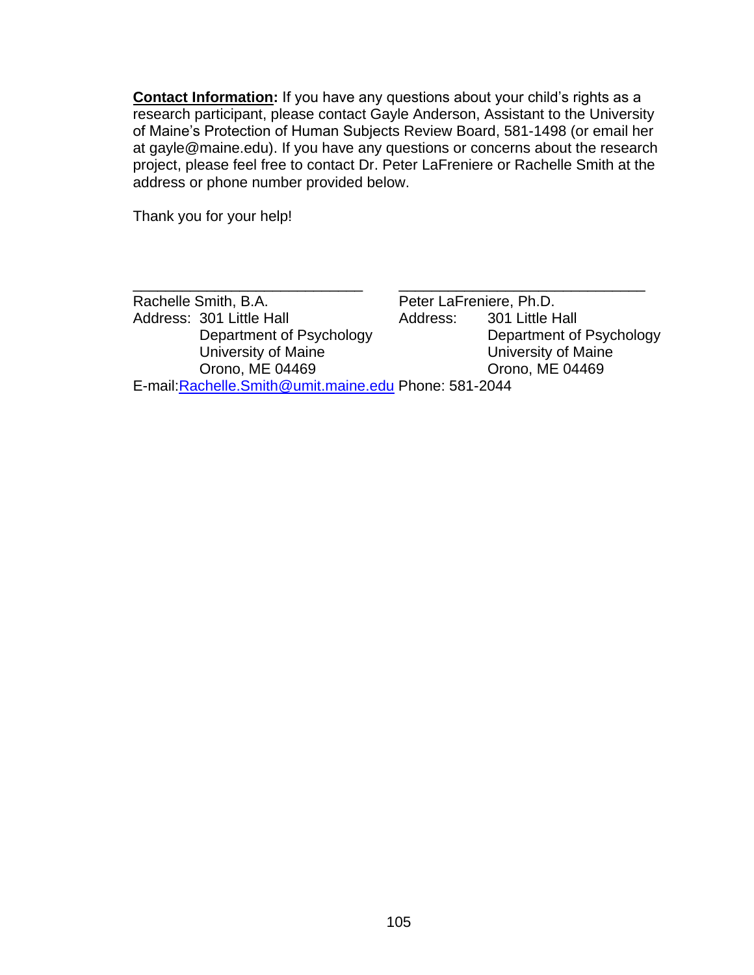**Contact Information:** If you have any questions about your child's rights as a research participant, please contact Gayle Anderson, Assistant to the University of Maine's Protection of Human Subjects Review Board, 581-1498 (or email her at gayle@maine.edu). If you have any questions or concerns about the research project, please feel free to contact Dr. Peter LaFreniere or Rachelle Smith at the address or phone number provided below.

Thank you for your help!

| Rachelle Smith, B.A.                                   |          | Peter LaFreniere, Ph.D.  |
|--------------------------------------------------------|----------|--------------------------|
| Address: 301 Little Hall                               | Address: | 301 Little Hall          |
| Department of Psychology                               |          | Department of Psychology |
| University of Maine                                    |          | University of Maine      |
| Orono, ME 04469                                        |          | Orono, ME 04469          |
| E-mail: Rachelle. Smith@umit.maine.edu Phone: 581-2044 |          |                          |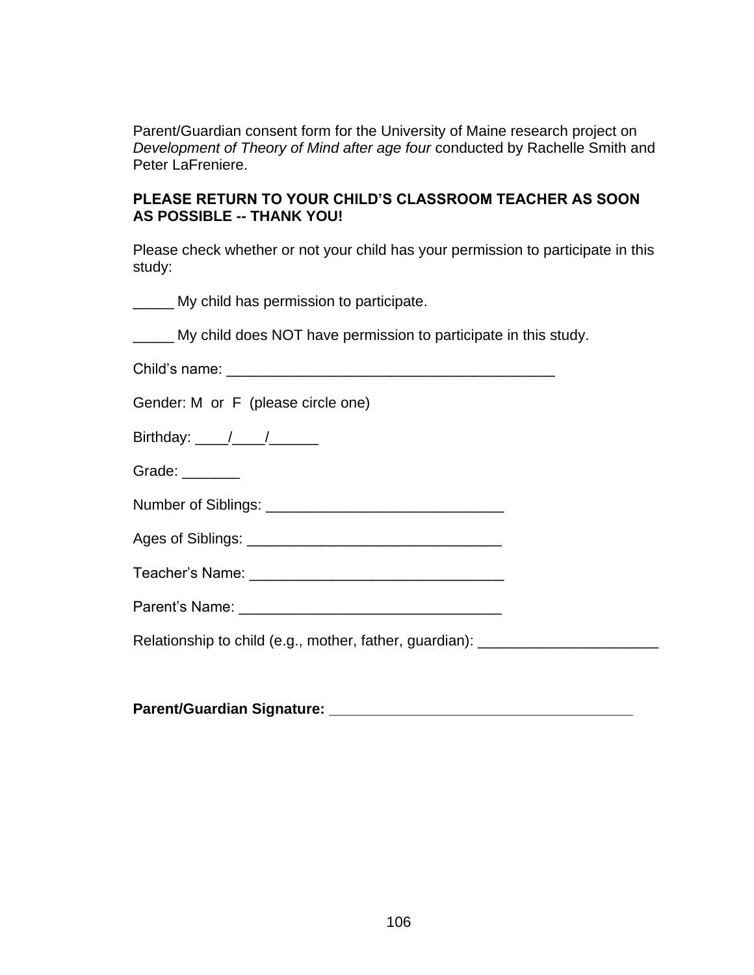Parent/Guardian consent form for the University of Maine research project on *Development of Theory of Mind after age four* conducted by Rachelle Smith and Peter LaFreniere.

#### **PLEASE RETURN TO YOUR CHILD'S CLASSROOM TEACHER AS SOON AS POSSIBLE -- THANK YOU!**

Please check whether or not your child has your permission to participate in this study:

\_\_\_\_\_ My child has permission to participate.

My child does NOT have permission to participate in this study.

Child's name: \_\_\_\_\_\_\_\_\_\_\_\_\_\_\_\_\_\_\_\_\_\_\_\_\_\_\_\_\_\_\_\_\_\_\_\_\_\_\_\_

Gender: M or F (please circle one)

Birthday:  $\frac{1}{2}$  /  $\frac{1}{2}$ 

Grade: \_\_\_\_\_\_\_

Number of Siblings: \_\_\_\_\_\_\_\_\_\_\_\_\_\_\_\_\_\_\_\_\_\_\_\_\_\_\_\_\_

Ages of Siblings: \_\_\_\_\_\_\_\_\_\_\_\_\_\_\_\_\_\_\_\_\_\_\_\_\_\_\_\_\_\_\_

Teacher's Name: **Example 20** 

Parent's Name: **Example 20** 

Relationship to child (e.g., mother, father, guardian): \_\_\_\_\_\_\_\_\_\_\_\_\_\_\_\_\_\_\_\_\_\_\_\_

| <b>Parent/Guardian Signature:</b> |  |
|-----------------------------------|--|
|                                   |  |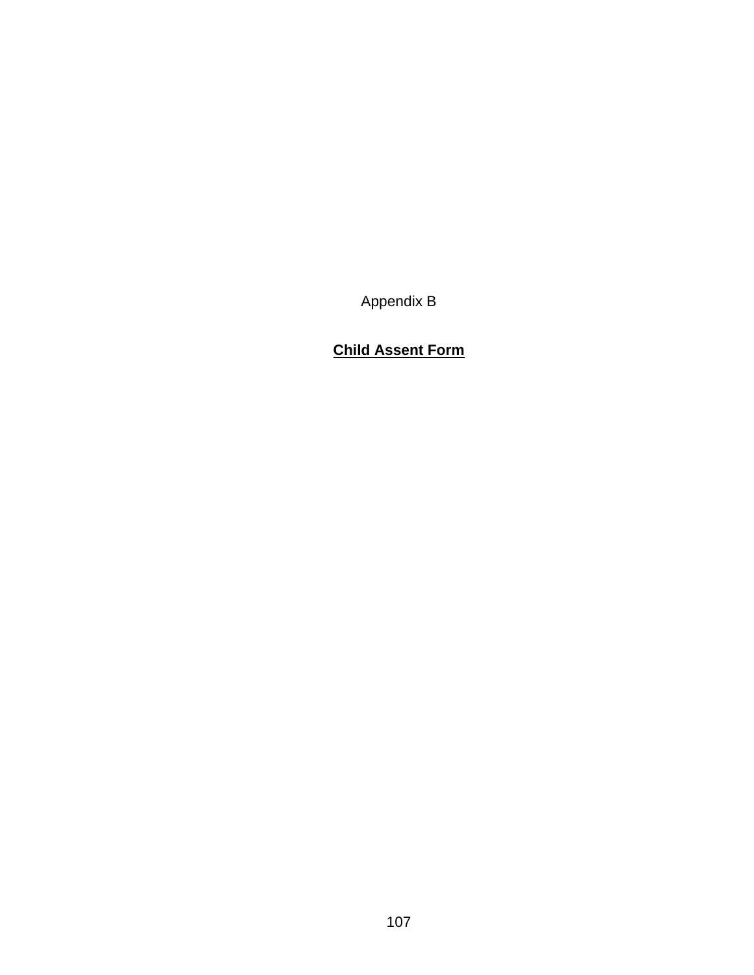Appendix B

## **Child Assent Form**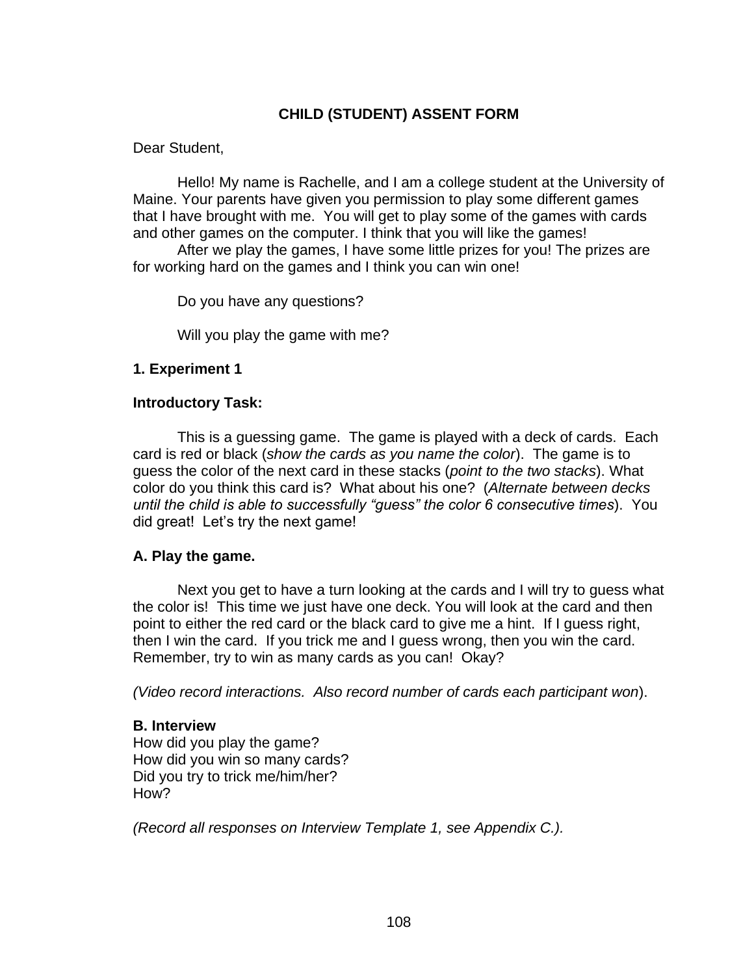### **CHILD (STUDENT) ASSENT FORM**

Dear Student,

Hello! My name is Rachelle, and I am a college student at the University of Maine. Your parents have given you permission to play some different games that I have brought with me. You will get to play some of the games with cards and other games on the computer. I think that you will like the games!

After we play the games, I have some little prizes for you! The prizes are for working hard on the games and I think you can win one!

Do you have any questions?

Will you play the game with me?

#### **1. Experiment 1**

#### **Introductory Task:**

This is a guessing game. The game is played with a deck of cards. Each card is red or black (*show the cards as you name the color*). The game is to guess the color of the next card in these stacks (*point to the two stacks*). What color do you think this card is? What about his one? (*Alternate between decks until the child is able to successfully "guess" the color 6 consecutive times*). You did great! Let's try the next game!

### **A. Play the game.**

Next you get to have a turn looking at the cards and I will try to guess what the color is! This time we just have one deck. You will look at the card and then point to either the red card or the black card to give me a hint. If I guess right, then I win the card. If you trick me and I guess wrong, then you win the card. Remember, try to win as many cards as you can! Okay?

*(Video record interactions. Also record number of cards each participant won*).

#### **B. Interview**

How did you play the game? How did you win so many cards? Did you try to trick me/him/her? How?

*(Record all responses on Interview Template 1, see Appendix C.).*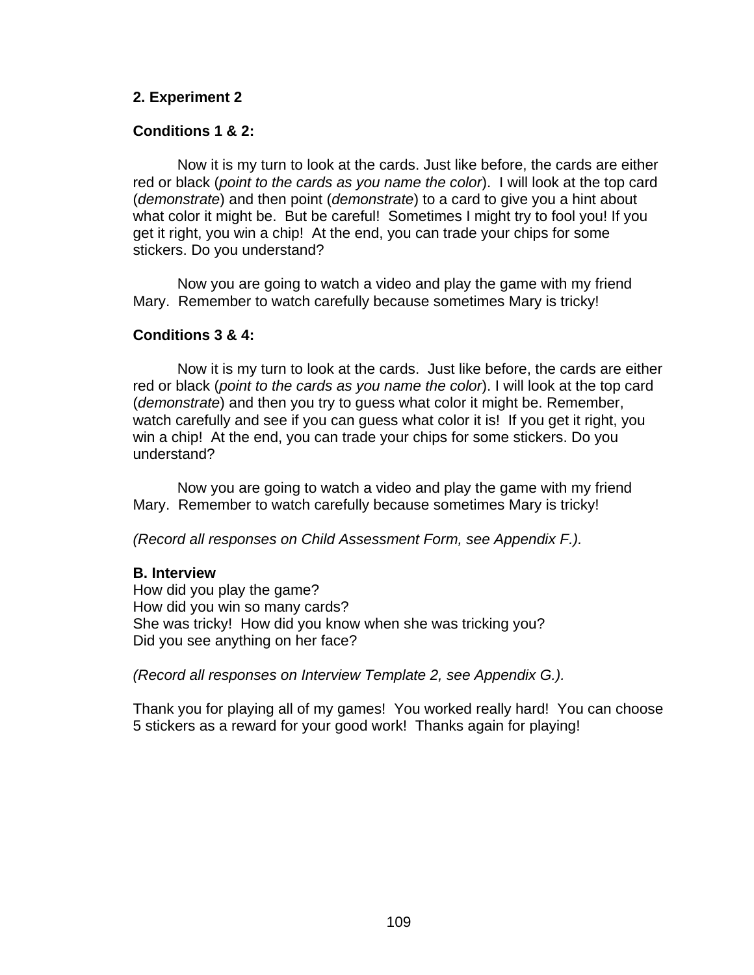#### **2. Experiment 2**

#### **Conditions 1 & 2:**

Now it is my turn to look at the cards. Just like before, the cards are either red or black (*point to the cards as you name the color*). I will look at the top card (*demonstrate*) and then point (*demonstrate*) to a card to give you a hint about what color it might be. But be careful! Sometimes I might try to fool you! If you get it right, you win a chip! At the end, you can trade your chips for some stickers. Do you understand?

Now you are going to watch a video and play the game with my friend Mary. Remember to watch carefully because sometimes Mary is tricky!

#### **Conditions 3 & 4:**

Now it is my turn to look at the cards. Just like before, the cards are either red or black (*point to the cards as you name the color*). I will look at the top card (*demonstrate*) and then you try to guess what color it might be. Remember, watch carefully and see if you can guess what color it is! If you get it right, you win a chip! At the end, you can trade your chips for some stickers. Do you understand?

Now you are going to watch a video and play the game with my friend Mary. Remember to watch carefully because sometimes Mary is tricky!

*(Record all responses on Child Assessment Form, see Appendix F.).*

#### **B. Interview**

How did you play the game? How did you win so many cards? She was tricky! How did you know when she was tricking you? Did you see anything on her face?

*(Record all responses on Interview Template 2, see Appendix G.).*

Thank you for playing all of my games! You worked really hard! You can choose 5 stickers as a reward for your good work! Thanks again for playing!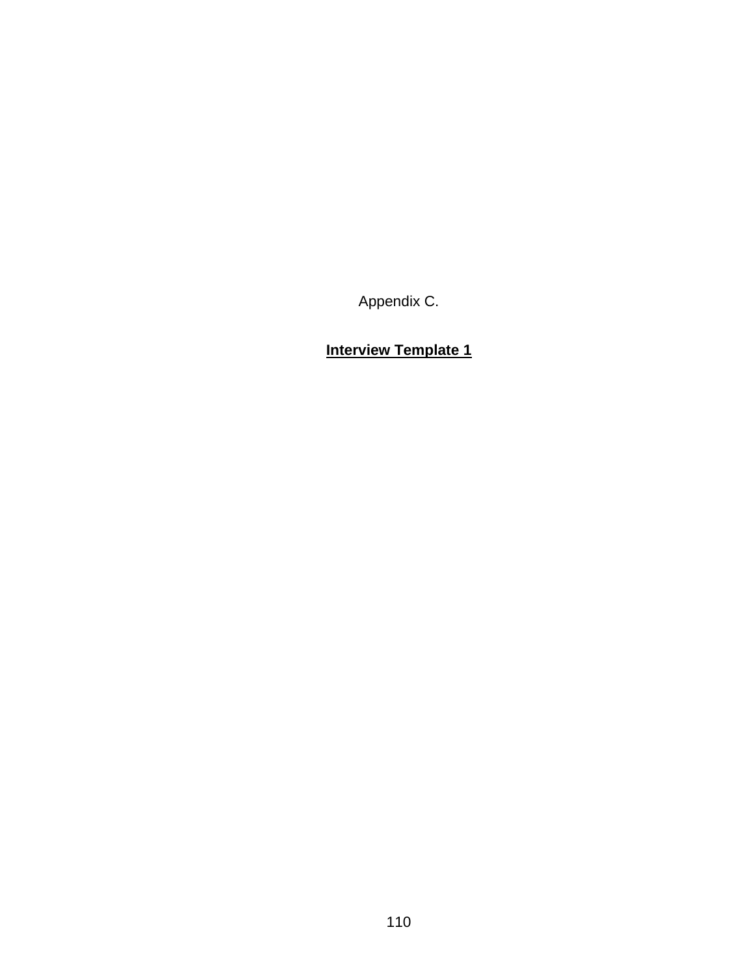Appendix C.

**Interview Template 1**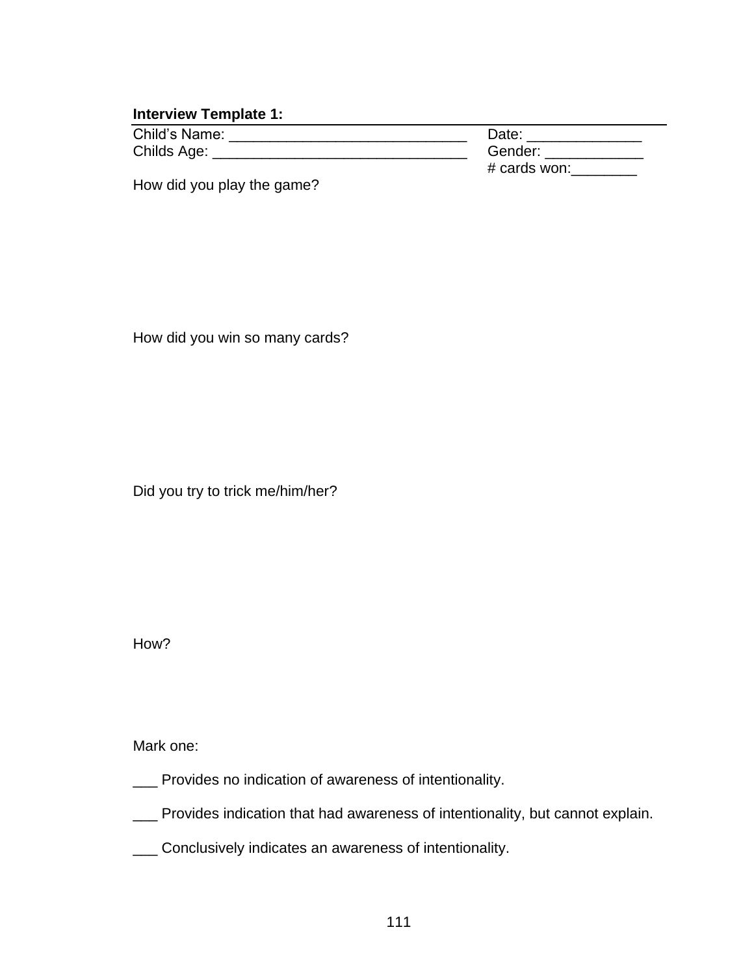### **Interview Template 1:**

| Child's Name: | Date:        |
|---------------|--------------|
| Childs Age:   | Gender:      |
|               | # cards won: |

How did you play the game?

How did you win so many cards?

Did you try to trick me/him/her?

How?

Mark one:

- \_\_\_ Provides no indication of awareness of intentionality.
- \_\_\_ Provides indication that had awareness of intentionality, but cannot explain.
- \_\_\_ Conclusively indicates an awareness of intentionality.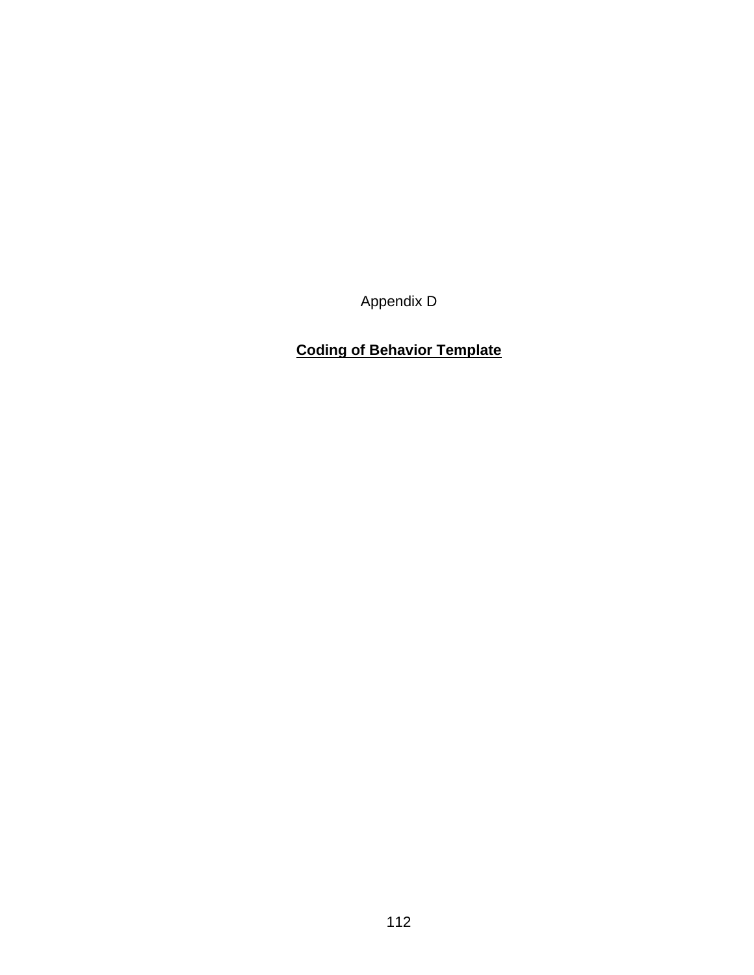Appendix D

## **Coding of Behavior Template**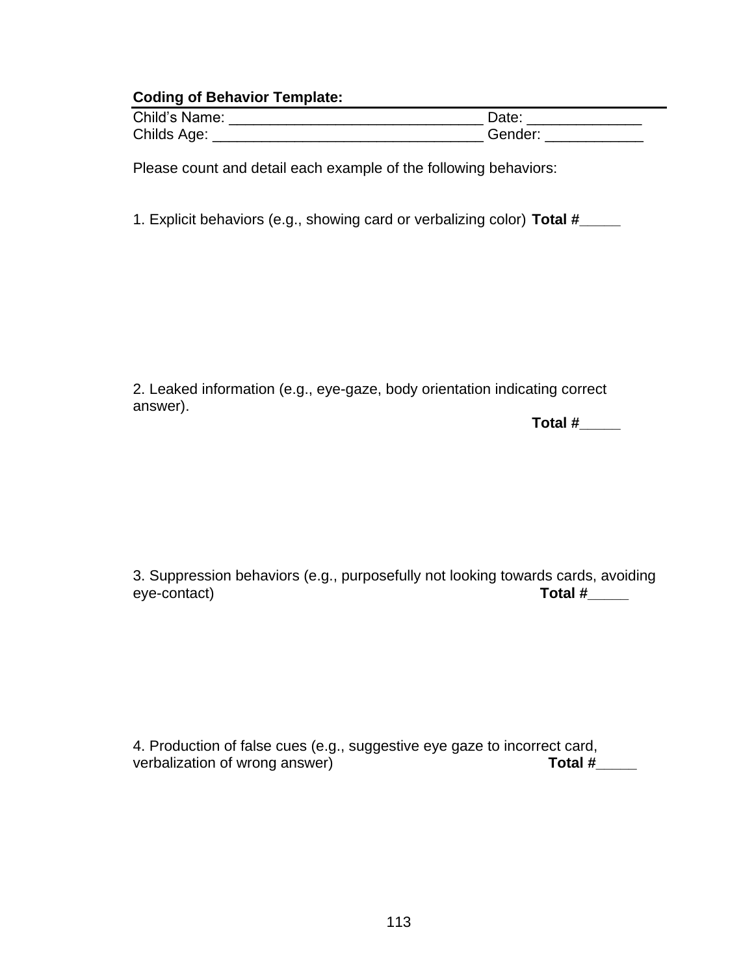#### **Coding of Behavior Template:**

| Child's Name: | Jate    |
|---------------|---------|
| Childs Age:   | Gender: |

Please count and detail each example of the following behaviors:

1. Explicit behaviors (e.g., showing card or verbalizing color) **Total #\_\_\_\_\_**

2. Leaked information (e.g., eye-gaze, body orientation indicating correct answer).

**Total #\_\_\_\_\_**

3. Suppression behaviors (e.g., purposefully not looking towards cards, avoiding eye-contact) and the set of the set of the set of the set of the set of the set of the set of the set of the set of the set of the set of the set of the set of the set of the set of the set of the set of the set of the set

4. Production of false cues (e.g., suggestive eye gaze to incorrect card, verbalization of wrong answer) **Total #\_\_\_\_\_**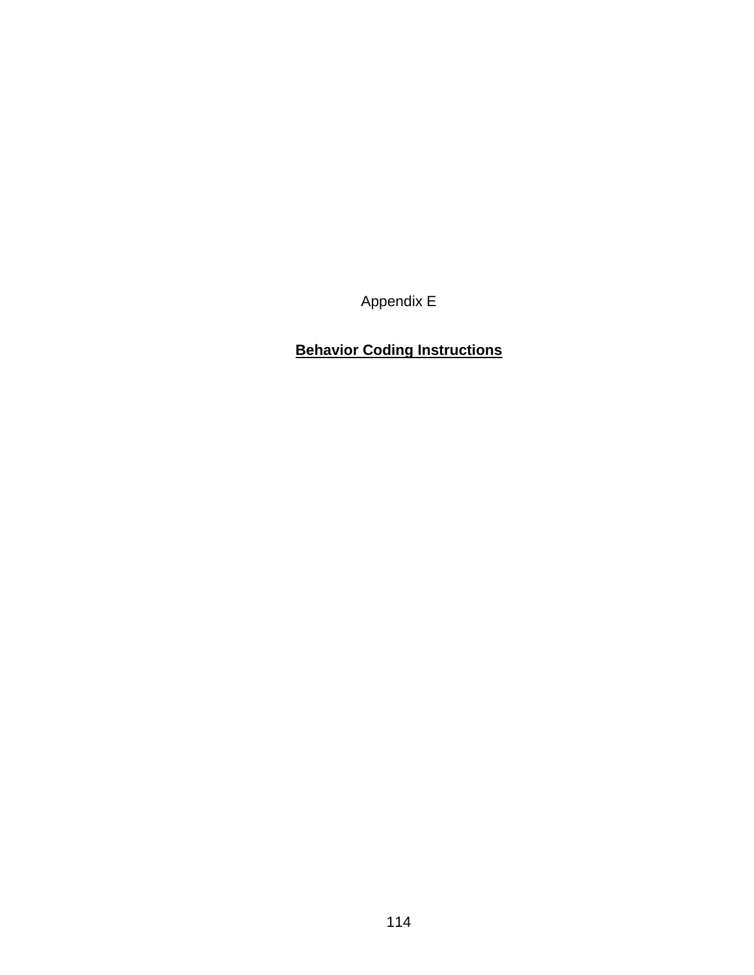Appendix E

## **Behavior Coding Instructions**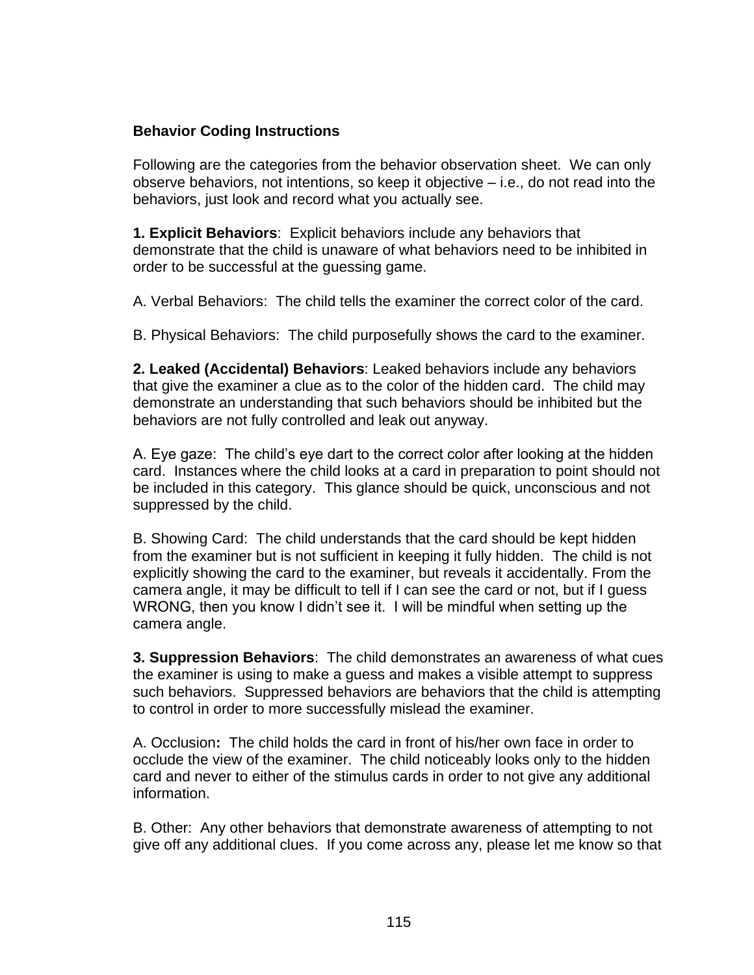#### **Behavior Coding Instructions**

Following are the categories from the behavior observation sheet. We can only observe behaviors, not intentions, so keep it objective – i.e., do not read into the behaviors, just look and record what you actually see.

**1. Explicit Behaviors**: Explicit behaviors include any behaviors that demonstrate that the child is unaware of what behaviors need to be inhibited in order to be successful at the guessing game.

A. Verbal Behaviors: The child tells the examiner the correct color of the card.

B. Physical Behaviors: The child purposefully shows the card to the examiner.

**2. Leaked (Accidental) Behaviors**: Leaked behaviors include any behaviors that give the examiner a clue as to the color of the hidden card. The child may demonstrate an understanding that such behaviors should be inhibited but the behaviors are not fully controlled and leak out anyway.

A. Eye gaze: The child's eye dart to the correct color after looking at the hidden card. Instances where the child looks at a card in preparation to point should not be included in this category. This glance should be quick, unconscious and not suppressed by the child.

B. Showing Card: The child understands that the card should be kept hidden from the examiner but is not sufficient in keeping it fully hidden. The child is not explicitly showing the card to the examiner, but reveals it accidentally. From the camera angle, it may be difficult to tell if I can see the card or not, but if I guess WRONG, then you know I didn't see it. I will be mindful when setting up the camera angle.

**3. Suppression Behaviors**: The child demonstrates an awareness of what cues the examiner is using to make a guess and makes a visible attempt to suppress such behaviors. Suppressed behaviors are behaviors that the child is attempting to control in order to more successfully mislead the examiner.

A. Occlusion**:** The child holds the card in front of his/her own face in order to occlude the view of the examiner. The child noticeably looks only to the hidden card and never to either of the stimulus cards in order to not give any additional information.

B. Other: Any other behaviors that demonstrate awareness of attempting to not give off any additional clues. If you come across any, please let me know so that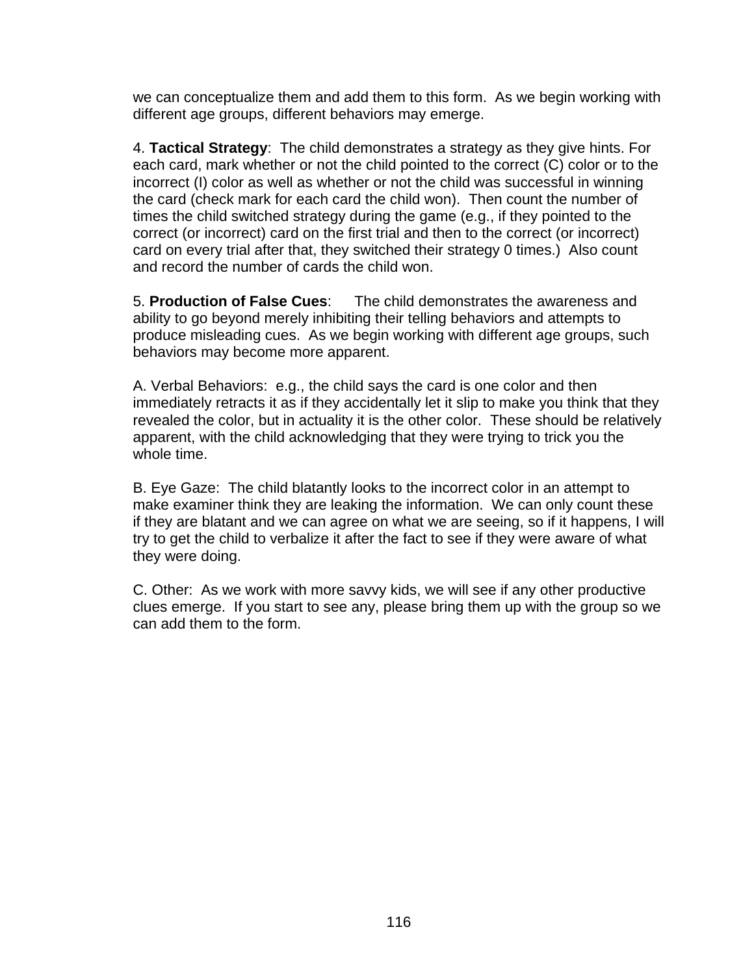we can conceptualize them and add them to this form. As we begin working with different age groups, different behaviors may emerge.

4. **Tactical Strategy**: The child demonstrates a strategy as they give hints. For each card, mark whether or not the child pointed to the correct (C) color or to the incorrect (I) color as well as whether or not the child was successful in winning the card (check mark for each card the child won). Then count the number of times the child switched strategy during the game (e.g., if they pointed to the correct (or incorrect) card on the first trial and then to the correct (or incorrect) card on every trial after that, they switched their strategy 0 times.) Also count and record the number of cards the child won.

5. **Production of False Cues**: The child demonstrates the awareness and ability to go beyond merely inhibiting their telling behaviors and attempts to produce misleading cues. As we begin working with different age groups, such behaviors may become more apparent.

A. Verbal Behaviors: e.g., the child says the card is one color and then immediately retracts it as if they accidentally let it slip to make you think that they revealed the color, but in actuality it is the other color. These should be relatively apparent, with the child acknowledging that they were trying to trick you the whole time.

B. Eye Gaze: The child blatantly looks to the incorrect color in an attempt to make examiner think they are leaking the information. We can only count these if they are blatant and we can agree on what we are seeing, so if it happens, I will try to get the child to verbalize it after the fact to see if they were aware of what they were doing.

C. Other: As we work with more savvy kids, we will see if any other productive clues emerge. If you start to see any, please bring them up with the group so we can add them to the form.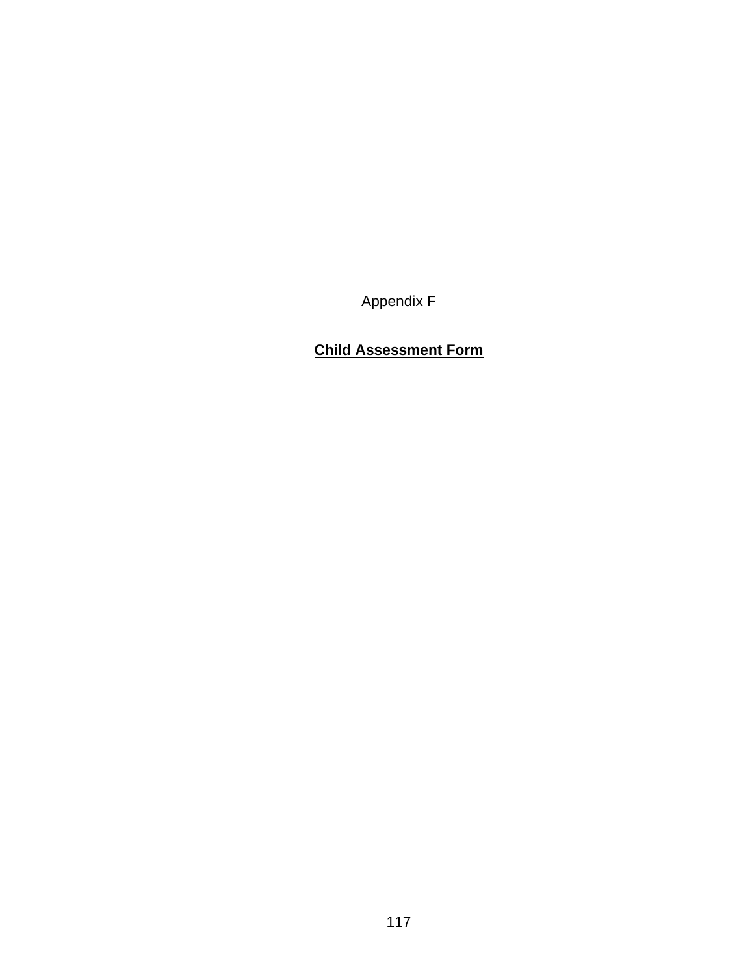Appendix F

## **Child Assessment Form**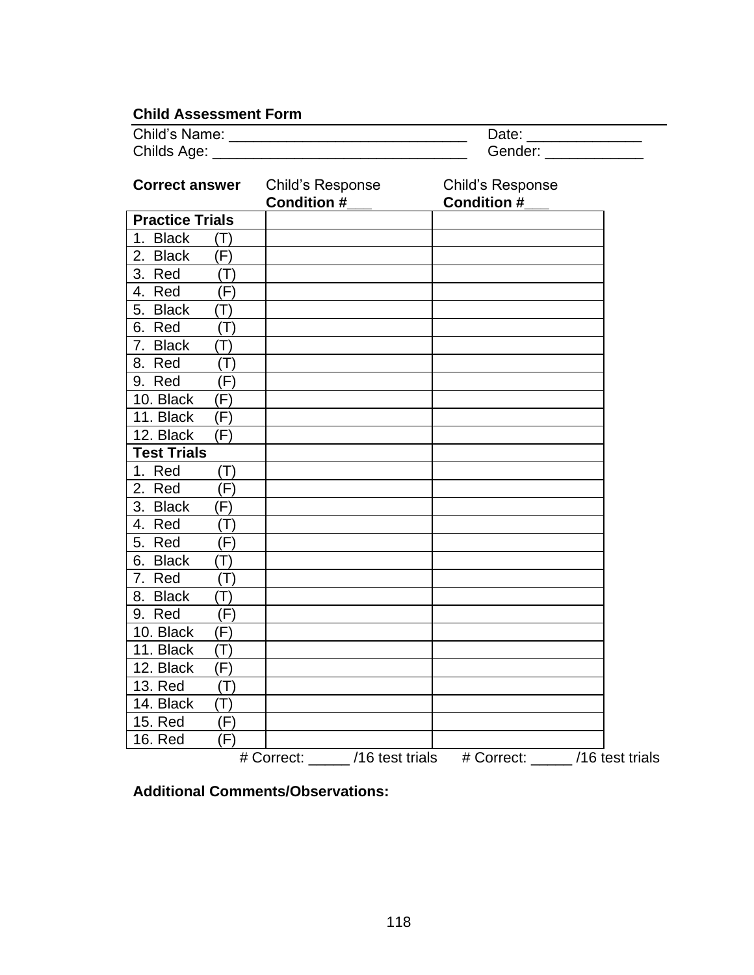### **Child Assessment Form**

| Child's Name: | Date:   |
|---------------|---------|
| Childs Age:   | Gender: |

-

| <b>Correct answer</b>          | Child's Response<br><b>Condition #</b> | Child's Response<br><b>Condition #</b> |  |
|--------------------------------|----------------------------------------|----------------------------------------|--|
| <b>Practice Trials</b>         |                                        |                                        |  |
| 1. Black<br>$(\mathsf{T})$     |                                        |                                        |  |
| 2. Black<br>(F)                |                                        |                                        |  |
| 3. Red<br>(T)                  |                                        |                                        |  |
| 4. Red<br>(F)                  |                                        |                                        |  |
| 5. Black<br>$(\mathsf{T})$     |                                        |                                        |  |
| 6. Red<br>(T)                  |                                        |                                        |  |
| 7. Black<br>$(\mathsf{T})$     |                                        |                                        |  |
| 8. Red<br>$(\mathsf{T})$       |                                        |                                        |  |
| (F)<br>9. Red                  |                                        |                                        |  |
| 10. Black<br>(F)               |                                        |                                        |  |
| 11. Black<br>(F)               |                                        |                                        |  |
| 12. Black<br>(F)               |                                        |                                        |  |
| <b>Test Trials</b>             |                                        |                                        |  |
| 1. Red<br>(T)                  |                                        |                                        |  |
| 2. Red<br>(F)                  |                                        |                                        |  |
| 3. Black<br>(F)                |                                        |                                        |  |
| 4.<br>Red<br>$(\mathsf{T})$    |                                        |                                        |  |
| 5. Red<br>(F)                  |                                        |                                        |  |
| 6. Black<br>$(\mathsf{T})$     |                                        |                                        |  |
| 7. Red<br>$(\mathsf{T})$       |                                        |                                        |  |
| 8. Black<br>$(\mathsf{T})$     |                                        |                                        |  |
| 9. Red<br>(F)                  |                                        |                                        |  |
| $\overline{10}$ . Black<br>(F) |                                        |                                        |  |
| 11. Black<br>$(\mathsf{T})$    |                                        |                                        |  |
| 12. Black<br>(F)               |                                        |                                        |  |
| 13. Red<br>(T)                 |                                        |                                        |  |
| 14. Black<br>$(\mathsf{T})$    |                                        |                                        |  |
| <b>15. Red</b><br>(F)          |                                        |                                        |  |
| <b>16. Red</b><br>(F)          |                                        |                                        |  |
|                                | # Correct: /16 test trials             | # Correct: /16 test trials             |  |

**Additional Comments/Observations:**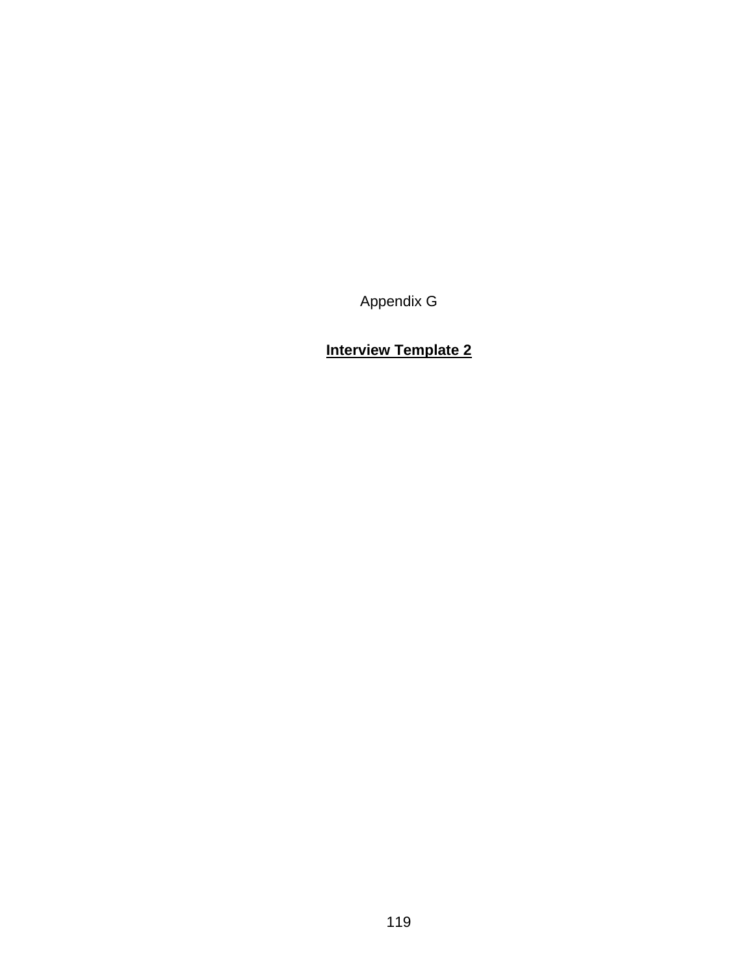Appendix G

# **Interview Template 2**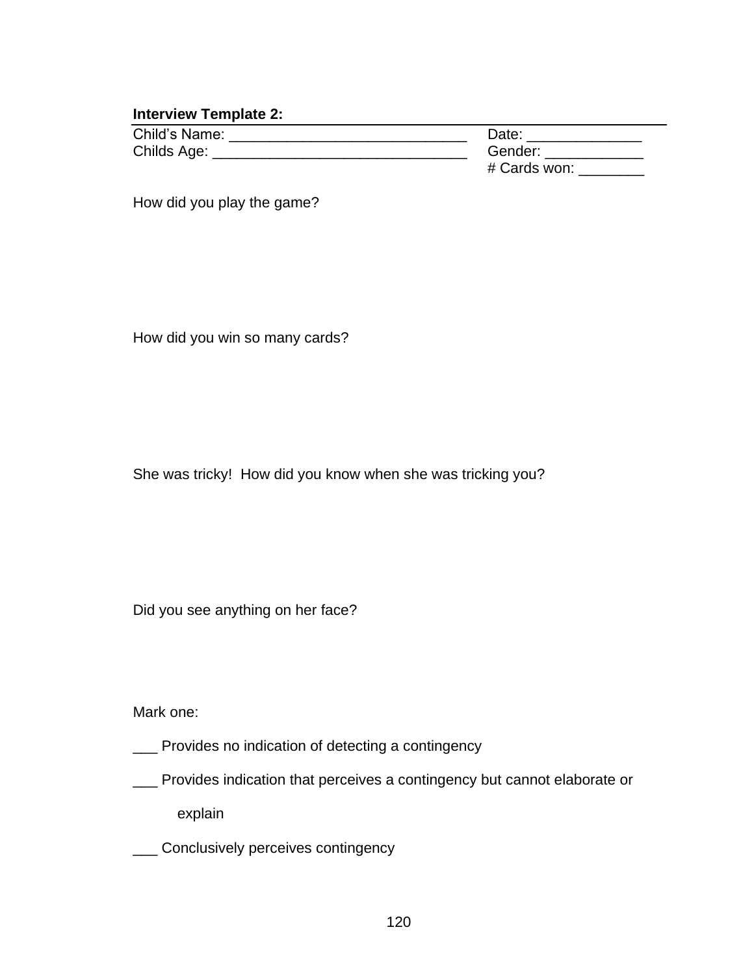#### **Interview Template 2:**

| Child's Name: | Date:        |
|---------------|--------------|
| Childs Age:   | Gender:      |
|               | # Cards won: |

How did you play the game?

How did you win so many cards?

She was tricky! How did you know when she was tricking you?

Did you see anything on her face?

Mark one:

- \_\_\_ Provides no indication of detecting a contingency
- \_\_\_ Provides indication that perceives a contingency but cannot elaborate or

explain

\_\_\_ Conclusively perceives contingency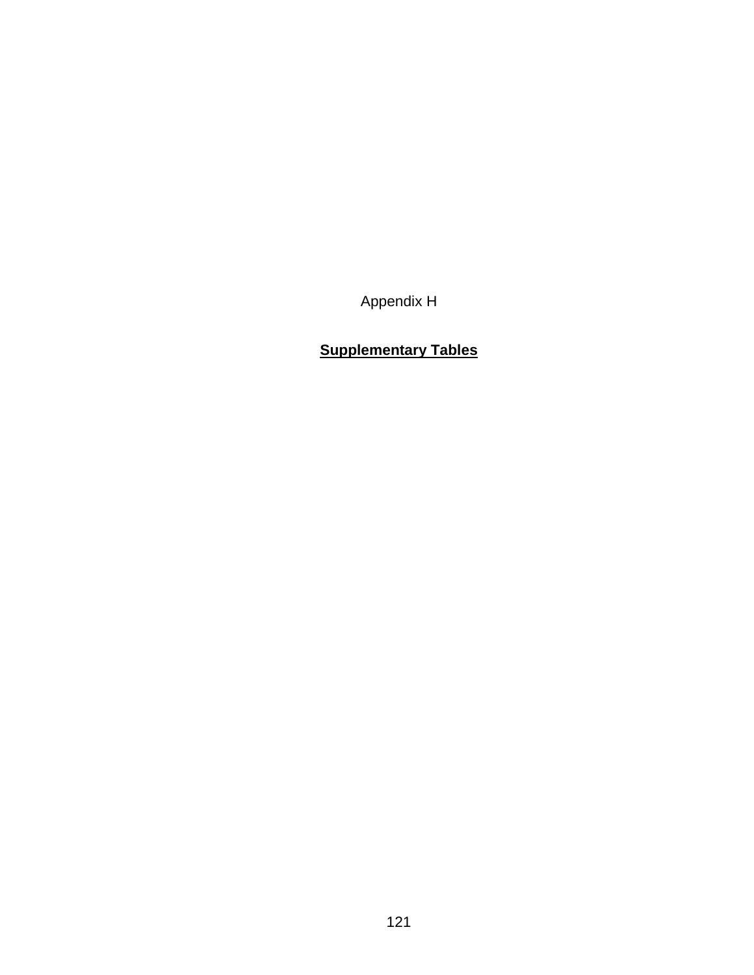Appendix H

## **Supplementary Tables**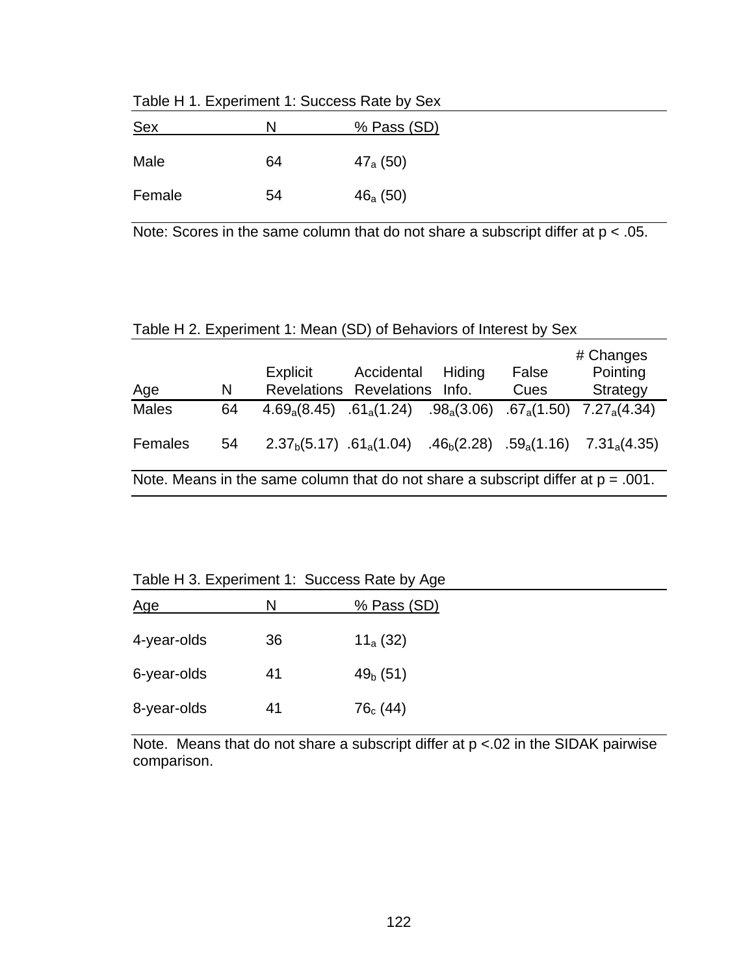| Sex    | N  | % Pass (SD)   |
|--------|----|---------------|
| Male   | 64 | $47_{a}$ (50) |
| Female | 54 | $46_{a}$ (50) |

Table H 1. Experiment 1: Success Rate by Sex

Note: Scores in the same column that do not share a subscript differ at p < .05.

#### Table H 2. Experiment 1: Mean (SD) of Behaviors of Interest by Sex

| <u>Age</u>   | N  | Explicit<br><b>Revelations Revelations</b>                                          | Accidental                  | Hiding<br>Info. | False<br>Cues | # Changes<br>Pointing<br>Strategy                                                                                         |
|--------------|----|-------------------------------------------------------------------------------------|-----------------------------|-----------------|---------------|---------------------------------------------------------------------------------------------------------------------------|
| <b>Males</b> | 64 | $4.69_{\rm a}(8.45)$                                                                | $.61_a(1.24)$ $.98_a(3.06)$ |                 |               | $.67_{a}(1.50)$ $7.27_{a}(4.34)$                                                                                          |
| Females      | 54 |                                                                                     |                             |                 |               | 2.37 <sub>b</sub> (5.17) .61 <sub>a</sub> (1.04) .46 <sub>b</sub> (2.28) .59 <sub>a</sub> (1.16) 7.31 <sub>a</sub> (4.35) |
|              |    | Note. Means in the same column that do not share a subscript differ at $p = .001$ . |                             |                 |               |                                                                                                                           |

Table H 3. Experiment 1: Success Rate by Age

| Age         | N  | % Pass (SD)   |
|-------------|----|---------------|
| 4-year-olds | 36 | $11_{a}$ (32) |
| 6-year-olds | 41 | $49b$ (51)    |
| 8-year-olds | 41 | $76_c (44)$   |

Note. Means that do not share a subscript differ at p <.02 in the SIDAK pairwise comparison.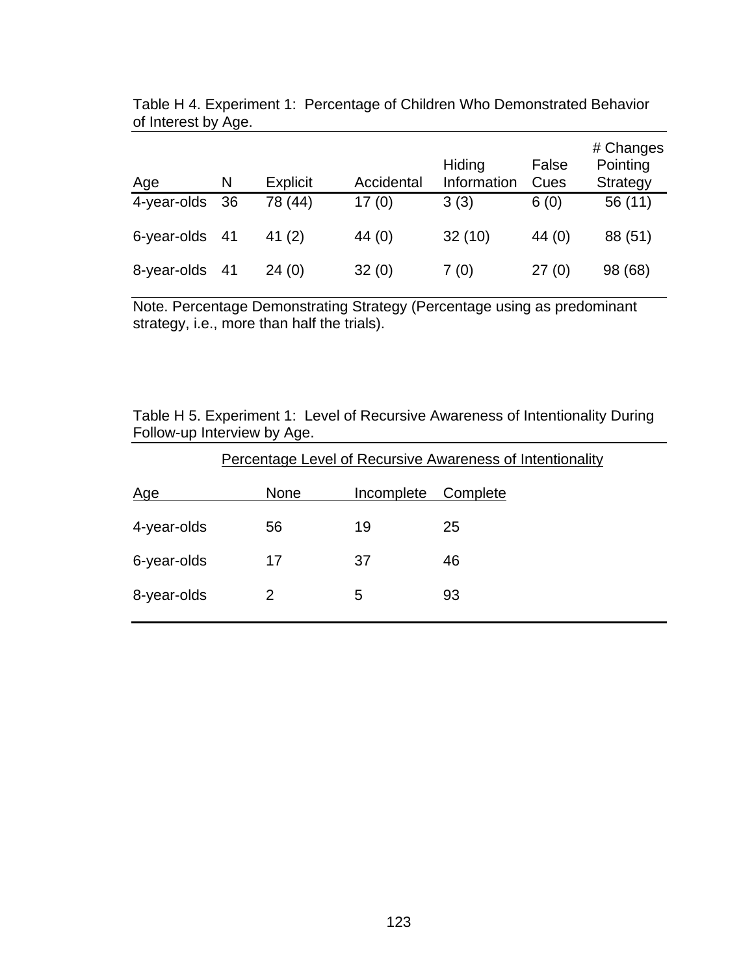| Age         | N   | <b>Explicit</b> | Accidental | Hiding<br>Information | False<br>Cues | # Changes<br>Pointing<br>Strategy |
|-------------|-----|-----------------|------------|-----------------------|---------------|-----------------------------------|
| 4-year-olds | -36 | 78 (44)         | 17(0)      | 3(3)                  | 6(0)          | 56 (11)                           |
| 6-year-olds | -41 | 41 $(2)$        | 44 $(0)$   | 32(10)                | 44 $(0)$      | 88 (51)                           |
| 8-year-olds | 41  | 24(0)           | 32(0)      | 7(0)                  | 27(0)         | 98 (68)                           |

Table H 4. Experiment 1: Percentage of Children Who Demonstrated Behavior of Interest by Age.

Note. Percentage Demonstrating Strategy (Percentage using as predominant strategy, i.e., more than half the trials).

Table H 5. Experiment 1: Level of Recursive Awareness of Intentionality During Follow-up Interview by Age.

|             | Percentage Level of Recursive Awareness of Intentionality |            |          |  |
|-------------|-----------------------------------------------------------|------------|----------|--|
| <u>Age</u>  | <b>None</b>                                               | Incomplete | Complete |  |
| 4-year-olds | 56                                                        | 19         | 25       |  |
| 6-year-olds | 17                                                        | 37         | 46       |  |
| 8-year-olds |                                                           | 5          | 93       |  |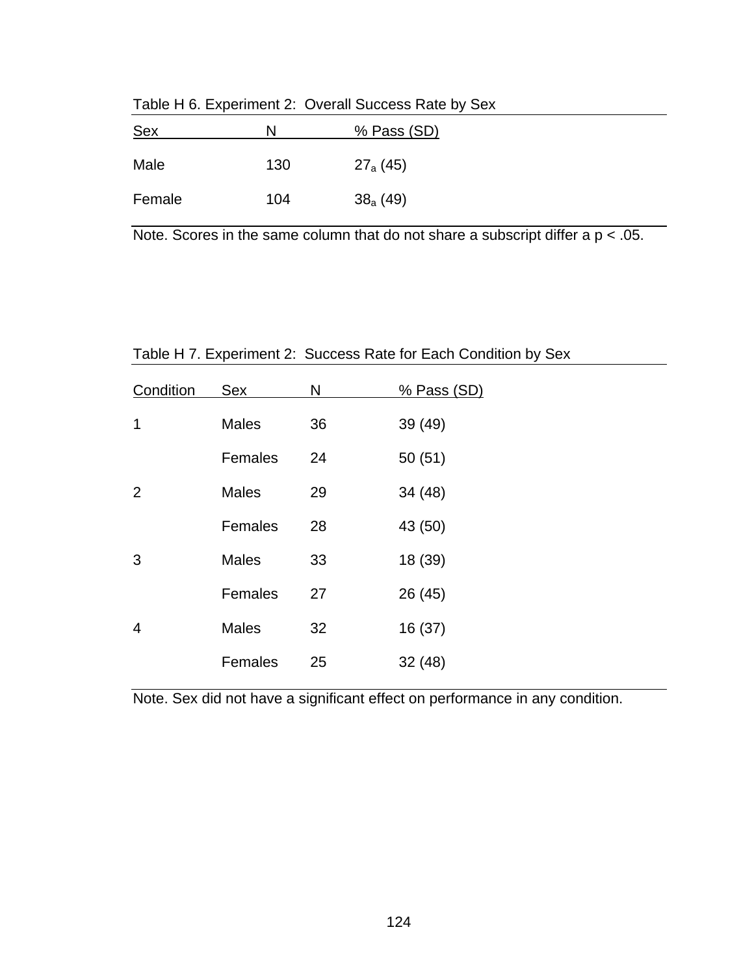| <u>Sex</u> | N   | % Pass (SD)   |
|------------|-----|---------------|
| Male       | 130 | $27_{a}$ (45) |
| Female     | 104 | $38_{a}$ (49) |

Table H 6. Experiment 2: Overall Success Rate by Sex

Note. Scores in the same column that do not share a subscript differ a  $p < .05$ .

| Condition | Sex          | N  | % Pass (SD) |
|-----------|--------------|----|-------------|
| 1         | <b>Males</b> | 36 | 39 (49)     |
|           | Females      | 24 | 50(51)      |
| 2         | <b>Males</b> | 29 | 34 (48)     |
|           | Females      | 28 | 43 (50)     |
| 3         | <b>Males</b> | 33 | 18 (39)     |
|           | Females      | 27 | 26 (45)     |
| 4         | <b>Males</b> | 32 | 16 (37)     |
|           | Females      | 25 | 32(48)      |

Table H 7. Experiment 2: Success Rate for Each Condition by Sex

Note. Sex did not have a significant effect on performance in any condition.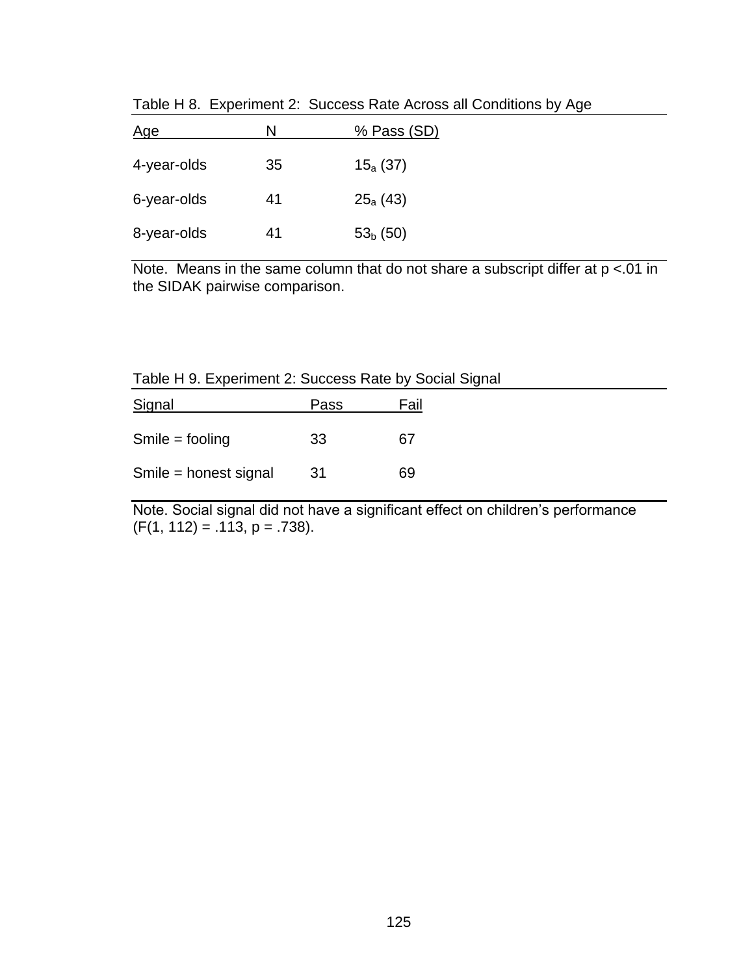| <u>Age</u>  | N  | % Pass (SD)   |
|-------------|----|---------------|
| 4-year-olds | 35 | $15_{a}$ (37) |
| 6-year-olds | 41 | $25_{a}$ (43) |
| 8-year-olds | 41 | $53b$ (50)    |

Table H 8. Experiment 2: Success Rate Across all Conditions by Age

Note. Means in the same column that do not share a subscript differ at  $p < 01$  in the SIDAK pairwise comparison.

|                       | Table H 9. Experiment 2: Success Rate by Social Signal |      |  |
|-----------------------|--------------------------------------------------------|------|--|
| Signal                | Pass                                                   | Fail |  |
| $Smile = fooling$     | 33                                                     | 67   |  |
| Smile = honest signal | 31                                                     | 69   |  |

Note. Social signal did not have a significant effect on children's performance  $(F(1, 112) = .113, p = .738).$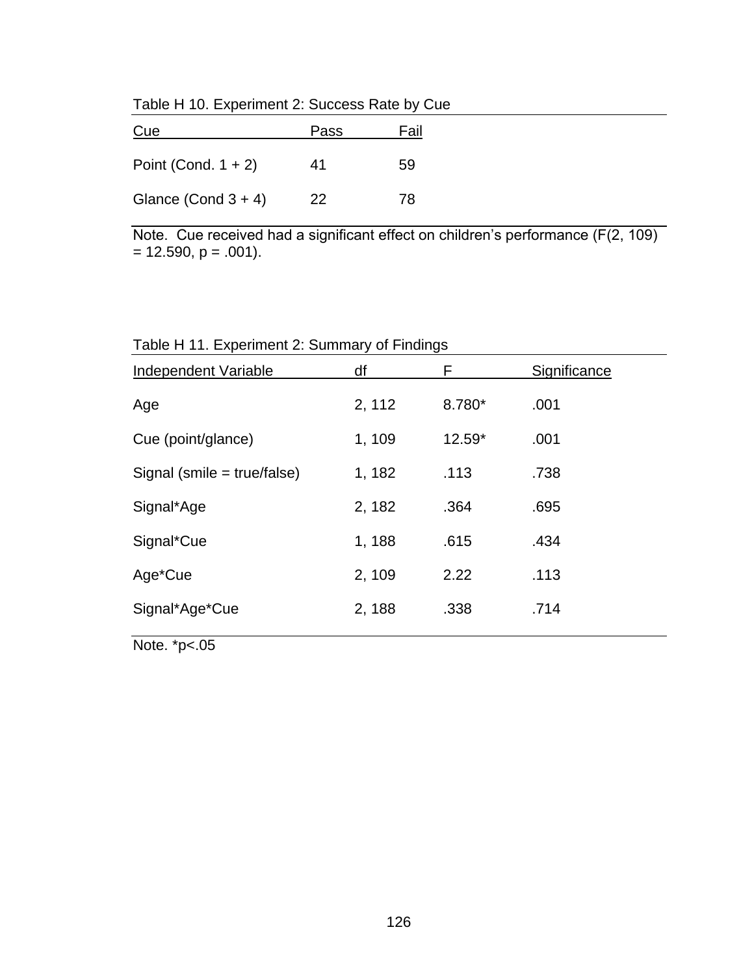Table H 10. Experiment 2: Success Rate by Cue

| Cue                    | Pass | Fail |
|------------------------|------|------|
| Point (Cond. $1 + 2$ ) | 41   | 59   |
| Glance (Cond $3 + 4$ ) | 22   | 78   |

Note. Cue received had a significant effect on children's performance (F(2, 109)  $= 12.590, p = .001$ ).

Table H 11. Experiment 2: Summary of Findings

| df     | F        | Significance |
|--------|----------|--------------|
| 2, 112 | 8.780*   | .001         |
| 1, 109 | $12.59*$ | .001         |
| 1, 182 | .113     | .738         |
| 2, 182 | .364     | .695         |
| 1, 188 | .615     | .434         |
| 2, 109 | 2.22     | .113         |
| 2, 188 | .338     | .714         |
|        |          |              |

Note. \*p<.05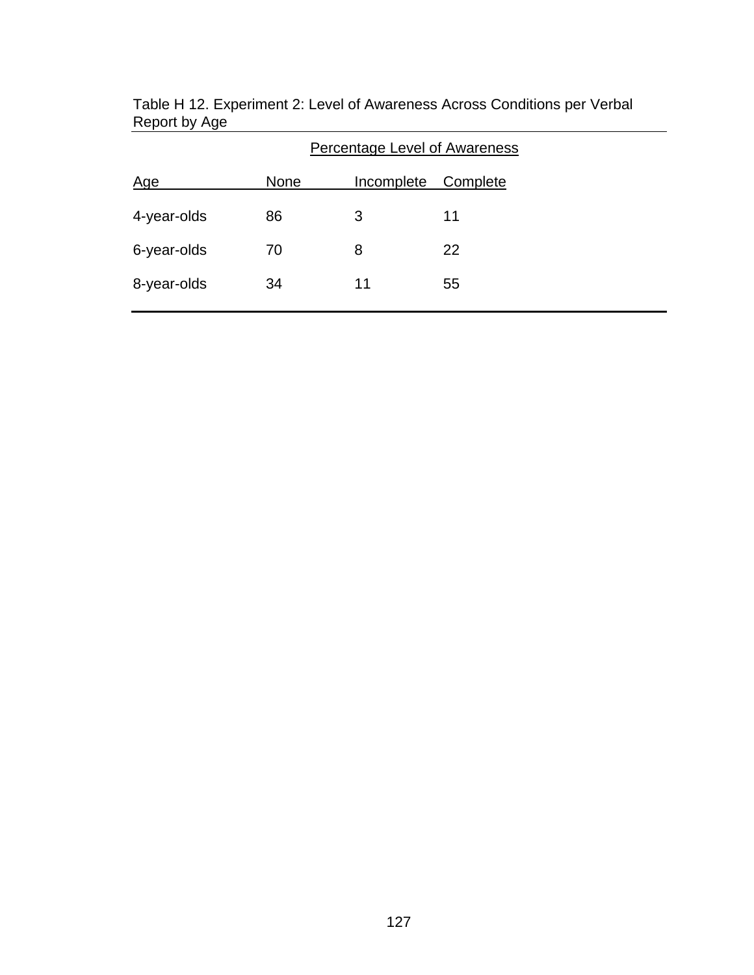|             | <b>Percentage Level of Awareness</b> |            |          |
|-------------|--------------------------------------|------------|----------|
| <u>Age</u>  | <b>None</b>                          | Incomplete | Complete |
| 4-year-olds | 86                                   | 3          | 11       |
| 6-year-olds | 70                                   | 8          | 22       |
| 8-year-olds | 34                                   | 11         | 55       |
|             |                                      |            |          |

Table H 12. Experiment 2: Level of Awareness Across Conditions per Verbal Report by Age